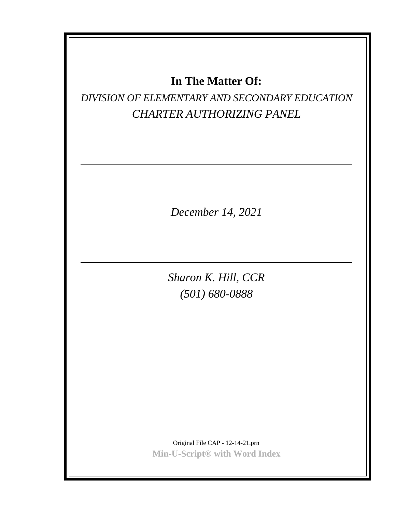## **In The Matter Of:**

## *DIVISION OF ELEMENTARY AND SECONDARY EDUCATION CHARTER AUTHORIZING PANEL*

*December 14, 2021*

*Sharon K. Hill, CCR (501) 680-0888*

Original File CAP - 12-14-21.prn **Min-U-Script® with Word Index**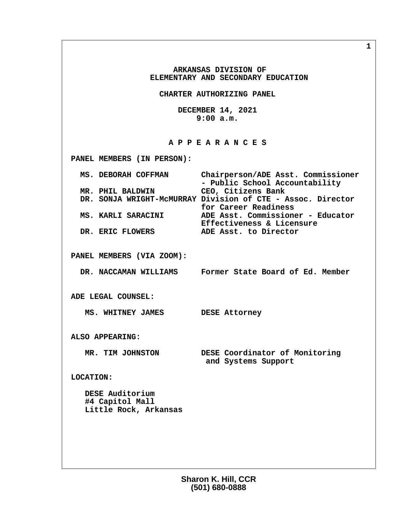**ARKANSAS DIVISION OF ELEMENTARY AND SECONDARY EDUCATION CHARTER AUTHORIZING PANEL DECEMBER 14, 2021 9:00 a.m. A P P E A R A N C E S PANEL MEMBERS (IN PERSON): MS. DEBORAH COFFMAN Chairperson/ADE Asst. Commissioner - Public School Accountability MR. PHIL BALDWIN CEO, Citizens Bank DR. SONJA WRIGHT-McMURRAY Division of CTE - Assoc. Director for Career Readiness MS. KARLI SARACINI ADE Asst. Commissioner - Educator Effectiveness & Licensure**<br>DR. ERIC FLOWERS **ADE Asst.** to Director **ADE Asst. to Director PANEL MEMBERS (VIA ZOOM): DR. NACCAMAN WILLIAMS Former State Board of Ed. Member ADE LEGAL COUNSEL: MS. WHITNEY JAMES DESE Attorney ALSO APPEARING: MR. TIM JOHNSTON DESE Coordinator of Monitoring and Systems Support LOCATION: DESE Auditorium #4 Capitol Mall Little Rock, Arkansas**

> **Sharon K. Hill, CCR (501) 680-0888**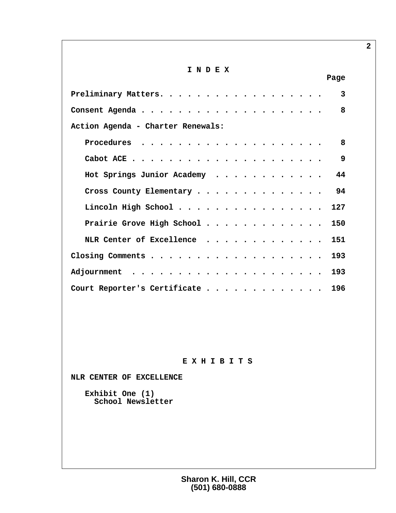## **I N D E X**

| Page                                                         |  |
|--------------------------------------------------------------|--|
| $\mathbf{3}$                                                 |  |
| 8                                                            |  |
| Action Agenda - Charter Renewals:                            |  |
| 8<br>Procedures $\cdots\cdots\cdots\cdots\cdots\cdots\cdots$ |  |
| 9                                                            |  |
| Hot Springs Junior Academy 44                                |  |
| Cross County Elementary 94                                   |  |
| Lincoln High School 127                                      |  |
| Prairie Grove High School 150                                |  |
| NLR Center of Excellence 151                                 |  |
| Closing Comments 193                                         |  |
|                                                              |  |
| Court Reporter's Certificate 196                             |  |

## **E X H I B I T S**

 **NLR CENTER OF EXCELLENCE**

 **Exhibit One (1) School Newsletter**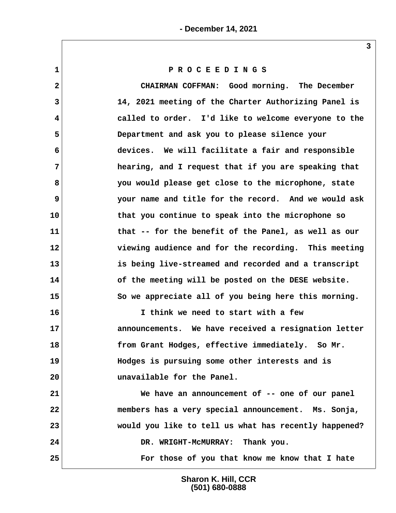**1 P R O C E E D I N G S**

 **2 CHAIRMAN COFFMAN: Good morning. The December 3 14, 2021 meeting of the Charter Authorizing Panel is 4 called to order. I'd like to welcome everyone to the 5 Department and ask you to please silence your 6 devices. We will facilitate a fair and responsible 7 hearing, and I request that if you are speaking that 8 you would please get close to the microphone, state 9 your name and title for the record. And we would ask 10 that you continue to speak into the microphone so 11 that -- for the benefit of the Panel, as well as our 12 viewing audience and for the recording. This meeting 13 is being live-streamed and recorded and a transcript 14 of the meeting will be posted on the DESE website. 15 So we appreciate all of you being here this morning. 16 I think we need to start with a few 17 announcements. We have received a resignation letter 18 from Grant Hodges, effective immediately. So Mr. 19 Hodges is pursuing some other interests and is 20 unavailable for the Panel. 21 We have an announcement of -- one of our panel 22 members has a very special announcement. Ms. Sonja, 23 would you like to tell us what has recently happened? 24 DR. WRIGHT-McMURRAY: Thank you.**

**25 For those of you that know me know that I hate**

**Sharon K. Hill, CCR (501) 680-0888**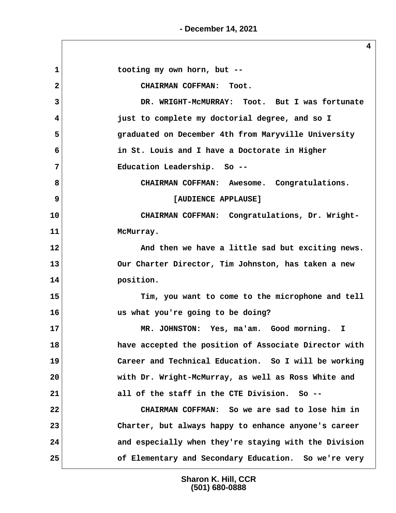**- December 14, 2021**

1 tooting my own horn, but -- **2 CHAIRMAN COFFMAN: Toot. 3 DR. WRIGHT-McMURRAY: Toot. But I was fortunate 4 just to complete my doctorial degree, and so I 5 graduated on December 4th from Maryville University 6 in St. Louis and I have a Doctorate in Higher 7 Education Leadership. So -- 8 CHAIRMAN COFFMAN: Awesome. Congratulations. 9 [AUDIENCE APPLAUSE]** 10 | CHAIRMAN COFFMAN: Congratulations, Dr. Wright-**11 McMurray. 12 And then we have a little sad but exciting news. 13 Our Charter Director, Tim Johnston, has taken a new 14 position. 15 Tim, you want to come to the microphone and tell 16 us what you're going to be doing? 17 MR. JOHNSTON: Yes, ma'am. Good morning. I 18 have accepted the position of Associate Director with 19 Career and Technical Education. So I will be working 20 with Dr. Wright-McMurray, as well as Ross White and 21 all of the staff in the CTE Division. So -- 22 CHAIRMAN COFFMAN: So we are sad to lose him in 23 Charter, but always happy to enhance anyone's career 24 and especially when they're staying with the Division 25 of Elementary and Secondary Education. So we're very**

> **Sharon K. Hill, CCR (501) 680-0888**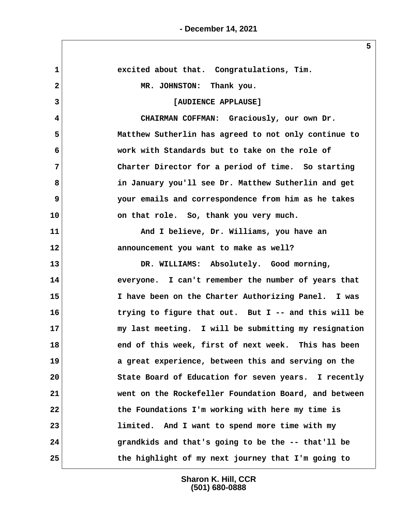| excited about that. Congratulations, Tim.             |
|-------------------------------------------------------|
| MR. JOHNSTON: Thank you.                              |
| [AUDIENCE APPLAUSE]                                   |
| CHAIRMAN COFFMAN: Graciously, our own Dr.             |
| Matthew Sutherlin has agreed to not only continue to  |
| work with Standards but to take on the role of        |
| Charter Director for a period of time. So starting    |
| in January you'll see Dr. Matthew Sutherlin and get   |
| your emails and correspondence from him as he takes   |
| on that role. So, thank you very much.                |
| And I believe, Dr. Williams, you have an              |
| announcement you want to make as well?                |
| DR. WILLIAMS: Absolutely. Good morning,               |
| everyone. I can't remember the number of years that   |
| I have been on the Charter Authorizing Panel. I was   |
| trying to figure that out. But I -- and this will be  |
| my last meeting. I will be submitting my resignation  |
| end of this week, first of next week. This has been   |
| a great experience, between this and serving on the   |
| State Board of Education for seven years. I recently  |
| went on the Rockefeller Foundation Board, and between |
| the Foundations I'm working with here my time is      |
| limited. And I want to spend more time with my        |
| grandkids and that's going to be the -- that'll be    |
| the highlight of my next journey that I'm going to    |
|                                                       |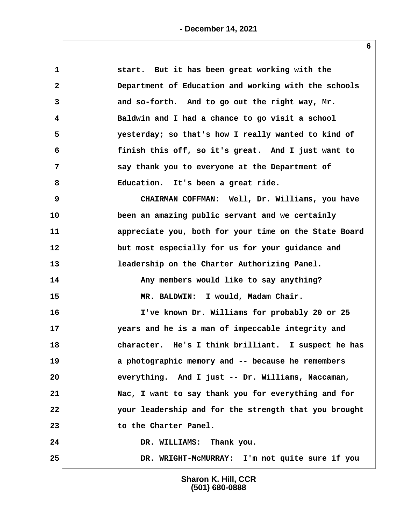| $\mathbf 1$    | start. But it has been great working with the         |
|----------------|-------------------------------------------------------|
| $\mathbf{2}$   | Department of Education and working with the schools  |
| 3              | and so-forth. And to go out the right way, Mr.        |
| 4              | Baldwin and I had a chance to go visit a school       |
| 5              | yesterday; so that's how I really wanted to kind of   |
| 6              | finish this off, so it's great. And I just want to    |
| $7\phantom{.}$ | say thank you to everyone at the Department of        |
| 8              | Education. It's been a great ride.                    |
| 9              | CHAIRMAN COFFMAN: Well, Dr. Williams, you have        |
| 10             | been an amazing public servant and we certainly       |
| 11             | appreciate you, both for your time on the State Board |
| 12             | but most especially for us for your guidance and      |
| 13             | leadership on the Charter Authorizing Panel.          |
| 14             | Any members would like to say anything?               |
| 15             | MR. BALDWIN: I would, Madam Chair.                    |
| 16             | I've known Dr. Williams for probably 20 or 25         |
| 17             | years and he is a man of impeccable integrity and     |
| 18             | character. He's I think brilliant. I suspect he has   |
| 19             | a photographic memory and -- because he remembers     |
| 20             | everything. And I just -- Dr. Williams, Naccaman,     |
| 21             | Nac, I want to say thank you for everything and for   |
| 22             | your leadership and for the strength that you brought |
| 23             | to the Charter Panel.                                 |
| 24             | DR. WILLIAMS: Thank you.                              |
| 25             | DR. WRIGHT-MCMURRAY: I'm not quite sure if you        |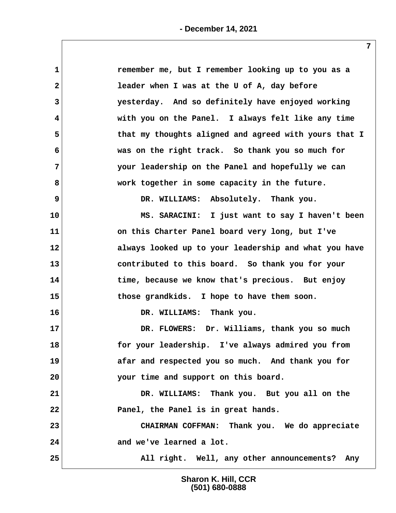| 1            | remember me, but I remember looking up to you as a    |
|--------------|-------------------------------------------------------|
| $\mathbf{2}$ | leader when I was at the U of A, day before           |
| 3            | yesterday. And so definitely have enjoyed working     |
| 4            | with you on the Panel. I always felt like any time    |
| 5            | that my thoughts aligned and agreed with yours that I |
| 6            | was on the right track. So thank you so much for      |
| 7            | your leadership on the Panel and hopefully we can     |
| 8            | work together in some capacity in the future.         |
| 9            | DR. WILLIAMS: Absolutely. Thank you.                  |
| 10           | MS. SARACINI: I just want to say I haven't been       |
| 11           | on this Charter Panel board very long, but I've       |
| $12 \,$      | always looked up to your leadership and what you have |
| 13           | contributed to this board. So thank you for your      |
| 14           | time, because we know that's precious. But enjoy      |
| 15           | those grandkids. I hope to have them soon.            |
| 16           | DR. WILLIAMS: Thank you.                              |
| 17           | DR. FLOWERS: Dr. Williams, thank you so much          |
| 18           | for your leadership. I've always admired you from     |
| 19           | afar and respected you so much. And thank you for     |
| 20           | your time and support on this board.                  |
| 21           | DR. WILLIAMS: Thank you. But you all on the           |
| 22           | Panel, the Panel is in great hands.                   |
| 23           | CHAIRMAN COFFMAN: Thank you. We do appreciate         |
| 24           | and we've learned a lot.                              |
| 25           | All right. Well, any other announcements? Any         |
|              |                                                       |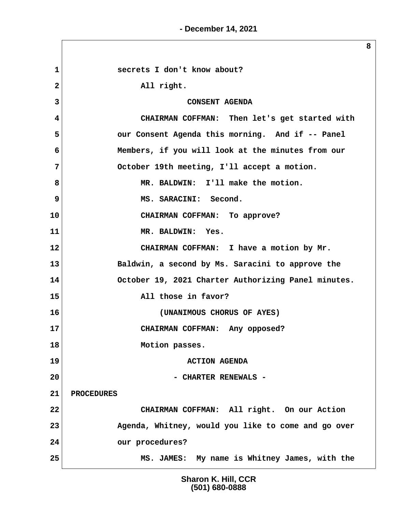**8**

1 **Secrets I don't know about?** 2 All right. **3** CONSENT AGENDA  **4 CHAIRMAN COFFMAN: Then let's get started with 5 our Consent Agenda this morning. And if -- Panel 6 Members, if you will look at the minutes from our 7 October 19th meeting, I'll accept a motion.** 8 MR. BALDWIN: I'll make the motion. **9** MS. SARACINI: Second. **10 CHAIRMAN COFFMAN: To approve? 11 MR. BALDWIN: Yes. 12 CHAIRMAN COFFMAN: I have a motion by Mr. 13 Baldwin, a second by Ms. Saracini to approve the 14 October 19, 2021 Charter Authorizing Panel minutes. 15 All those in favor? 16 (UNANIMOUS CHORUS OF AYES) 17 CHAIRMAN COFFMAN: Any opposed? 18 Motion passes. 19 ACTION AGENDA 20 - CHARTER RENEWALS - 21 PROCEDURES 22 CHAIRMAN COFFMAN: All right. On our Action 23 Agenda, Whitney, would you like to come and go over 24 our procedures? 25 MS. JAMES: My name is Whitney James, with the**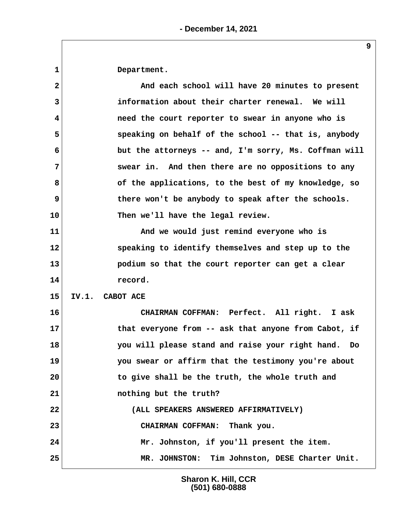**1 Department.**

 **2 And each school will have 20 minutes to present 3 information about their charter renewal. We will 4 need the court reporter to swear in anyone who is 5 speaking on behalf of the school -- that is, anybody 6 but the attorneys -- and, I'm sorry, Ms. Coffman will 7 swear in. And then there are no oppositions to any 8 of the applications, to the best of my knowledge, so 9** there won't be anybody to speak after the schools. **10 Then we'll have the legal review. 11 And we would just remind everyone who is 12 speaking to identify themselves and step up to the 13 podium so that the court reporter can get a clear 14 record. 15 IV.1. CABOT ACE 16 CHAIRMAN COFFMAN: Perfect. All right. I ask 17 that everyone from -- ask that anyone from Cabot, if 18 you will please stand and raise your right hand. Do 19 you swear or affirm that the testimony you're about 20 to give shall be the truth, the whole truth and 21 nothing but the truth? 22 (ALL SPEAKERS ANSWERED AFFIRMATIVELY) 23 CHAIRMAN COFFMAN: Thank you. 24 Mr. Johnston, if you'll present the item. 25 MR. JOHNSTON: Tim Johnston, DESE Charter Unit.**

> **Sharon K. Hill, CCR (501) 680-0888**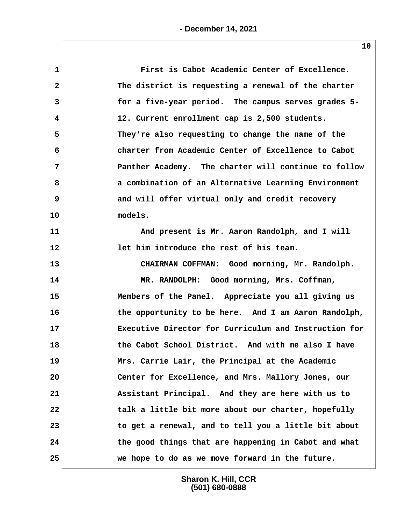| $\mathbf 1$  | First is Cabot Academic Center of Excellence.         |
|--------------|-------------------------------------------------------|
| $\mathbf{2}$ | The district is requesting a renewal of the charter   |
| 3            | for a five-year period. The campus serves grades 5-   |
| 4            | 12. Current enrollment cap is 2,500 students.         |
| 5            | They're also requesting to change the name of the     |
| 6            | charter from Academic Center of Excellence to Cabot   |
| 7            | Panther Academy. The charter will continue to follow  |
| 8            | a combination of an Alternative Learning Environment  |
| 9            | and will offer virtual only and credit recovery       |
| 10           | models.                                               |
| 11           | And present is Mr. Aaron Randolph, and I will         |
| 12           | let him introduce the rest of his team.               |
| 13           | CHAIRMAN COFFMAN: Good morning, Mr. Randolph.         |
| 14           | MR. RANDOLPH: Good morning, Mrs. Coffman,             |
| 15           | Members of the Panel. Appreciate you all giving us    |
| 16           | the opportunity to be here. And I am Aaron Randolph,  |
| 17           | Executive Director for Curriculum and Instruction for |
| 18           | the Cabot School District. And with me also I have    |
| 19           | Mrs. Carrie Lair, the Principal at the Academic       |
| 20           | Center for Excellence, and Mrs. Mallory Jones, our    |
| 21           | Assistant Principal. And they are here with us to     |
| 22           | talk a little bit more about our charter, hopefully   |
| 23           | to get a renewal, and to tell you a little bit about  |
| 24           | the good things that are happening in Cabot and what  |
| 25           | we hope to do as we move forward in the future.       |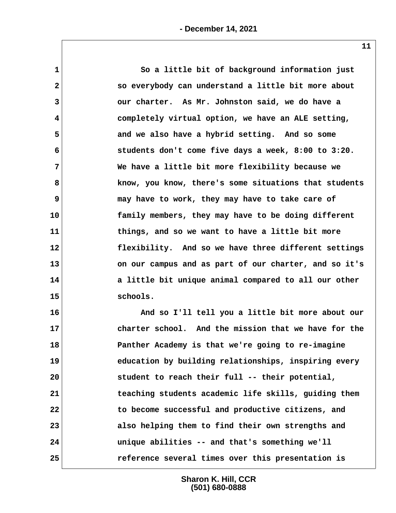**1 So a little bit of background information just 2 so everybody can understand a little bit more about 3 our charter. As Mr. Johnston said, we do have a 4 completely virtual option, we have an ALE setting, 5 and we also have a hybrid setting. And so some 6 students don't come five days a week, 8:00 to 3:20. 7 We have a little bit more flexibility because we 8 know, you know, there's some situations that students 9 may have to work, they may have to take care of 10 family members, they may have to be doing different 11 things, and so we want to have a little bit more 12 flexibility. And so we have three different settings 13 on our campus and as part of our charter, and so it's 14 a little bit unique animal compared to all our other 15 schools.**

**16 And so I'll tell you a little bit more about our 17 charter school. And the mission that we have for the 18 Panther Academy is that we're going to re-imagine 19 education by building relationships, inspiring every 20 student to reach their full -- their potential, 21 teaching students academic life skills, guiding them 22 to become successful and productive citizens, and 23 also helping them to find their own strengths and 24 unique abilities -- and that's something we'll 25 reference several times over this presentation is**

> **Sharon K. Hill, CCR (501) 680-0888**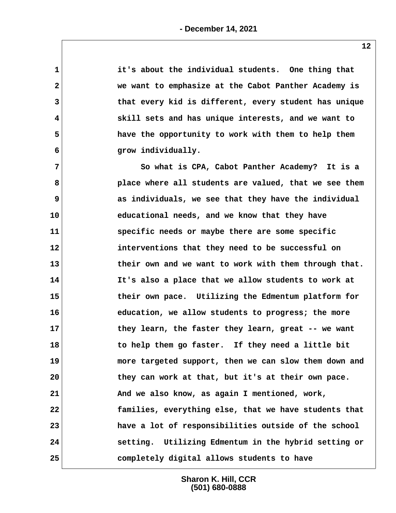| $\mathbf 1$             | it's about the individual students. One thing that    |
|-------------------------|-------------------------------------------------------|
| $\overline{\mathbf{2}}$ | we want to emphasize at the Cabot Panther Academy is  |
| 3                       | that every kid is different, every student has unique |
| 4                       | skill sets and has unique interests, and we want to   |
| 5                       | have the opportunity to work with them to help them   |
| 6                       | grow individually.                                    |
| 7                       | So what is CPA, Cabot Panther Academy? It is a        |
| 8                       | place where all students are valued, that we see them |
| 9                       | as individuals, we see that they have the individual  |
| 10                      | educational needs, and we know that they have         |
| 11                      | specific needs or maybe there are some specific       |
| 12                      | interventions that they need to be successful on      |
| 13                      | their own and we want to work with them through that. |
| 14                      | It's also a place that we allow students to work at   |
| 15                      | their own pace. Utilizing the Edmentum platform for   |
| 16                      | education, we allow students to progress; the more    |
| 17                      | they learn, the faster they learn, great -- we want   |
| 18                      | to help them go faster. If they need a little bit     |
| 19                      | more targeted support, then we can slow them down and |
| 20                      | they can work at that, but it's at their own pace.    |
| 21                      | And we also know, as again I mentioned, work,         |
| 22                      | families, everything else, that we have students that |
| 23                      | have a lot of responsibilities outside of the school  |
| 24                      | setting. Utilizing Edmentum in the hybrid setting or  |
| 25                      | completely digital allows students to have            |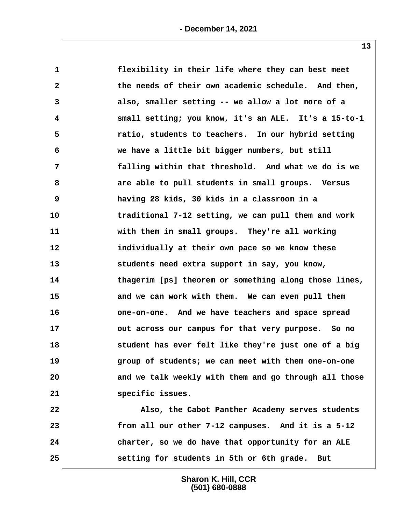| $\mathbf 1$  | flexibility in their life where they can best meet    |
|--------------|-------------------------------------------------------|
| $\mathbf{2}$ | the needs of their own academic schedule. And then,   |
| 3            | also, smaller setting -- we allow a lot more of a     |
| 4            | small setting; you know, it's an ALE. It's a 15-to-1  |
| 5            | ratio, students to teachers. In our hybrid setting    |
| 6            | we have a little bit bigger numbers, but still        |
| 7            | falling within that threshold. And what we do is we   |
| 8            | are able to pull students in small groups. Versus     |
| 9            | having 28 kids, 30 kids in a classroom in a           |
| 10           | traditional 7-12 setting, we can pull them and work   |
| 11           | with them in small groups. They're all working        |
| 12           | individually at their own pace so we know these       |
| 13           | students need extra support in say, you know,         |
| 14           | thagerim [ps] theorem or something along those lines, |
| 15           | and we can work with them. We can even pull them      |
| 16           | one-on-one. And we have teachers and space spread     |
| 17           | out across our campus for that very purpose. So no    |
| 18           | student has ever felt like they're just one of a big  |
| 19           | group of students; we can meet with them one-on-one   |
| 20           | and we talk weekly with them and go through all those |
| 21           | specific issues.                                      |
| 22           | Also, the Cabot Panther Academy serves students       |
| 23           | from all our other 7-12 campuses. And it is a 5-12    |
| 24           | charter, so we do have that opportunity for an ALE    |

**25 setting for students in 5th or 6th grade. But**

**Sharon K. Hill, CCR (501) 680-0888**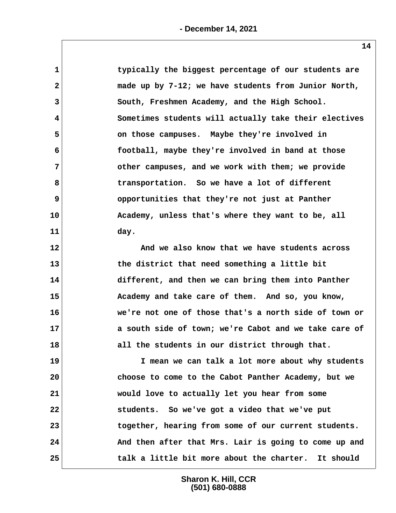| $\mathbf 1$    | typically the biggest percentage of our students are  |
|----------------|-------------------------------------------------------|
| $\mathbf{2}$   | made up by 7-12; we have students from Junior North,  |
| 3              | South, Freshmen Academy, and the High School.         |
| 4              | Sometimes students will actually take their electives |
| 5              | on those campuses. Maybe they're involved in          |
| 6              | football, maybe they're involved in band at those     |
| $7\phantom{.}$ | other campuses, and we work with them; we provide     |
| 8              | transportation. So we have a lot of different         |
| 9              | opportunities that they're not just at Panther        |
| 10             | Academy, unless that's where they want to be, all     |
| 11             | day.                                                  |
| 12             | And we also know that we have students across         |
| 13             | the district that need something a little bit         |
| 14             | different, and then we can bring them into Panther    |
| 15             | Academy and take care of them. And so, you know,      |
| 16             | we're not one of those that's a north side of town or |
| 17             | a south side of town; we're Cabot and we take care of |
| 18             | all the students in our district through that.        |
| 19             | I mean we can talk a lot more about why students      |
| 20             | choose to come to the Cabot Panther Academy, but we   |
| 21             | would love to actually let you hear from some         |
| 22             | students. So we've got a video that we've put         |
| 23             | together, hearing from some of our current students.  |
| 24             | And then after that Mrs. Lair is going to come up and |
| 25             | talk a little bit more about the charter. It should   |
|                |                                                       |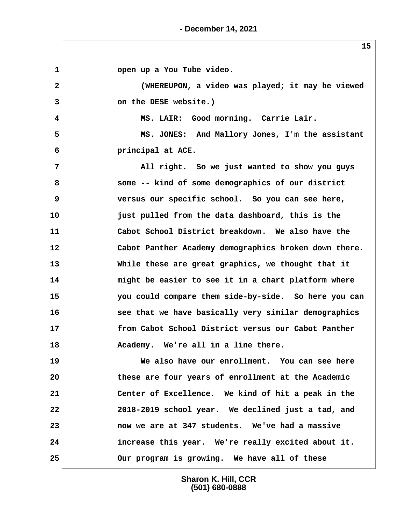**1 open up a You Tube video. 2 (WHEREUPON, a video was played; it may be viewed 3 on the DESE website.) 4 MS. LAIR: Good morning. Carrie Lair. 5 MS. JONES: And Mallory Jones, I'm the assistant 6 principal at ACE. 7 All right. So we just wanted to show you guys 8 some -- kind of some demographics of our district 9 versus our specific school. So you can see here, 10 just pulled from the data dashboard, this is the 11 Cabot School District breakdown. We also have the 12 Cabot Panther Academy demographics broken down there. 13 While these are great graphics, we thought that it 14 might be easier to see it in a chart platform where 15 you could compare them side-by-side. So here you can 16 see that we have basically very similar demographics 17 from Cabot School District versus our Cabot Panther 18 Academy. We're all in a line there. 19 We also have our enrollment. You can see here 20 these are four years of enrollment at the Academic 21 Center of Excellence. We kind of hit a peak in the 22 2018-2019 school year. We declined just a tad, and 23 now we are at 347 students. We've had a massive 24 increase this year. We're really excited about it. 25 Our program is growing. We have all of these**

> **Sharon K. Hill, CCR (501) 680-0888**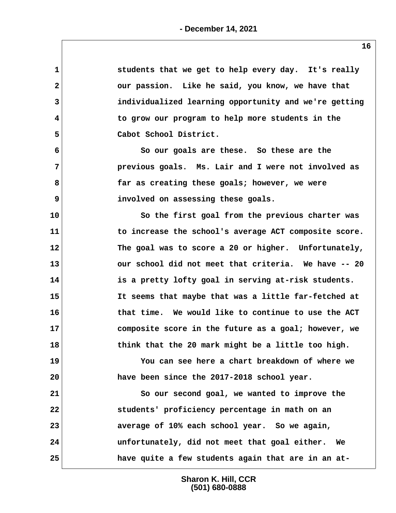| students that we get to help every day. It's really              |
|------------------------------------------------------------------|
| our passion. Like he said, you know, we have that                |
| individualized learning opportunity and we're getting            |
| to grow our program to help more students in the                 |
| Cabot School District.                                           |
| So our goals are these. So these are the                         |
| previous goals. Ms. Lair and I were not involved as              |
| far as creating these goals; however, we were                    |
| involved on assessing these goals.                               |
| So the first goal from the previous charter was                  |
| 11<br>to increase the school's average ACT composite score.      |
| 12<br>The goal was to score a 20 or higher. Unfortunately,       |
| 13<br>our school did not meet that criteria. We have -- 20       |
| 14<br>is a pretty lofty goal in serving at-risk students.        |
| 15<br>It seems that maybe that was a little far-fetched at       |
| 16<br>that time. We would like to continue to use the ACT        |
| 17<br>composite score in the future as a goal; however, we       |
| think that the 20 mark might be a little too high.<br>18         |
| You can see here a chart breakdown of where we                   |
| have been since the 2017-2018 school year.                       |
| So our second goal, we wanted to improve the                     |
| students' proficiency percentage in math on an                   |
| average of 10% each school year. So we again,                    |
| 24<br>unfortunately, did not meet that goal either.<br><b>We</b> |
| have quite a few students again that are in an at-               |
|                                                                  |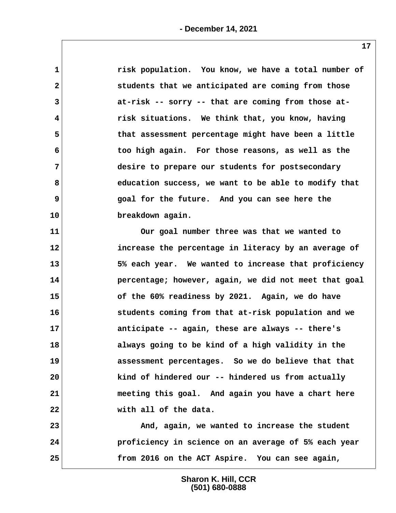| $\mathbf 1$             | risk population. You know, we have a total number of  |
|-------------------------|-------------------------------------------------------|
| $\mathbf{2}$            | students that we anticipated are coming from those    |
| 3                       | at-risk -- sorry -- that are coming from those at-    |
| $\overline{\mathbf{4}}$ | risk situations. We think that, you know, having      |
| 5                       | that assessment percentage might have been a little   |
| 6                       | too high again. For those reasons, as well as the     |
| 7                       | desire to prepare our students for postsecondary      |
| 8                       | education success, we want to be able to modify that  |
| 9                       | goal for the future. And you can see here the         |
| 10                      | breakdown again.                                      |
| 11                      | Our goal number three was that we wanted to           |
| 12                      | increase the percentage in literacy by an average of  |
| 13                      | 5% each year. We wanted to increase that proficiency  |
| 14                      | percentage; however, again, we did not meet that goal |
| 15                      | of the 60% readiness by 2021. Again, we do have       |
| 16                      | students coming from that at-risk population and we   |
| 17                      | anticipate -- again, these are always -- there's      |
| 18                      | always going to be kind of a high validity in the     |
| 19                      | assessment percentages. So we do believe that that    |
| 20                      | kind of hindered our -- hindered us from actually     |
| 21                      | meeting this goal. And again you have a chart here    |
| 22                      | with all of the data.                                 |
| 23                      | And, again, we wanted to increase the student         |
| 24                      | proficiency in science on an average of 5% each year  |
| 25                      | from 2016 on the ACT Aspire. You can see again,       |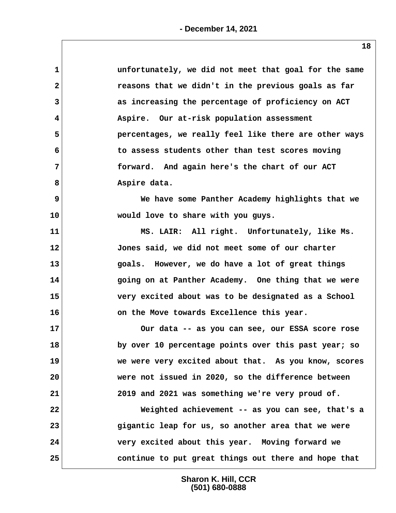| $\mathbf 1$  | unfortunately, we did not meet that goal for the same |
|--------------|-------------------------------------------------------|
| $\mathbf{2}$ | reasons that we didn't in the previous goals as far   |
| 3            | as increasing the percentage of proficiency on ACT    |
| 4            | Aspire. Our at-risk population assessment             |
| 5            | percentages, we really feel like there are other ways |
| 6            | to assess students other than test scores moving      |
| 7            | forward. And again here's the chart of our ACT        |
| 8            | Aspire data.                                          |
| 9            | We have some Panther Academy highlights that we       |
| 10           | would love to share with you guys.                    |
| 11           | MS. LAIR: All right. Unfortunately, like Ms.          |
| 12           | Jones said, we did not meet some of our charter       |
| 13           | goals. However, we do have a lot of great things      |
| 14           | going on at Panther Academy. One thing that we were   |
| 15           | very excited about was to be designated as a School   |
| 16           | on the Move towards Excellence this year.             |
| 17           | Our data -- as you can see, our ESSA score rose       |
| 18           | by over 10 percentage points over this past year; so  |
| 19           | we were very excited about that. As you know, scores  |
| 20           | were not issued in 2020, so the difference between    |
| 21           | 2019 and 2021 was something we're very proud of.      |
| 22           | Weighted achievement -- as you can see, that's a      |
| 23           | gigantic leap for us, so another area that we were    |
| 24           | very excited about this year. Moving forward we       |
| 25           | continue to put great things out there and hope that  |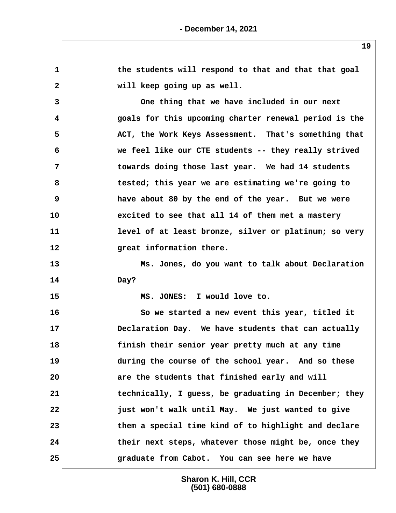|                         | 19                                                    |
|-------------------------|-------------------------------------------------------|
| $\mathbf{1}$            | the students will respond to that and that that goal  |
| $\mathbf{2}$            | will keep going up as well.                           |
| 3                       | One thing that we have included in our next           |
| $\overline{\mathbf{4}}$ | goals for this upcoming charter renewal period is the |
| 5                       | ACT, the Work Keys Assessment. That's something that  |
| 6                       | we feel like our CTE students -- they really strived  |
| 7                       | towards doing those last year. We had 14 students     |
| 8                       | tested; this year we are estimating we're going to    |
| 9                       | have about 80 by the end of the year. But we were     |
| 10                      | excited to see that all 14 of them met a mastery      |
| 11                      | level of at least bronze, silver or platinum; so very |
| 12                      | great information there.                              |
| 13                      | Ms. Jones, do you want to talk about Declaration      |
| 14                      | Day?                                                  |
| 15                      | MS. JONES: I would love to.                           |
| 16                      | So we started a new event this year, titled it        |
| 17                      | Declaration Day. We have students that can actually   |
| 18                      | finish their senior year pretty much at any time      |
| 19                      | during the course of the school year. And so these    |
| 20                      | are the students that finished early and will         |
| 21                      | technically, I guess, be graduating in December; they |
| 22                      | just won't walk until May. We just wanted to give     |
| 23                      | them a special time kind of to highlight and declare  |
| 24                      | their next steps, whatever those might be, once they  |
| 25                      | graduate from Cabot. You can see here we have         |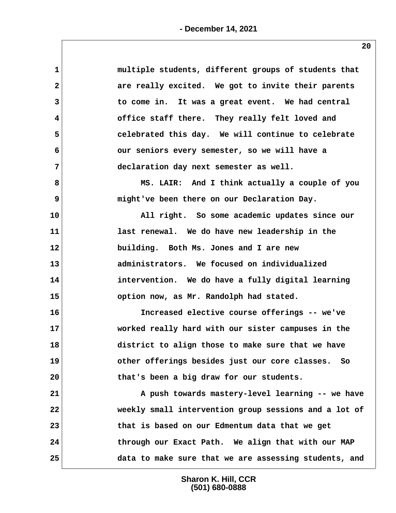| $\mathbf 1$    | multiple students, different groups of students that  |
|----------------|-------------------------------------------------------|
| $\mathbf{2}$   | are really excited. We got to invite their parents    |
| 3              | to come in. It was a great event. We had central      |
| 4              | office staff there. They really felt loved and        |
| 5              | celebrated this day. We will continue to celebrate    |
| 6              | our seniors every semester, so we will have a         |
| $\overline{7}$ | declaration day next semester as well.                |
| 8              | MS. LAIR: And I think actually a couple of you        |
| 9              | might've been there on our Declaration Day.           |
| 10             | All right. So some academic updates since our         |
| 11             | last renewal. We do have new leadership in the        |
| 12             | building. Both Ms. Jones and I are new                |
| 13             | administrators. We focused on individualized          |
| 14             | intervention. We do have a fully digital learning     |
| 15             | option now, as Mr. Randolph had stated.               |
| 16             | Increased elective course offerings -- we've          |
| 17             | worked really hard with our sister campuses in the    |
| 18             | district to align those to make sure that we have     |
| 19             | other offerings besides just our core classes. So     |
| 20             | that's been a big draw for our students.              |
| 21             | A push towards mastery-level learning -- we have      |
| 22             | weekly small intervention group sessions and a lot of |
| 23             | that is based on our Edmentum data that we get        |
| 24             | through our Exact Path. We align that with our MAP    |
| 25             | data to make sure that we are assessing students, and |
|                |                                                       |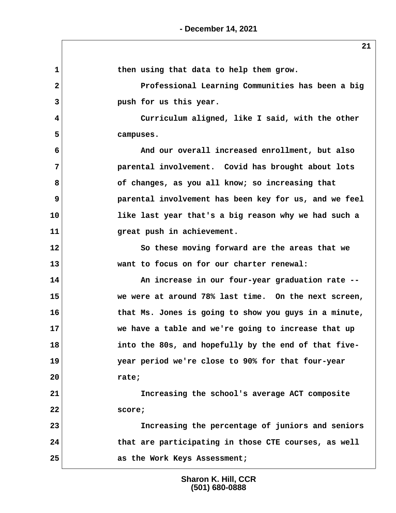| 1            | then using that data to help them grow.               |  |
|--------------|-------------------------------------------------------|--|
| $\mathbf{2}$ | Professional Learning Communities has been a big      |  |
| 3            | push for us this year.                                |  |
| 4            | Curriculum aligned, like I said, with the other       |  |
| 5            | campuses.                                             |  |
| 6            | And our overall increased enrollment, but also        |  |
| 7            | parental involvement. Covid has brought about lots    |  |
| 8            | of changes, as you all know; so increasing that       |  |
| 9            | parental involvement has been key for us, and we feel |  |
| 10           | like last year that's a big reason why we had such a  |  |
| 11           | great push in achievement.                            |  |
| 12           | So these moving forward are the areas that we         |  |
| 13           | want to focus on for our charter renewal:             |  |
| 14           | An increase in our four-year graduation rate --       |  |
| 15           | we were at around 78% last time. On the next screen,  |  |
| 16           | that Ms. Jones is going to show you guys in a minute, |  |
| 17           | we have a table and we're going to increase that up   |  |
| 18           | into the 80s, and hopefully by the end of that five-  |  |
| 19           | year period we're close to 90% for that four-year     |  |
| 20           | rate;                                                 |  |
| 21           | Increasing the school's average ACT composite         |  |
| 22           | score;                                                |  |
| 23           | Increasing the percentage of juniors and seniors      |  |
| 24           | that are participating in those CTE courses, as well  |  |
| 25           | as the Work Keys Assessment;                          |  |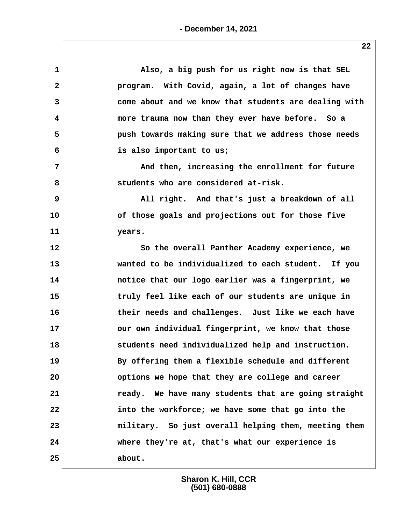| $\mathbf{1}$ | Also, a big push for us right now is that SEL         |
|--------------|-------------------------------------------------------|
| $\mathbf{2}$ | program. With Covid, again, a lot of changes have     |
| 3            | come about and we know that students are dealing with |
| 4            | more trauma now than they ever have before. So a      |
| 5            | push towards making sure that we address those needs  |
| 6            | is also important to us;                              |
| 7            | And then, increasing the enrollment for future        |
| 8            | students who are considered at-risk.                  |
| 9            | All right. And that's just a breakdown of all         |
| 10           | of those goals and projections out for those five     |
| 11           | years.                                                |
| 12           | So the overall Panther Academy experience, we         |
| 13           | wanted to be individualized to each student. If you   |
| 14           | notice that our logo earlier was a fingerprint, we    |
| 15           | truly feel like each of our students are unique in    |
| 16           | their needs and challenges. Just like we each have    |
| 17           | our own individual fingerprint, we know that those    |
| 18           | students need individualized help and instruction.    |
| 19           | By offering them a flexible schedule and different    |
| 20           | options we hope that they are college and career      |
| 21           | ready. We have many students that are going straight  |
| 22           | into the workforce; we have some that go into the     |
| 23           | military. So just overall helping them, meeting them  |
| 24           | where they're at, that's what our experience is       |
| 25           | about.                                                |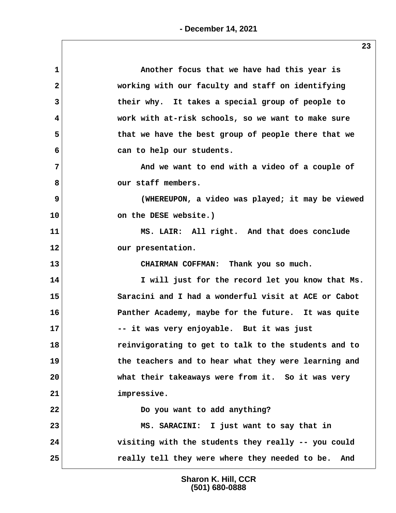| $\mathbf 1$    | Another focus that we have had this year is          |
|----------------|------------------------------------------------------|
| $\mathbf{2}$   | working with our faculty and staff on identifying    |
| 3              | their why. It takes a special group of people to     |
| 4              | work with at-risk schools, so we want to make sure   |
| 5              | that we have the best group of people there that we  |
| 6              | can to help our students.                            |
| $\overline{7}$ | And we want to end with a video of a couple of       |
| 8              | our staff members.                                   |
| 9              | (WHEREUPON, a video was played; it may be viewed     |
| 10             | on the DESE website.)                                |
| 11             | MS. LAIR: All right. And that does conclude          |
| 12             | our presentation.                                    |
| 13             | CHAIRMAN COFFMAN: Thank you so much.                 |
| 14             | I will just for the record let you know that Ms.     |
| 15             | Saracini and I had a wonderful visit at ACE or Cabot |
| 16             | Panther Academy, maybe for the future. It was quite  |
| 17             | -- it was very enjoyable. But it was just            |
| 18             | reinvigorating to get to talk to the students and to |
| 19             | the teachers and to hear what they were learning and |
| 20             | what their takeaways were from it. So it was very    |
| 21             | impressive.                                          |
| 22             | Do you want to add anything?                         |
| 23             | MS. SARACINI: I just want to say that in             |
| 24             | visiting with the students they really -- you could  |
| 25             | really tell they were where they needed to be. And   |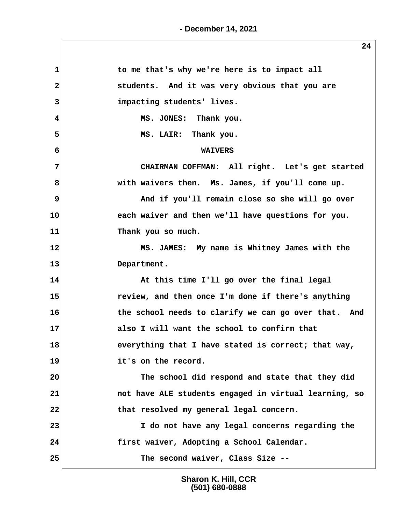| $\mathbf{1}$   | to me that's why we're here is to impact all          |
|----------------|-------------------------------------------------------|
| $\mathbf{2}$   | students. And it was very obvious that you are        |
| $\overline{3}$ | impacting students' lives.                            |
| 4              | MS. JONES: Thank you.                                 |
| 5              | MS. LAIR: Thank you.                                  |
| 6              | <b>WAIVERS</b>                                        |
| 7              | CHAIRMAN COFFMAN: All right. Let's get started        |
| 8              | with waivers then. Ms. James, if you'll come up.      |
| 9              | And if you'll remain close so she will go over        |
| 10             | each waiver and then we'll have questions for you.    |
| 11             | Thank you so much.                                    |
| 12             | MS. JAMES: My name is Whitney James with the          |
| 13             | Department.                                           |
| 14             | At this time I'll go over the final legal             |
| 15             | review, and then once I'm done if there's anything    |
| 16             | the school needs to clarify we can go over that. And  |
| 17             | also I will want the school to confirm that           |
| 18             | everything that I have stated is correct; that way,   |
| 19             | it's on the record.                                   |
| 20             | The school did respond and state that they did        |
| 21             | not have ALE students engaged in virtual learning, so |
| 22             | that resolved my general legal concern.               |
| 23             | I do not have any legal concerns regarding the        |
| 24             | first waiver, Adopting a School Calendar.             |
| 25             | The second waiver, Class Size --                      |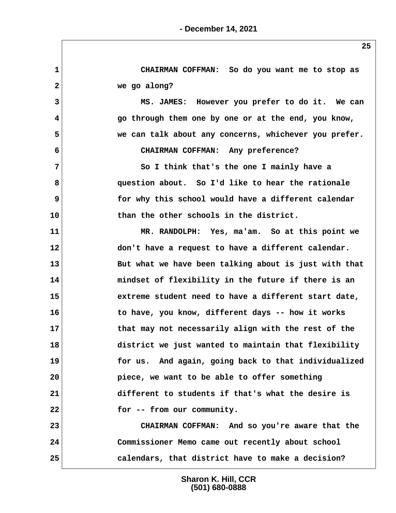**1 CHAIRMAN COFFMAN: So do you want me to stop as 2 we go along? 3 MS. JAMES: However you prefer to do it. We can 4 go through them one by one or at the end, you know, 5 we can talk about any concerns, whichever you prefer. 6 CHAIRMAN COFFMAN: Any preference? 7 So I think that's the one I mainly have a 8 question about. So I'd like to hear the rationale 9 for why this school would have a different calendar 10 than the other schools in the district. 11 MR. RANDOLPH: Yes, ma'am. So at this point we 12 don't have a request to have a different calendar. 13 But what we have been talking about is just with that 14 mindset of flexibility in the future if there is an 15 extreme student need to have a different start date, 16 to have, you know, different days -- how it works 17 that may not necessarily align with the rest of the 18 district we just wanted to maintain that flexibility 19 for us. And again, going back to that individualized 20 piece, we want to be able to offer something 21 different to students if that's what the desire is 22 for -- from our community. 23 CHAIRMAN COFFMAN: And so you're aware that the 24 Commissioner Memo came out recently about school 25 calendars, that district have to make a decision?**

> **Sharon K. Hill, CCR (501) 680-0888**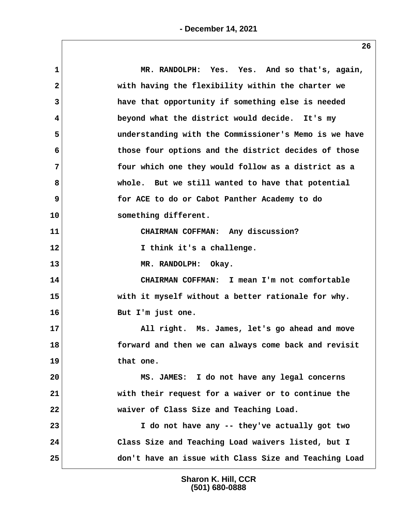| 1            | MR. RANDOLPH: Yes. Yes. And so that's, again,         |
|--------------|-------------------------------------------------------|
| $\mathbf{2}$ | with having the flexibility within the charter we     |
| 3            | have that opportunity if something else is needed     |
| 4            | beyond what the district would decide. It's my        |
| 5            | understanding with the Commissioner's Memo is we have |
| 6            | those four options and the district decides of those  |
| 7            | four which one they would follow as a district as a   |
|              |                                                       |
| 8            | whole. But we still wanted to have that potential     |
| 9            | for ACE to do or Cabot Panther Academy to do          |
| 10           | something different.                                  |
| 11           | CHAIRMAN COFFMAN: Any discussion?                     |
| 12           | I think it's a challenge.                             |
| 13           | MR. RANDOLPH: Okay.                                   |
| 14           | CHAIRMAN COFFMAN: I mean I'm not comfortable          |
| 15           | with it myself without a better rationale for why.    |
| 16           | But I'm just one.                                     |
| 17           | All right. Ms. James, let's go ahead and move         |
| 18           | forward and then we can always come back and revisit  |
| 19           | that one.                                             |
| 20           | MS. JAMES: I do not have any legal concerns           |
| 21           | with their request for a waiver or to continue the    |
| 22           | waiver of Class Size and Teaching Load.               |
| 23           | I do not have any -- they've actually got two         |
|              |                                                       |
| 24           | Class Size and Teaching Load waivers listed, but I    |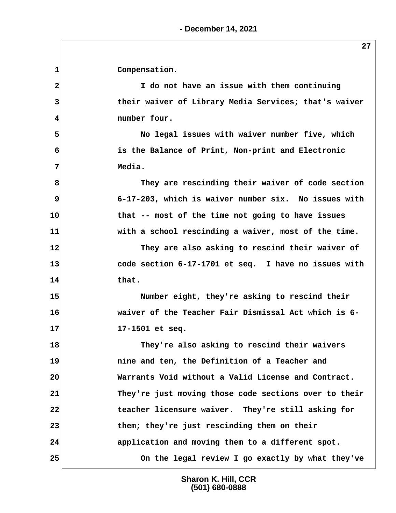1 Compensation.  **2 I do not have an issue with them continuing 3 their waiver of Library Media Services; that's waiver 4 number four. 5 No legal issues with waiver number five, which 6 is the Balance of Print, Non-print and Electronic 7 Media. 8 They are rescinding their waiver of code section 9 6-17-203, which is waiver number six. No issues with 10 that -- most of the time not going to have issues 11 with a school rescinding a waiver, most of the time. 12 They are also asking to rescind their waiver of 13 code section 6-17-1701 et seq. I have no issues with 14 that. 15 Number eight, they're asking to rescind their 16 waiver of the Teacher Fair Dismissal Act which is 6- 17 17-1501 et seq. 18 They're also asking to rescind their waivers 19 nine and ten, the Definition of a Teacher and 20 Warrants Void without a Valid License and Contract. 21 They're just moving those code sections over to their 22 teacher licensure waiver. They're still asking for 23 them; they're just rescinding them on their 24 application and moving them to a different spot. 25 On the legal review I go exactly by what they've**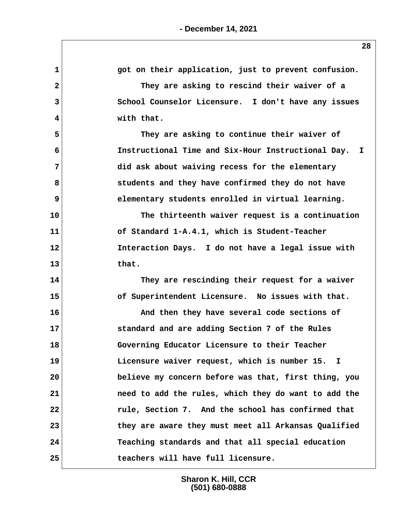| 1              | got on their application, just to prevent confusion. |
|----------------|------------------------------------------------------|
| $\overline{2}$ | They are asking to rescind their waiver of a         |
| 3              | School Counselor Licensure. I don't have any issues  |
| 4              | with that.                                           |
| 5              | They are asking to continue their waiver of          |
| 6              | Instructional Time and Six-Hour Instructional Day. I |
| $\overline{7}$ | did ask about waiving recess for the elementary      |
| 8              | students and they have confirmed they do not have    |
| 9              | elementary students enrolled in virtual learning.    |
| 10             | The thirteenth waiver request is a continuation      |
| 11             | of Standard 1-A.4.1, which is Student-Teacher        |
| 12             | Interaction Days. I do not have a legal issue with   |
| 13             | that.                                                |
| 14             | They are rescinding their request for a waiver       |
| 15             | of Superintendent Licensure. No issues with that.    |
| 16             | And then they have several code sections of          |
| 17             | standard and are adding Section 7 of the Rules       |
| 18             | Governing Educator Licensure to their Teacher        |
| 19             | Licensure waiver request, which is number 15. I      |
| 20             | believe my concern before was that, first thing, you |
| 21             | need to add the rules, which they do want to add the |
| 22             | rule, Section 7. And the school has confirmed that   |
| 23             | they are aware they must meet all Arkansas Qualified |
| 24             | Teaching standards and that all special education    |
| 25             | teachers will have full licensure.                   |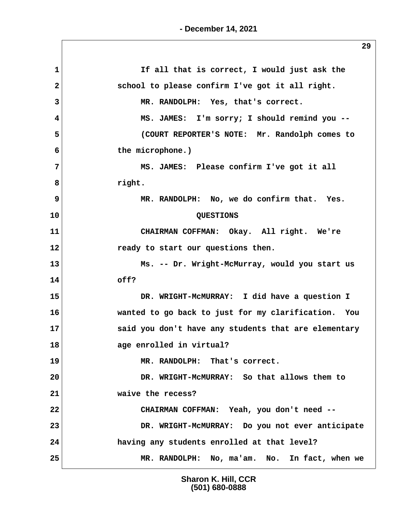**1 If all that is correct, I would just ask the** 2 **19 SP in Sectional Example 2** school to please confirm I've got it all right.  **3 MR. RANDOLPH: Yes, that's correct. 4 MS. JAMES: I'm sorry; I should remind you -- 5 (COURT REPORTER'S NOTE: Mr. Randolph comes to 6 the microphone.) 7 MS. JAMES: Please confirm I've got it all 8 right. 9 MR. RANDOLPH: No, we do confirm that. Yes. 10 QUESTIONS 11 CHAIRMAN COFFMAN: Okay. All right. We're 12 ready to start our questions then. 13 Ms. -- Dr. Wright-McMurray, would you start us 14 off? 15 DR. WRIGHT-McMURRAY: I did have a question I 16 wanted to go back to just for my clarification. You 17 said you don't have any students that are elementary 18 age enrolled in virtual? 19 MR. RANDOLPH: That's correct. 20 DR. WRIGHT-McMURRAY: So that allows them to 21 waive the recess? 22 CHAIRMAN COFFMAN: Yeah, you don't need -- 23 DR. WRIGHT-McMURRAY: Do you not ever anticipate 24 having any students enrolled at that level? 25 MR. RANDOLPH: No, ma'am. No. In fact, when we**

> **Sharon K. Hill, CCR (501) 680-0888**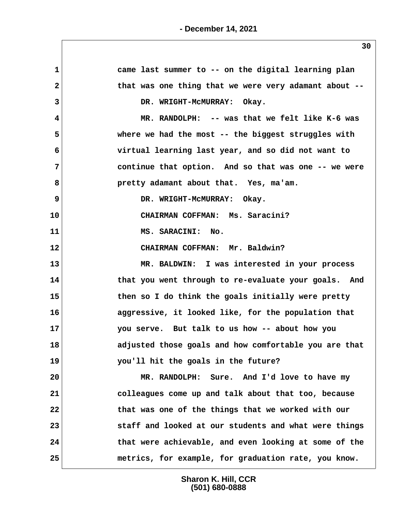| came last summer to -- on the digital learning plan    |
|--------------------------------------------------------|
| that was one thing that we were very adamant about --  |
| DR. WRIGHT-MCMURRAY: Okay.                             |
| MR. RANDOLPH: -- was that we felt like K-6 was         |
| where we had the most $-$ - the biggest struggles with |
| virtual learning last year, and so did not want to     |
| continue that option. And so that was one -- we were   |
| pretty adamant about that. Yes, ma'am.                 |
| DR. WRIGHT-MCMURRAY: Okay.                             |
| CHAIRMAN COFFMAN: Ms. Saracini?                        |
| MS. SARACINI: No.                                      |
| CHAIRMAN COFFMAN: Mr. Baldwin?                         |
| MR. BALDWIN: I was interested in your process          |
| that you went through to re-evaluate your goals. And   |
| then so I do think the goals initially were pretty     |
| aggressive, it looked like, for the population that    |
| you serve. But talk to us how -- about how you         |
| adjusted those goals and how comfortable you are that  |
| you'll hit the goals in the future?                    |
| MR. RANDOLPH: Sure. And I'd love to have my            |
| colleagues come up and talk about that too, because    |
| that was one of the things that we worked with our     |
| staff and looked at our students and what were things  |
| that were achievable, and even looking at some of the  |
| metrics, for example, for graduation rate, you know.   |
|                                                        |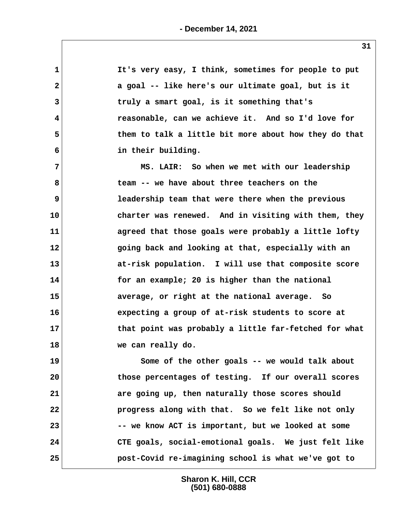**1** It's very easy, I think, sometimes for people to put  **2 a goal -- like here's our ultimate goal, but is it 3 truly a smart goal, is it something that's 4 reasonable, can we achieve it. And so I'd love for 5 them to talk a little bit more about how they do that 6 in their building. 7 MS. LAIR: So when we met with our leadership 8 team -- we have about three teachers on the 9 leadership team that were there when the previous 10 charter was renewed. And in visiting with them, they 11 agreed that those goals were probably a little lofty 12 going back and looking at that, especially with an 13 at-risk population. I will use that composite score 14 for an example; 20 is higher than the national 15 average, or right at the national average. So 16 expecting a group of at-risk students to score at 17 that point was probably a little far-fetched for what 18 we can really do. 19 Some of the other goals -- we would talk about 20 those percentages of testing. If our overall scores 21 are going up, then naturally those scores should 22 progress along with that. So we felt like not only 23 -- we know ACT is important, but we looked at some 24 CTE goals, social-emotional goals. We just felt like**

**Sharon K. Hill, CCR (501) 680-0888**

**25 post-Covid re-imagining school is what we've got to**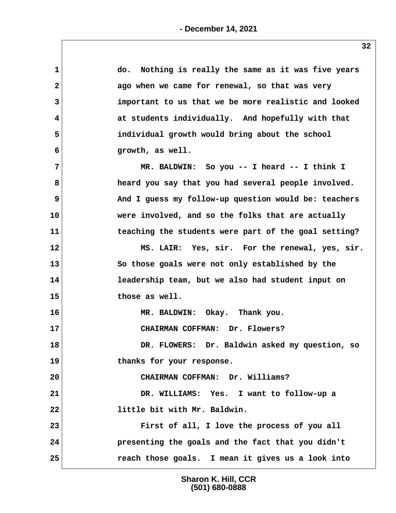| $\mathbf 1$  | do. Nothing is really the same as it was five years  |
|--------------|------------------------------------------------------|
| $\mathbf{2}$ | ago when we came for renewal, so that was very       |
| 3            | important to us that we be more realistic and looked |
| 4            | at students individually. And hopefully with that    |
| 5            | individual growth would bring about the school       |
| 6            | growth, as well.                                     |
| 7            | MR. BALDWIN: So you -- I heard -- I think I          |
| 8            | heard you say that you had several people involved.  |
| 9            | And I guess my follow-up question would be: teachers |
| 10           | were involved, and so the folks that are actually    |
| 11           | teaching the students were part of the goal setting? |
| 12           | MS. LAIR: Yes, sir. For the renewal, yes, sir.       |
| 13           | So those goals were not only established by the      |
| 14           | leadership team, but we also had student input on    |
| 15           | those as well.                                       |
| 16           | MR. BALDWIN: Okay. Thank you.                        |
| 17           | CHAIRMAN COFFMAN: Dr. Flowers?                       |
| 18           | DR. FLOWERS: Dr. Baldwin asked my question, so       |
| 19           | thanks for your response.                            |
| 20           | CHAIRMAN COFFMAN: Dr. Williams?                      |
| 21           | DR. WILLIAMS: Yes. I want to follow-up a             |
| 22           | little bit with Mr. Baldwin.                         |
| 23           | First of all, I love the process of you all          |
| 24           | presenting the goals and the fact that you didn't    |
| 25           | reach those goals. I mean it gives us a look into    |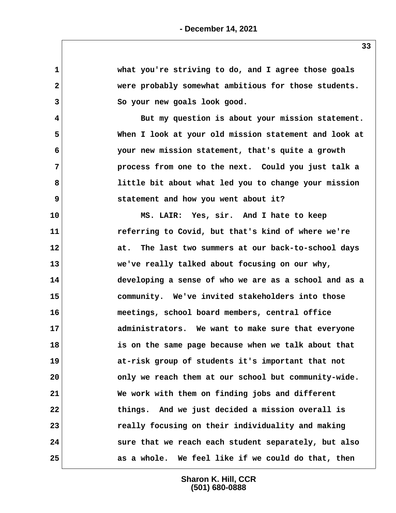**1 what you're striving to do, and I agree those goals 2 were probably somewhat ambitious for those students. 3 So your new goals look good. 4 But my question is about your mission statement. 5 When I look at your old mission statement and look at 6 your new mission statement, that's quite a growth 7 process from one to the next. Could you just talk a 8 little bit about what led you to change your mission 9 statement and how you went about it? 10 MS. LAIR: Yes, sir. And I hate to keep 11 referring to Covid, but that's kind of where we're 12 at. The last two summers at our back-to-school days 13 we've really talked about focusing on our why, 14 developing a sense of who we are as a school and as a 15 community. We've invited stakeholders into those 16 meetings, school board members, central office 17 administrators. We want to make sure that everyone 18 is on the same page because when we talk about that 19 at-risk group of students it's important that not 20 only we reach them at our school but community-wide. 21 We work with them on finding jobs and different 22 things. And we just decided a mission overall is 23 really focusing on their individuality and making 24 sure that we reach each student separately, but also 25 as a whole. We feel like if we could do that, then**

> **Sharon K. Hill, CCR (501) 680-0888**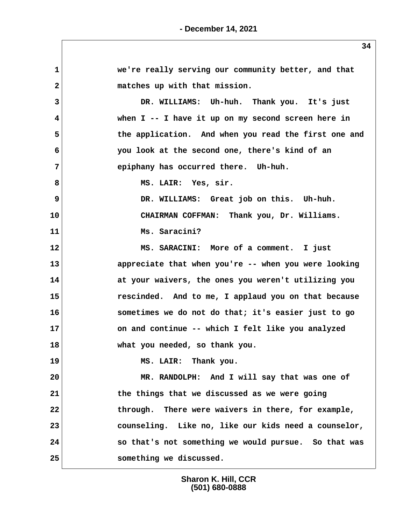**34 1 we're really serving our community better, and that 2 matches up with that mission. 3 DR. WILLIAMS: Uh-huh. Thank you. It's just 4 when I -- I have it up on my second screen here in 5 the application. And when you read the first one and 6 you look at the second one, there's kind of an 7 epiphany has occurred there. Uh-huh.** 8 MS. LAIR: Yes, sir. 9 DR. WILLIAMS: Great job on this. Uh-huh. **10 CHAIRMAN COFFMAN: Thank you, Dr. Williams. 11 Ms. Saracini? 12 MS. SARACINI: More of a comment. I just 13 appreciate that when you're -- when you were looking 14 at your waivers, the ones you weren't utilizing you 15 rescinded. And to me, I applaud you on that because 16 sometimes we do not do that; it's easier just to go 17 on and continue -- which I felt like you analyzed 18 what you needed, so thank you. 19 MS. LAIR: Thank you. 20 MR. RANDOLPH: And I will say that was one of 21 the things that we discussed as we were going 22 through. There were waivers in there, for example, 23 counseling. Like no, like our kids need a counselor, 24 so that's not something we would pursue. So that was 25 something we discussed.**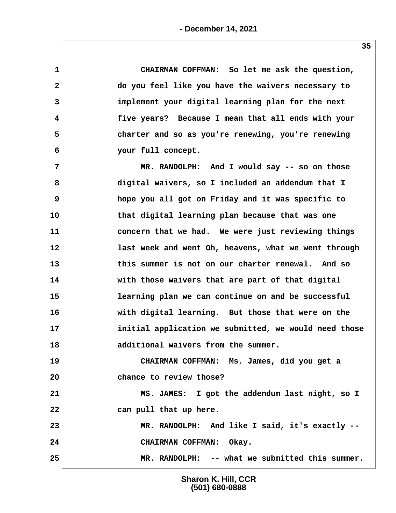**1 CHAIRMAN COFFMAN: So let me ask the question, 2 do you feel like you have the waivers necessary to 3 implement your digital learning plan for the next 4 five years? Because I mean that all ends with your 5 charter and so as you're renewing, you're renewing 6 your full concept.**

 **7 MR. RANDOLPH: And I would say -- so on those 8 digital waivers, so I included an addendum that I 9 hope you all got on Friday and it was specific to 10 that digital learning plan because that was one 11 concern that we had. We were just reviewing things 12 last week and went Oh, heavens, what we went through 13 this summer is not on our charter renewal. And so 14 with those waivers that are part of that digital 15 learning plan we can continue on and be successful 16 with digital learning. But those that were on the 17 initial application we submitted, we would need those 18 additional waivers from the summer.**

**19 CHAIRMAN COFFMAN: Ms. James, did you get a 20 chance to review those?**

**21 MS. JAMES: I got the addendum last night, so I 22 can pull that up here.**

**23 MR. RANDOLPH: And like I said, it's exactly -- 24 CHAIRMAN COFFMAN: Okay.**

**25 MR. RANDOLPH: -- what we submitted this summer.**

**Sharon K. Hill, CCR (501) 680-0888**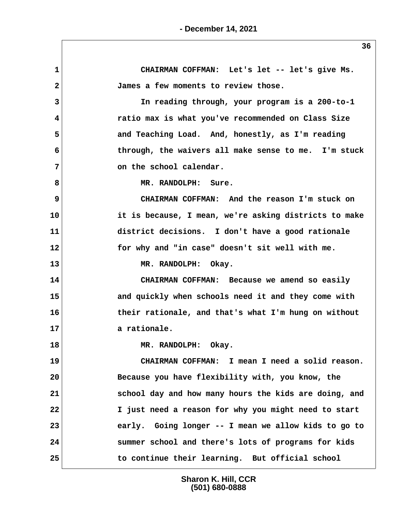**1 CHAIRMAN COFFMAN: Let's let -- let's give Ms. 2 James a few moments to review those. 3 In reading through, your program is a 200-to-1 4 ratio max is what you've recommended on Class Size 5 and Teaching Load. And, honestly, as I'm reading 6 through, the waivers all make sense to me. I'm stuck 7** on the school calendar.  **8 MR. RANDOLPH: Sure. 9 CHAIRMAN COFFMAN: And the reason I'm stuck on 10 it is because, I mean, we're asking districts to make 11 district decisions. I don't have a good rationale 12 for why and "in case" doesn't sit well with me. 13 MR. RANDOLPH: Okay. 14 CHAIRMAN COFFMAN: Because we amend so easily 15 and quickly when schools need it and they come with 16 their rationale, and that's what I'm hung on without 17 a rationale. 18 MR. RANDOLPH: Okay. 19 CHAIRMAN COFFMAN: I mean I need a solid reason. 20 Because you have flexibility with, you know, the 21 school day and how many hours the kids are doing, and 22 I just need a reason for why you might need to start 23 early. Going longer -- I mean we allow kids to go to 24 summer school and there's lots of programs for kids 25 to continue their learning. But official school**

> **Sharon K. Hill, CCR (501) 680-0888**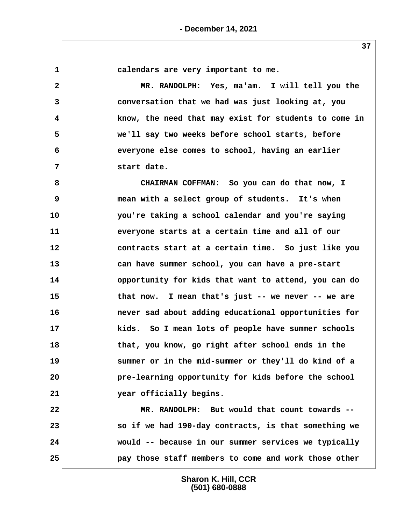**1 calendars are very important to me. 2 MR. RANDOLPH: Yes, ma'am. I will tell you the 3 conversation that we had was just looking at, you 4 know, the need that may exist for students to come in 5 we'll say two weeks before school starts, before 6 everyone else comes to school, having an earlier 7 start date. 8 CHAIRMAN COFFMAN: So you can do that now, I 9 mean with a select group of students. It's when 10 you're taking a school calendar and you're saying 11 everyone starts at a certain time and all of our 12 contracts start at a certain time. So just like you 13 can have summer school, you can have a pre-start 14 opportunity for kids that want to attend, you can do 15 that now. I mean that's just -- we never -- we are 16 never sad about adding educational opportunities for 17 kids. So I mean lots of people have summer schools 18 that, you know, go right after school ends in the 19 summer or in the mid-summer or they'll do kind of a 20 pre-learning opportunity for kids before the school 21 year officially begins. 22 MR. RANDOLPH: But would that count towards -- 23 so if we had 190-day contracts, is that something we 24 would -- because in our summer services we typically 25 pay those staff members to come and work those other**

> **Sharon K. Hill, CCR (501) 680-0888**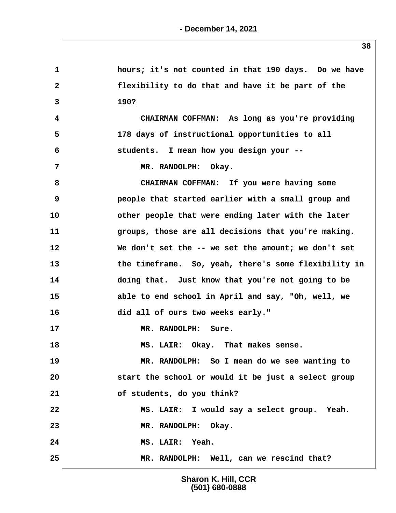**1 hours; it's not counted in that 190 days. Do we have 2 flexibility to do that and have it be part of the 3 190? 4 CHAIRMAN COFFMAN: As long as you're providing 5 178 days of instructional opportunities to all 6 students. I mean how you design your --** 7 MR. RANDOLPH: Okay.  **8 CHAIRMAN COFFMAN: If you were having some 9 people that started earlier with a small group and 10 other people that were ending later with the later 11 groups, those are all decisions that you're making. 12 We don't set the -- we set the amount; we don't set 13 the timeframe. So, yeah, there's some flexibility in 14 doing that. Just know that you're not going to be 15 able to end school in April and say, "Oh, well, we 16 did all of ours two weeks early." 17 MR. RANDOLPH: Sure. 18 MS. LAIR: Okay. That makes sense. 19 MR. RANDOLPH: So I mean do we see wanting to 20 start the school or would it be just a select group 21 of students, do you think? 22 MS. LAIR: I would say a select group. Yeah. 23 MR. RANDOLPH: Okay. 24 MS. LAIR: Yeah. 25 MR. RANDOLPH: Well, can we rescind that?**

> **Sharon K. Hill, CCR (501) 680-0888**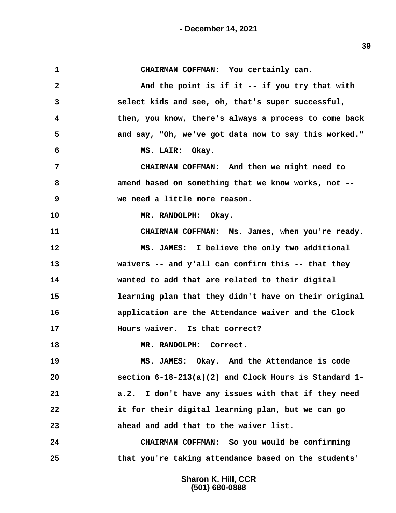1 CHAIRMAN COFFMAN: You certainly can.  **2 And the point is if it -- if you try that with 3 select kids and see, oh, that's super successful, 4 then, you know, there's always a process to come back 5 and say, "Oh, we've got data now to say this worked." 6 MS. LAIR: Okay. 7 CHAIRMAN COFFMAN: And then we might need to 8 amend based on something that we know works, not -- 9 we need a little more reason. 10 MR. RANDOLPH: Okay. 11 CHAIRMAN COFFMAN: Ms. James, when you're ready. 12 MS. JAMES: I believe the only two additional 13 waivers -- and y'all can confirm this -- that they 14 wanted to add that are related to their digital 15 learning plan that they didn't have on their original 16 application are the Attendance waiver and the Clock 17 Hours waiver. Is that correct? 18 MR. RANDOLPH: Correct. 19 MS. JAMES: Okay. And the Attendance is code 20 section 6-18-213(a)(2) and Clock Hours is Standard 1- 21 a.2. I don't have any issues with that if they need 22 it for their digital learning plan, but we can go 23 ahead and add that to the waiver list. 24 CHAIRMAN COFFMAN: So you would be confirming 25 that you're taking attendance based on the students'**

> **Sharon K. Hill, CCR (501) 680-0888**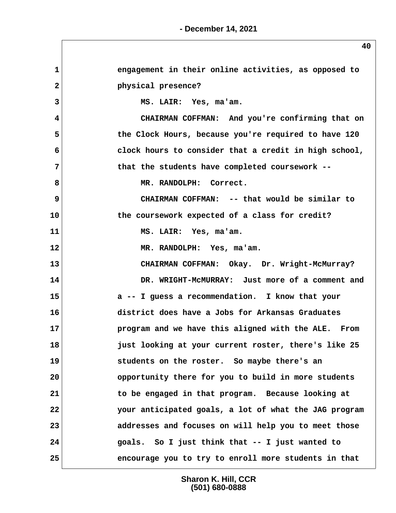| $\mathbf{1}$ | engagement in their online activities, as opposed to  |
|--------------|-------------------------------------------------------|
| $\mathbf{2}$ | physical presence?                                    |
| 3            | MS. LAIR: Yes, ma'am.                                 |
| 4            | CHAIRMAN COFFMAN: And you're confirming that on       |
| 5            | the Clock Hours, because you're required to have 120  |
| 6            | clock hours to consider that a credit in high school, |
| 7            | that the students have completed coursework --        |
| 8            | MR. RANDOLPH: Correct.                                |
| 9            | CHAIRMAN COFFMAN: -- that would be similar to         |
| 10           | the coursework expected of a class for credit?        |
| 11           | MS. LAIR: Yes, ma'am.                                 |
| 12           | MR. RANDOLPH: Yes, ma'am.                             |
| 13           | CHAIRMAN COFFMAN: Okay. Dr. Wright-McMurray?          |
| 14           | DR. WRIGHT-MCMURRAY: Just more of a comment and       |
| 15           | a -- I guess a recommendation. I know that your       |
| 16           | district does have a Jobs for Arkansas Graduates      |
| 17           | program and we have this aligned with the ALE. From   |
| 18           | just looking at your current roster, there's like 25  |
| 19           | students on the roster. So maybe there's an           |
| 20           | opportunity there for you to build in more students   |
| 21           | to be engaged in that program. Because looking at     |
| 22           | your anticipated goals, a lot of what the JAG program |
| 23           | addresses and focuses on will help you to meet those  |
| 24           | goals. So I just think that -- I just wanted to       |
| 25           | encourage you to try to enroll more students in that  |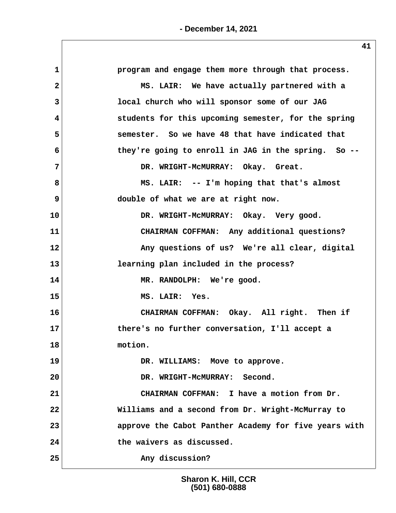| $\mathbf{1}$ | program and engage them more through that process.    |
|--------------|-------------------------------------------------------|
| $\mathbf{2}$ | MS. LAIR: We have actually partnered with a           |
| 3            | local church who will sponsor some of our JAG         |
| 4            | students for this upcoming semester, for the spring   |
| 5            | semester. So we have 48 that have indicated that      |
| 6            | they're going to enroll in JAG in the spring. So --   |
| 7            | DR. WRIGHT-MCMURRAY: Okay. Great.                     |
| 8            | MS. LAIR: -- I'm hoping that that's almost            |
| 9            | double of what we are at right now.                   |
| 10           | DR. WRIGHT-MCMURRAY: Okay. Very good.                 |
| 11           | CHAIRMAN COFFMAN: Any additional questions?           |
| 12           | Any questions of us? We're all clear, digital         |
| 13           | learning plan included in the process?                |
| 14           | MR. RANDOLPH: We're good.                             |
| 15           | MS. LAIR: Yes.                                        |
| 16           | CHAIRMAN COFFMAN: Okay. All right. Then if            |
| 17           | there's no further conversation, I'll accept a        |
| 18           | motion.                                               |
| 19           | DR. WILLIAMS: Move to approve.                        |
| 20           | DR. WRIGHT-MCMURRAY: Second.                          |
| 21           | CHAIRMAN COFFMAN: I have a motion from Dr.            |
| 22           | Williams and a second from Dr. Wright-McMurray to     |
| 23           | approve the Cabot Panther Academy for five years with |
| 24           | the waivers as discussed.                             |
| 25           | Any discussion?                                       |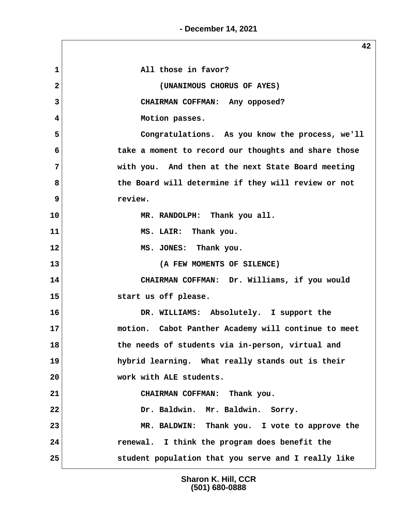| $\mathbf{1}$   | All those in favor?                                  |
|----------------|------------------------------------------------------|
| $\overline{2}$ | (UNANIMOUS CHORUS OF AYES)                           |
| 3              | CHAIRMAN COFFMAN: Any opposed?                       |
| 4              | Motion passes.                                       |
| 5              | Congratulations. As you know the process, we'll      |
| 6              | take a moment to record our thoughts and share those |
| 7              | with you. And then at the next State Board meeting   |
| 8              | the Board will determine if they will review or not  |
| 9              | review.                                              |
| 10             | MR. RANDOLPH: Thank you all.                         |
| 11             | MS. LAIR: Thank you.                                 |
| 12             | MS. JONES: Thank you.                                |
| 13             | (A FEW MOMENTS OF SILENCE)                           |
| 14             | CHAIRMAN COFFMAN: Dr. Williams, if you would         |
| 15             | start us off please.                                 |
| 16             | DR. WILLIAMS: Absolutely. I support the              |
| 17             | motion. Cabot Panther Academy will continue to meet  |
| 18             | the needs of students via in-person, virtual and     |
| 19             | hybrid learning. What really stands out is their     |
| 20             | work with ALE students.                              |
| 21             | CHAIRMAN COFFMAN: Thank you.                         |
| 22             | Dr. Baldwin. Mr. Baldwin. Sorry.                     |
| 23             | MR. BALDWIN: Thank you. I vote to approve the        |
| 24             | renewal. I think the program does benefit the        |
| 25             | student population that you serve and I really like  |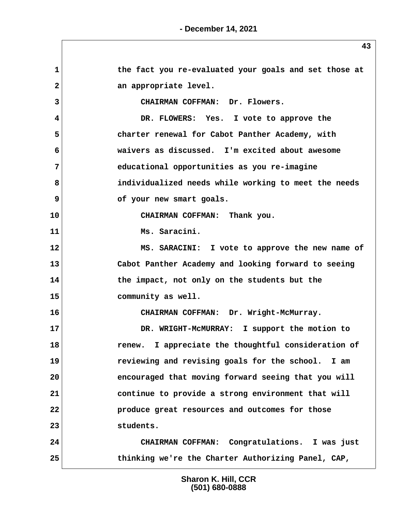**1 the fact you re-evaluated your goals and set those at** 2 an appropriate level.  **3 CHAIRMAN COFFMAN: Dr. Flowers. 4 DR. FLOWERS: Yes. I vote to approve the 5 charter renewal for Cabot Panther Academy, with 6 waivers as discussed. I'm excited about awesome 7 educational opportunities as you re-imagine 8 individualized needs while working to meet the needs 9 of your new smart goals. 10 CHAIRMAN COFFMAN: Thank you. 11 Ms. Saracini. 12 MS. SARACINI: I vote to approve the new name of 13 Cabot Panther Academy and looking forward to seeing 14 the impact, not only on the students but the 15 community as well. 16 CHAIRMAN COFFMAN: Dr. Wright-McMurray. 17 DR. WRIGHT-McMURRAY: I support the motion to 18 renew. I appreciate the thoughtful consideration of 19 reviewing and revising goals for the school. I am 20 encouraged that moving forward seeing that you will 21 continue to provide a strong environment that will 22 produce great resources and outcomes for those 23 students. 24 CHAIRMAN COFFMAN: Congratulations. I was just 25 thinking we're the Charter Authorizing Panel, CAP,**

> **Sharon K. Hill, CCR (501) 680-0888**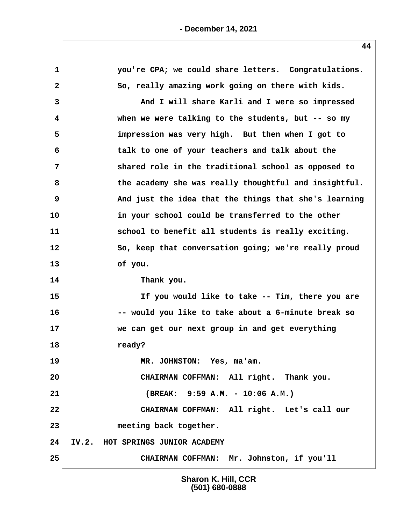| $\mathbf 1$  | you're CPA; we could share letters. Congratulations.  |
|--------------|-------------------------------------------------------|
| $\mathbf{2}$ | So, really amazing work going on there with kids.     |
| 3            | And I will share Karli and I were so impressed        |
| 4            | when we were talking to the students, but $-$ - so my |
| 5            | impression was very high. But then when I got to      |
| 6            | talk to one of your teachers and talk about the       |
| 7            | shared role in the traditional school as opposed to   |
| 8            | the academy she was really thoughtful and insightful. |
| 9            | And just the idea that the things that she's learning |
| 10           | in your school could be transferred to the other      |
| 11           | school to benefit all students is really exciting.    |
| 12           | So, keep that conversation going; we're really proud  |
| 13           | of you.                                               |
| 14           | Thank you.                                            |
| 15           | If you would like to take -- Tim, there you are       |
| 16           | -- would you like to take about a 6-minute break so   |
| 17           | we can get our next group in and get everything       |
| 18           | ready?                                                |
| 19           | MR. JOHNSTON: Yes, ma'am.                             |
| 20           | CHAIRMAN COFFMAN: All right. Thank you.               |
| 21           | (BREAK: 9:59 A.M. - 10:06 A.M.)                       |
| 22           | CHAIRMAN COFFMAN: All right. Let's call our           |
| 23           | meeting back together.                                |
| 24           | IV.2. HOT SPRINGS JUNIOR ACADEMY                      |
| 25           | CHAIRMAN COFFMAN: Mr. Johnston, if you'll             |

**- December 14, 2021**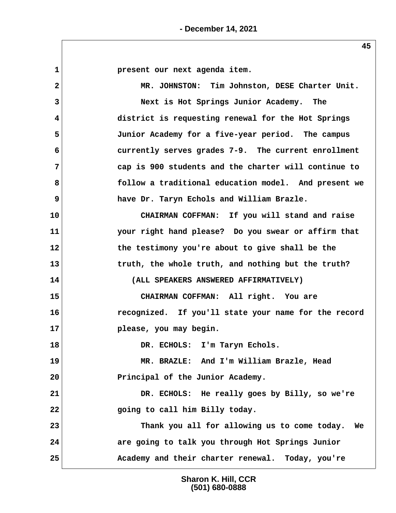**1 present our next agenda item. 2 MR. JOHNSTON: Tim Johnston, DESE Charter Unit. 3 Next is Hot Springs Junior Academy. The 4 district is requesting renewal for the Hot Springs 5 Junior Academy for a five-year period. The campus 6 currently serves grades 7-9. The current enrollment 7 cap is 900 students and the charter will continue to 8 follow a traditional education model. And present we 9 have Dr. Taryn Echols and William Brazle. 10 CHAIRMAN COFFMAN: If you will stand and raise 11 your right hand please? Do you swear or affirm that 12 the testimony you're about to give shall be the 13 truth, the whole truth, and nothing but the truth? 14 (ALL SPEAKERS ANSWERED AFFIRMATIVELY) 15 CHAIRMAN COFFMAN: All right. You are 16 recognized. If you'll state your name for the record 17 please, you may begin. 18 DR. ECHOLS: I'm Taryn Echols. 19 MR. BRAZLE: And I'm William Brazle, Head 20 Principal of the Junior Academy. 21 DR. ECHOLS: He really goes by Billy, so we're 22 going to call him Billy today. 23 Thank you all for allowing us to come today. We 24 are going to talk you through Hot Springs Junior 25 Academy and their charter renewal. Today, you're**

> **Sharon K. Hill, CCR (501) 680-0888**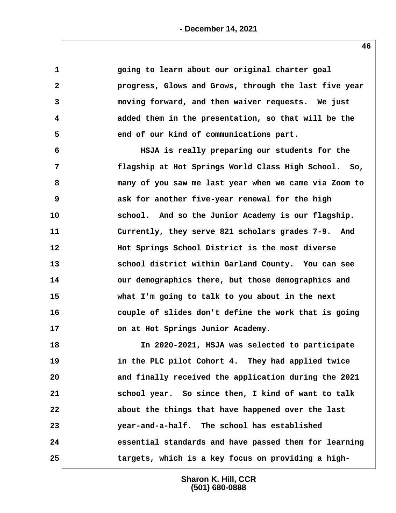| 1            | going to learn about our original charter goal        |
|--------------|-------------------------------------------------------|
| $\mathbf{2}$ | progress, Glows and Grows, through the last five year |
| 3            | moving forward, and then waiver requests. We just     |
| 4            | added them in the presentation, so that will be the   |
| 5            | end of our kind of communications part.               |
| 6            | HSJA is really preparing our students for the         |
| 7            | flagship at Hot Springs World Class High School. So,  |
| 8            | many of you saw me last year when we came via Zoom to |
| 9            | ask for another five-year renewal for the high        |
| 10           | school. And so the Junior Academy is our flagship.    |
| 11           | Currently, they serve 821 scholars grades 7-9. And    |
| 12           | Hot Springs School District is the most diverse       |
| 13           | school district within Garland County. You can see    |
| 14           | our demographics there, but those demographics and    |
| 15           | what I'm going to talk to you about in the next       |
| 16           | couple of slides don't define the work that is going  |
| 17           | on at Hot Springs Junior Academy.                     |
| 18           | In 2020-2021, HSJA was selected to participate        |
| 19           | in the PLC pilot Cohort 4. They had applied twice     |
| 20           | and finally received the application during the 2021  |
| 21           | school year. So since then, I kind of want to talk    |
| 22           | about the things that have happened over the last     |
| 23           | year-and-a-half. The school has established           |
| 24           | essential standards and have passed them for learning |
| 25           | targets, which is a key focus on providing a high-    |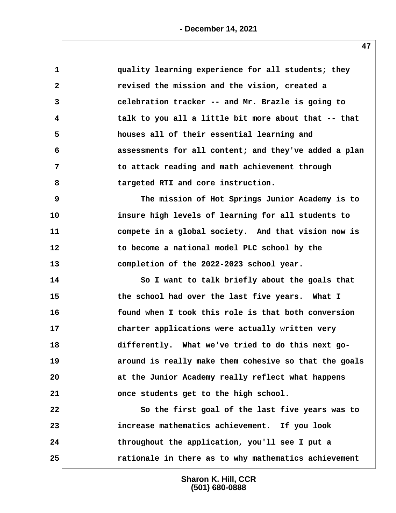| $\mathbf{1}$ | quality learning experience for all students; they    |
|--------------|-------------------------------------------------------|
| $\mathbf{2}$ | revised the mission and the vision, created a         |
| 3            | celebration tracker -- and Mr. Brazle is going to     |
| 4            | talk to you all a little bit more about that -- that  |
| 5            | houses all of their essential learning and            |
| 6            | assessments for all content; and they've added a plan |
| 7            | to attack reading and math achievement through        |
| 8            | targeted RTI and core instruction.                    |
| 9            | The mission of Hot Springs Junior Academy is to       |
| 10           | insure high levels of learning for all students to    |
| 11           | compete in a global society. And that vision now is   |
| 12           | to become a national model PLC school by the          |
| 13           | completion of the 2022-2023 school year.              |
| 14           | So I want to talk briefly about the goals that        |
| 15           | the school had over the last five years. What I       |
| 16           | found when I took this role is that both conversion   |
| 17           | charter applications were actually written very       |
| 18           | differently. What we've tried to do this next go-     |
| 19           | around is really make them cohesive so that the goals |
| 20           | at the Junior Academy really reflect what happens     |
| 21           | once students get to the high school.                 |
| 22           | So the first goal of the last five years was to       |
| 23           | increase mathematics achievement. If you look         |
| 24           | throughout the application, you'll see I put a        |
| 25           | rationale in there as to why mathematics achievement  |
|              |                                                       |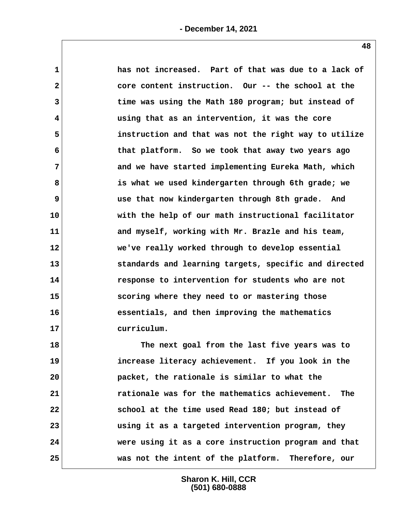| 1            | has not increased. Part of that was due to a lack of  |
|--------------|-------------------------------------------------------|
| $\mathbf{2}$ | core content instruction. Our -- the school at the    |
| 3            | time was using the Math 180 program; but instead of   |
| 4            | using that as an intervention, it was the core        |
| 5            | instruction and that was not the right way to utilize |
| 6            | that platform. So we took that away two years ago     |
| 7            | and we have started implementing Eureka Math, which   |
| 8            | is what we used kindergarten through 6th grade; we    |
| 9            | use that now kindergarten through 8th grade. And      |
| 10           | with the help of our math instructional facilitator   |
| 11           | and myself, working with Mr. Brazle and his team,     |
| 12           | we've really worked through to develop essential      |
| 13           | standards and learning targets, specific and directed |
| 14           | response to intervention for students who are not     |
| 15           | scoring where they need to or mastering those         |
| 16           | essentials, and then improving the mathematics        |
| 17           | curriculum.                                           |
| 18           | The next goal from the last five years was to         |
| 19           | increase literacy achievement. If you look in the     |
| 20           | packet, the rationale is similar to what the          |
| 21           | rationale was for the mathematics achievement.<br>The |
| 22           | school at the time used Read 180; but instead of      |
| 23           | using it as a targeted intervention program, they     |

**25 was not the intent of the platform. Therefore, our**

**Sharon K. Hill, CCR (501) 680-0888**

**24 were using it as a core instruction program and that**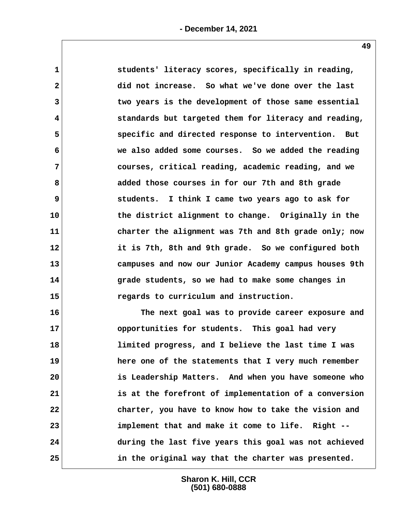| $\mathbf{1}$            | students' literacy scores, specifically in reading,   |
|-------------------------|-------------------------------------------------------|
| $\overline{\mathbf{2}}$ | did not increase. So what we've done over the last    |
| $\overline{3}$          | two years is the development of those same essential  |
| 4                       | standards but targeted them for literacy and reading, |
| 5                       | specific and directed response to intervention. But   |
| 6                       | we also added some courses. So we added the reading   |
| $\overline{7}$          | courses, critical reading, academic reading, and we   |
| 8                       | added those courses in for our 7th and 8th grade      |
| 9                       | students. I think I came two years ago to ask for     |
| 10                      | the district alignment to change. Originally in the   |
| 11                      | charter the alignment was 7th and 8th grade only; now |
| 12                      | it is 7th, 8th and 9th grade. So we configured both   |
| 13                      | campuses and now our Junior Academy campus houses 9th |
| 14                      | grade students, so we had to make some changes in     |
| 15                      | regards to curriculum and instruction.                |
| 16                      | The next goal was to provide career exposure and      |
| 17                      | opportunities for students. This goal had very        |
| 18                      | limited progress, and I believe the last time I was   |
| 19                      | here one of the statements that I very much remember  |
| 20                      | is Leadership Matters. And when you have someone who  |
| 21                      | is at the forefront of implementation of a conversion |
| 22                      | charter, you have to know how to take the vision and  |

**23 implement that and make it come to life. Right -- 24 during the last five years this goal was not achieved 25 in the original way that the charter was presented.**

> **Sharon K. Hill, CCR (501) 680-0888**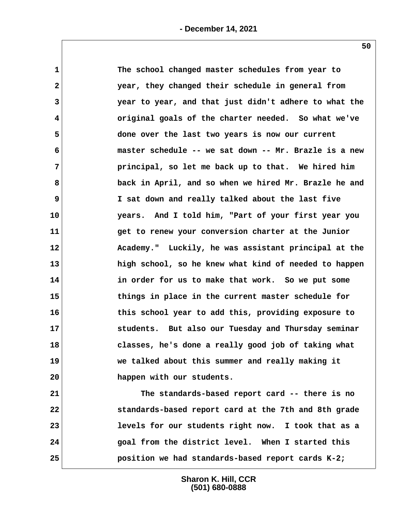| $\mathbf{1}$   | The school changed master schedules from year to      |
|----------------|-------------------------------------------------------|
| $\mathbf{2}$   | year, they changed their schedule in general from     |
| 3              | year to year, and that just didn't adhere to what the |
| 4              | original goals of the charter needed. So what we've   |
| 5              | done over the last two years is now our current       |
| 6              | master schedule -- we sat down -- Mr. Brazle is a new |
| $\overline{7}$ | principal, so let me back up to that. We hired him    |
| 8              | back in April, and so when we hired Mr. Brazle he and |
| 9              | I sat down and really talked about the last five      |
| 10             | years. And I told him, "Part of your first year you   |
| 11             | get to renew your conversion charter at the Junior    |
| 12             | Academy." Luckily, he was assistant principal at the  |
| 13             | high school, so he knew what kind of needed to happen |
| 14             | in order for us to make that work. So we put some     |
| 15             | things in place in the current master schedule for    |
| 16             | this school year to add this, providing exposure to   |
| 17             | students. But also our Tuesday and Thursday seminar   |
| 18             | classes, he's done a really good job of taking what   |
| 19             | we talked about this summer and really making it      |
| 20             | happen with our students.                             |
| 21             | The standards-based report card -- there is no        |
| 22             | standards-based report card at the 7th and 8th grade  |
| 23             | levels for our students right now. I took that as a   |
| 24             | goal from the district level. When I started this     |
| 25             | position we had standards-based report cards K-2;     |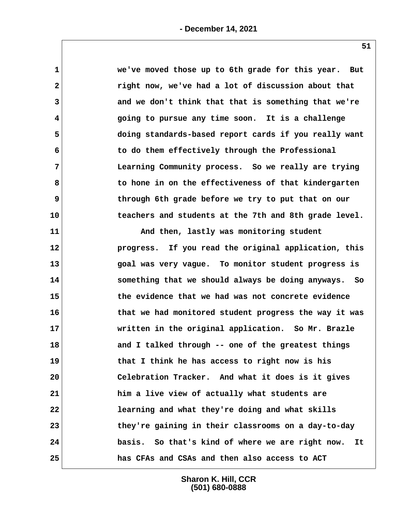| $\mathbf 1$    | we've moved those up to 6th grade for this year. But   |
|----------------|--------------------------------------------------------|
| $\mathbf{2}$   | right now, we've had a lot of discussion about that    |
| 3              | and we don't think that that is something that we're   |
| 4              | going to pursue any time soon. It is a challenge       |
| 5              | doing standards-based report cards if you really want  |
| 6              | to do them effectively through the Professional        |
| $\overline{7}$ | Learning Community process. So we really are trying    |
| 8              | to hone in on the effectiveness of that kindergarten   |
| 9              | through 6th grade before we try to put that on our     |
| 10             | teachers and students at the 7th and 8th grade level.  |
| 11             | And then, lastly was monitoring student                |
| 12             | progress. If you read the original application, this   |
| 13             | goal was very vague. To monitor student progress is    |
| 14             | something that we should always be doing anyways. So   |
| 15             | the evidence that we had was not concrete evidence     |
| 16             | that we had monitored student progress the way it was  |
| 17             | written in the original application. So Mr. Brazle     |
| 18             | and I talked through -- one of the greatest things     |
| 19             | that I think he has access to right now is his         |
| 20             | Celebration Tracker. And what it does is it gives      |
| 21             | him a live view of actually what students are          |
| 22             | learning and what they're doing and what skills        |
| 23             | they're gaining in their classrooms on a day-to-day    |
| 24             | basis. So that's kind of where we are right now.<br>It |
| 25             | has CFAs and CSAs and then also access to ACT          |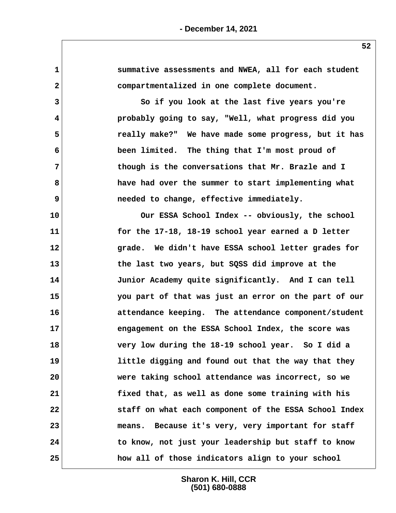**52 1 summative assessments and NWEA, all for each student 2 compartmentalized in one complete document. 3 So if you look at the last five years you're 4 probably going to say, "Well, what progress did you 5 really make?" We have made some progress, but it has 6 been limited. The thing that I'm most proud of 7 though is the conversations that Mr. Brazle and I 8 have had over the summer to start implementing what 9 needed to change, effective immediately. 10 Our ESSA School Index -- obviously, the school 11 for the 17-18, 18-19 school year earned a D letter 12 grade. We didn't have ESSA school letter grades for 13 the last two years, but SQSS did improve at the 14 Junior Academy quite significantly. And I can tell 15 you part of that was just an error on the part of our 16 attendance keeping. The attendance component/student 17 engagement on the ESSA School Index, the score was 18 very low during the 18-19 school year. So I did a 19 little digging and found out that the way that they 20 were taking school attendance was incorrect, so we 21 fixed that, as well as done some training with his 22 staff on what each component of the ESSA School Index 23 means. Because it's very, very important for staff 24 to know, not just your leadership but staff to know 25 how all of those indicators align to your school**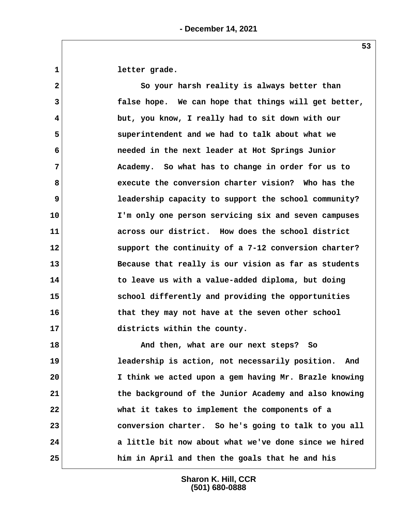1 letter grade.

 **2 So your harsh reality is always better than 3 false hope. We can hope that things will get better, 4 but, you know, I really had to sit down with our 5 superintendent and we had to talk about what we 6 needed in the next leader at Hot Springs Junior 7 Academy. So what has to change in order for us to 8 execute the conversion charter vision? Who has the 9 leadership capacity to support the school community? 10 I'm only one person servicing six and seven campuses 11 across our district. How does the school district 12 support the continuity of a 7-12 conversion charter? 13 Because that really is our vision as far as students 14 to leave us with a value-added diploma, but doing 15 school differently and providing the opportunities 16 that they may not have at the seven other school 17 districts within the county.**

**18 And then, what are our next steps? So 19 leadership is action, not necessarily position. And 20 I think we acted upon a gem having Mr. Brazle knowing 21 the background of the Junior Academy and also knowing 22 what it takes to implement the components of a 23 conversion charter. So he's going to talk to you all 24 a little bit now about what we've done since we hired 25 him in April and then the goals that he and his**

> **Sharon K. Hill, CCR (501) 680-0888**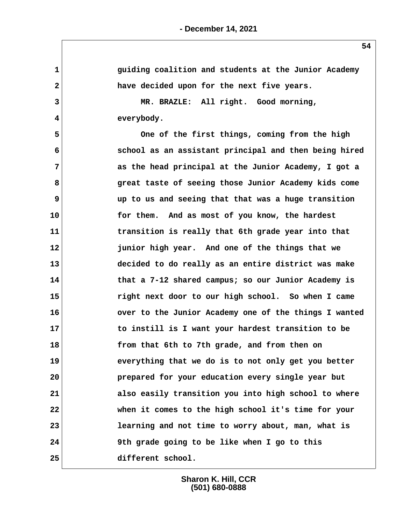| $\mathbf{1}$            | guiding coalition and students at the Junior Academy  |
|-------------------------|-------------------------------------------------------|
| 2                       | have decided upon for the next five years.            |
| 3                       | MR. BRAZLE: All right. Good morning,                  |
| $\overline{\mathbf{4}}$ | everybody.                                            |
| 5                       | One of the first things, coming from the high         |
| 6                       | school as an assistant principal and then being hired |
| 7                       | as the head principal at the Junior Academy, I got a  |
| 8                       | great taste of seeing those Junior Academy kids come  |
| 9                       | up to us and seeing that that was a huge transition   |
| 10                      | for them. And as most of you know, the hardest        |
| 11                      | transition is really that 6th grade year into that    |
| 12                      | junior high year. And one of the things that we       |
| 13                      | decided to do really as an entire district was make   |
| 14                      | that a 7-12 shared campus; so our Junior Academy is   |
| 15                      | right next door to our high school. So when I came    |
| 16                      | over to the Junior Academy one of the things I wanted |
| 17                      | to instill is I want your hardest transition to be    |
| 18                      | from that 6th to 7th grade, and from then on          |
| 19                      | everything that we do is to not only get you better   |
| 20                      | prepared for your education every single year but     |
| 21                      | also easily transition you into high school to where  |
| 22                      | when it comes to the high school it's time for your   |
| 23                      | learning and not time to worry about, man, what is    |
| 24                      | 9th grade going to be like when I go to this          |
| 25                      | different school.                                     |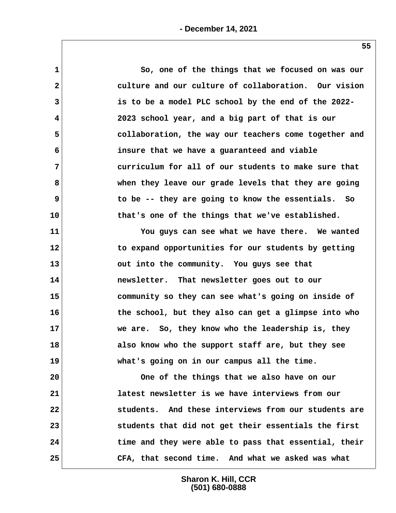| $\mathbf{1}$            | So, one of the things that we focused on was our      |
|-------------------------|-------------------------------------------------------|
| $\overline{\mathbf{2}}$ | culture and our culture of collaboration. Our vision  |
| 3                       | is to be a model PLC school by the end of the 2022-   |
| 4                       | 2023 school year, and a big part of that is our       |
| 5                       | collaboration, the way our teachers come together and |
| 6                       | insure that we have a guaranteed and viable           |
| 7                       | curriculum for all of our students to make sure that  |
| 8                       | when they leave our grade levels that they are going  |
| 9                       | to be -- they are going to know the essentials. So    |
| 10                      | that's one of the things that we've established.      |
| 11                      | You guys can see what we have there. We wanted        |
| 12                      | to expand opportunities for our students by getting   |
| 13                      | out into the community. You guys see that             |
| 14                      | newsletter. That newsletter goes out to our           |
| 15                      | community so they can see what's going on inside of   |
| 16                      | the school, but they also can get a glimpse into who  |
| 17                      | we are. So, they know who the leadership is, they     |
| 18                      | also know who the support staff are, but they see     |
| 19                      | what's going on in our campus all the time.           |
| 20                      | One of the things that we also have on our            |
| 21                      | latest newsletter is we have interviews from our      |
| 22                      | students. And these interviews from our students are  |
| 23                      | students that did not get their essentials the first  |
| 24                      | time and they were able to pass that essential, their |
| 25                      | CFA, that second time. And what we asked was what     |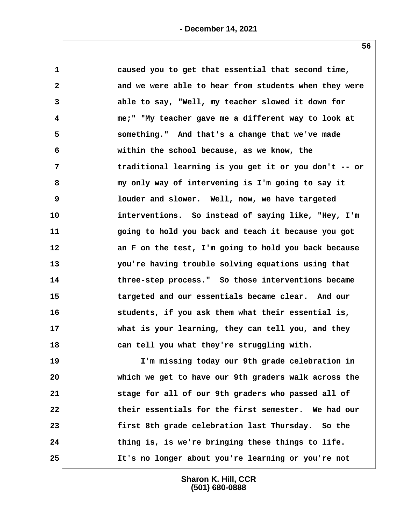| 1              | caused you to get that essential that second time,    |
|----------------|-------------------------------------------------------|
| $\mathbf{2}$   | and we were able to hear from students when they were |
| 3              | able to say, "Well, my teacher slowed it down for     |
| 4              | me;" "My teacher gave me a different way to look at   |
| 5              | something." And that's a change that we've made       |
| 6              | within the school because, as we know, the            |
| $\overline{7}$ | traditional learning is you get it or you don't -- or |
| 8              | my only way of intervening is I'm going to say it     |
| 9              | louder and slower. Well, now, we have targeted        |
| 10             | interventions. So instead of saying like, "Hey, I'm   |
| 11             | going to hold you back and teach it because you got   |
| 12             | an F on the test, I'm going to hold you back because  |
| 13             | you're having trouble solving equations using that    |
| 14             | three-step process." So those interventions became    |
| 15             | targeted and our essentials became clear. And our     |
| 16             | students, if you ask them what their essential is,    |
| 17             | what is your learning, they can tell you, and they    |
| 18             | can tell you what they're struggling with.            |
| 19             | I'm missing today our 9th grade celebration in        |
| 20             | which we get to have our 9th graders walk across the  |
| 21             | stage for all of our 9th graders who passed all of    |
| 22             | their essentials for the first semester. We had our   |
| 23             | first 8th grade celebration last Thursday. So the     |

**25 It's no longer about you're learning or you're not**

**Sharon K. Hill, CCR (501) 680-0888**

**24 thing is, is we're bringing these things to life.**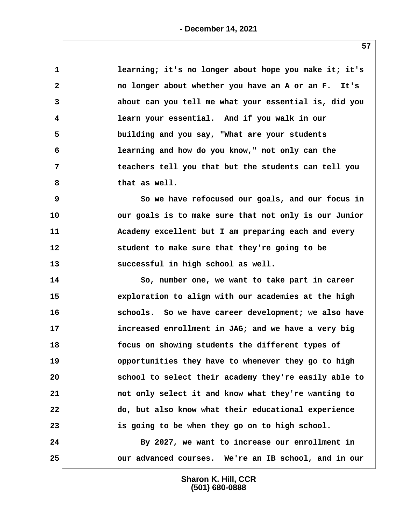| $\mathbf{1}$ | learning; it's no longer about hope you make it; it's |
|--------------|-------------------------------------------------------|
| $\mathbf{2}$ | no longer about whether you have an A or an F. It's   |
| 3            | about can you tell me what your essential is, did you |
| 4            | learn your essential. And if you walk in our          |
| 5            | building and you say, "What are your students         |
| 6            | learning and how do you know," not only can the       |
| 7            | teachers tell you that but the students can tell you  |
| 8            | that as well.                                         |
| 9            | So we have refocused our goals, and our focus in      |
| 10           | our goals is to make sure that not only is our Junior |
| 11           | Academy excellent but I am preparing each and every   |
| 12           | student to make sure that they're going to be         |
| 13           | successful in high school as well.                    |
| 14           | So, number one, we want to take part in career        |
| 15           | exploration to align with our academies at the high   |
| 16           | schools. So we have career development; we also have  |
| 17           | increased enrollment in JAG; and we have a very big   |
| 18           | focus on showing students the different types of      |
| 19           | opportunities they have to whenever they go to high   |
| 20           | school to select their academy they're easily able to |
| 21           | not only select it and know what they're wanting to   |
| 22           | do, but also know what their educational experience   |
| 23           | is going to be when they go on to high school.        |
| 24           | By 2027, we want to increase our enrollment in        |
| 25           | our advanced courses. We're an IB school, and in our  |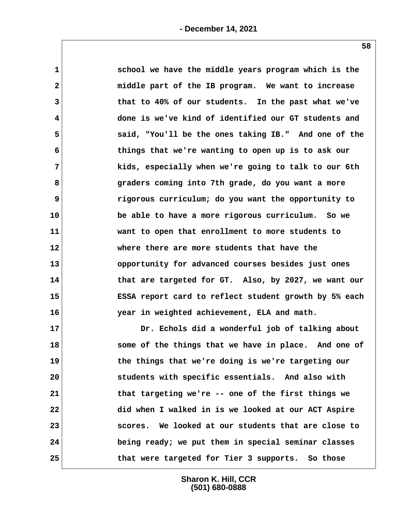| $\mathbf{1}$ | school we have the middle years program which is the  |
|--------------|-------------------------------------------------------|
| $\mathbf{2}$ | middle part of the IB program. We want to increase    |
| 3            | that to 40% of our students. In the past what we've   |
| 4            | done is we've kind of identified our GT students and  |
| 5            | said, "You'll be the ones taking IB." And one of the  |
| 6            | things that we're wanting to open up is to ask our    |
| 7            | kids, especially when we're going to talk to our 6th  |
| 8            | graders coming into 7th grade, do you want a more     |
| 9            | rigorous curriculum; do you want the opportunity to   |
| 10           | be able to have a more rigorous curriculum. So we     |
| 11           | want to open that enrollment to more students to      |
| 12           | where there are more students that have the           |
| 13           | opportunity for advanced courses besides just ones    |
| 14           | that are targeted for GT. Also, by 2027, we want our  |
| 15           | ESSA report card to reflect student growth by 5% each |
| 16           | year in weighted achievement, ELA and math.           |
| 17           | Dr. Echols did a wonderful job of talking about       |
| 18           | some of the things that we have in place. And one of  |
| 19           | the things that we're doing is we're targeting our    |
| 20           | students with specific essentials. And also with      |
| 21           | that targeting we're -- one of the first things we    |

**Sharon K. Hill, CCR (501) 680-0888 24 being ready; we put them in special seminar classes 25 that were targeted for Tier 3 supports. So those**

**22 did when I walked in is we looked at our ACT Aspire**

**23 scores. We looked at our students that are close to**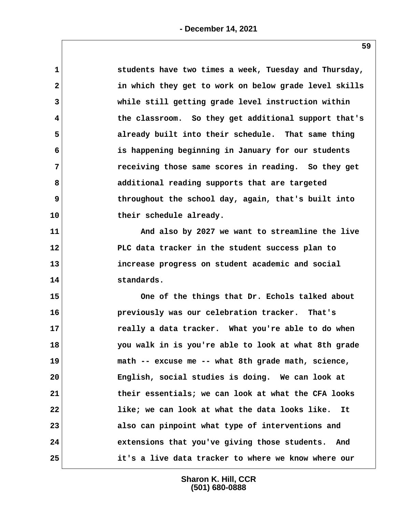| 1            | students have two times a week, Tuesday and Thursday, |
|--------------|-------------------------------------------------------|
| $\mathbf{2}$ | in which they get to work on below grade level skills |
| 3            | while still getting grade level instruction within    |
| 4            | the classroom. So they get additional support that's  |
| 5            | already built into their schedule. That same thing    |
| 6            | is happening beginning in January for our students    |
| 7            | receiving those same scores in reading. So they get   |
| 8            | additional reading supports that are targeted         |
| 9            | throughout the school day, again, that's built into   |
| 10           | their schedule already.                               |
| 11           | And also by 2027 we want to streamline the live       |
| $12 \,$      | PLC data tracker in the student success plan to       |
| 13           | increase progress on student academic and social      |
| 14           | standards.                                            |
| 15           | One of the things that Dr. Echols talked about        |
| 16           | previously was our celebration tracker. That's        |
| 17           | really a data tracker. What you're able to do when    |
| 18           | you walk in is you're able to look at what 8th grade  |
| 19           | math -- excuse me -- what 8th grade math, science,    |
| 20           | English, social studies is doing. We can look at      |
| 21           | their essentials; we can look at what the CFA looks   |
| 22           | like; we can look at what the data looks like.<br>It  |
| 23           | also can pinpoint what type of interventions and      |
| 24           | extensions that you've giving those students. And     |
| 25           | it's a live data tracker to where we know where our   |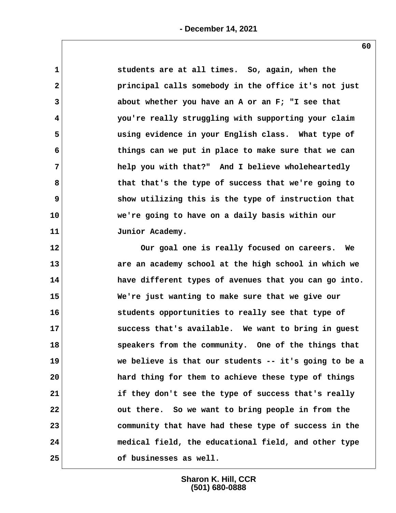| 1            | students are at all times. So, again, when the        |
|--------------|-------------------------------------------------------|
| $\mathbf{2}$ | principal calls somebody in the office it's not just  |
| 3            | about whether you have an A or an F; "I see that      |
| 4            | you're really struggling with supporting your claim   |
| 5            | using evidence in your English class. What type of    |
| 6            | things can we put in place to make sure that we can   |
| 7            | help you with that?" And I believe wholeheartedly     |
| 8            | that that's the type of success that we're going to   |
| 9            | show utilizing this is the type of instruction that   |
| 10           | we're going to have on a daily basis within our       |
| 11           | Junior Academy.                                       |
| 12           | Our goal one is really focused on careers. We         |
| 13           | are an academy school at the high school in which we  |
| 14           | have different types of avenues that you can go into. |
| 15           | We're just wanting to make sure that we give our      |
| 16           | students opportunities to really see that type of     |
| 17           | success that's available. We want to bring in guest   |
| 18           | speakers from the community. One of the things that   |
| 19           | we believe is that our students -- it's going to be a |
| 20           | hard thing for them to achieve these type of things   |
| 21           | if they don't see the type of success that's really   |
| 22           | out there. So we want to bring people in from the     |
| 23           | community that have had these type of success in the  |
| 24           | medical field, the educational field, and other type  |
| 25           | of businesses as well.                                |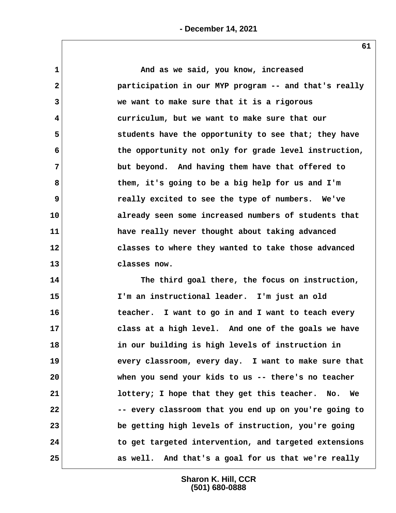**1 And as we said, you know, increased 2 participation in our MYP program -- and that's really 3 we want to make sure that it is a rigorous 4 curriculum, but we want to make sure that our 5 students have the opportunity to see that; they have 6 the opportunity not only for grade level instruction, 7 but beyond. And having them have that offered to 8 them, it's going to be a big help for us and I'm 9 really excited to see the type of numbers. We've 10 already seen some increased numbers of students that 11 have really never thought about taking advanced 12 classes to where they wanted to take those advanced 13 classes now.**

**14 The third goal there, the focus on instruction, 15 I'm an instructional leader. I'm just an old 16 teacher. I want to go in and I want to teach every 17 class at a high level. And one of the goals we have 18 in our building is high levels of instruction in 19 every classroom, every day. I want to make sure that 20 when you send your kids to us -- there's no teacher 21 lottery; I hope that they get this teacher. No. We 22 -- every classroom that you end up on you're going to 23 be getting high levels of instruction, you're going 24 to get targeted intervention, and targeted extensions 25 as well. And that's a goal for us that we're really**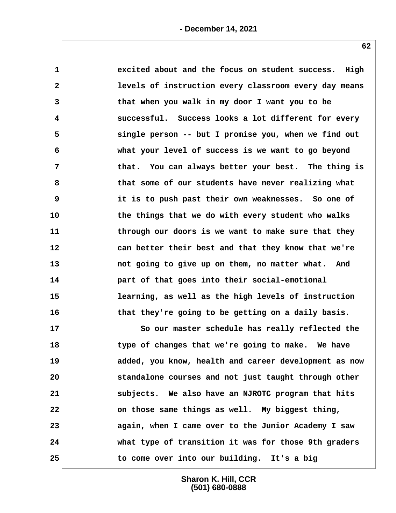| $\mathbf 1$             | excited about and the focus on student success. High  |
|-------------------------|-------------------------------------------------------|
| $\mathbf{2}$            | levels of instruction every classroom every day means |
| 3                       | that when you walk in my door I want you to be        |
| $\overline{\mathbf{4}}$ | successful. Success looks a lot different for every   |
| 5                       | single person -- but I promise you, when we find out  |
| 6                       | what your level of success is we want to go beyond    |
| 7                       | that. You can always better your best. The thing is   |
| 8                       | that some of our students have never realizing what   |
| 9                       | it is to push past their own weaknesses. So one of    |
| 10                      | the things that we do with every student who walks    |
| 11                      | through our doors is we want to make sure that they   |
| 12                      | can better their best and that they know that we're   |
| 13                      | not going to give up on them, no matter what. And     |
| 14                      | part of that goes into their social-emotional         |
| 15                      | learning, as well as the high levels of instruction   |
| 16                      | that they're going to be getting on a daily basis.    |
| 17                      | So our master schedule has really reflected the       |
| 18                      | type of changes that we're going to make. We have     |
| 19                      | added, you know, health and career development as now |
| 20                      | standalone courses and not just taught through other  |
| 21                      | subjects. We also have an NJROTC program that hits    |
| 22                      | on those same things as well. My biggest thing,       |
| 23                      | again, when I came over to the Junior Academy I saw   |
| 24                      | what type of transition it was for those 9th graders  |
| 25                      | to come over into our building. It's a big            |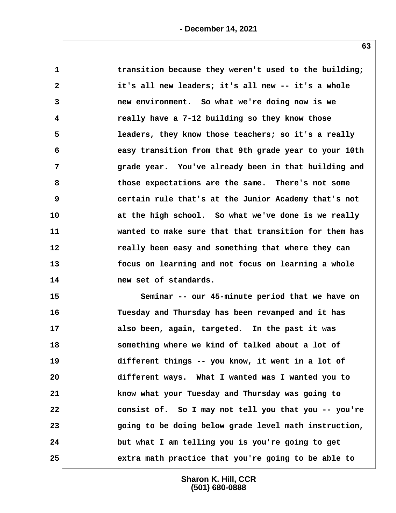| $\mathbf 1$    | transition because they weren't used to the building; |
|----------------|-------------------------------------------------------|
| $\mathbf{2}$   | it's all new leaders; it's all new -- it's a whole    |
| 3              | new environment. So what we're doing now is we        |
| 4              | really have a 7-12 building so they know those        |
| 5              | leaders, they know those teachers; so it's a really   |
| 6              | easy transition from that 9th grade year to your 10th |
| $\overline{7}$ | grade year. You've already been in that building and  |
| 8              | those expectations are the same. There's not some     |
| 9              | certain rule that's at the Junior Academy that's not  |
| 10             | at the high school. So what we've done is we really   |
| 11             | wanted to make sure that that transition for them has |
| 12             | really been easy and something that where they can    |
| 13             | focus on learning and not focus on learning a whole   |
| 14             | new set of standards.                                 |
| 15             | Seminar -- our 45-minute period that we have on       |
| 16             | Tuesday and Thursday has been revamped and it has     |
| 17             | also been, again, targeted. In the past it was        |
| 18             | something where we kind of talked about a lot of      |
| 19             | different things -- you know, it went in a lot of     |
| 20             | different ways. What I wanted was I wanted you to     |
| 21             | know what your Tuesday and Thursday was going to      |
| 22             | consist of. So I may not tell you that you -- you're  |
| 23             | going to be doing below grade level math instruction, |
| 24             | but what I am telling you is you're going to get      |
| 25             | extra math practice that you're going to be able to   |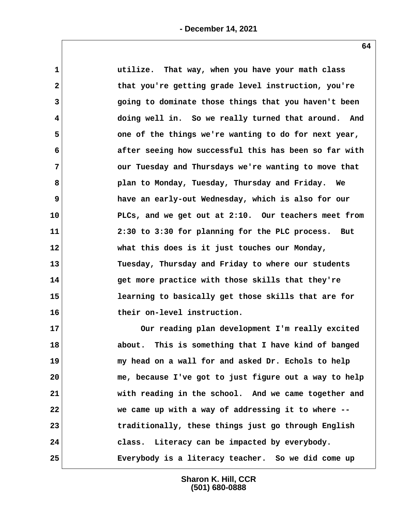| $\mathbf 1$  | utilize. That way, when you have your math class       |
|--------------|--------------------------------------------------------|
| $\mathbf{2}$ | that you're getting grade level instruction, you're    |
| 3            | going to dominate those things that you haven't been   |
| 4            | doing well in. So we really turned that around. And    |
| 5            | one of the things we're wanting to do for next year,   |
| 6            | after seeing how successful this has been so far with  |
| 7            | our Tuesday and Thursdays we're wanting to move that   |
| 8            | plan to Monday, Tuesday, Thursday and Friday. We       |
| 9            | have an early-out Wednesday, which is also for our     |
| 10           | PLCs, and we get out at 2:10. Our teachers meet from   |
| 11           | 2:30 to 3:30 for planning for the PLC process. But     |
| 12           | what this does is it just touches our Monday,          |
| 13           | Tuesday, Thursday and Friday to where our students     |
| 14           | get more practice with those skills that they're       |
| 15           | learning to basically get those skills that are for    |
| 16           | their on-level instruction.                            |
| 17           | Our reading plan development I'm really excited        |
| 18           | This is something that I have kind of banged<br>about. |
| 19           | my head on a wall for and asked Dr. Echols to help     |
| 20           | me, because I've got to just figure out a way to help  |
| 21           | with reading in the school. And we came together and   |
| 22           | we came up with a way of addressing it to where --     |
| 23           | traditionally, these things just go through English    |

**25 Everybody is a literacy teacher. So we did come up**

**Sharon K. Hill, CCR (501) 680-0888**

**24 class. Literacy can be impacted by everybody.**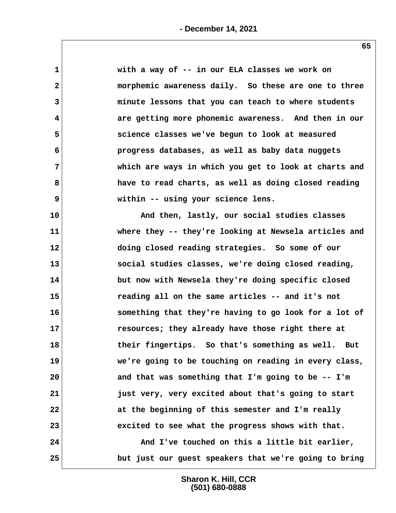| $\mathbf{1}$ | with a way of -- in our ELA classes we work on        |
|--------------|-------------------------------------------------------|
| $\mathbf{2}$ | morphemic awareness daily. So these are one to three  |
| 3            | minute lessons that you can teach to where students   |
| 4            | are getting more phonemic awareness. And then in our  |
| 5            | science classes we've begun to look at measured       |
| 6            | progress databases, as well as baby data nuggets      |
| 7            | which are ways in which you get to look at charts and |
| 8            | have to read charts, as well as doing closed reading  |
| 9            | within -- using your science lens.                    |
| 10           | And then, lastly, our social studies classes          |
| 11           | where they -- they're looking at Newsela articles and |
| 12           | doing closed reading strategies. So some of our       |
| 13           | social studies classes, we're doing closed reading,   |
| 14           | but now with Newsela they're doing specific closed    |
| 15           | reading all on the same articles -- and it's not      |
| 16           | something that they're having to go look for a lot of |
| 17           | resources; they already have those right there at     |
| 18           | their fingertips. So that's something as well. But    |
| 19           | we're going to be touching on reading in every class, |
| 20           | and that was something that I'm going to be -- I'm    |
| 21           | just very, very excited about that's going to start   |
| 22           | at the beginning of this semester and I'm really      |
| 23           | excited to see what the progress shows with that.     |
| 24           | And I've touched on this a little bit earlier,        |
| 25           | but just our guest speakers that we're going to bring |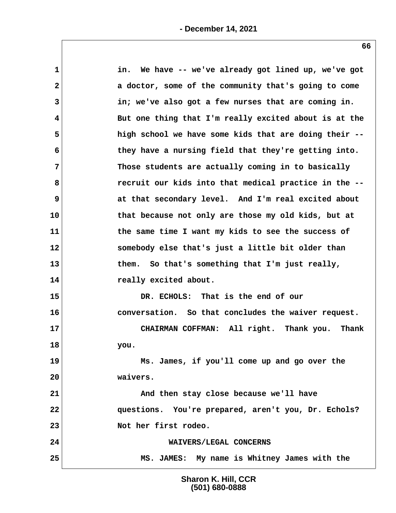| $\mathbf 1$  | We have -- we've already got lined up, we've got<br>in. |
|--------------|---------------------------------------------------------|
| $\mathbf{2}$ | a doctor, some of the community that's going to come    |
| 3            | in; we've also got a few nurses that are coming in.     |
| 4            | But one thing that I'm really excited about is at the   |
| 5            | high school we have some kids that are doing their --   |
| 6            | they have a nursing field that they're getting into.    |
| 7            | Those students are actually coming in to basically      |
| 8            | recruit our kids into that medical practice in the --   |
| 9            | at that secondary level. And I'm real excited about     |
| 10           | that because not only are those my old kids, but at     |
| 11           | the same time I want my kids to see the success of      |
| 12           | somebody else that's just a little bit older than       |
| 13           | So that's something that I'm just really,<br>them.      |
| 14           | really excited about.                                   |
| 15           | DR. ECHOLS: That is the end of our                      |
| 16           | conversation. So that concludes the waiver request.     |
| 17           | CHAIRMAN COFFMAN: All right. Thank you.<br>Thank        |
| 18           | you.                                                    |
| 19           | Ms. James, if you'll come up and go over the            |
| 20           | waivers.                                                |
| 21           | And then stay close because we'll have                  |
| 22           | questions. You're prepared, aren't you, Dr. Echols?     |
| 23           | Not her first rodeo.                                    |
| 24           | WAIVERS/LEGAL CONCERNS                                  |
| 25           | MS. JAMES: My name is Whitney James with the            |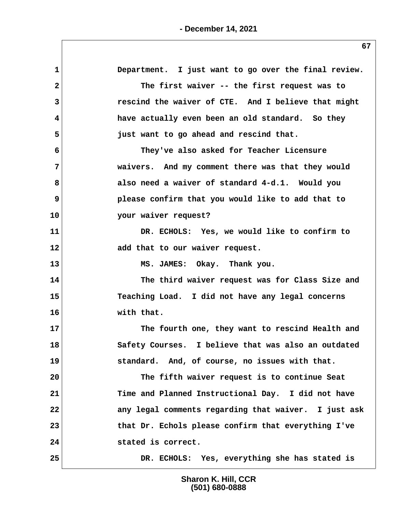| $\mathbf 1$    | Department. I just want to go over the final review. |
|----------------|------------------------------------------------------|
| $\overline{a}$ | The first waiver -- the first request was to         |
| 3              | rescind the waiver of CTE. And I believe that might  |
| 4              | have actually even been an old standard. So they     |
| 5              | just want to go ahead and rescind that.              |
| 6              | They've also asked for Teacher Licensure             |
| $7\phantom{.}$ | waivers. And my comment there was that they would    |
| 8              | also need a waiver of standard 4-d.1. Would you      |
| 9              | please confirm that you would like to add that to    |
| 10             | your waiver request?                                 |
| 11             | DR. ECHOLS: Yes, we would like to confirm to         |
| 12             | add that to our waiver request.                      |
| 13             | MS. JAMES: Okay. Thank you.                          |
| 14             | The third waiver request was for Class Size and      |
| 15             | Teaching Load. I did not have any legal concerns     |
| 16             | with that.                                           |
| 17             | The fourth one, they want to rescind Health and      |
| 18             | Safety Courses. I believe that was also an outdated  |
| 19             | standard. And, of course, no issues with that.       |
| 20             | The fifth waiver request is to continue Seat         |
| 21             | Time and Planned Instructional Day. I did not have   |
| 22             | any legal comments regarding that waiver. I just ask |
| 23             | that Dr. Echols please confirm that everything I've  |
| 24             | stated is correct.                                   |
| 25             | DR. ECHOLS: Yes, everything she has stated is        |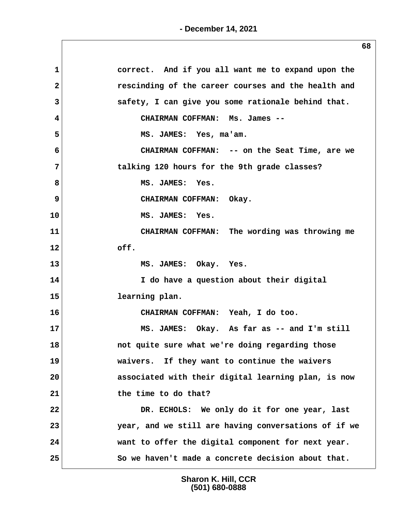| 1            | correct. And if you all want me to expand upon the   |
|--------------|------------------------------------------------------|
| $\mathbf{2}$ | rescinding of the career courses and the health and  |
| 3            | safety, I can give you some rationale behind that.   |
| 4            | CHAIRMAN COFFMAN: Ms. James --                       |
| 5            | MS. JAMES: Yes, ma'am.                               |
| 6            | CHAIRMAN COFFMAN: -- on the Seat Time, are we        |
| 7            | talking 120 hours for the 9th grade classes?         |
| 8            | MS. JAMES: Yes.                                      |
| 9            | CHAIRMAN COFFMAN: Okay.                              |
| 10           | MS. JAMES: Yes.                                      |
| 11           | CHAIRMAN COFFMAN: The wording was throwing me        |
| 12           | off.                                                 |
| 13           | MS. JAMES: Okay. Yes.                                |
| 14           | I do have a question about their digital             |
| 15           | learning plan.                                       |
| 16           | CHAIRMAN COFFMAN: Yeah, I do too.                    |
| 17           | MS. JAMES: Okay. As far as -- and I'm still          |
| 18           | not quite sure what we're doing regarding those      |
| 19           | waivers. If they want to continue the waivers        |
| 20           | associated with their digital learning plan, is now  |
| 21           | the time to do that?                                 |
| 22           | DR. ECHOLS: We only do it for one year, last         |
| 23           | year, and we still are having conversations of if we |
| 24           | want to offer the digital component for next year.   |
| 25           | So we haven't made a concrete decision about that.   |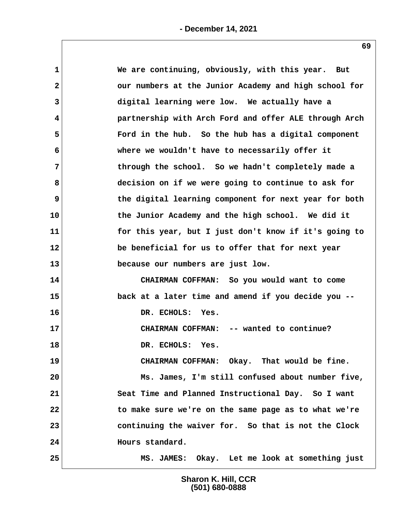| 1            | We are continuing, obviously, with this year. But     |
|--------------|-------------------------------------------------------|
| $\mathbf{2}$ | our numbers at the Junior Academy and high school for |
| 3            | digital learning were low. We actually have a         |
| 4            | partnership with Arch Ford and offer ALE through Arch |
| 5            | Ford in the hub. So the hub has a digital component   |
| 6            | where we wouldn't have to necessarily offer it        |
| 7            | through the school. So we hadn't completely made a    |
| 8            | decision on if we were going to continue to ask for   |
| 9            | the digital learning component for next year for both |
| 10           | the Junior Academy and the high school. We did it     |
| 11           | for this year, but I just don't know if it's going to |
| $12 \,$      | be beneficial for us to offer that for next year      |
| 13           | because our numbers are just low.                     |
| 14           | CHAIRMAN COFFMAN: So you would want to come           |
| 15           | back at a later time and amend if you decide you --   |
| 16           | DR. ECHOLS: Yes.                                      |
| 17           | CHAIRMAN COFFMAN: -- wanted to continue?              |
| 18           | DR. ECHOLS:<br>Yes.                                   |
| 19           | CHAIRMAN COFFMAN: Okay. That would be fine.           |
| 20           | Ms. James, I'm still confused about number five,      |
| 21           | Seat Time and Planned Instructional Day. So I want    |
| 22           | to make sure we're on the same page as to what we're  |
| 23           | continuing the waiver for. So that is not the Clock   |
| 24           | Hours standard.                                       |
| 25           | MS. JAMES: Okay. Let me look at something just        |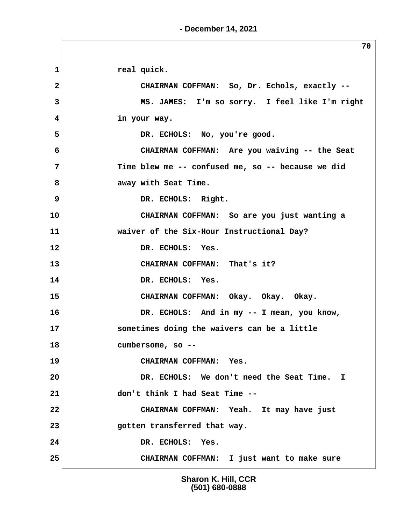**- December 14, 2021**

1 real quick.  **2 CHAIRMAN COFFMAN: So, Dr. Echols, exactly -- 3 MS. JAMES: I'm so sorry. I feel like I'm right 4 in your way. 5 DR. ECHOLS: No, you're good. 6 CHAIRMAN COFFMAN: Are you waiving -- the Seat 7 Time blew me -- confused me, so -- because we did 8 away with Seat Time. 9** DR. ECHOLS: Right. **10 CHAIRMAN COFFMAN: So are you just wanting a 11 waiver of the Six-Hour Instructional Day? 12 DR. ECHOLS: Yes. 13 CHAIRMAN COFFMAN: That's it? 14 DR. ECHOLS: Yes. 15 CHAIRMAN COFFMAN: Okay. Okay. Okay. 16 DR. ECHOLS: And in my -- I mean, you know, 17 sometimes doing the waivers can be a little 18 cumbersome, so -- 19 CHAIRMAN COFFMAN: Yes. 20 DR. ECHOLS: We don't need the Seat Time. I 21 don't think I had Seat Time -- 22 CHAIRMAN COFFMAN: Yeah. It may have just 23 gotten transferred that way. 24 DR. ECHOLS: Yes. 25 CHAIRMAN COFFMAN: I just want to make sure**

> **Sharon K. Hill, CCR (501) 680-0888**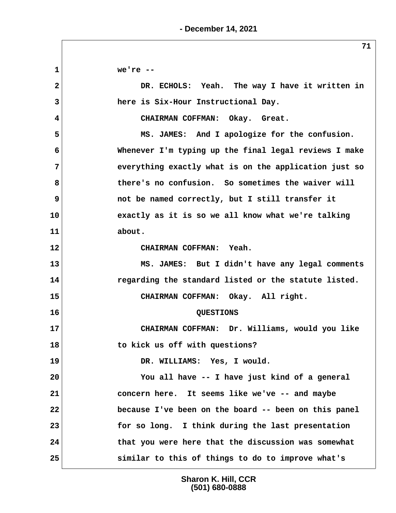**1 we're -- 2 DR. ECHOLS: Yeah. The way I have it written in 3 here is Six-Hour Instructional Day. 4 CHAIRMAN COFFMAN: Okay. Great. 5 MS. JAMES: And I apologize for the confusion. 6 Whenever I'm typing up the final legal reviews I make 7 everything exactly what is on the application just so 8 there's no confusion. So sometimes the waiver will 9** not be named correctly, but I still transfer it **10 exactly as it is so we all know what we're talking 11 about. 12 CHAIRMAN COFFMAN: Yeah. 13 MS. JAMES: But I didn't have any legal comments 14 regarding the standard listed or the statute listed. 15 CHAIRMAN COFFMAN: Okay. All right. 16 QUESTIONS 17 CHAIRMAN COFFMAN: Dr. Williams, would you like 18 to kick us off with questions? 19 DR. WILLIAMS: Yes, I would. 20 You all have -- I have just kind of a general 21 concern here. It seems like we've -- and maybe 22 because I've been on the board -- been on this panel 23 for so long. I think during the last presentation 24 that you were here that the discussion was somewhat 25 similar to this of things to do to improve what's**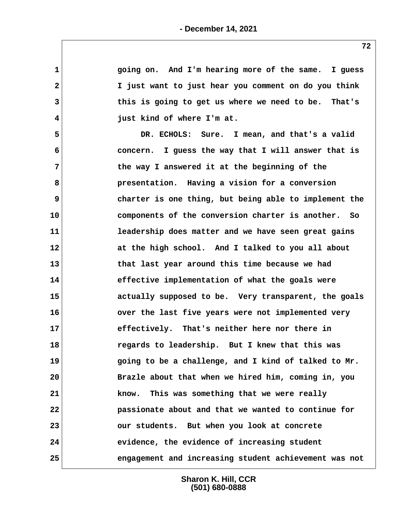**1 going on. And I'm hearing more of the same. I guess 2 I just want to just hear you comment on do you think 3 this is going to get us where we need to be. That's 4 just kind of where I'm at. 5 DR. ECHOLS: Sure. I mean, and that's a valid 6 concern. I guess the way that I will answer that is 7 the way I answered it at the beginning of the 8 presentation. Having a vision for a conversion 9 charter is one thing, but being able to implement the 10 components of the conversion charter is another. So 11 leadership does matter and we have seen great gains 12 at the high school. And I talked to you all about 13 that last year around this time because we had 14 effective implementation of what the goals were 15 actually supposed to be. Very transparent, the goals 16 over the last five years were not implemented very 17 effectively. That's neither here nor there in 18 regards to leadership. But I knew that this was 19 going to be a challenge, and I kind of talked to Mr. 20 Brazle about that when we hired him, coming in, you 21 know. This was something that we were really 22 passionate about and that we wanted to continue for 23 our students. But when you look at concrete 24 evidence, the evidence of increasing student 25 engagement and increasing student achievement was not**

> **Sharon K. Hill, CCR (501) 680-0888**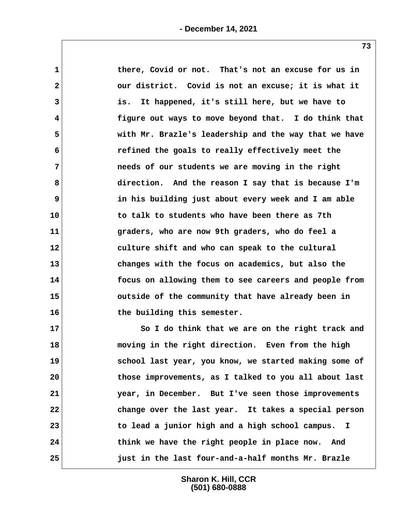| $\mathbf{1}$   | there, Covid or not. That's not an excuse for us in   |
|----------------|-------------------------------------------------------|
| $\mathbf{2}$   | our district. Covid is not an excuse; it is what it   |
| 3              | It happened, it's still here, but we have to<br>is.   |
| 4              | figure out ways to move beyond that. I do think that  |
| 5              | with Mr. Brazle's leadership and the way that we have |
| 6              | refined the goals to really effectively meet the      |
| $\overline{7}$ | needs of our students we are moving in the right      |
| 8              | direction. And the reason I say that is because I'm   |
| 9              | in his building just about every week and I am able   |
| 10             | to talk to students who have been there as 7th        |
| 11             | graders, who are now 9th graders, who do feel a       |
| 12             | culture shift and who can speak to the cultural       |
| 13             | changes with the focus on academics, but also the     |
| 14             | focus on allowing them to see careers and people from |
| 15             | outside of the community that have already been in    |
| 16             | the building this semester.                           |
| 17             | So I do think that we are on the right track and      |
| 18             | moving in the right direction. Even from the high     |
| 19             | school last year, you know, we started making some of |
| 20             | those improvements, as I talked to you all about last |
| 21             | year, in December. But I've seen those improvements   |
| 22             | change over the last year. It takes a special person  |
| 23             | to lead a junior high and a high school campus. I     |

**24 think we have the right people in place now. And 25 just in the last four-and-a-half months Mr. Brazle**

> **Sharon K. Hill, CCR (501) 680-0888**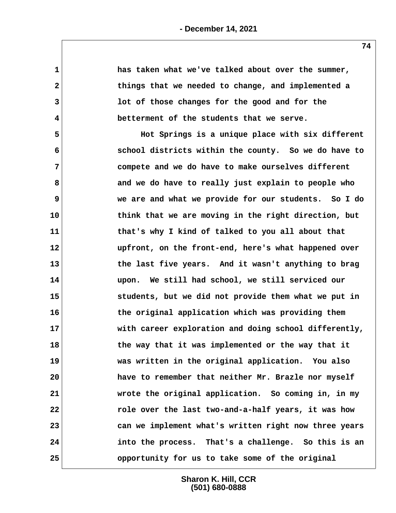| $\mathbf{1}$ | has taken what we've talked about over the summer,    |
|--------------|-------------------------------------------------------|
| $\mathbf{2}$ | things that we needed to change, and implemented a    |
| 3            | lot of those changes for the good and for the         |
| 4            | betterment of the students that we serve.             |
| 5            | Hot Springs is a unique place with six different      |
| 6            | school districts within the county. So we do have to  |
| 7            | compete and we do have to make ourselves different    |
| 8            | and we do have to really just explain to people who   |
| 9            | we are and what we provide for our students. So I do  |
| 10           | think that we are moving in the right direction, but  |
| 11           | that's why I kind of talked to you all about that     |
| 12           | upfront, on the front-end, here's what happened over  |
| 13           | the last five years. And it wasn't anything to brag   |
| 14           | upon. We still had school, we still serviced our      |
| 15           | students, but we did not provide them what we put in  |
| 16           | the original application which was providing them     |
| 17           | with career exploration and doing school differently, |
| 18           | the way that it was implemented or the way that it    |
| 19           | was written in the original application. You also     |
| 20           | have to remember that neither Mr. Brazle nor myself   |
| 21           | wrote the original application. So coming in, in my   |
| 22           | role over the last two-and-a-half years, it was how   |
| 23           | can we implement what's written right now three years |
| 24           | into the process. That's a challenge. So this is an   |
| 25           | opportunity for us to take some of the original       |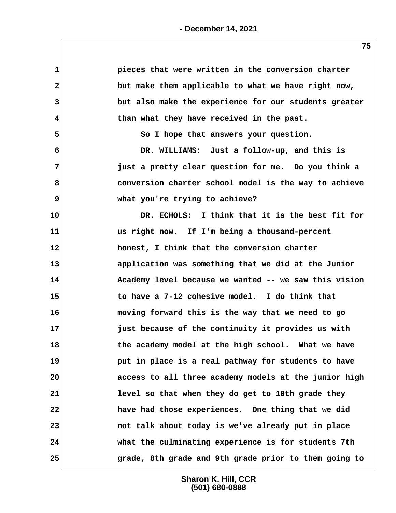| $\mathbf 1$  | pieces that were written in the conversion charter    |
|--------------|-------------------------------------------------------|
| $\mathbf{2}$ | but make them applicable to what we have right now,   |
| 3            | but also make the experience for our students greater |
| 4            | than what they have received in the past.             |
| 5            | So I hope that answers your question.                 |
| 6            | DR. WILLIAMS: Just a follow-up, and this is           |
| 7            | just a pretty clear question for me. Do you think a   |
| 8            | conversion charter school model is the way to achieve |
| 9            | what you're trying to achieve?                        |
| 10           | DR. ECHOLS: I think that it is the best fit for       |
| 11           | us right now. If I'm being a thousand-percent         |
| 12           | honest, I think that the conversion charter           |
| 13           | application was something that we did at the Junior   |
| 14           | Academy level because we wanted -- we saw this vision |
| 15           | to have a 7-12 cohesive model. I do think that        |
| 16           | moving forward this is the way that we need to go     |
| 17           | just because of the continuity it provides us with    |
| 18           | the academy model at the high school. What we have    |
| 19           | put in place is a real pathway for students to have   |
| 20           | access to all three academy models at the junior high |
| 21           | level so that when they do get to 10th grade they     |
| 22           | have had those experiences. One thing that we did     |
| 23           | not talk about today is we've already put in place    |
| 24           | what the culminating experience is for students 7th   |
| 25           | grade, 8th grade and 9th grade prior to them going to |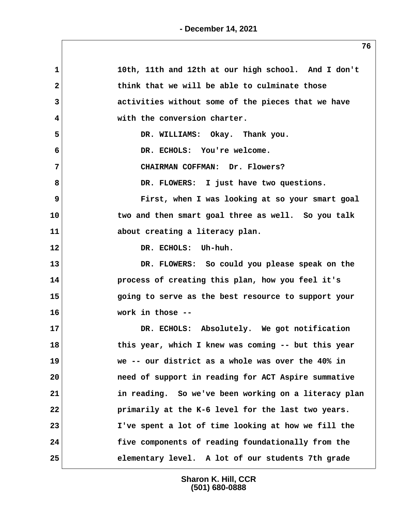| $\mathbf{1}$            | 10th, 11th and 12th at our high school. And I don't  |
|-------------------------|------------------------------------------------------|
| 2                       | think that we will be able to culminate those        |
| 3                       | activities without some of the pieces that we have   |
| $\overline{\mathbf{4}}$ | with the conversion charter.                         |
| 5                       | DR. WILLIAMS: Okay. Thank you.                       |
| 6                       | DR. ECHOLS: You're welcome.                          |
| $\overline{7}$          | CHAIRMAN COFFMAN: Dr. Flowers?                       |
| 8                       | DR. FLOWERS: I just have two questions.              |
| 9                       | First, when I was looking at so your smart goal      |
| 10                      | two and then smart goal three as well. So you talk   |
| 11                      | about creating a literacy plan.                      |
| 12                      | DR. ECHOLS: Uh-huh.                                  |
| 13                      | DR. FLOWERS: So could you please speak on the        |
| 14                      | process of creating this plan, how you feel it's     |
| 15                      | going to serve as the best resource to support your  |
| 16                      | work in those --                                     |
| 17                      | DR. ECHOLS: Absolutely. We got notification          |
| 18                      | this year, which I knew was coming -- but this year  |
| 19                      | we -- our district as a whole was over the 40% in    |
| 20                      | need of support in reading for ACT Aspire summative  |
| 21                      | in reading. So we've been working on a literacy plan |
| 22                      | primarily at the K-6 level for the last two years.   |
| 23                      | I've spent a lot of time looking at how we fill the  |
| 24                      | five components of reading foundationally from the   |
| 25                      | elementary level. A lot of our students 7th grade    |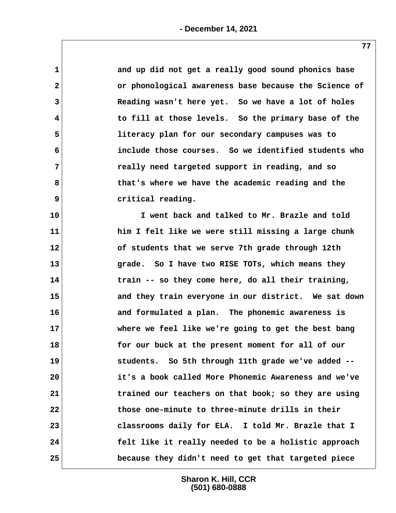| $\mathbf 1$  | and up did not get a really good sound phonics base   |
|--------------|-------------------------------------------------------|
| $\mathbf{2}$ | or phonological awareness base because the Science of |
| 3            | Reading wasn't here yet. So we have a lot of holes    |
| 4            | to fill at those levels. So the primary base of the   |
| 5            | literacy plan for our secondary campuses was to       |
| 6            | include those courses. So we identified students who  |
| 7            | really need targeted support in reading, and so       |
| 8            | that's where we have the academic reading and the     |
| 9            | critical reading.                                     |
| 10           | I went back and talked to Mr. Brazle and told         |
| 11           | him I felt like we were still missing a large chunk   |
| 12           | of students that we serve 7th grade through 12th      |
| 13           | grade. So I have two RISE TOTs, which means they      |
| 14           | train -- so they come here, do all their training,    |
| 15           | and they train everyone in our district. We sat down  |
| 16           | and formulated a plan. The phonemic awareness is      |
| 17           | where we feel like we're going to get the best bang   |
| 18           | for our buck at the present moment for all of our     |
| 19           | students. So 5th through 11th grade we've added --    |
| 20           | it's a book called More Phonemic Awareness and we've  |
| 21           | trained our teachers on that book; so they are using  |
| 22           | those one-minute to three-minute drills in their      |
| 23           | classrooms daily for ELA. I told Mr. Brazle that I    |
| 24           | felt like it really needed to be a holistic approach  |
| 25           | because they didn't need to get that targeted piece   |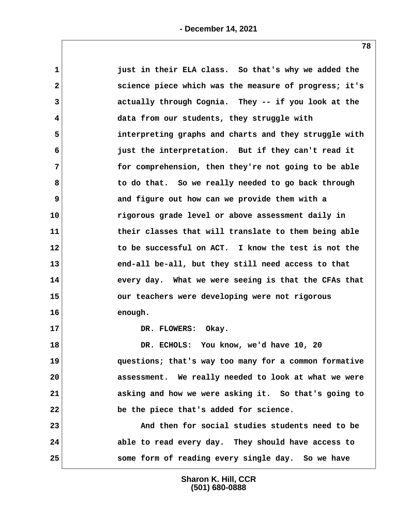| $\mathbf 1$  | just in their ELA class. So that's why we added the   |
|--------------|-------------------------------------------------------|
| $\mathbf{2}$ | science piece which was the measure of progress; it's |
| 3            | actually through Cognia. They -- if you look at the   |
| 4            | data from our students, they struggle with            |
| 5            | interpreting graphs and charts and they struggle with |
| 6            | just the interpretation. But if they can't read it    |
| 7            | for comprehension, then they're not going to be able  |
| 8            | to do that. So we really needed to go back through    |
| 9            | and figure out how can we provide them with a         |
| 10           | rigorous grade level or above assessment daily in     |
| 11           | their classes that will translate to them being able  |
| 12           | to be successful on ACT. I know the test is not the   |
| 13           | end-all be-all, but they still need access to that    |
| 14           | every day. What we were seeing is that the CFAs that  |
| 15           | our teachers were developing were not rigorous        |
| 16           | enough.                                               |
| 17           | DR. FLOWERS: Okay.                                    |
| 18           | DR. ECHOLS: You know, we'd have 10, 20                |
| 19           | questions; that's way too many for a common formative |
| 20           | assessment. We really needed to look at what we were  |
| 21           | asking and how we were asking it. So that's going to  |
| 22           | be the piece that's added for science.                |
| 23           | And then for social studies students need to be       |
| 24           | able to read every day. They should have access to    |
| 25           | some form of reading every single day. So we have     |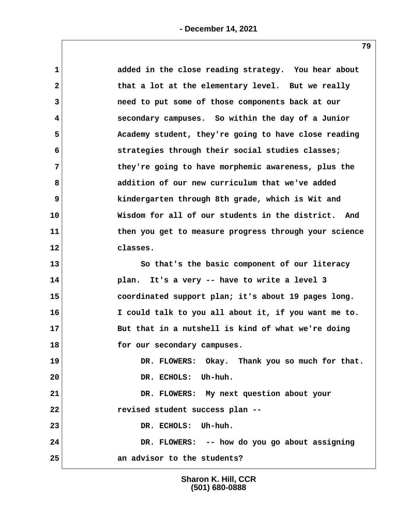| 1            | added in the close reading strategy. You hear about   |
|--------------|-------------------------------------------------------|
| $\mathbf{2}$ | that a lot at the elementary level. But we really     |
| 3            | need to put some of those components back at our      |
| 4            | secondary campuses. So within the day of a Junior     |
| 5            | Academy student, they're going to have close reading  |
| 6            | strategies through their social studies classes;      |
| 7            | they're going to have morphemic awareness, plus the   |
| 8            | addition of our new curriculum that we've added       |
| 9            | kindergarten through 8th grade, which is Wit and      |
| 10           | Wisdom for all of our students in the district. And   |
| 11           | then you get to measure progress through your science |
| 12           | classes.                                              |
| 13           | So that's the basic component of our literacy         |
| 14           | plan. It's a very -- have to write a level 3          |
| 15           | coordinated support plan; it's about 19 pages long.   |
| 16           | I could talk to you all about it, if you want me to.  |
| 17           | But that in a nutshell is kind of what we're doing    |
| 18           | for our secondary campuses.                           |
| 19           | DR. FLOWERS: Okay. Thank you so much for that.        |
| 20           | DR. ECHOLS: Uh-huh.                                   |
| 21           | DR. FLOWERS: My next question about your              |
| 22           | revised student success plan --                       |
| 23           | DR. ECHOLS: Uh-huh.                                   |
| 24           | DR. FLOWERS: -- how do you go about assigning         |
| 25           | an advisor to the students?                           |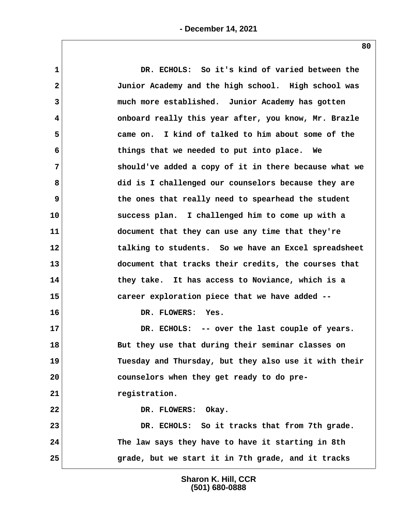| $\mathbf{1}$ | DR. ECHOLS: So it's kind of varied between the        |
|--------------|-------------------------------------------------------|
| $\mathbf{2}$ | Junior Academy and the high school. High school was   |
| 3            | much more established. Junior Academy has gotten      |
| 4            | onboard really this year after, you know, Mr. Brazle  |
| 5            | came on. I kind of talked to him about some of the    |
| 6            | things that we needed to put into place. We           |
| 7            | should've added a copy of it in there because what we |
| 8            | did is I challenged our counselors because they are   |
| 9            | the ones that really need to spearhead the student    |
| 10           | success plan. I challenged him to come up with a      |
| 11           | document that they can use any time that they're      |
| 12           | talking to students. So we have an Excel spreadsheet  |
| 13           | document that tracks their credits, the courses that  |
| 14           | they take. It has access to Noviance, which is a      |
| 15           | career exploration piece that we have added --        |
| 16           | DR. FLOWERS: Yes.                                     |
| 17           | DR. ECHOLS: -- over the last couple of years.         |
| 18           | But they use that during their seminar classes on     |
| 19           | Tuesday and Thursday, but they also use it with their |
| 20           | counselors when they get ready to do pre-             |
| 21           | registration.                                         |
| 22           | DR. FLOWERS: Okay.                                    |
| 23           | DR. ECHOLS: So it tracks that from 7th grade.         |
| 24           | The law says they have to have it starting in 8th     |
| 25           | grade, but we start it in 7th grade, and it tracks    |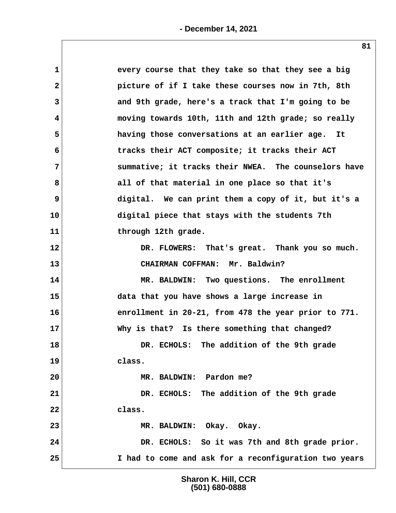| every course that they take so that they see a big         |
|------------------------------------------------------------|
| picture of if I take these courses now in 7th, 8th         |
| 3<br>and 9th grade, here's a track that I'm going to be    |
| moving towards 10th, 11th and 12th grade; so really<br>4   |
| having those conversations at an earlier age. It           |
| tracks their ACT composite; it tracks their ACT<br>6       |
| summative; it tracks their NWEA. The counselors have       |
| 8<br>all of that material in one place so that it's        |
| digital. We can print them a copy of it, but it's a        |
| 10<br>digital piece that stays with the students 7th       |
| through 12th grade.                                        |
| 12<br>DR. FLOWERS: That's great. Thank you so much.        |
| 13<br>CHAIRMAN COFFMAN: Mr. Baldwin?                       |
| 14<br>MR. BALDWIN: Two questions. The enrollment           |
| 15<br>data that you have shows a large increase in         |
| 16<br>enrollment in 20-21, from 478 the year prior to 771. |
| 17<br>Why is that? Is there something that changed?        |
| 18<br>DR. ECHOLS: The addition of the 9th grade            |
| 19<br>class.                                               |
| 20<br>MR. BALDWIN: Pardon me?                              |
| DR. ECHOLS: The addition of the 9th grade                  |
| class.                                                     |
|                                                            |
| MR. BALDWIN: Okay. Okay.                                   |
| DR. ECHOLS: So it was 7th and 8th grade prior.             |
|                                                            |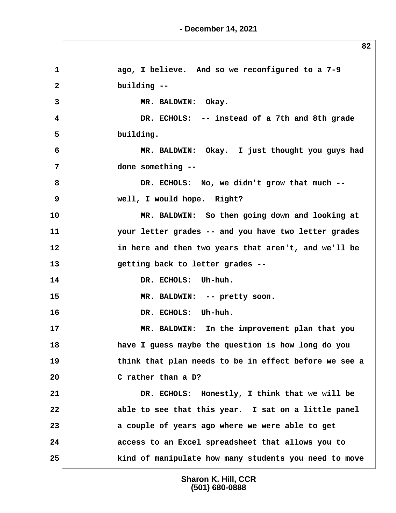**1 ago, I believe. And so we reconfigured to a 7-9 2 building -- 3 MR. BALDWIN: Okay. 4 DR. ECHOLS: -- instead of a 7th and 8th grade 5 building. 6 MR. BALDWIN: Okay. I just thought you guys had 7 done something -- 8 DR. ECHOLS: No, we didn't grow that much -- 9 well, I would hope. Right? 10 MR. BALDWIN: So then going down and looking at 11 your letter grades -- and you have two letter grades 12 in here and then two years that aren't, and we'll be 13 getting back to letter grades -- 14 DR. ECHOLS: Uh-huh. 15 MR. BALDWIN: -- pretty soon. 16 DR. ECHOLS: Uh-huh. 17 MR. BALDWIN: In the improvement plan that you 18 have I guess maybe the question is how long do you 19 think that plan needs to be in effect before we see a 20 C rather than a D? 21 DR. ECHOLS: Honestly, I think that we will be 22 able to see that this year. I sat on a little panel 23 a couple of years ago where we were able to get 24 access to an Excel spreadsheet that allows you to 25 kind of manipulate how many students you need to move**

> **Sharon K. Hill, CCR (501) 680-0888**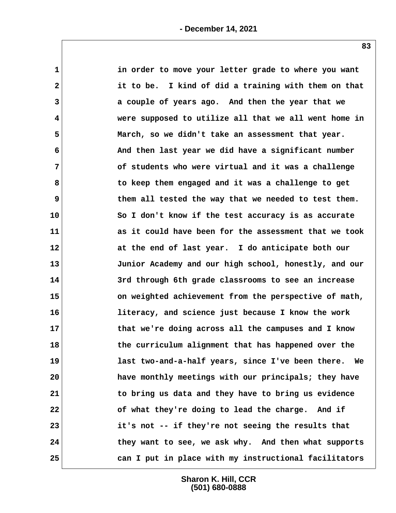| 1            | in order to move your letter grade to where you want  |
|--------------|-------------------------------------------------------|
| $\mathbf{2}$ | it to be. I kind of did a training with them on that  |
| 3            | a couple of years ago. And then the year that we      |
| 4            | were supposed to utilize all that we all went home in |
| 5            | March, so we didn't take an assessment that year.     |
| 6            | And then last year we did have a significant number   |
| 7            | of students who were virtual and it was a challenge   |
| 8            | to keep them engaged and it was a challenge to get    |
| 9            | them all tested the way that we needed to test them.  |
| 10           | So I don't know if the test accuracy is as accurate   |
| 11           | as it could have been for the assessment that we took |
| 12           | at the end of last year. I do anticipate both our     |
| 13           | Junior Academy and our high school, honestly, and our |
| 14           | 3rd through 6th grade classrooms to see an increase   |
| 15           | on weighted achievement from the perspective of math, |
| 16           | literacy, and science just because I know the work    |
| 17           | that we're doing across all the campuses and I know   |
| 18           | the curriculum alignment that has happened over the   |
| 19           | last two-and-a-half years, since I've been there. We  |
| 20           | have monthly meetings with our principals; they have  |
| 21           | to bring us data and they have to bring us evidence   |
| 22           | of what they're doing to lead the charge. And if      |
| 23           | it's not -- if they're not seeing the results that    |
| 24           | they want to see, we ask why. And then what supports  |
| 25           | can I put in place with my instructional facilitators |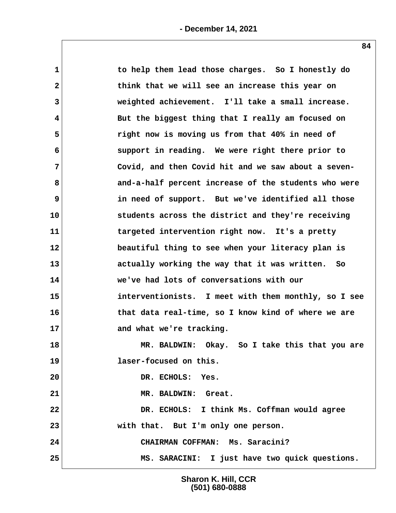| $\mathbf{1}$   | to help them lead those charges. So I honestly do    |
|----------------|------------------------------------------------------|
| $\mathbf{2}$   | think that we will see an increase this year on      |
| 3              | weighted achievement. I'll take a small increase.    |
| 4              | But the biggest thing that I really am focused on    |
| 5              | right now is moving us from that 40% in need of      |
| 6              | support in reading. We were right there prior to     |
| $\overline{7}$ | Covid, and then Covid hit and we saw about a seven-  |
| 8              | and-a-half percent increase of the students who were |
| 9              | in need of support. But we've identified all those   |
| 10             | students across the district and they're receiving   |
| 11             | targeted intervention right now. It's a pretty       |
| 12             | beautiful thing to see when your literacy plan is    |
| 13             | actually working the way that it was written. So     |
| 14             | we've had lots of conversations with our             |
| 15             | interventionists. I meet with them monthly, so I see |
| 16             | that data real-time, so I know kind of where we are  |
| 17             | and what we're tracking.                             |
| 18             | MR. BALDWIN: Okay. So I take this that you are       |
| 19             | laser-focused on this.                               |
| 20             | DR. ECHOLS: Yes.                                     |
| 21             | MR. BALDWIN: Great.                                  |
| 22             | DR. ECHOLS: I think Ms. Coffman would agree          |
| 23             | with that. But I'm only one person.                  |
| 24             | CHAIRMAN COFFMAN: Ms. Saracini?                      |
| 25             | MS. SARACINI: I just have two quick questions.       |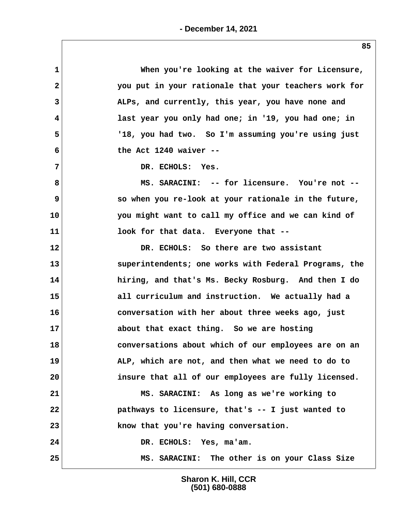| 1            | When you're looking at the waiver for Licensure,      |
|--------------|-------------------------------------------------------|
| $\mathbf{2}$ | you put in your rationale that your teachers work for |
| 3            | ALPs, and currently, this year, you have none and     |
| 4            | last year you only had one; in '19, you had one; in   |
| 5            | '18, you had two. So I'm assuming you're using just   |
| 6            | the Act $1240$ waiver --                              |
| 7            | DR. ECHOLS: Yes.                                      |
| 8            | MS. SARACINI: -- for licensure. You're not --         |
| 9            | so when you re-look at your rationale in the future,  |
| 10           | you might want to call my office and we can kind of   |
| 11           | look for that data. Everyone that --                  |
| 12           | DR. ECHOLS: So there are two assistant                |
| 13           | superintendents; one works with Federal Programs, the |
| 14           | hiring, and that's Ms. Becky Rosburg. And then I do   |
| 15           | all curriculum and instruction. We actually had a     |
| 16           | conversation with her about three weeks ago, just     |
| 17           | about that exact thing. So we are hosting             |
| 18           | conversations about which of our employees are on an  |
| 19           | ALP, which are not, and then what we need to do to    |
| 20           | insure that all of our employees are fully licensed.  |
| 21           | MS. SARACINI: As long as we're working to             |
| 22           | pathways to licensure, that's -- I just wanted to     |
| 23           | know that you're having conversation.                 |
| 24           | DR. ECHOLS: Yes, ma'am.                               |
| 25           | MS. SARACINI: The other is on your Class Size         |
|              |                                                       |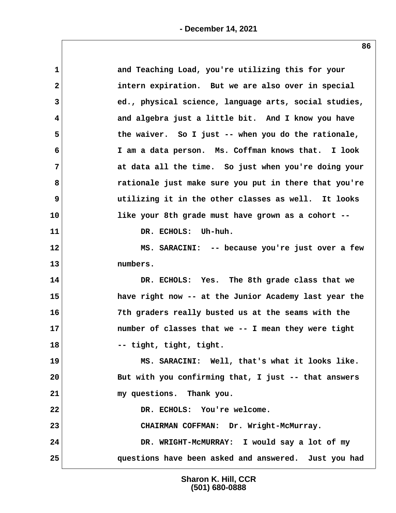| $\mathbf{1}$ | and Teaching Load, you're utilizing this for your     |
|--------------|-------------------------------------------------------|
| $\mathbf{2}$ | intern expiration. But we are also over in special    |
| 3            | ed., physical science, language arts, social studies, |
| 4            | and algebra just a little bit. And I know you have    |
| 5            | the waiver. So I just -- when you do the rationale,   |
| 6            | I am a data person. Ms. Coffman knows that. I look    |
| 7            | at data all the time. So just when you're doing your  |
| 8            | rationale just make sure you put in there that you're |
| 9            | utilizing it in the other classes as well. It looks   |
| 10           | like your 8th grade must have grown as a cohort --    |
| 11           | DR. ECHOLS: Uh-huh.                                   |
| 12           | MS. SARACINI: -- because you're just over a few       |
| 13           | numbers.                                              |
| 14           | DR. ECHOLS: Yes. The 8th grade class that we          |
| 15           | have right now -- at the Junior Academy last year the |
| 16           | 7th graders really busted us at the seams with the    |
| 17           | number of classes that we -- I mean they were tight   |
| 18           | -- tight, tight, tight.                               |
| 19           | MS. SARACINI: Well, that's what it looks like.        |
| 20           | But with you confirming that, I just -- that answers  |
| 21           | my questions. Thank you.                              |
| 22           | DR. ECHOLS: You're welcome.                           |
| 23           | CHAIRMAN COFFMAN: Dr. Wright-McMurray.                |
| 24           | DR. WRIGHT-MCMURRAY: I would say a lot of my          |
| 25           | questions have been asked and answered. Just you had  |
|              |                                                       |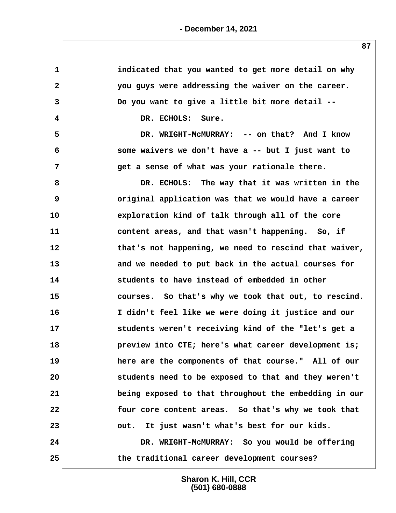| 1              | indicated that you wanted to get more detail on why   |
|----------------|-------------------------------------------------------|
| $\mathbf{2}$   | you guys were addressing the waiver on the career.    |
| 3              | Do you want to give a little bit more detail --       |
| 4              | DR. ECHOLS: Sure.                                     |
| 5              | DR. WRIGHT-MCMURRAY: -- on that? And I know           |
| 6              | some waivers we don't have a -- but I just want to    |
| $\overline{7}$ | get a sense of what was your rationale there.         |
| 8              | DR. ECHOLS: The way that it was written in the        |
| 9              | original application was that we would have a career  |
| 10             | exploration kind of talk through all of the core      |
| 11             | content areas, and that wasn't happening. So, if      |
| $12 \,$        | that's not happening, we need to rescind that waiver, |
| 13             | and we needed to put back in the actual courses for   |
| 14             | students to have instead of embedded in other         |
| 15             | courses. So that's why we took that out, to rescind.  |
| 16             | I didn't feel like we were doing it justice and our   |
| 17             | students weren't receiving kind of the "let's get a   |
| 18             | preview into CTE; here's what career development is;  |
| 19             | here are the components of that course." All of our   |
| 20             | students need to be exposed to that and they weren't  |
| 21             | being exposed to that throughout the embedding in our |
| 22             | four core content areas. So that's why we took that   |
| 23             | out. It just wasn't what's best for our kids.         |
| 24             | DR. WRIGHT-MCMURRAY: So you would be offering         |
| 25             | the traditional career development courses?           |
|                |                                                       |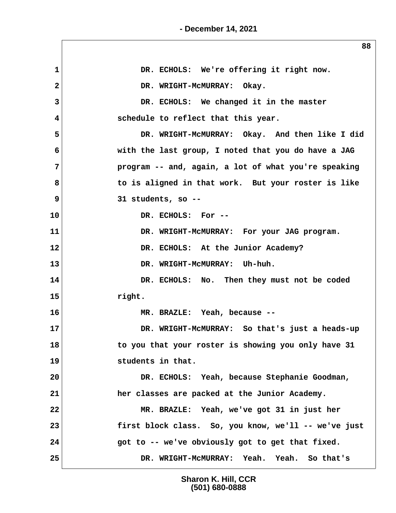**- December 14, 2021**

1 DR. ECHOLS: We're offering it right now. 2 DR. WRIGHT-MCMURRAY: Okay.  **3 DR. ECHOLS: We changed it in the master 4 schedule to reflect that this year. 5 DR. WRIGHT-McMURRAY: Okay. And then like I did 6 with the last group, I noted that you do have a JAG 7 program -- and, again, a lot of what you're speaking 8 to is aligned in that work. But your roster is like 9 31 students, so -- 10 DR. ECHOLS: For -- 11 DR. WRIGHT-McMURRAY: For your JAG program. 12 DR. ECHOLS: At the Junior Academy?** 13 DR. WRIGHT-MCMURRAY: Uh-huh. **14 DR. ECHOLS: No. Then they must not be coded 15 right. 16 MR. BRAZLE: Yeah, because -- 17 DR. WRIGHT-McMURRAY: So that's just a heads-up 18 to you that your roster is showing you only have 31 19 students in that. 20 DR. ECHOLS: Yeah, because Stephanie Goodman, 21 her classes are packed at the Junior Academy. 22 MR. BRAZLE: Yeah, we've got 31 in just her 23 first block class. So, you know, we'll -- we've just 24 got to -- we've obviously got to get that fixed. 25 DR. WRIGHT-McMURRAY: Yeah. Yeah. So that's**

> **Sharon K. Hill, CCR (501) 680-0888**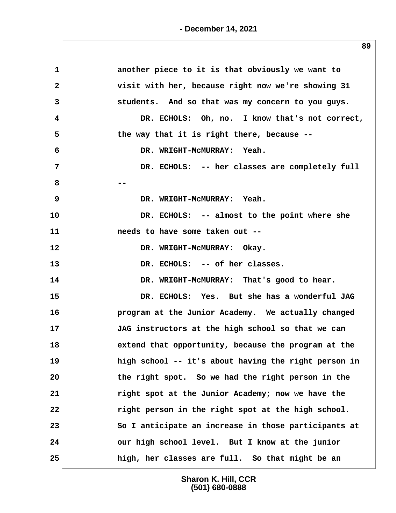| $\mathbf{1}$            | another piece to it is that obviously we want to     |
|-------------------------|------------------------------------------------------|
| $\mathbf{2}$            | visit with her, because right now we're showing 31   |
| 3                       | students. And so that was my concern to you guys.    |
| $\overline{\mathbf{4}}$ | DR. ECHOLS: Oh, no. I know that's not correct,       |
| 5                       | the way that it is right there, because --           |
| 6                       | DR. WRIGHT-MCMURRAY: Yeah.                           |
| $\overline{7}$          | DR. ECHOLS: -- her classes are completely full       |
| 8                       |                                                      |
| 9                       | DR. WRIGHT-MCMURRAY: Yeah.                           |
| 10                      | DR. ECHOLS: -- almost to the point where she         |
| 11                      | needs to have some taken out --                      |
| 12                      | DR. WRIGHT-MCMURRAY: Okay.                           |
| 13                      | DR. ECHOLS: -- of her classes.                       |
| 14                      | DR. WRIGHT-MCMURRAY: That's good to hear.            |
| 15                      | DR. ECHOLS: Yes. But she has a wonderful JAG         |
| 16                      | program at the Junior Academy. We actually changed   |
| 17                      | JAG instructors at the high school so that we can    |
| 18                      | extend that opportunity, because the program at the  |
| 19                      | high school -- it's about having the right person in |
| 20                      | the right spot. So we had the right person in the    |
| 21                      | right spot at the Junior Academy; now we have the    |
| 22                      | right person in the right spot at the high school.   |
| 23                      | So I anticipate an increase in those participants at |
| 24                      | our high school level. But I know at the junior      |
| 25                      | high, her classes are full. So that might be an      |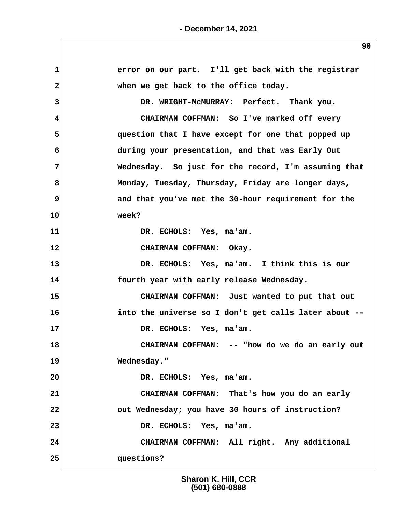| 1              | error on our part. I'll get back with the registrar   |
|----------------|-------------------------------------------------------|
| $\overline{2}$ | when we get back to the office today.                 |
| 3              | DR. WRIGHT-MCMURRAY: Perfect. Thank you.              |
| 4              | CHAIRMAN COFFMAN: So I've marked off every            |
| 5              | question that I have except for one that popped up    |
| 6              | during your presentation, and that was Early Out      |
| 7              | Wednesday. So just for the record, I'm assuming that  |
| 8              | Monday, Tuesday, Thursday, Friday are longer days,    |
| 9              | and that you've met the 30-hour requirement for the   |
| 10             | week?                                                 |
| 11             | DR. ECHOLS: Yes, ma'am.                               |
| 12             | CHAIRMAN COFFMAN: Okay.                               |
| 13             | DR. ECHOLS: Yes, ma'am. I think this is our           |
| 14             | fourth year with early release Wednesday.             |
| 15             | CHAIRMAN COFFMAN: Just wanted to put that out         |
| 16             | into the universe so I don't get calls later about -- |
| 17             | DR. ECHOLS: Yes, ma'am.                               |
| 18             | CHAIRMAN COFFMAN: -- "how do we do an early out       |
| 19             | Wednesday."                                           |
| 20             | DR. ECHOLS: Yes, ma'am.                               |
| 21             | CHAIRMAN COFFMAN: That's how you do an early          |
| 22             | out Wednesday; you have 30 hours of instruction?      |
| 23             | DR. ECHOLS: Yes, ma'am.                               |
| 24             | CHAIRMAN COFFMAN: All right. Any additional           |
| 25             | questions?                                            |
|                |                                                       |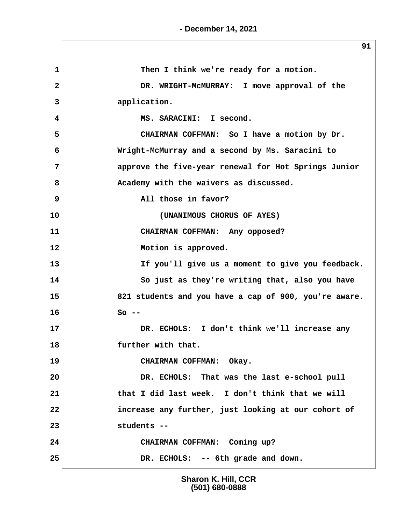**1 Then I think we're ready for a motion. 2 DR. WRIGHT-McMURRAY: I move approval of the 3 application. 4 MS. SARACINI: I second. 5 CHAIRMAN COFFMAN: So I have a motion by Dr. 6 Wright-McMurray and a second by Ms. Saracini to 7 approve the five-year renewal for Hot Springs Junior 8 Academy with the waivers as discussed. 9 all those in favor? 10 (UNANIMOUS CHORUS OF AYES) 11 CHAIRMAN COFFMAN: Any opposed? 12 Motion is approved. 13 If you'll give us a moment to give you feedback. 14 So just as they're writing that, also you have 15 821 students and you have a cap of 900, you're aware. 16 So -- 17 DR. ECHOLS: I don't think we'll increase any 18 further with that. 19 CHAIRMAN COFFMAN: Okay. 20 DR. ECHOLS: That was the last e-school pull 21 that I did last week. I don't think that we will 22 increase any further, just looking at our cohort of 23 students -- 24 CHAIRMAN COFFMAN: Coming up? 25 DR. ECHOLS: -- 6th grade and down.**

> **Sharon K. Hill, CCR (501) 680-0888**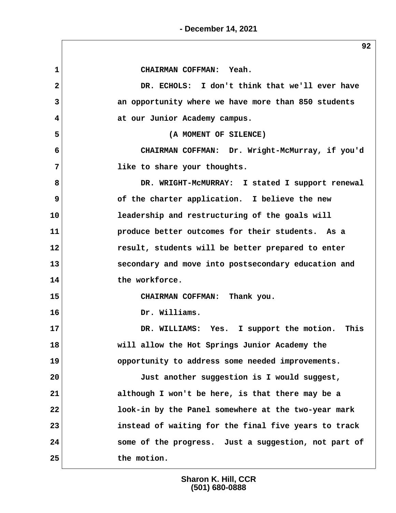**- December 14, 2021**

 **1 CHAIRMAN COFFMAN: Yeah. 2 DR. ECHOLS: I don't think that we'll ever have 3 an opportunity where we have more than 850 students 4 at our Junior Academy campus. 5 (A MOMENT OF SILENCE) 6 CHAIRMAN COFFMAN: Dr. Wright-McMurray, if you'd 7 like to share your thoughts. 8 DR. WRIGHT-McMURRAY: I stated I support renewal 9 of the charter application. I believe the new 10 leadership and restructuring of the goals will 11 produce better outcomes for their students. As a 12 result, students will be better prepared to enter 13 secondary and move into postsecondary education and 14 the workforce. 15 CHAIRMAN COFFMAN: Thank you. 16 Dr. Williams. 17 DR. WILLIAMS: Yes. I support the motion. This 18 will allow the Hot Springs Junior Academy the 19 opportunity to address some needed improvements. 20 Just another suggestion is I would suggest, 21 although I won't be here, is that there may be a 22 look-in by the Panel somewhere at the two-year mark 23 instead of waiting for the final five years to track 24 some of the progress. Just a suggestion, not part of 25 the motion.**

> **Sharon K. Hill, CCR (501) 680-0888**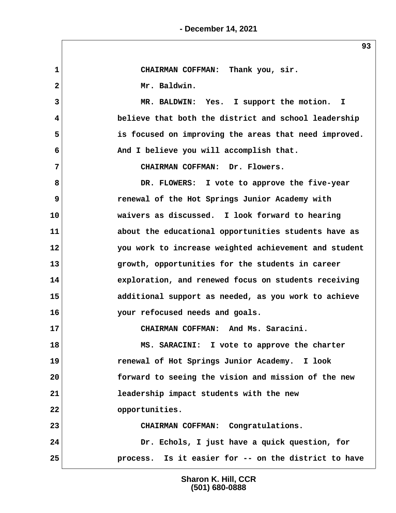**1 CHAIRMAN COFFMAN: Thank you, sir.** 2 Mr. Baldwin.  **3 MR. BALDWIN: Yes. I support the motion. I 4 believe that both the district and school leadership 5 is focused on improving the areas that need improved. 6 And I believe you will accomplish that. 7 CHAIRMAN COFFMAN: Dr. Flowers. 8 DR. FLOWERS: I vote to approve the five-year 9 renewal of the Hot Springs Junior Academy with 10 waivers as discussed. I look forward to hearing 11 about the educational opportunities students have as 12 you work to increase weighted achievement and student 13 growth, opportunities for the students in career 14 exploration, and renewed focus on students receiving 15 additional support as needed, as you work to achieve 16 your refocused needs and goals. 17 CHAIRMAN COFFMAN: And Ms. Saracini. 18 MS. SARACINI: I vote to approve the charter 19 renewal of Hot Springs Junior Academy. I look 20 forward to seeing the vision and mission of the new 21 leadership impact students with the new 22 opportunities. 23 CHAIRMAN COFFMAN: Congratulations. 24 Dr. Echols, I just have a quick question, for 25 process. Is it easier for -- on the district to have**

> **Sharon K. Hill, CCR (501) 680-0888**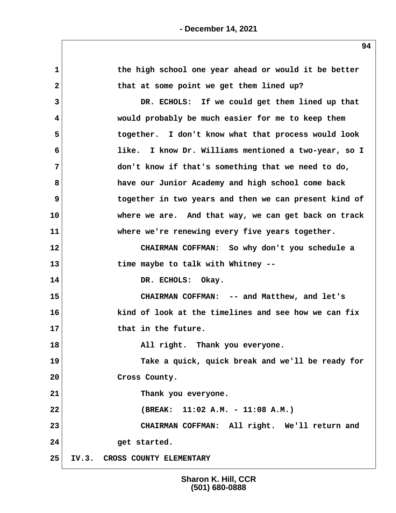| $\mathbf{1}$   | the high school one year ahead or would it be better    |
|----------------|---------------------------------------------------------|
| $\mathbf{2}$   | that at some point we get them lined up?                |
| 3              | DR. ECHOLS: If we could get them lined up that          |
| 4              | would probably be much easier for me to keep them       |
| 5              | together. I don't know what that process would look     |
| 6              | I know Dr. Williams mentioned a two-year, so I<br>like. |
| $\overline{7}$ | don't know if that's something that we need to do,      |
| 8              | have our Junior Academy and high school come back       |
| 9              | together in two years and then we can present kind of   |
| 10             | where we are. And that way, we can get back on track    |
| 11             | where we're renewing every five years together.         |
| 12             | CHAIRMAN COFFMAN: So why don't you schedule a           |
| 13             | time maybe to talk with Whitney --                      |
| 14             | DR. ECHOLS: Okay.                                       |
| 15             | CHAIRMAN COFFMAN: -- and Matthew, and let's             |
| 16             | kind of look at the timelines and see how we can fix    |
| 17             | that in the future.                                     |
| 18             | All right. Thank you everyone.                          |
| 19             | Take a quick, quick break and we'll be ready for        |
| 20             | Cross County.                                           |
| 21             | Thank you everyone.                                     |
| 22             | (BREAK: 11:02 A.M. - 11:08 A.M.)                        |
| 23             | CHAIRMAN COFFMAN: All right. We'll return and           |
| 24             | get started.                                            |
| 25             | IV.3. CROSS COUNTY ELEMENTARY                           |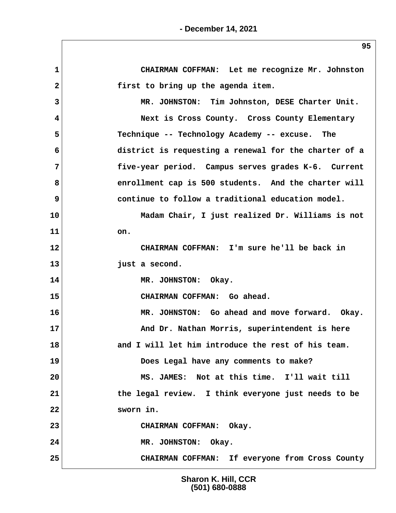**1 CHAIRMAN COFFMAN: Let me recognize Mr. Johnston 2 first to bring up the agenda item. 3 MR. JOHNSTON: Tim Johnston, DESE Charter Unit. 4 Next is Cross County. Cross County Elementary 5 Technique -- Technology Academy -- excuse. The 6 district is requesting a renewal for the charter of a 7 five-year period. Campus serves grades K-6. Current** 8 enrollment cap is 500 students. And the charter will  **9 continue to follow a traditional education model. 10 Madam Chair, I just realized Dr. Williams is not 11 on. 12 CHAIRMAN COFFMAN: I'm sure he'll be back in 13 just a second. 14 MR. JOHNSTON: Okay. 15 CHAIRMAN COFFMAN: Go ahead. 16 MR. JOHNSTON: Go ahead and move forward. Okay. 17 And Dr. Nathan Morris, superintendent is here 18 and I will let him introduce the rest of his team. 19 Does Legal have any comments to make? 20 MS. JAMES: Not at this time. I'll wait till 21 the legal review. I think everyone just needs to be 22 sworn in. 23 CHAIRMAN COFFMAN: Okay. 24 MR. JOHNSTON: Okay. 25 CHAIRMAN COFFMAN: If everyone from Cross County**

> **Sharon K. Hill, CCR (501) 680-0888**

**- December 14, 2021**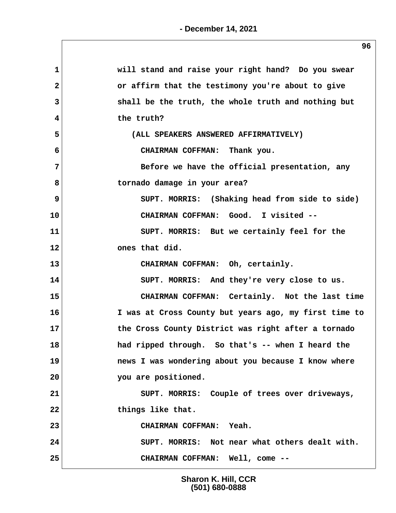| $\mathbf 1$  | will stand and raise your right hand? Do you swear    |
|--------------|-------------------------------------------------------|
| $\mathbf{2}$ | or affirm that the testimony you're about to give     |
| 3            | shall be the truth, the whole truth and nothing but   |
| 4            | the truth?                                            |
| 5            | (ALL SPEAKERS ANSWERED AFFIRMATIVELY)                 |
| 6            | CHAIRMAN COFFMAN: Thank you.                          |
| 7            | Before we have the official presentation, any         |
| 8            | tornado damage in your area?                          |
| 9            | SUPT. MORRIS: (Shaking head from side to side)        |
| 10           | CHAIRMAN COFFMAN: Good. I visited --                  |
| 11           | SUPT. MORRIS: But we certainly feel for the           |
| 12           | ones that did.                                        |
| 13           | CHAIRMAN COFFMAN: Oh, certainly.                      |
| 14           | SUPT. MORRIS: And they're very close to us.           |
| 15           | CHAIRMAN COFFMAN: Certainly. Not the last time        |
| 16           | I was at Cross County but years ago, my first time to |
| 17           | the Cross County District was right after a tornado   |
| 18           | had ripped through. So that's -- when I heard the     |
| 19           | news I was wondering about you because I know where   |
| 20           | you are positioned.                                   |
| 21           | SUPT. MORRIS: Couple of trees over driveways,         |
| 22           | things like that.                                     |
| 23           | CHAIRMAN COFFMAN: Yeah.                               |
| 24           | SUPT. MORRIS: Not near what others dealt with.        |
| 25           | CHAIRMAN COFFMAN: Well, come --                       |
|              |                                                       |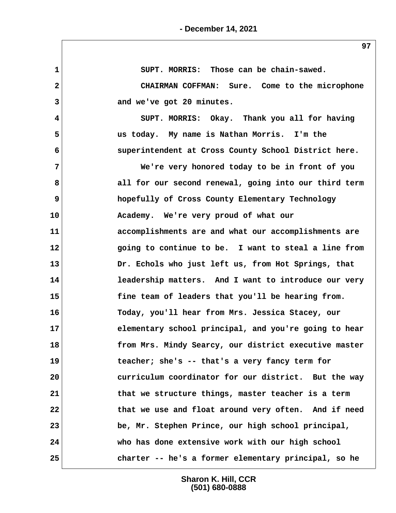**1 SUPT. MORRIS: Those can be chain-sawed. 2 CHAIRMAN COFFMAN: Sure. Come to the microphone 3 and we've got 20 minutes. 4 SUPT. MORRIS: Okay. Thank you all for having 5 us today. My name is Nathan Morris. I'm the 6 superintendent at Cross County School District here. 7 We're very honored today to be in front of you 8 all for our second renewal, going into our third term 9 hopefully of Cross County Elementary Technology 10 Academy. We're very proud of what our 11 accomplishments are and what our accomplishments are 12 going to continue to be. I want to steal a line from 13 Dr. Echols who just left us, from Hot Springs, that 14 leadership matters. And I want to introduce our very 15 fine team of leaders that you'll be hearing from. 16 Today, you'll hear from Mrs. Jessica Stacey, our 17 elementary school principal, and you're going to hear 18 from Mrs. Mindy Searcy, our district executive master 19 teacher; she's -- that's a very fancy term for 20 curriculum coordinator for our district. But the way 21 that we structure things, master teacher is a term 22 that we use and float around very often. And if need 23 be, Mr. Stephen Prince, our high school principal, 24 who has done extensive work with our high school 25 charter -- he's a former elementary principal, so he**

> **Sharon K. Hill, CCR (501) 680-0888**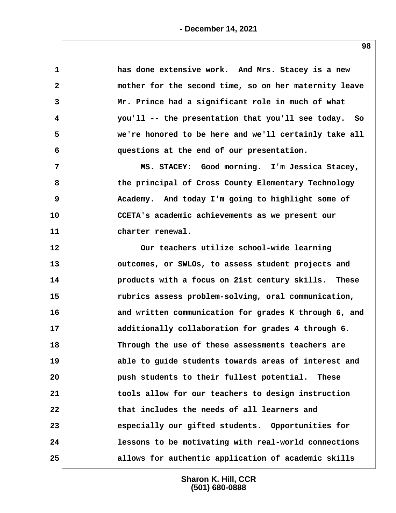| $\mathbf 1$  | has done extensive work. And Mrs. Stacey is a new     |
|--------------|-------------------------------------------------------|
| $\mathbf{2}$ | mother for the second time, so on her maternity leave |
| 3            | Mr. Prince had a significant role in much of what     |
| 4            | you'll -- the presentation that you'll see today. So  |
| 5            | we're honored to be here and we'll certainly take all |
| 6            | questions at the end of our presentation.             |
| 7            | MS. STACEY: Good morning. I'm Jessica Stacey,         |
| 8            | the principal of Cross County Elementary Technology   |
| 9            | Academy. And today I'm going to highlight some of     |
| 10           | CCETA's academic achievements as we present our       |
| 11           | charter renewal.                                      |
| 12           | Our teachers utilize school-wide learning             |
| 13           | outcomes, or SWLOs, to assess student projects and    |
| 14           | products with a focus on 21st century skills. These   |
| 15           | rubrics assess problem-solving, oral communication,   |
| 16           | and written communication for grades K through 6, and |
| 17           | additionally collaboration for grades 4 through 6.    |
| 18           | Through the use of these assessments teachers are     |
| 19           | able to guide students towards areas of interest and  |
| 20           | push students to their fullest potential. These       |
| 21           | tools allow for our teachers to design instruction    |
| 22           | that includes the needs of all learners and           |
| 23           | especially our gifted students. Opportunities for     |
| 24           | lessons to be motivating with real-world connections  |
| 25           | allows for authentic application of academic skills   |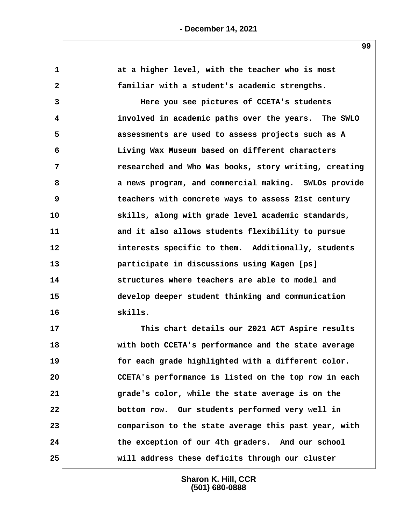| $\mathbf 1$  | at a higher level, with the teacher who is most       |
|--------------|-------------------------------------------------------|
| $\mathbf{2}$ | familiar with a student's academic strengths.         |
| 3            | Here you see pictures of CCETA's students             |
| 4            | involved in academic paths over the years. The SWLO   |
| 5            | assessments are used to assess projects such as A     |
| 6            | Living Wax Museum based on different characters       |
| 7            | researched and Who Was books, story writing, creating |
| 8            | a news program, and commercial making. SWLOs provide  |
| 9            | teachers with concrete ways to assess 21st century    |
| 10           | skills, along with grade level academic standards,    |
| 11           | and it also allows students flexibility to pursue     |
| 12           | interests specific to them. Additionally, students    |
| 13           | participate in discussions using Kagen [ps]           |
| 14           | structures where teachers are able to model and       |
| 15           | develop deeper student thinking and communication     |
| 16           | skills.                                               |
| 17           | This chart details our 2021 ACT Aspire results        |
| 18           | with both CCETA's performance and the state average   |
| 19           | for each grade highlighted with a different color.    |
| 20           | CCETA's performance is listed on the top row in each  |
| 21           | grade's color, while the state average is on the      |
| 22           | bottom row. Our students performed very well in       |
| 23           | comparison to the state average this past year, with  |
| 24           | the exception of our 4th graders. And our school      |
| 25           | will address these deficits through our cluster       |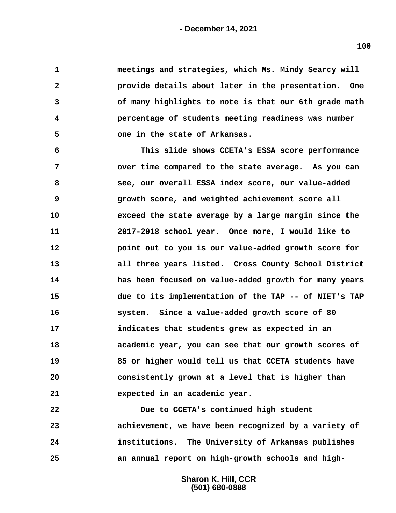| 1               | meetings and strategies, which Ms. Mindy Searcy will  |
|-----------------|-------------------------------------------------------|
| $\mathbf{2}$    | provide details about later in the presentation. One  |
| 3               | of many highlights to note is that our 6th grade math |
| 4               | percentage of students meeting readiness was number   |
| 5               | one in the state of Arkansas.                         |
| 6               | This slide shows CCETA's ESSA score performance       |
| 7               | over time compared to the state average. As you can   |
| 8               | see, our overall ESSA index score, our value-added    |
| 9               | growth score, and weighted achievement score all      |
| 10 <sub>1</sub> | exceed the state average by a large margin since the  |
| 11              | 2017-2018 school year. Once more, I would like to     |
| $12 \,$         | point out to you is our value-added growth score for  |
| 13              | all three years listed. Cross County School District  |
| 14              | has been focused on value-added growth for many years |
| 15              | due to its implementation of the TAP -- of NIET's TAP |
| 16              | system. Since a value-added growth score of 80        |
| 17              | indicates that students grew as expected in an        |
| 18              | academic year, you can see that our growth scores of  |
| 19              | 85 or higher would tell us that CCETA students have   |
| 20              | consistently grown at a level that is higher than     |
| 21              | expected in an academic year.                         |
| 22              | Due to CCETA's continued high student                 |
| 23              | achievement, we have been recognized by a variety of  |
| 24              | institutions. The University of Arkansas publishes    |
| 25              | an annual report on high-growth schools and high-     |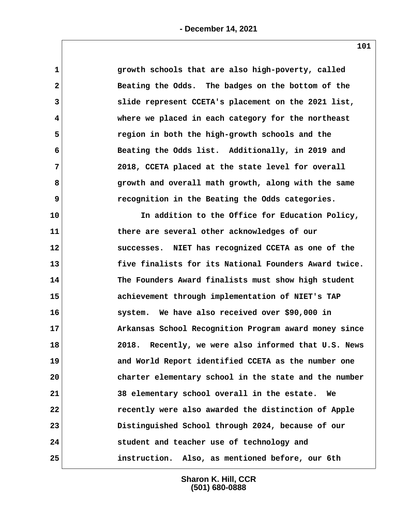| growth schools that are also high-poverty, called        |
|----------------------------------------------------------|
| Beating the Odds. The badges on the bottom of the        |
| slide represent CCETA's placement on the 2021 list,      |
| where we placed in each category for the northeast       |
| region in both the high-growth schools and the           |
| Beating the Odds list. Additionally, in 2019 and         |
| 2018, CCETA placed at the state level for overall        |
| growth and overall math growth, along with the same      |
| recognition in the Beating the Odds categories.          |
| In addition to the Office for Education Policy,          |
| there are several other acknowledges of our              |
| successes. NIET has recognized CCETA as one of the       |
| five finalists for its National Founders Award twice.    |
| The Founders Award finalists must show high student      |
| achievement through implementation of NIET's TAP         |
| system. We have also received over \$90,000 in           |
| Arkansas School Recognition Program award money since    |
| 2018. Recently, we were also informed that U.S. News     |
| and World Report identified CCETA as the number one      |
| charter elementary school in the state and the number    |
| 38 elementary school overall in the estate.<br><b>We</b> |
| recently were also awarded the distinction of Apple      |
| Distinguished School through 2024, because of our        |
| student and teacher use of technology and                |
| instruction. Also, as mentioned before, our 6th          |
|                                                          |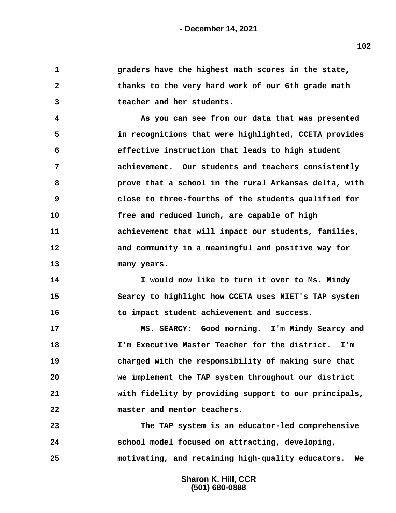| 1            |                                                       |
|--------------|-------------------------------------------------------|
|              | graders have the highest math scores in the state,    |
| $\mathbf{2}$ | thanks to the very hard work of our 6th grade math    |
| 3            | teacher and her students.                             |
| 4            | As you can see from our data that was presented       |
| 5            | in recognitions that were highlighted, CCETA provides |
| 6            | effective instruction that leads to high student      |
| 7            | achievement. Our students and teachers consistently   |
| 8            | prove that a school in the rural Arkansas delta, with |
| 9            | close to three-fourths of the students qualified for  |
| 10           | free and reduced lunch, are capable of high           |
| 11           | achievement that will impact our students, families,  |
| 12           | and community in a meaningful and positive way for    |
| 13           | many years.                                           |
| 14           | I would now like to turn it over to Ms. Mindy         |
| 15           | Searcy to highlight how CCETA uses NIET's TAP system  |
| 16           | to impact student achievement and success.            |
| 17           | MS. SEARCY: Good morning. I'm Mindy Searcy and        |
| 18           | I'm Executive Master Teacher for the district.<br>I'm |
| 19           | charged with the responsibility of making sure that   |
| 20           | we implement the TAP system throughout our district   |
| 21           | with fidelity by providing support to our principals, |
| 22           | master and mentor teachers.                           |
|              |                                                       |
| 23           | The TAP system is an educator-led comprehensive       |
| 24           | school model focused on attracting, developing,       |
| 25           | motivating, and retaining high-quality educators. We  |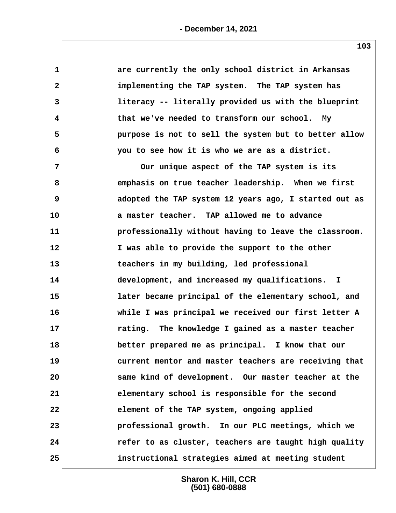| $\mathbf 1$    | are currently the only school district in Arkansas    |  |
|----------------|-------------------------------------------------------|--|
| $\mathbf{2}$   | implementing the TAP system. The TAP system has       |  |
| 3              | literacy -- literally provided us with the blueprint  |  |
| 4              | that we've needed to transform our school. My         |  |
| 5              | purpose is not to sell the system but to better allow |  |
| 6              | you to see how it is who we are as a district.        |  |
| $\overline{7}$ | Our unique aspect of the TAP system is its            |  |
| 8              | emphasis on true teacher leadership. When we first    |  |
| 9              | adopted the TAP system 12 years ago, I started out as |  |
| 10             | a master teacher. TAP allowed me to advance           |  |
| 11             | professionally without having to leave the classroom. |  |
| 12             | I was able to provide the support to the other        |  |
| 13             | teachers in my building, led professional             |  |
| 14             | development, and increased my qualifications. I       |  |
| 15             | later became principal of the elementary school, and  |  |
| 16             | while I was principal we received our first letter A  |  |
| 17             | rating. The knowledge I gained as a master teacher    |  |
| 18             | better prepared me as principal. I know that our      |  |
| 19             | current mentor and master teachers are receiving that |  |
| 20             | same kind of development. Our master teacher at the   |  |
| 21             | elementary school is responsible for the second       |  |
| 22             | element of the TAP system, ongoing applied            |  |
| 23             | professional growth. In our PLC meetings, which we    |  |
| 24             | refer to as cluster, teachers are taught high quality |  |
| 25             | instructional strategies aimed at meeting student     |  |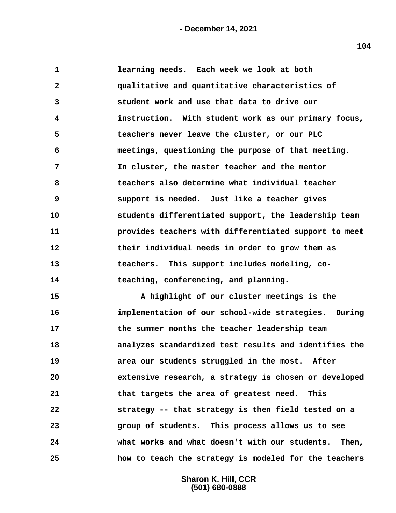| $\mathbf{1}$            | learning needs. Each week we look at both             |
|-------------------------|-------------------------------------------------------|
| $\overline{\mathbf{2}}$ | qualitative and quantitative characteristics of       |
| 3                       | student work and use that data to drive our           |
| 4                       | instruction. With student work as our primary focus,  |
| 5                       | teachers never leave the cluster, or our PLC          |
| 6                       | meetings, questioning the purpose of that meeting.    |
| $\overline{7}$          | In cluster, the master teacher and the mentor         |
| 8                       | teachers also determine what individual teacher       |
| 9                       | support is needed. Just like a teacher gives          |
| 10                      | students differentiated support, the leadership team  |
| 11                      | provides teachers with differentiated support to meet |
| 12                      | their individual needs in order to grow them as       |
| 13                      | teachers. This support includes modeling, co-         |
| 14                      | teaching, conferencing, and planning.                 |
| 15                      | A highlight of our cluster meetings is the            |
| 16                      | implementation of our school-wide strategies. During  |
| 17                      | the summer months the teacher leadership team         |
| 18                      | analyzes standardized test results and identifies the |
| 19                      | area our students struggled in the most. After        |
| 20                      | extensive research, a strategy is chosen or developed |
| 21                      | that targets the area of greatest need. This          |
| 22                      | strategy -- that strategy is then field tested on a   |
| 23                      | group of students. This process allows us to see      |
| 24                      | what works and what doesn't with our students. Then,  |
| 25                      | how to teach the strategy is modeled for the teachers |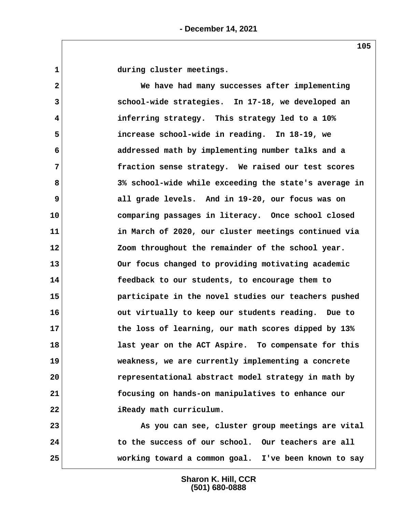1 during cluster meetings.

 **2 We have had many successes after implementing 3 school-wide strategies. In 17-18, we developed an 4 inferring strategy. This strategy led to a 10% 5 increase school-wide in reading. In 18-19, we 6 addressed math by implementing number talks and a 7 fraction sense strategy. We raised our test scores 8 3% school-wide while exceeding the state's average in 9 all grade levels. And in 19-20, our focus was on 10 comparing passages in literacy. Once school closed 11 in March of 2020, our cluster meetings continued via 12 Zoom throughout the remainder of the school year. 13 Our focus changed to providing motivating academic 14 feedback to our students, to encourage them to 15 participate in the novel studies our teachers pushed 16 out virtually to keep our students reading. Due to 17 the loss of learning, our math scores dipped by 13% 18 last year on the ACT Aspire. To compensate for this 19 weakness, we are currently implementing a concrete 20 representational abstract model strategy in math by 21 focusing on hands-on manipulatives to enhance our 22 iReady math curriculum.**

**23 As you can see, cluster group meetings are vital** 24 to the success of our school. Our teachers are all **25 working toward a common goal. I've been known to say**

> **Sharon K. Hill, CCR (501) 680-0888**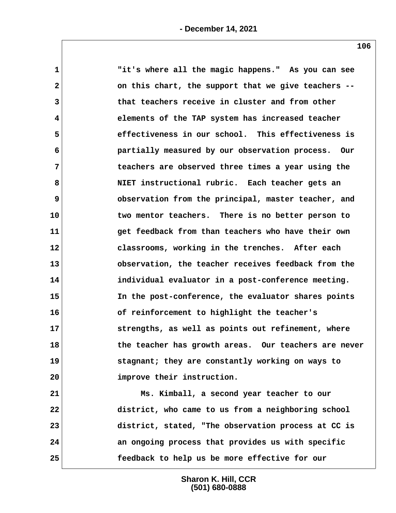| $\mathbf 1$    | "it's where all the magic happens." As you can see   |
|----------------|------------------------------------------------------|
| $\mathbf{2}$   | on this chart, the support that we give teachers --  |
| 3              | that teachers receive in cluster and from other      |
| 4              | elements of the TAP system has increased teacher     |
| 5              | effectiveness in our school. This effectiveness is   |
| 6              | partially measured by our observation process. Our   |
| $\overline{7}$ | teachers are observed three times a year using the   |
| 8              | NIET instructional rubric. Each teacher gets an      |
| 9              | observation from the principal, master teacher, and  |
| 10             | two mentor teachers. There is no better person to    |
| 11             | get feedback from than teachers who have their own   |
| 12             | classrooms, working in the trenches. After each      |
| 13             | observation, the teacher receives feedback from the  |
| 14             | individual evaluator in a post-conference meeting.   |
| 15             | In the post-conference, the evaluator shares points  |
| 16             | of reinforcement to highlight the teacher's          |
| 17             | strengths, as well as points out refinement, where   |
| 18             | the teacher has growth areas. Our teachers are never |
| 19             | stagnant; they are constantly working on ways to     |
| 20             | improve their instruction.                           |
| 21             | Ms. Kimball, a second year teacher to our            |
| 22             | district, who came to us from a neighboring school   |
| 23             | district, stated, "The observation process at CC is  |
| 24             | an ongoing process that provides us with specific    |
| 25             | feedback to help us be more effective for our        |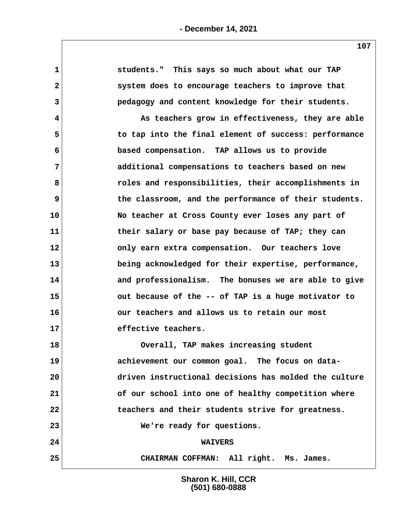| 1            | students." This says so much about what our TAP       |  |
|--------------|-------------------------------------------------------|--|
| $\mathbf{2}$ | system does to encourage teachers to improve that     |  |
| 3            | pedagogy and content knowledge for their students.    |  |
| 4            | As teachers grow in effectiveness, they are able      |  |
| 5            | to tap into the final element of success: performance |  |
| 6            | based compensation. TAP allows us to provide          |  |
| 7            | additional compensations to teachers based on new     |  |
| 8            | roles and responsibilities, their accomplishments in  |  |
| 9            | the classroom, and the performance of their students. |  |
| 10           | No teacher at Cross County ever loses any part of     |  |
| 11           | their salary or base pay because of TAP; they can     |  |
| 12           | only earn extra compensation. Our teachers love       |  |
| 13           | being acknowledged for their expertise, performance,  |  |
| 14           | and professionalism. The bonuses we are able to give  |  |
| 15           | out because of the -- of TAP is a huge motivator to   |  |
| 16           | our teachers and allows us to retain our most         |  |
| 17           | effective teachers.                                   |  |
| 18           | Overall, TAP makes increasing student                 |  |
| 19           | achievement our common goal. The focus on data-       |  |
| 20           | driven instructional decisions has molded the culture |  |
| 21           | of our school into one of healthy competition where   |  |
| 22           | teachers and their students strive for greatness.     |  |
| 23           | We're ready for questions.                            |  |
| 24           | <b>WAIVERS</b>                                        |  |
| 25           | CHAIRMAN COFFMAN: All right. Ms. James.               |  |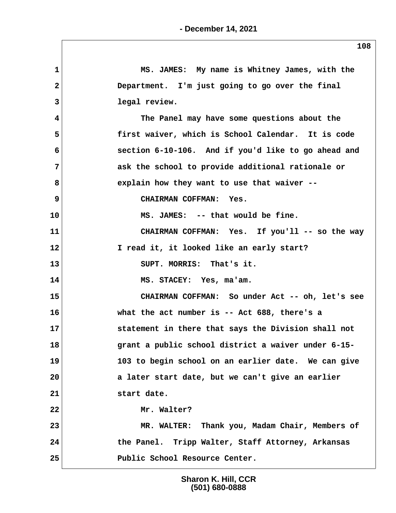| $\mathbf 1$     | MS. JAMES: My name is Whitney James, with the       |  |
|-----------------|-----------------------------------------------------|--|
| $\overline{2}$  | Department. I'm just going to go over the final     |  |
| 3               | legal review.                                       |  |
| 4               | The Panel may have some questions about the         |  |
| 5               | first waiver, which is School Calendar. It is code  |  |
| 6               | section 6-10-106. And if you'd like to go ahead and |  |
| 7               | ask the school to provide additional rationale or   |  |
| 8               | explain how they want to use that waiver --         |  |
| 9               | CHAIRMAN COFFMAN: Yes.                              |  |
| 10              | MS. JAMES: -- that would be fine.                   |  |
| 11              | CHAIRMAN COFFMAN: Yes. If you'll -- so the way      |  |
| 12 <sub>2</sub> | I read it, it looked like an early start?           |  |
| 13              | SUPT. MORRIS: That's it.                            |  |
| 14              | MS. STACEY: Yes, ma'am.                             |  |
| 15              | CHAIRMAN COFFMAN: So under Act -- oh, let's see     |  |
| 16              | what the act number is -- Act 688, there's a        |  |
| 17              | statement in there that says the Division shall not |  |
| 18              | grant a public school district a waiver under 6-15- |  |
| 19              | 103 to begin school on an earlier date. We can give |  |
| 20              | a later start date, but we can't give an earlier    |  |
| 21              | start date.                                         |  |
| 22              | Mr. Walter?                                         |  |
| 23              | MR. WALTER: Thank you, Madam Chair, Members of      |  |
| 24              | the Panel. Tripp Walter, Staff Attorney, Arkansas   |  |
| 25              | Public School Resource Center.                      |  |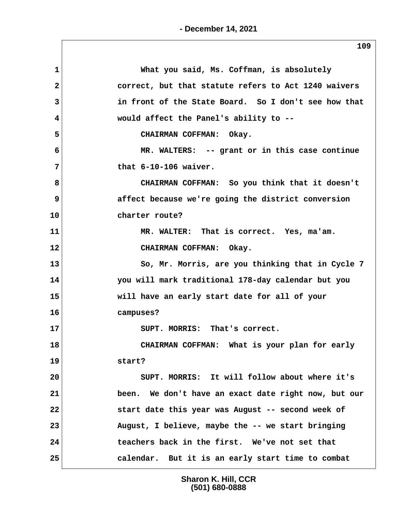| 1              | What you said, Ms. Coffman, is absolutely            |
|----------------|------------------------------------------------------|
| $\overline{2}$ | correct, but that statute refers to Act 1240 waivers |
| 3              | in front of the State Board. So I don't see how that |
| 4              | would affect the Panel's ability to --               |
| 5              | CHAIRMAN COFFMAN: Okay.                              |
| 6              | MR. WALTERS: -- grant or in this case continue       |
| 7              | that $6-10-106$ waiver.                              |
| 8              | CHAIRMAN COFFMAN: So you think that it doesn't       |
| 9              | affect because we're going the district conversion   |
| 10             | charter route?                                       |
| 11             | MR. WALTER: That is correct. Yes, ma'am.             |
| 12             | CHAIRMAN COFFMAN: Okay.                              |
| 13             | So, Mr. Morris, are you thinking that in Cycle 7     |
| 14             | you will mark traditional 178-day calendar but you   |
| 15             | will have an early start date for all of your        |
| 16             | campuses?                                            |
| 17             | SUPT. MORRIS: That's correct.                        |
| 18             | CHAIRMAN COFFMAN: What is your plan for early        |
| 19             | start?                                               |
| 20             | SUPT. MORRIS: It will follow about where it's        |
| 21             | been. We don't have an exact date right now, but our |
| 22             | start date this year was August -- second week of    |
| 23             | August, I believe, maybe the -- we start bringing    |
| 24             | teachers back in the first. We've not set that       |
| 25             | calendar. But it is an early start time to combat    |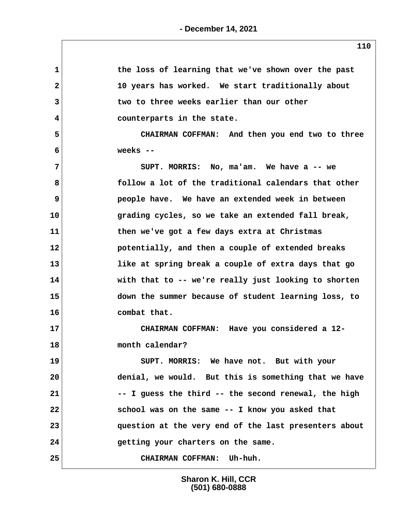| 1            | the loss of learning that we've shown over the past   |
|--------------|-------------------------------------------------------|
| $\mathbf{2}$ | 10 years has worked. We start traditionally about     |
| 3            | two to three weeks earlier than our other             |
| 4            | counterparts in the state.                            |
| 5            | CHAIRMAN COFFMAN: And then you end two to three       |
| 6            | weeks $--$                                            |
| 7            | SUPT. MORRIS: No, ma'am. We have a -- we              |
| 8            | follow a lot of the traditional calendars that other  |
| 9            | people have. We have an extended week in between      |
| 10           | grading cycles, so we take an extended fall break,    |
| 11           | then we've got a few days extra at Christmas          |
| 12           | potentially, and then a couple of extended breaks     |
| 13           | like at spring break a couple of extra days that go   |
| 14           | with that to -- we're really just looking to shorten  |
| 15           | down the summer because of student learning loss, to  |
| 16           | combat that.                                          |
| 17           | CHAIRMAN COFFMAN: Have you considered a 12-           |
| 18           | month calendar?                                       |
| 19           | SUPT. MORRIS: We have not. But with your              |
| 20           | denial, we would. But this is something that we have  |
| 21           | -- I guess the third -- the second renewal, the high  |
| 22           | school was on the same -- I know you asked that       |
| 23           | question at the very end of the last presenters about |
| 24           | getting your charters on the same.                    |
| 25           | CHAIRMAN COFFMAN: Uh-huh.                             |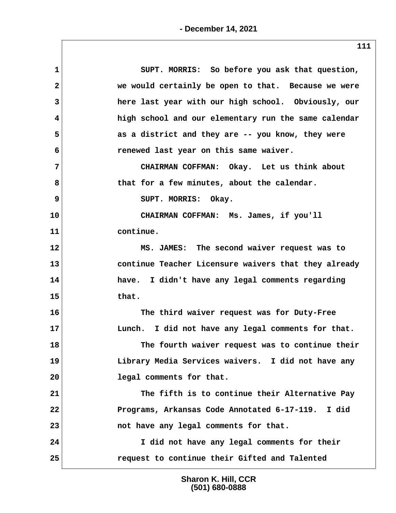| SUPT. MORRIS: So before you ask that question,       |
|------------------------------------------------------|
| we would certainly be open to that. Because we were  |
| here last year with our high school. Obviously, our  |
| high school and our elementary run the same calendar |
| as a district and they are -- you know, they were    |
| renewed last year on this same waiver.               |
| CHAIRMAN COFFMAN: Okay. Let us think about           |
| that for a few minutes, about the calendar.          |
| SUPT. MORRIS: Okay.                                  |
| CHAIRMAN COFFMAN: Ms. James, if you'll               |
| continue.                                            |
| MS. JAMES: The second waiver request was to          |
| continue Teacher Licensure waivers that they already |
| have. I didn't have any legal comments regarding     |
| that.                                                |
| The third waiver request was for Duty-Free           |
| Lunch. I did not have any legal comments for that.   |
| The fourth waiver request was to continue their      |
| Library Media Services waivers. I did not have any   |
| 20<br>legal comments for that.                       |
| The fifth is to continue their Alternative Pay       |
| Programs, Arkansas Code Annotated 6-17-119. I did    |
| not have any legal comments for that.                |
| I did not have any legal comments for their          |
| 25<br>request to continue their Gifted and Talented  |
|                                                      |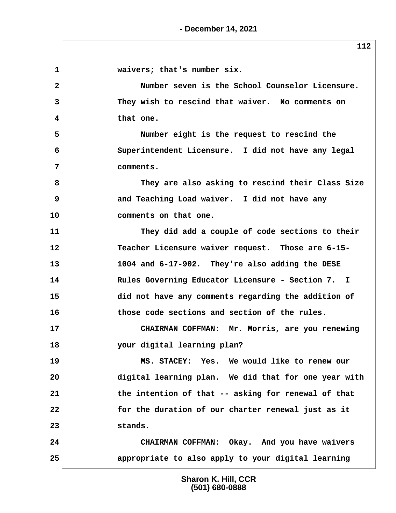**1 waivers; that's number six. 2 Number seven is the School Counselor Licensure. 3 They wish to rescind that waiver. No comments on 4 that one. 5 Number eight is the request to rescind the 6 Superintendent Licensure. I did not have any legal 7 comments. 8 They are also asking to rescind their Class Size 9 and Teaching Load waiver. I did not have any 10 comments on that one. 11 They did add a couple of code sections to their 12 Teacher Licensure waiver request. Those are 6-15- 13 1004 and 6-17-902. They're also adding the DESE 14 Rules Governing Educator Licensure - Section 7. I 15 did not have any comments regarding the addition of 16 those code sections and section of the rules. 17 CHAIRMAN COFFMAN: Mr. Morris, are you renewing 18 your digital learning plan? 19 MS. STACEY: Yes. We would like to renew our 20 digital learning plan. We did that for one year with 21 the intention of that -- asking for renewal of that 22 for the duration of our charter renewal just as it 23 stands. 24 CHAIRMAN COFFMAN: Okay. And you have waivers 25 appropriate to also apply to your digital learning**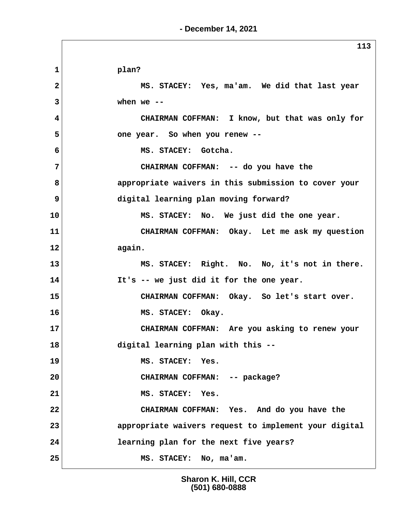**1 plan? 2 MS. STACEY: Yes, ma'am. We did that last year 3 when we -- 4 CHAIRMAN COFFMAN: I know, but that was only for 5 one year. So when you renew -- 6 MS. STACEY: Gotcha. 7 CHAIRMAN COFFMAN: -- do you have the 8 appropriate waivers in this submission to cover your 9 digital learning plan moving forward? 10 MS. STACEY: No. We just did the one year. 11 CHAIRMAN COFFMAN: Okay. Let me ask my question 12 again. 13 MS. STACEY: Right. No. No, it's not in there. 14 It's -- we just did it for the one year. 15 CHAIRMAN COFFMAN: Okay. So let's start over. 16 MS. STACEY: Okay. 17 CHAIRMAN COFFMAN: Are you asking to renew your 18 digital learning plan with this -- 19 MS. STACEY: Yes. 20 CHAIRMAN COFFMAN: -- package? 21 MS. STACEY: Yes. 22 CHAIRMAN COFFMAN: Yes. And do you have the 23 appropriate waivers request to implement your digital 24 learning plan for the next five years? 25 MS. STACEY: No, ma'am.**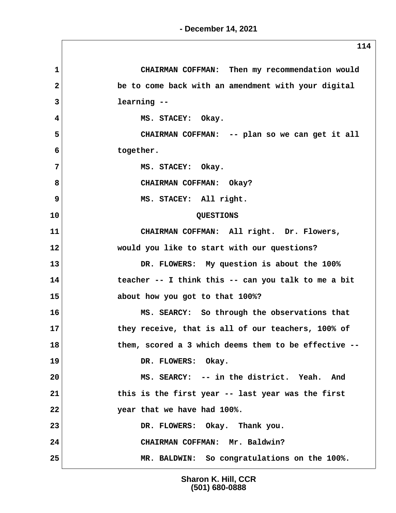**1 CHAIRMAN COFFMAN: Then my recommendation would 2 be to come back with an amendment with your digital 3 learning -- 4 MS. STACEY: Okay. 5 CHAIRMAN COFFMAN: -- plan so we can get it all 6 together. 7** MS. STACEY: Okay. 8 CHAIRMAN COFFMAN: Okay? **9** MS. STACEY: All right. **10 QUESTIONS 11 CHAIRMAN COFFMAN: All right. Dr. Flowers, 12 would you like to start with our questions? 13 DR. FLOWERS: My question is about the 100% 14 teacher -- I think this -- can you talk to me a bit 15 about how you got to that 100%? 16 MS. SEARCY: So through the observations that 17 they receive, that is all of our teachers, 100% of 18 them, scored a 3 which deems them to be effective -- 19 DR. FLOWERS: Okay. 20 MS. SEARCY: -- in the district. Yeah. And 21 this is the first year -- last year was the first 22 year that we have had 100%. 23 DR. FLOWERS: Okay. Thank you. 24 CHAIRMAN COFFMAN: Mr. Baldwin? 25 MR. BALDWIN: So congratulations on the 100%.**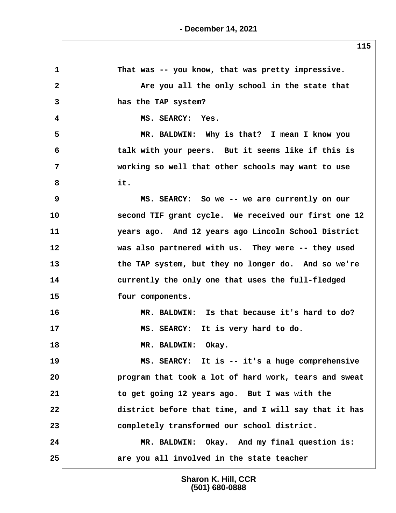**1 That was -- you know, that was pretty impressive.** 2 **1 Are you all the only school in the state that 3 has the TAP system? 4 MS. SEARCY: Yes. 5 MR. BALDWIN: Why is that? I mean I know you 6 talk with your peers. But it seems like if this is 7 working so well that other schools may want to use 8 it. 9 MS. SEARCY: So we -- we are currently on our 10 second TIF grant cycle. We received our first one 12 11 years ago. And 12 years ago Lincoln School District 12 was also partnered with us. They were -- they used 13 the TAP system, but they no longer do. And so we're 14 currently the only one that uses the full-fledged 15 four components. 16 MR. BALDWIN: Is that because it's hard to do? 17 MS. SEARCY: It is very hard to do. 18 MR. BALDWIN: Okay. 19 MS. SEARCY: It is -- it's a huge comprehensive 20 program that took a lot of hard work, tears and sweat 21 to get going 12 years ago. But I was with the 22 district before that time, and I will say that it has 23 completely transformed our school district. 24 MR. BALDWIN: Okay. And my final question is: 25 are you all involved in the state teacher**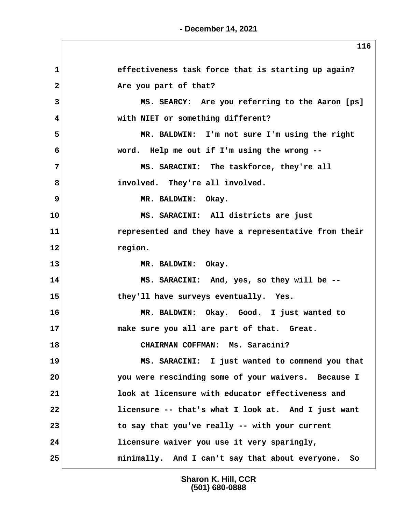1 **1** effectiveness task force that is starting up again? 2 **Are you part of that? 3 MS. SEARCY: Are you referring to the Aaron [ps] 4 with NIET or something different? 5 MR. BALDWIN: I'm not sure I'm using the right 6 word. Help me out if I'm using the wrong -- 7 MS. SARACINI: The taskforce, they're all 8 involved. They're all involved. 9** MR. BALDWIN: Okay. **10 MS. SARACINI: All districts are just 11 represented and they have a representative from their 12 region. 13 MR. BALDWIN: Okay. 14 MS. SARACINI: And, yes, so they will be -- 15 they'll have surveys eventually. Yes. 16 MR. BALDWIN: Okay. Good. I just wanted to 17 make sure you all are part of that. Great. 18 CHAIRMAN COFFMAN: Ms. Saracini? 19 MS. SARACINI: I just wanted to commend you that 20 you were rescinding some of your waivers. Because I 21 look at licensure with educator effectiveness and 22 licensure -- that's what I look at. And I just want 23 to say that you've really -- with your current 24 licensure waiver you use it very sparingly, 25 minimally. And I can't say that about everyone. So**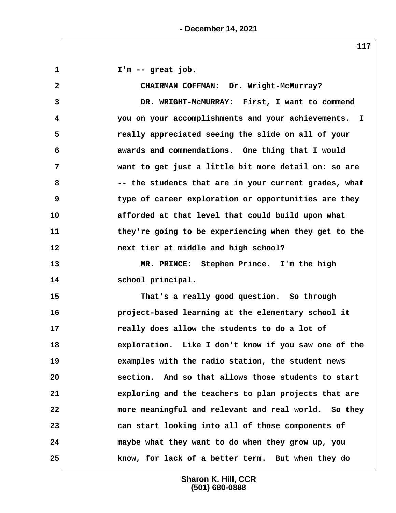**1 I'm -- great job. 2 CHAIRMAN COFFMAN: Dr. Wright-McMurray? 3 DR. WRIGHT-McMURRAY: First, I want to commend 4 you on your accomplishments and your achievements. I 5 really appreciated seeing the slide on all of your 6 awards and commendations. One thing that I would 7 want to get just a little bit more detail on: so are 8 -- the students that are in your current grades, what 9 type of career exploration or opportunities are they 10 afforded at that level that could build upon what 11 they're going to be experiencing when they get to the 12 next tier at middle and high school? 13 MR. PRINCE: Stephen Prince. I'm the high 14 school principal. 15 That's a really good question. So through 16 project-based learning at the elementary school it 17 really does allow the students to do a lot of 18 exploration. Like I don't know if you saw one of the 19 examples with the radio station, the student news 20 section. And so that allows those students to start 21 exploring and the teachers to plan projects that are 22 more meaningful and relevant and real world. So they 23 can start looking into all of those components of 24 maybe what they want to do when they grow up, you 25 know, for lack of a better term. But when they do**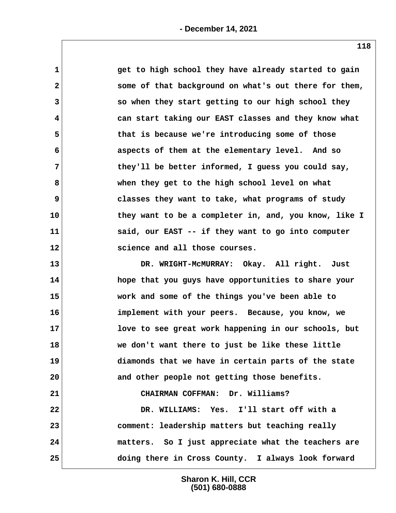| 1            | get to high school they have already started to gain  |
|--------------|-------------------------------------------------------|
| $\mathbf{2}$ | some of that background on what's out there for them, |
| 3            | so when they start getting to our high school they    |
| 4            | can start taking our EAST classes and they know what  |
| 5            | that is because we're introducing some of those       |
| 6            | aspects of them at the elementary level. And so       |
| 7            | they'll be better informed, I guess you could say,    |
| 8            | when they get to the high school level on what        |
| 9            | classes they want to take, what programs of study     |
| 10           | they want to be a completer in, and, you know, like I |
| 11           | said, our EAST -- if they want to go into computer    |
| $12 \,$      | science and all those courses.                        |
| 13           | DR. WRIGHT-MCMURRAY: Okay. All right. Just            |
| 14           | hope that you guys have opportunities to share your   |
| 15           | work and some of the things you've been able to       |
| 16           | implement with your peers. Because, you know, we      |
| 17           | love to see great work happening in our schools, but  |
| 18           | we don't want there to just be like these little      |
| 19           | diamonds that we have in certain parts of the state   |
| 20           | and other people not getting those benefits.          |
| 21           | CHAIRMAN COFFMAN: Dr. Williams?                       |
| 22           | DR. WILLIAMS: Yes. I'll start off with a              |
| 23           | comment: leadership matters but teaching really       |
| 24           | matters. So I just appreciate what the teachers are   |
|              |                                                       |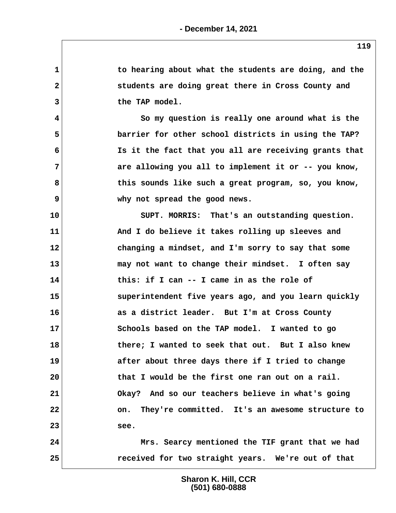**1 to hearing about what the students are doing, and the 2 students are doing great there in Cross County and** 3 the TAP model.  **4 So my question is really one around what is the 5 barrier for other school districts in using the TAP? 6 Is it the fact that you all are receiving grants that 7 are allowing you all to implement it or -- you know, 8 this sounds like such a great program, so, you know, 9 why not spread the good news. 10 SUPT. MORRIS: That's an outstanding question. 11 And I do believe it takes rolling up sleeves and 12 changing a mindset, and I'm sorry to say that some 13 may not want to change their mindset. I often say 14 this: if I can -- I came in as the role of 15 superintendent five years ago, and you learn quickly 16 as a district leader. But I'm at Cross County 17 Schools based on the TAP model. I wanted to go 18 there; I wanted to seek that out. But I also knew 19 after about three days there if I tried to change 20 that I would be the first one ran out on a rail. 21 Okay? And so our teachers believe in what's going 22 on. They're committed. It's an awesome structure to 23 see. 24 Mrs. Searcy mentioned the TIF grant that we had 25 received for two straight years. We're out of that**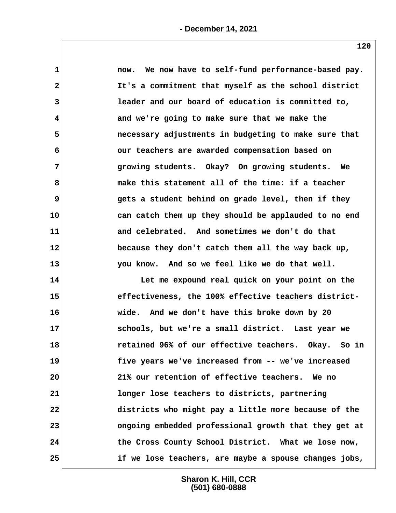| $\mathbf 1$  | now. We now have to self-fund performance-based pay.  |
|--------------|-------------------------------------------------------|
| $\mathbf{2}$ | It's a commitment that myself as the school district  |
| 3            | leader and our board of education is committed to,    |
| 4            | and we're going to make sure that we make the         |
| 5            | necessary adjustments in budgeting to make sure that  |
| 6            | our teachers are awarded compensation based on        |
| 7            | growing students. Okay? On growing students. We       |
| 8            | make this statement all of the time: if a teacher     |
| 9            | gets a student behind on grade level, then if they    |
| 10           | can catch them up they should be applauded to no end  |
| 11           | and celebrated. And sometimes we don't do that        |
| 12           | because they don't catch them all the way back up,    |
| 13           | you know. And so we feel like we do that well.        |
| 14           | Let me expound real quick on your point on the        |
| 15           | effectiveness, the 100% effective teachers district-  |
| 16           | wide. And we don't have this broke down by 20         |
| 17           | schools, but we're a small district. Last year we     |
| 18           | retained 96% of our effective teachers. Okay. So in   |
| 19           | five years we've increased from -- we've increased    |
| 20           | 21% our retention of effective teachers. We no        |
| 21           | longer lose teachers to districts, partnering         |
| 22           | districts who might pay a little more because of the  |
| 23           | ongoing embedded professional growth that they get at |
| 24           | the Cross County School District. What we lose now,   |
| 25           | if we lose teachers, are maybe a spouse changes jobs, |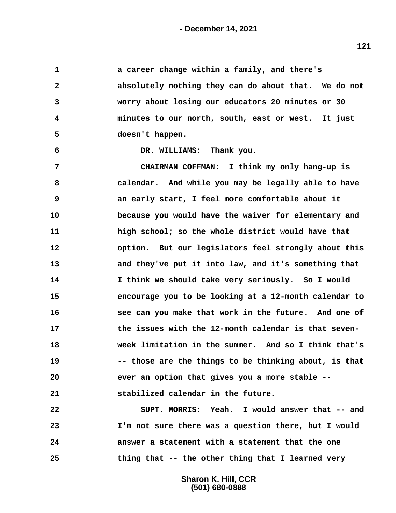| 1            | a career change within a family, and there's          |
|--------------|-------------------------------------------------------|
| $\mathbf{2}$ | absolutely nothing they can do about that. We do not  |
| 3            | worry about losing our educators 20 minutes or 30     |
| 4            | minutes to our north, south, east or west. It just    |
| 5            | doesn't happen.                                       |
| 6            | DR. WILLIAMS: Thank you.                              |
| 7            | CHAIRMAN COFFMAN: I think my only hang-up is          |
| 8            | calendar. And while you may be legally able to have   |
| 9            | an early start, I feel more comfortable about it      |
| 10           | because you would have the waiver for elementary and  |
| 11           | high school; so the whole district would have that    |
| 12           | option. But our legislators feel strongly about this  |
| 13           | and they've put it into law, and it's something that  |
| 14           | I think we should take very seriously. So I would     |
| 15           | encourage you to be looking at a 12-month calendar to |
| 16           | see can you make that work in the future. And one of  |
| 17           | the issues with the 12-month calendar is that seven-  |
| 18           | week limitation in the summer. And so I think that's  |
| 19           | -- those are the things to be thinking about, is that |
| 20           | ever an option that gives you a more stable --        |
| 21           | stabilized calendar in the future.                    |
| 22           | SUPT. MORRIS: Yeah. I would answer that -- and        |
| 23           | I'm not sure there was a question there, but I would  |
| 24           | answer a statement with a statement that the one      |
| 25           | thing that -- the other thing that I learned very     |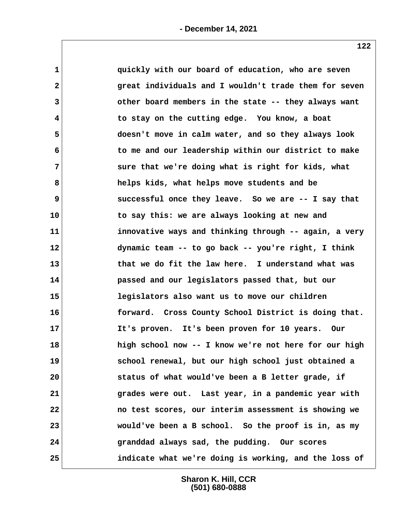| $\mathbf 1$     | quickly with our board of education, who are seven    |  |
|-----------------|-------------------------------------------------------|--|
| $\mathbf{2}$    | great individuals and I wouldn't trade them for seven |  |
| 3               | other board members in the state -- they always want  |  |
| 4               | to stay on the cutting edge. You know, a boat         |  |
| 5               | doesn't move in calm water, and so they always look   |  |
| 6               | to me and our leadership within our district to make  |  |
| 7               | sure that we're doing what is right for kids, what    |  |
| 8               | helps kids, what helps move students and be           |  |
| 9               | successful once they leave. So we are -- I say that   |  |
| 10              | to say this: we are always looking at new and         |  |
| 11              | innovative ways and thinking through -- again, a very |  |
| 12 <sub>2</sub> | dynamic team -- to go back -- you're right, I think   |  |
| 13              | that we do fit the law here. I understand what was    |  |
| 14              | passed and our legislators passed that, but our       |  |
| 15              | legislators also want us to move our children         |  |
| 16              | forward. Cross County School District is doing that.  |  |
| 17              | It's proven. It's been proven for 10 years. Our       |  |
| 18              | high school now -- I know we're not here for our high |  |
| 19              | school renewal, but our high school just obtained a   |  |
| 20              | status of what would've been a B letter grade, if     |  |
| 21              | grades were out. Last year, in a pandemic year with   |  |
| 22              | no test scores, our interim assessment is showing we  |  |
| 23              | would've been a B school. So the proof is in, as my   |  |
| 24              | granddad always sad, the pudding. Our scores          |  |
| 25              | indicate what we're doing is working, and the loss of |  |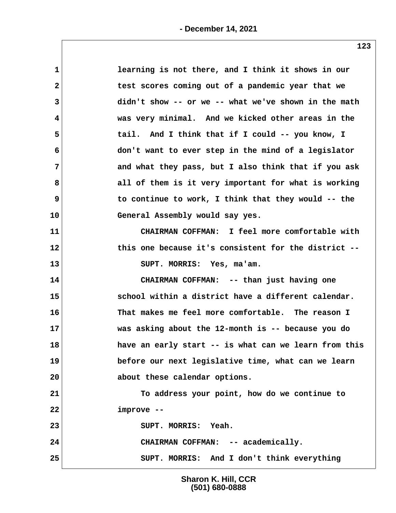| $\mathbf 1$  | learning is not there, and I think it shows in our    |
|--------------|-------------------------------------------------------|
| $\mathbf{2}$ | test scores coming out of a pandemic year that we     |
| 3            | didn't show -- or we -- what we've shown in the math  |
| 4            | was very minimal. And we kicked other areas in the    |
| 5            | tail. And I think that if I could -- you know, I      |
| 6            | don't want to ever step in the mind of a legislator   |
| 7            | and what they pass, but I also think that if you ask  |
| 8            | all of them is it very important for what is working  |
| 9            | to continue to work, I think that they would -- the   |
| 10           | General Assembly would say yes.                       |
| 11           | CHAIRMAN COFFMAN: I feel more comfortable with        |
| 12           | this one because it's consistent for the district --  |
| 13           | SUPT. MORRIS: Yes, ma'am.                             |
| 14           | CHAIRMAN COFFMAN: -- than just having one             |
| 15           | school within a district have a different calendar.   |
| 16           | That makes me feel more comfortable. The reason I     |
| 17           | was asking about the 12-month is -- because you do    |
| 18           | have an early start -- is what can we learn from this |
| 19           | before our next legislative time, what can we learn   |
| 20           | about these calendar options.                         |
| 21           | To address your point, how do we continue to          |
| 22           | improve --                                            |
| 23           | SUPT. MORRIS: Yeah.                                   |
| 24           | CHAIRMAN COFFMAN: -- academically.                    |
| 25           | SUPT. MORRIS: And I don't think everything            |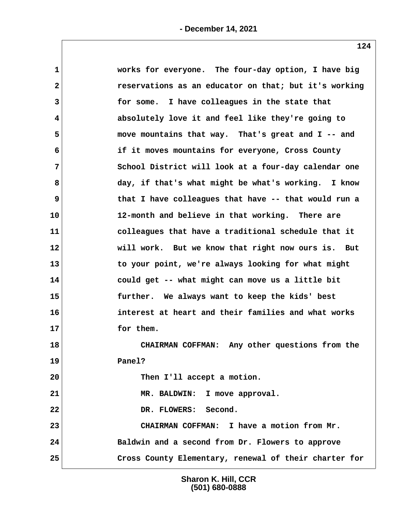| $\mathbf 1$    | works for everyone. The four-day option, I have big   |
|----------------|-------------------------------------------------------|
| $\mathbf{2}$   | reservations as an educator on that; but it's working |
| $\overline{3}$ | for some. I have colleagues in the state that         |
| 4              | absolutely love it and feel like they're going to     |
| 5              | move mountains that way. That's great and I -- and    |
| 6              | if it moves mountains for everyone, Cross County      |
| $\overline{7}$ | School District will look at a four-day calendar one  |
| 8              | day, if that's what might be what's working. I know   |
| 9              | that I have colleagues that have -- that would run a  |
| 10             | 12-month and believe in that working. There are       |
| 11             | colleagues that have a traditional schedule that it   |
| 12             | will work. But we know that right now ours is. But    |
| 13             | to your point, we're always looking for what might    |
| 14             | could get -- what might can move us a little bit      |
| 15             | further. We always want to keep the kids' best        |
| 16             | interest at heart and their families and what works   |
| 17             | for them.                                             |
| 18             | CHAIRMAN COFFMAN: Any other questions from the        |
| 19             | Panel?                                                |
| 20             | Then I'll accept a motion.                            |
| 21             | MR. BALDWIN: I move approval.                         |
| 22             | DR. FLOWERS: Second.                                  |
| 23             | CHAIRMAN COFFMAN: I have a motion from Mr.            |
| 24             | Baldwin and a second from Dr. Flowers to approve      |
| 25             | Cross County Elementary, renewal of their charter for |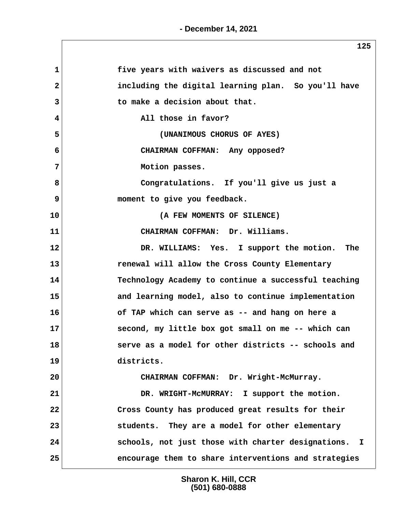$\sqrt{2}$ 

| $\mathbf 1$  | five years with waivers as discussed and not         |
|--------------|------------------------------------------------------|
| $\mathbf{2}$ | including the digital learning plan. So you'll have  |
| 3            | to make a decision about that.                       |
| 4            | All those in favor?                                  |
| 5            | (UNANIMOUS CHORUS OF AYES)                           |
| 6            | CHAIRMAN COFFMAN: Any opposed?                       |
| 7            | Motion passes.                                       |
| 8            | Congratulations. If you'll give us just a            |
| 9            | moment to give you feedback.                         |
| 10           | (A FEW MOMENTS OF SILENCE)                           |
| 11           | CHAIRMAN COFFMAN: Dr. Williams.                      |
| 12           | DR. WILLIAMS: Yes. I support the motion. The         |
| 13           | renewal will allow the Cross County Elementary       |
| 14           | Technology Academy to continue a successful teaching |
| 15           | and learning model, also to continue implementation  |
| 16           | of TAP which can serve as -- and hang on here a      |
| 17           | second, my little box got small on me -- which can   |
| 18           | serve as a model for other districts -- schools and  |
| 19           | districts.                                           |
| 20           | CHAIRMAN COFFMAN: Dr. Wright-McMurray.               |
| 21           | DR. WRIGHT-MCMURRAY: I support the motion.           |
| 22           | Cross County has produced great results for their    |
| 23           | students. They are a model for other elementary      |
| 24           | schools, not just those with charter designations. I |
| 25           | encourage them to share interventions and strategies |
|              |                                                      |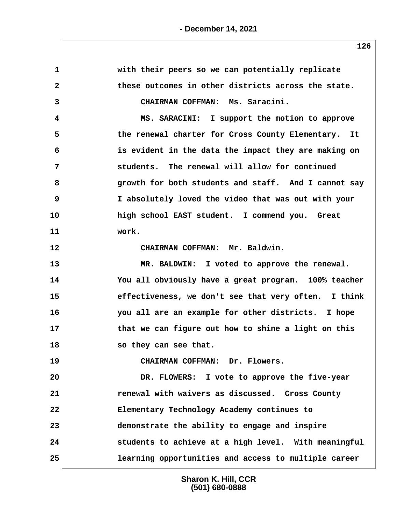| ᅩᅀᇰ                                                        |
|------------------------------------------------------------|
| with their peers so we can potentially replicate           |
| these outcomes in other districts across the state.        |
| CHAIRMAN COFFMAN: Ms. Saracini.                            |
| MS. SARACINI: I support the motion to approve              |
| the renewal charter for Cross County Elementary. It        |
| is evident in the data the impact they are making on       |
| students. The renewal will allow for continued             |
| growth for both students and staff. And I cannot say       |
| I absolutely loved the video that was out with your        |
| high school EAST student. I commend you. Great             |
| work.                                                      |
| CHAIRMAN COFFMAN: Mr. Baldwin.                             |
| MR. BALDWIN: I voted to approve the renewal.               |
| You all obviously have a great program. 100% teacher       |
| effectiveness, we don't see that very often. I think       |
| you all are an example for other districts. I hope         |
| that we can figure out how to shine a light on this<br>17  |
| 18<br>so they can see that.                                |
| CHAIRMAN COFFMAN: Dr. Flowers.                             |
| 20<br>DR. FLOWERS: I vote to approve the five-year         |
| renewal with waivers as discussed. Cross County            |
| Elementary Technology Academy continues to                 |
| demonstrate the ability to engage and inspire              |
| students to achieve at a high level. With meaningful       |
| 25<br>learning opportunities and access to multiple career |
| 10<br>14<br>15<br>16<br>19<br>22<br>24                     |

 $\sqrt{ }$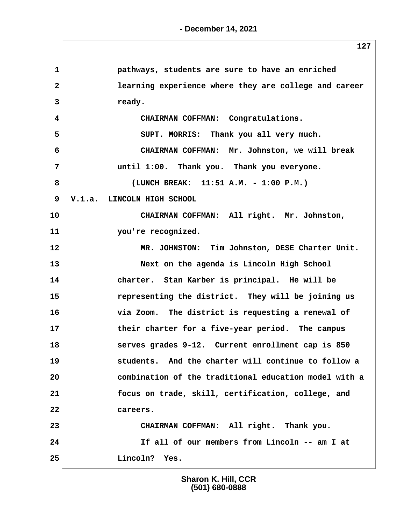| $\mathbf{1}$ | pathways, students are sure to have an enriched       |
|--------------|-------------------------------------------------------|
| $\mathbf{2}$ | learning experience where they are college and career |
| 3            | ready.                                                |
| 4            | CHAIRMAN COFFMAN: Congratulations.                    |
| 5            | SUPT. MORRIS: Thank you all very much.                |
| 6            | CHAIRMAN COFFMAN: Mr. Johnston, we will break         |
| 7            | until 1:00. Thank you. Thank you everyone.            |
| 8            | (LUNCH BREAK: 11:51 A.M. - 1:00 P.M.)                 |
| 9            | V.1.a. LINCOLN HIGH SCHOOL                            |
| 10           | CHAIRMAN COFFMAN: All right. Mr. Johnston,            |
| 11           | you're recognized.                                    |
| 12           | MR. JOHNSTON: Tim Johnston, DESE Charter Unit.        |
| 13           | Next on the agenda is Lincoln High School             |
| 14           | charter. Stan Karber is principal. He will be         |
| 15           | representing the district. They will be joining us    |
| 16           | via Zoom. The district is requesting a renewal of     |
| 17           | their charter for a five-year period. The campus      |
| 18           | serves grades 9-12. Current enrollment cap is 850     |
| 19           | students. And the charter will continue to follow a   |
| 20           | combination of the traditional education model with a |
| 21           | focus on trade, skill, certification, college, and    |
| 22           | careers.                                              |
| 23           | CHAIRMAN COFFMAN: All right. Thank you.               |
| 24           | If all of our members from Lincoln -- am I at         |
| 25           | Lincoln? Yes.                                         |
|              |                                                       |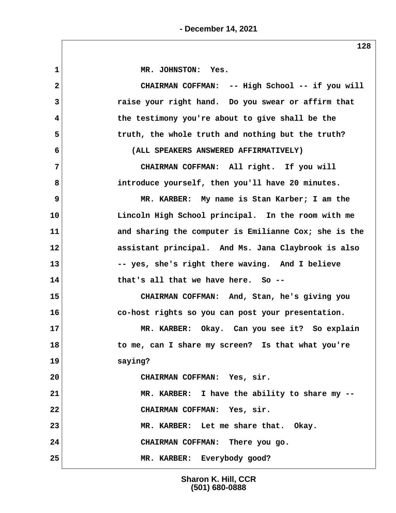**1 MR. JOHNSTON: Yes. 2 CHAIRMAN COFFMAN: -- High School -- if you will 3 raise your right hand. Do you swear or affirm that 4 the testimony you're about to give shall be the 5 truth, the whole truth and nothing but the truth? 6 (ALL SPEAKERS ANSWERED AFFIRMATIVELY) 7 CHAIRMAN COFFMAN: All right. If you will 8 introduce yourself, then you'll have 20 minutes. 9 MR. KARBER: My name is Stan Karber; I am the 10 Lincoln High School principal. In the room with me 11 and sharing the computer is Emilianne Cox; she is the 12 assistant principal. And Ms. Jana Claybrook is also 13 -- yes, she's right there waving. And I believe 14 that's all that we have here. So -- 15 CHAIRMAN COFFMAN: And, Stan, he's giving you 16 co-host rights so you can post your presentation. 17 MR. KARBER: Okay. Can you see it? So explain 18 to me, can I share my screen? Is that what you're 19 saying? 20 CHAIRMAN COFFMAN: Yes, sir. 21 MR. KARBER: I have the ability to share my -- 22 CHAIRMAN COFFMAN: Yes, sir. 23 MR. KARBER: Let me share that. Okay. 24 CHAIRMAN COFFMAN: There you go. 25 MR. KARBER: Everybody good?**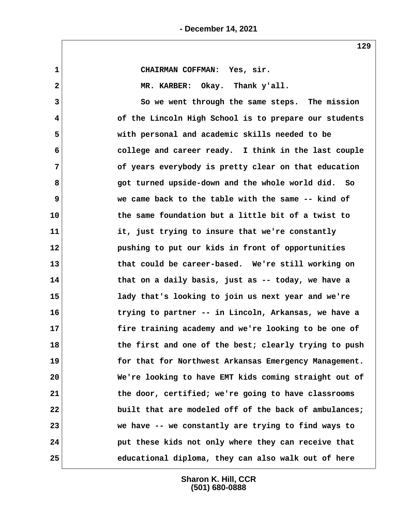**129**

| CHAIRMAN COFFMAN: Yes, sir.                           |
|-------------------------------------------------------|
| MR. KARBER: Okay. Thank y'all.                        |
| So we went through the same steps. The mission        |
| of the Lincoln High School is to prepare our students |
| with personal and academic skills needed to be        |
| college and career ready. I think in the last couple  |
| of years everybody is pretty clear on that education  |
| got turned upside-down and the whole world did. So    |
| we came back to the table with the same -- kind of    |
| the same foundation but a little bit of a twist to    |
| it, just trying to insure that we're constantly       |
| pushing to put our kids in front of opportunities     |
| that could be career-based. We're still working on    |
| that on a daily basis, just as -- today, we have a    |
| lady that's looking to join us next year and we're    |
| trying to partner -- in Lincoln, Arkansas, we have a  |
| fire training academy and we're looking to be one of  |
| the first and one of the best; clearly trying to push |
| for that for Northwest Arkansas Emergency Management. |
| We're looking to have EMT kids coming straight out of |
| the door, certified; we're going to have classrooms   |
| built that are modeled off of the back of ambulances; |
| we have -- we constantly are trying to find ways to   |
| put these kids not only where they can receive that   |
| educational diploma, they can also walk out of here   |
| 15<br>17<br>18                                        |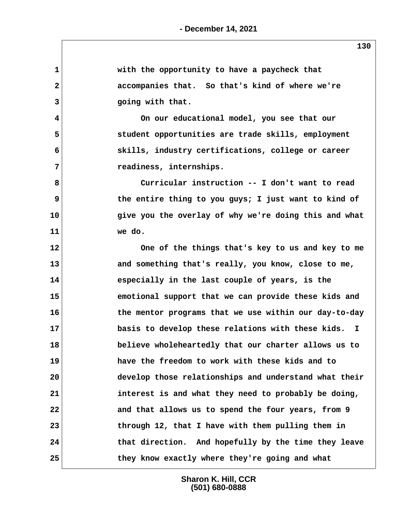|                | ᅩ┙◡                                                   |
|----------------|-------------------------------------------------------|
| $\mathbf{1}$   | with the opportunity to have a paycheck that          |
| $\mathbf{2}$   | accompanies that. So that's kind of where we're       |
| 3              | going with that.                                      |
| 4              | On our educational model, you see that our            |
| 5              | student opportunities are trade skills, employment    |
| 6              | skills, industry certifications, college or career    |
| $\overline{7}$ | readiness, internships.                               |
| 8              | Curricular instruction -- I don't want to read        |
| 9              | the entire thing to you guys; I just want to kind of  |
| 10             | give you the overlay of why we're doing this and what |
| 11             | we do.                                                |
| 12             | One of the things that's key to us and key to me      |
| 13             | and something that's really, you know, close to me,   |
| 14             | especially in the last couple of years, is the        |
| 15             | emotional support that we can provide these kids and  |
| 16             | the mentor programs that we use within our day-to-day |
| 17             | basis to develop these relations with these kids. I   |
| 18             | believe wholeheartedly that our charter allows us to  |
| 19             | have the freedom to work with these kids and to       |
| 20             | develop those relationships and understand what their |
| 21             | interest is and what they need to probably be doing,  |
| 22             | and that allows us to spend the four years, from 9    |
| 23             | through 12, that I have with them pulling them in     |
| 24             | that direction. And hopefully by the time they leave  |
| 25             | they know exactly where they're going and what        |

**- December 14, 2021**

 $\sqrt{2}$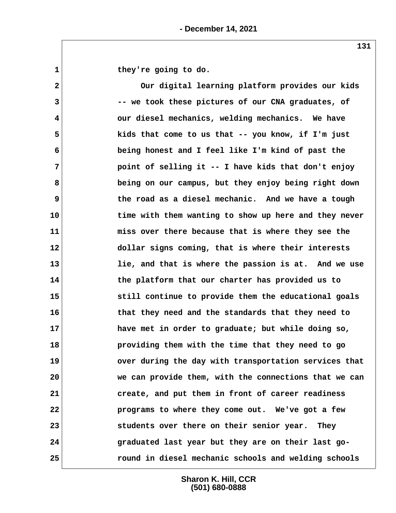1 they're going to do.

 **2 Our digital learning platform provides our kids 3 -- we took these pictures of our CNA graduates, of 4 our diesel mechanics, welding mechanics. We have 5 kids that come to us that -- you know, if I'm just 6 being honest and I feel like I'm kind of past the 7 point of selling it -- I have kids that don't enjoy 8 being on our campus, but they enjoy being right down 9 the road as a diesel mechanic. And we have a tough 10 time with them wanting to show up here and they never 11 miss over there because that is where they see the 12 dollar signs coming, that is where their interests 13 lie, and that is where the passion is at. And we use 14 the platform that our charter has provided us to 15 still continue to provide them the educational goals 16 that they need and the standards that they need to 17 have met in order to graduate; but while doing so, 18 providing them with the time that they need to go 19 over during the day with transportation services that 20 we can provide them, with the connections that we can 21 create, and put them in front of career readiness 22 programs to where they come out. We've got a few 23 students over there on their senior year. They 24 graduated last year but they are on their last go-25 round in diesel mechanic schools and welding schools**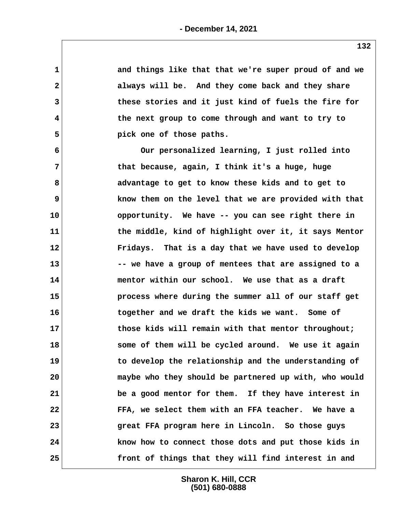| $\mathbf 1$  | and things like that that we're super proud of and we |
|--------------|-------------------------------------------------------|
| $\mathbf{2}$ | always will be. And they come back and they share     |
| 3            | these stories and it just kind of fuels the fire for  |
| 4            | the next group to come through and want to try to     |
| 5            | pick one of those paths.                              |
| 6            | Our personalized learning, I just rolled into         |
| 7            | that because, again, I think it's a huge, huge        |
| 8            | advantage to get to know these kids and to get to     |
| 9            | know them on the level that we are provided with that |
| 10           | opportunity. We have -- you can see right there in    |
| 11           | the middle, kind of highlight over it, it says Mentor |
| 12           | Fridays. That is a day that we have used to develop   |
| 13           | -- we have a group of mentees that are assigned to a  |
| 14           | mentor within our school. We use that as a draft      |
| 15           | process where during the summer all of our staff get  |
| 16           | together and we draft the kids we want. Some of       |
| 17           | those kids will remain with that mentor throughout;   |
| 18           | some of them will be cycled around. We use it again   |
| 19           | to develop the relationship and the understanding of  |
| 20           | maybe who they should be partnered up with, who would |
| 21           | be a good mentor for them. If they have interest in   |
| 22           | FFA, we select them with an FFA teacher. We have a    |
| 23           | great FFA program here in Lincoln. So those guys      |
| 24           | know how to connect those dots and put those kids in  |
| 25           | front of things that they will find interest in and   |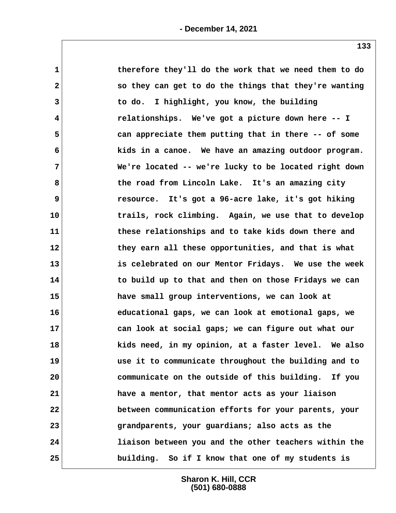| 1            | therefore they'll do the work that we need them to do |
|--------------|-------------------------------------------------------|
| $\mathbf{2}$ | so they can get to do the things that they're wanting |
| 3            | to do. I highlight, you know, the building            |
| 4            | relationships. We've got a picture down here -- I     |
| 5            | can appreciate them putting that in there -- of some  |
| 6            | kids in a canoe. We have an amazing outdoor program.  |
| 7            | We're located -- we're lucky to be located right down |
| 8            | the road from Lincoln Lake. It's an amazing city      |
| 9            | resource. It's got a 96-acre lake, it's got hiking    |
| 10           | trails, rock climbing. Again, we use that to develop  |
| 11           | these relationships and to take kids down there and   |
| 12           | they earn all these opportunities, and that is what   |
| 13           | is celebrated on our Mentor Fridays. We use the week  |
| 14           | to build up to that and then on those Fridays we can  |
| 15           | have small group interventions, we can look at        |
| 16           | educational gaps, we can look at emotional gaps, we   |
| 17           | can look at social gaps; we can figure out what our   |
| 18           | kids need, in my opinion, at a faster level. We also  |
| 19           | use it to communicate throughout the building and to  |
| 20           | communicate on the outside of this building. If you   |
| 21           | have a mentor, that mentor acts as your liaison       |
| 22           | between communication efforts for your parents, your  |
| 23           | grandparents, your guardians; also acts as the        |
| 24           | liaison between you and the other teachers within the |
| 25           | building. So if I know that one of my students is     |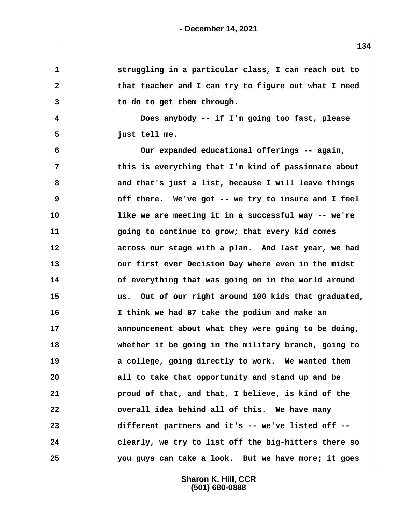| $\mathbf 1$  | struggling in a particular class, I can reach out to |
|--------------|------------------------------------------------------|
| $\mathbf{2}$ | that teacher and I can try to figure out what I need |
| 3            | to do to get them through.                           |
| 4            | Does anybody -- if I'm going too fast, please        |
| 5            | just tell me.                                        |
| 6            | Our expanded educational offerings -- again,         |
| 7            | this is everything that I'm kind of passionate about |
| 8            | and that's just a list, because I will leave things  |
| 9            | off there. We've got -- we try to insure and I feel  |
| 10           | like we are meeting it in a successful way -- we're  |
| 11           | going to continue to grow; that every kid comes      |
| 12           | across our stage with a plan. And last year, we had  |
| 13           | our first ever Decision Day where even in the midst  |
| 14           | of everything that was going on in the world around  |
| 15           | us. Out of our right around 100 kids that graduated, |
| 16           | I think we had 87 take the podium and make an        |
| 17           | announcement about what they were going to be doing, |
| 18           | whether it be going in the military branch, going to |
| 19           | a college, going directly to work. We wanted them    |
| 20           | all to take that opportunity and stand up and be     |
| 21           | proud of that, and that, I believe, is kind of the   |
| 22           | overall idea behind all of this. We have many        |
| 23           | different partners and it's -- we've listed off --   |
| 24           | clearly, we try to list off the big-hitters there so |
| 25           | you guys can take a look. But we have more; it goes  |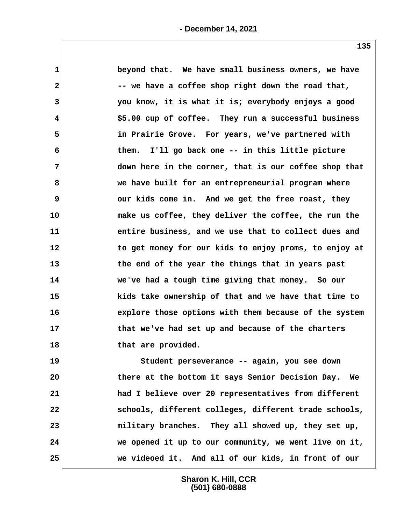| $\mathbf 1$  | beyond that. We have small business owners, we have   |
|--------------|-------------------------------------------------------|
| $\mathbf{2}$ | -- we have a coffee shop right down the road that,    |
| 3            | you know, it is what it is; everybody enjoys a good   |
| 4            | \$5.00 cup of coffee. They run a successful business  |
| 5            | in Prairie Grove. For years, we've partnered with     |
| 6            | them. I'll go back one -- in this little picture      |
| 7            | down here in the corner, that is our coffee shop that |
| 8            | we have built for an entrepreneurial program where    |
| 9            | our kids come in. And we get the free roast, they     |
| 10           | make us coffee, they deliver the coffee, the run the  |
| 11           | entire business, and we use that to collect dues and  |
| 12           | to get money for our kids to enjoy proms, to enjoy at |
| 13           | the end of the year the things that in years past     |
| 14           | we've had a tough time giving that money. So our      |
| 15           | kids take ownership of that and we have that time to  |
| 16           | explore those options with them because of the system |
| 17           | that we've had set up and because of the charters     |
| 18           | that are provided.                                    |
| 19           | Student perseverance -- again, you see down           |
| 20           | there at the bottom it says Senior Decision Day. We   |
| 21           | had I believe over 20 representatives from different  |
| 22           | schools, different colleges, different trade schools, |
| 23           | military branches. They all showed up, they set up,   |
| 24           | we opened it up to our community, we went live on it, |

**25 we videoed it. And all of our kids, in front of our**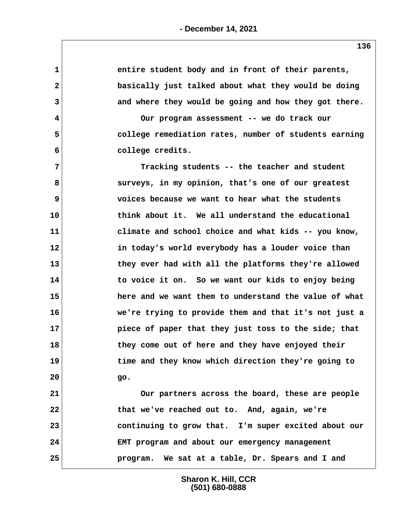**1 entire student body and in front of their parents, 2 basically just talked about what they would be doing 3 and where they would be going and how they got there. 4 Our program assessment -- we do track our 5 college remediation rates, number of students earning 6 college credits. 7 Tracking students -- the teacher and student 8 surveys, in my opinion, that's one of our greatest 9 voices because we want to hear what the students 10 think about it. We all understand the educational 11 climate and school choice and what kids -- you know, 12 in today's world everybody has a louder voice than 13 they ever had with all the platforms they're allowed 14 to voice it on. So we want our kids to enjoy being 15 here and we want them to understand the value of what 16 we're trying to provide them and that it's not just a 17 piece of paper that they just toss to the side; that 18 they come out of here and they have enjoyed their 19 time and they know which direction they're going to 20 go. 21 Our partners across the board, these are people 22 that we've reached out to. And, again, we're 23 continuing to grow that. I'm super excited about our 24 EMT program and about our emergency management 25 program. We sat at a table, Dr. Spears and I and**

> **Sharon K. Hill, CCR (501) 680-0888**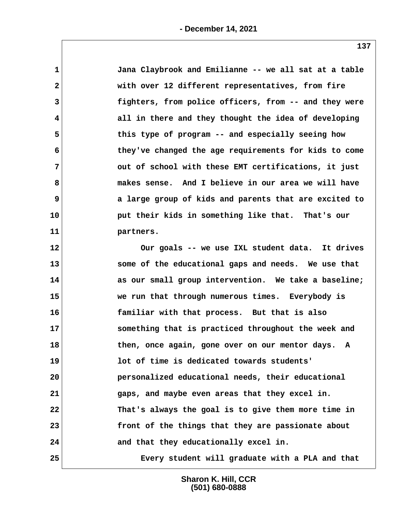| $\mathbf{1}$ | Jana Claybrook and Emilianne -- we all sat at a table |
|--------------|-------------------------------------------------------|
| $\mathbf{2}$ | with over 12 different representatives, from fire     |
| 3            | fighters, from police officers, from -- and they were |
| 4            | all in there and they thought the idea of developing  |
| 5            | this type of program -- and especially seeing how     |
| 6            | they've changed the age requirements for kids to come |
| 7            | out of school with these EMT certifications, it just  |
| 8            | makes sense. And I believe in our area we will have   |
| 9            | a large group of kids and parents that are excited to |
| 10           | put their kids in something like that. That's our     |
| 11           | partners.                                             |
| 12           | Our goals -- we use IXL student data. It drives       |
| 13           | some of the educational gaps and needs. We use that   |
| 14           | as our small group intervention. We take a baseline;  |
| 15           | we run that through numerous times. Everybody is      |
| 16           | familiar with that process. But that is also          |
| 17           | something that is practiced throughout the week and   |
| 18           | then, once again, gone over on our mentor days. A     |
| 19           | lot of time is dedicated towards students'            |
| 20           | personalized educational needs, their educational     |
| 21           | gaps, and maybe even areas that they excel in.        |
| 22           | That's always the goal is to give them more time in   |
| 23           | front of the things that they are passionate about    |
| 24           | and that they educationally excel in.                 |
| 25           | Every student will graduate with a PLA and that       |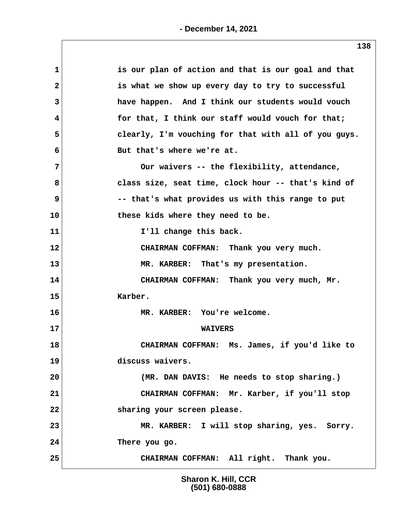| 1            | is our plan of action and that is our goal and that  |
|--------------|------------------------------------------------------|
| $\mathbf{2}$ | is what we show up every day to try to successful    |
| 3            | have happen. And I think our students would vouch    |
| 4            | for that, I think our staff would vouch for that;    |
| 5            | clearly, I'm vouching for that with all of you guys. |
| 6            | But that's where we're at.                           |
| 7            | Our waivers -- the flexibility, attendance,          |
| 8            | class size, seat time, clock hour -- that's kind of  |
| 9            | -- that's what provides us with this range to put    |
| 10           | these kids where they need to be.                    |
| 11           | I'll change this back.                               |
| 12           | CHAIRMAN COFFMAN: Thank you very much.               |
| 13           | MR. KARBER: That's my presentation.                  |
| 14           | CHAIRMAN COFFMAN: Thank you very much, Mr.           |
| 15           | Karber.                                              |
| 16           | MR. KARBER: You're welcome.                          |
| 17           | <b>WAIVERS</b>                                       |
| 18           | CHAIRMAN COFFMAN: Ms. James, if you'd like to        |
| 19           | discuss waivers.                                     |
| 20           | (MR. DAN DAVIS: He needs to stop sharing.)           |
| 21           | CHAIRMAN COFFMAN: Mr. Karber, if you'll stop         |
| 22           | sharing your screen please.                          |
| 23           | MR. KARBER: I will stop sharing, yes. Sorry.         |
| 24           | There you go.                                        |
| 25           | CHAIRMAN COFFMAN: All right. Thank you.              |
|              |                                                      |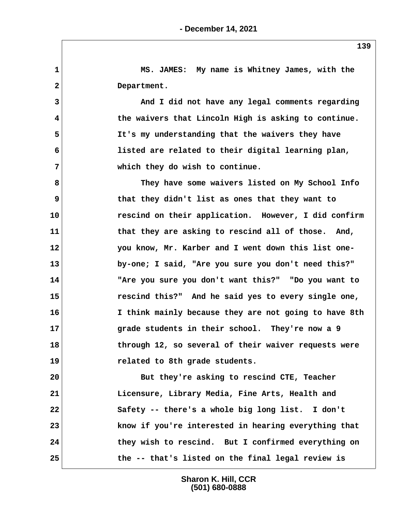**1 MS. JAMES: My name is Whitney James, with the 2 Department. 3 And I did not have any legal comments regarding 4 the waivers that Lincoln High is asking to continue. 5 It's my understanding that the waivers they have 6 listed are related to their digital learning plan, 7 which they do wish to continue. 8 They have some waivers listed on My School Info 9 that they didn't list as ones that they want to 10 rescind on their application. However, I did confirm** 11 that they are asking to rescind all of those. And, **12 you know, Mr. Karber and I went down this list one-13 by-one; I said, "Are you sure you don't need this?" 14 "Are you sure you don't want this?" "Do you want to 15 rescind this?" And he said yes to every single one, 16 I think mainly because they are not going to have 8th 17 grade students in their school. They're now a 9 18 through 12, so several of their waiver requests were 19 related to 8th grade students. 20 But they're asking to rescind CTE, Teacher 21 Licensure, Library Media, Fine Arts, Health and 22 Safety -- there's a whole big long list. I don't 23 know if you're interested in hearing everything that 24 they wish to rescind. But I confirmed everything on 25 the -- that's listed on the final legal review is**

> **Sharon K. Hill, CCR (501) 680-0888**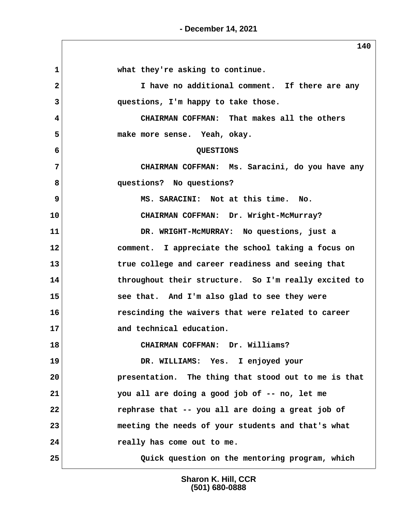**- December 14, 2021**

|              | 140                                                  |
|--------------|------------------------------------------------------|
| $\mathbf{1}$ | what they're asking to continue.                     |
| 2            | I have no additional comment. If there are any       |
| 3            | questions, I'm happy to take those.                  |
| 4            | CHAIRMAN COFFMAN: That makes all the others          |
| 5            | make more sense. Yeah, okay.                         |
| 6            | QUESTIONS                                            |
| 7            | CHAIRMAN COFFMAN: Ms. Saracini, do you have any      |
| 8            | questions? No questions?                             |
| 9            | MS. SARACINI: Not at this time. No.                  |
| 10           | CHAIRMAN COFFMAN: Dr. Wright-McMurray?               |
| 11           | DR. WRIGHT-MCMURRAY: No questions, just a            |
| 12           | comment. I appreciate the school taking a focus on   |
| 13           | true college and career readiness and seeing that    |
| 14           | throughout their structure. So I'm really excited to |
| 15           | see that. And I'm also glad to see they were         |
| 16           | rescinding the waivers that were related to career   |
| 17           | and technical education.                             |
| 18           | CHAIRMAN COFFMAN: Dr. Williams?                      |
| 19           | DR. WILLIAMS: Yes. I enjoyed your                    |
| 20           | presentation. The thing that stood out to me is that |
| 21           | you all are doing a good job of -- no, let me        |
| 22           | rephrase that -- you all are doing a great job of    |
| 23           | meeting the needs of your students and that's what   |
| 24           | really has come out to me.                           |
| 25           | Quick question on the mentoring program, which       |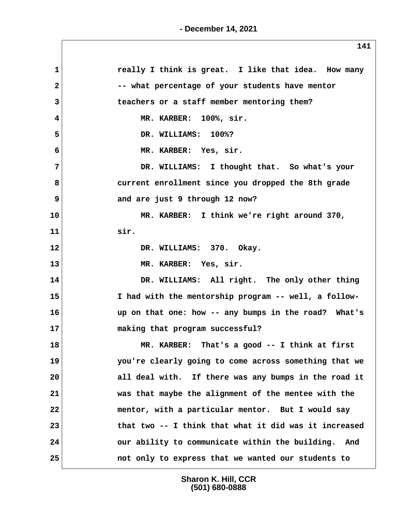| 1            | really I think is great. I like that idea. How many   |
|--------------|-------------------------------------------------------|
| $\mathbf{2}$ | -- what percentage of your students have mentor       |
| 3            | teachers or a staff member mentoring them?            |
| 4            | MR. KARBER: 100%, sir.                                |
| 5            | DR. WILLIAMS: 100%?                                   |
| 6            | MR. KARBER: Yes, sir.                                 |
| 7            | DR. WILLIAMS: I thought that. So what's your          |
| 8            | current enrollment since you dropped the 8th grade    |
| 9            | and are just 9 through 12 now?                        |
| 10           | MR. KARBER: I think we're right around 370,           |
| 11           | sir.                                                  |
| 12           | DR. WILLIAMS: 370. Okay.                              |
| 13           | MR. KARBER: Yes, sir.                                 |
| 14           | DR. WILLIAMS: All right. The only other thing         |
| 15           | I had with the mentorship program -- well, a follow-  |
| 16           | up on that one: how -- any bumps in the road? What's  |
| 17           | making that program successful?                       |
| 18           | MR. KARBER: That's a good -- I think at first         |
| 19           | you're clearly going to come across something that we |
| 20           | all deal with. If there was any bumps in the road it  |
| 21           | was that maybe the alignment of the mentee with the   |
| 22           | mentor, with a particular mentor. But I would say     |
| 23           | that two -- I think that what it did was it increased |
| 24           | our ability to communicate within the building. And   |
| 25           | not only to express that we wanted our students to    |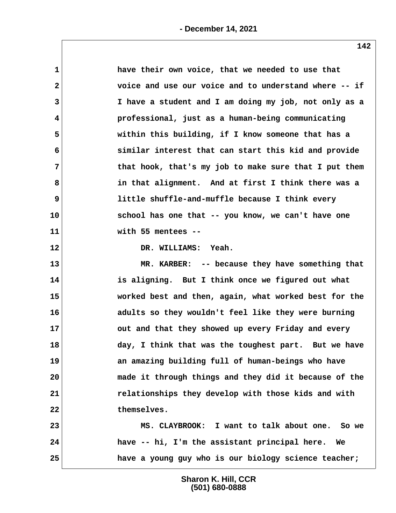| $\mathbf 1$  | have their own voice, that we needed to use that      |  |
|--------------|-------------------------------------------------------|--|
| $\mathbf{2}$ | voice and use our voice and to understand where -- if |  |
| 3            | I have a student and I am doing my job, not only as a |  |
| 4            | professional, just as a human-being communicating     |  |
| 5            | within this building, if I know someone that has a    |  |
| 6            | similar interest that can start this kid and provide  |  |
| 7            | that hook, that's my job to make sure that I put them |  |
| 8            | in that alignment. And at first I think there was a   |  |
| 9            | little shuffle-and-muffle because I think every       |  |
| 10           | school has one that -- you know, we can't have one    |  |
| 11           | with 55 mentees --                                    |  |
| 12           | DR. WILLIAMS: Yeah.                                   |  |
| 13           | MR. KARBER: -- because they have something that       |  |
| 14           | is aligning. But I think once we figured out what     |  |
| 15           | worked best and then, again, what worked best for the |  |
| 16           | adults so they wouldn't feel like they were burning   |  |
| 17           | out and that they showed up every Friday and every    |  |
| 18           | day, I think that was the toughest part. But we have  |  |
| 19           | an amazing building full of human-beings who have     |  |
| 20           | made it through things and they did it because of the |  |
| 21           | relationships they develop with those kids and with   |  |
| 22           | themselves.                                           |  |
| 23           | MS. CLAYBROOK: I want to talk about one. So we        |  |
| 24           | have -- hi, I'm the assistant principal here. We      |  |
| 25           | have a young guy who is our biology science teacher;  |  |
|              |                                                       |  |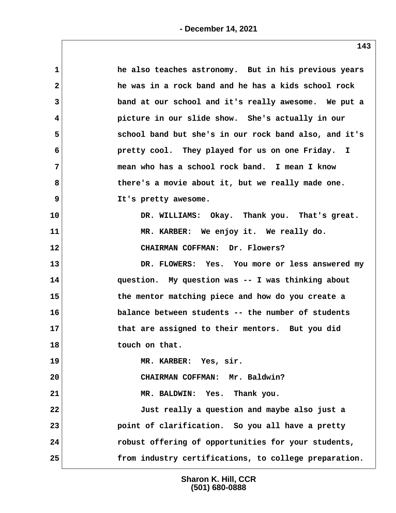| $\mathbf{1}$ | he also teaches astronomy. But in his previous years  |
|--------------|-------------------------------------------------------|
| $\mathbf{2}$ | he was in a rock band and he has a kids school rock   |
| 3            | band at our school and it's really awesome. We put a  |
| 4            | picture in our slide show. She's actually in our      |
| 5            | school band but she's in our rock band also, and it's |
| 6            | pretty cool. They played for us on one Friday. I      |
| 7            | mean who has a school rock band. I mean I know        |
| 8            | there's a movie about it, but we really made one.     |
| 9            | It's pretty awesome.                                  |
| 10           | DR. WILLIAMS: Okay. Thank you. That's great.          |
| 11           | MR. KARBER: We enjoy it. We really do.                |
| 12           | CHAIRMAN COFFMAN: Dr. Flowers?                        |
| 13           | DR. FLOWERS: Yes. You more or less answered my        |
| 14           | question. My question was -- I was thinking about     |
| 15           | the mentor matching piece and how do you create a     |
| 16           | balance between students -- the number of students    |
| 17           | that are assigned to their mentors. But you did       |
| 18           | touch on that.                                        |
| 19           | MR. KARBER: Yes, sir.                                 |
| 20           | CHAIRMAN COFFMAN: Mr. Baldwin?                        |
| 21           | Thank you.<br>MR. BALDWIN: Yes.                       |
| 22           | Just really a question and maybe also just a          |
| 23           | point of clarification. So you all have a pretty      |
| 24           | robust offering of opportunities for your students,   |
| 25           | from industry certifications, to college preparation. |
|              |                                                       |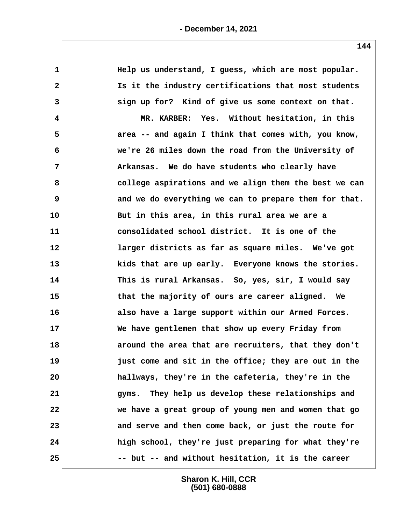## **- December 14, 2021**

 **1 Help us understand, I guess, which are most popular. 2 Is it the industry certifications that most students 3 sign up for? Kind of give us some context on that. 4 MR. KARBER: Yes. Without hesitation, in this 5 area -- and again I think that comes with, you know, 6 we're 26 miles down the road from the University of 7 Arkansas. We do have students who clearly have 8 college aspirations and we align them the best we can 9 and we do everything we can to prepare them for that. 10 But in this area, in this rural area we are a 11 consolidated school district. It is one of the 12 larger districts as far as square miles. We've got 13 kids that are up early. Everyone knows the stories. 14 This is rural Arkansas. So, yes, sir, I would say 15 that the majority of ours are career aligned. We 16 also have a large support within our Armed Forces. 17 We have gentlemen that show up every Friday from 18 around the area that are recruiters, that they don't 19 just come and sit in the office; they are out in the 20 hallways, they're in the cafeteria, they're in the 21 gyms. They help us develop these relationships and 22 we have a great group of young men and women that go 23 and serve and then come back, or just the route for 24 high school, they're just preparing for what they're 25 -- but -- and without hesitation, it is the career**

> **Sharon K. Hill, CCR (501) 680-0888**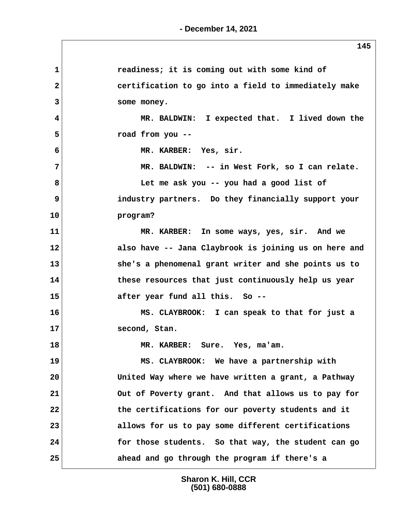| 1            | readiness; it is coming out with some kind of         |  |
|--------------|-------------------------------------------------------|--|
| $\mathbf{2}$ | certification to go into a field to immediately make  |  |
| 3            | some money.                                           |  |
| 4            | MR. BALDWIN: I expected that. I lived down the        |  |
| 5            | road from you --                                      |  |
| 6            | MR. KARBER: Yes, sir.                                 |  |
| 7            | MR. BALDWIN: -- in West Fork, so I can relate.        |  |
| 8            | Let me ask you -- you had a good list of              |  |
| 9            | industry partners. Do they financially support your   |  |
| 10           | program?                                              |  |
| 11           | MR. KARBER: In some ways, yes, sir. And we            |  |
| 12           | also have -- Jana Claybrook is joining us on here and |  |
| 13           | she's a phenomenal grant writer and she points us to  |  |
| 14           | these resources that just continuously help us year   |  |
| 15           | after year fund all this. So --                       |  |
| 16           | MS. CLAYBROOK: I can speak to that for just a         |  |
| 17           | second, Stan.                                         |  |
| 18           | MR. KARBER: Sure. Yes, ma'am.                         |  |
| 19           | MS. CLAYBROOK: We have a partnership with             |  |
| 20           | United Way where we have written a grant, a Pathway   |  |
| 21           | Out of Poverty grant. And that allows us to pay for   |  |
| 22           | the certifications for our poverty students and it    |  |
| 23           | allows for us to pay some different certifications    |  |
| 24           | for those students. So that way, the student can go   |  |
| 25           | ahead and go through the program if there's a         |  |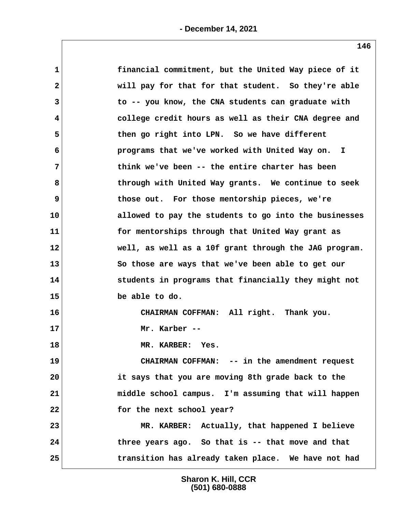| financial commitment, but the United Way piece of it  |
|-------------------------------------------------------|
|                                                       |
| will pay for that for that student. So they're able   |
| to -- you know, the CNA students can graduate with    |
| college credit hours as well as their CNA degree and  |
| then go right into LPN. So we have different          |
| programs that we've worked with United Way on. I      |
| think we've been -- the entire charter has been       |
| through with United Way grants. We continue to seek   |
| those out. For those mentorship pieces, we're         |
| allowed to pay the students to go into the businesses |
| for mentorships through that United Way grant as      |
| well, as well as a 10f grant through the JAG program. |
| So those are ways that we've been able to get our     |
| students in programs that financially they might not  |
|                                                       |
| be able to do.                                        |
| CHAIRMAN COFFMAN: All right. Thank you.               |
| Mr. Karber --                                         |
| MR. KARBER: Yes.                                      |
| CHAIRMAN COFFMAN: -- in the amendment request         |
| it says that you are moving 8th grade back to the     |
| middle school campus. I'm assuming that will happen   |
| for the next school year?                             |
| MR. KARBER: Actually, that happened I believe         |
| three years ago. So that is -- that move and that     |
|                                                       |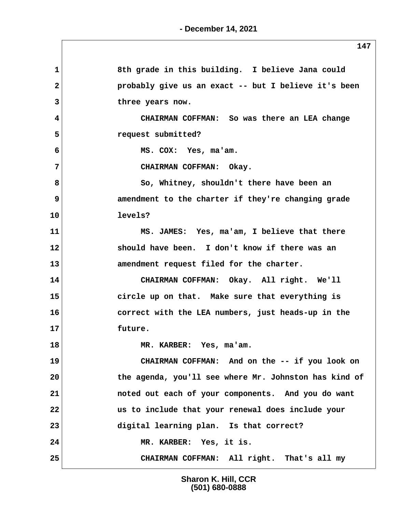**1 8th grade in this building. I believe Jana could 2 probably give us an exact -- but I believe it's been 3 three years now. 4 CHAIRMAN COFFMAN: So was there an LEA change 5 request submitted? 6 MS. COX: Yes, ma'am. 7 CHAIRMAN COFFMAN: Okay. 8 So, Whitney, shouldn't there have been an 9** amendment to the charter if they're changing grade **10 levels? 11 MS. JAMES: Yes, ma'am, I believe that there 12 should have been. I don't know if there was an 13 amendment request filed for the charter. 14 CHAIRMAN COFFMAN: Okay. All right. We'll 15 circle up on that. Make sure that everything is 16 correct with the LEA numbers, just heads-up in the 17 future. 18 MR. KARBER: Yes, ma'am. 19 CHAIRMAN COFFMAN: And on the -- if you look on 20 the agenda, you'll see where Mr. Johnston has kind of 21 noted out each of your components. And you do want 22 us to include that your renewal does include your 23 digital learning plan. Is that correct? 24 MR. KARBER: Yes, it is. 25 CHAIRMAN COFFMAN: All right. That's all my**

> **Sharon K. Hill, CCR (501) 680-0888**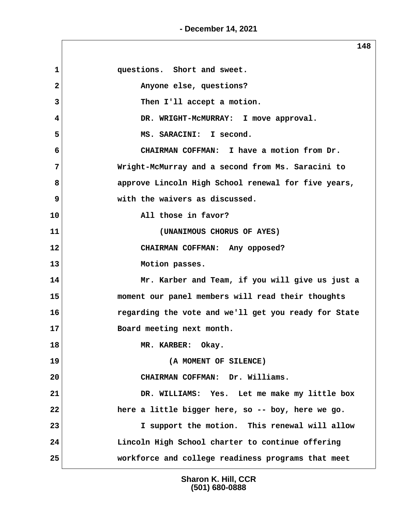**- December 14, 2021**

**148** 1 **questions.** Short and sweet.  **2 Anyone else, questions? 3** Then I'll accept a motion.  **4 DR. WRIGHT-McMURRAY: I move approval.** 5 MS. SARACINI: I second.  **6 CHAIRMAN COFFMAN: I have a motion from Dr. 7 Wright-McMurray and a second from Ms. Saracini to 8 approve Lincoln High School renewal for five years, 9 with the waivers as discussed. 10 All those in favor? 11 (UNANIMOUS CHORUS OF AYES) 12 CHAIRMAN COFFMAN: Any opposed? 13 Motion passes. 14 Mr. Karber and Team, if you will give us just a 15 moment our panel members will read their thoughts 16 regarding the vote and we'll get you ready for State 17 Board meeting next month. 18 MR. KARBER: Okay. 19 (A MOMENT OF SILENCE) 20 CHAIRMAN COFFMAN: Dr. Williams. 21 DR. WILLIAMS: Yes. Let me make my little box 22 here a little bigger here, so -- boy, here we go. 23 I support the motion. This renewal will allow 24 Lincoln High School charter to continue offering 25 workforce and college readiness programs that meet**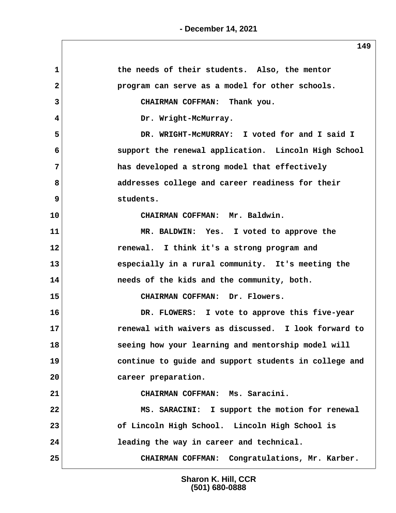| $\mathbf{1}$   | the needs of their students. Also, the mentor         |
|----------------|-------------------------------------------------------|
| $\mathbf{2}$   | program can serve as a model for other schools.       |
| 3              | CHAIRMAN COFFMAN: Thank you.                          |
| 4              | Dr. Wright-McMurray.                                  |
| 5              | DR. WRIGHT-MCMURRAY: I voted for and I said I         |
| 6              | support the renewal application. Lincoln High School  |
| $7\phantom{.}$ | has developed a strong model that effectively         |
| 8              | addresses college and career readiness for their      |
| 9              | students.                                             |
| 10             | CHAIRMAN COFFMAN: Mr. Baldwin.                        |
| 11             | MR. BALDWIN: Yes. I voted to approve the              |
| 12             | renewal. I think it's a strong program and            |
| 13             | especially in a rural community. It's meeting the     |
| 14             | needs of the kids and the community, both.            |
| 15             | CHAIRMAN COFFMAN: Dr. Flowers.                        |
| 16             | DR. FLOWERS: I vote to approve this five-year         |
| 17             | renewal with waivers as discussed. I look forward to  |
| 18             | seeing how your learning and mentorship model will    |
| 19             | continue to guide and support students in college and |
| 20             | career preparation.                                   |
| 21             | CHAIRMAN COFFMAN: Ms. Saracini.                       |
| 22             | MS. SARACINI: I support the motion for renewal        |
| 23             | of Lincoln High School. Lincoln High School is        |
| 24             | leading the way in career and technical.              |
| 25             | CHAIRMAN COFFMAN: Congratulations, Mr. Karber.        |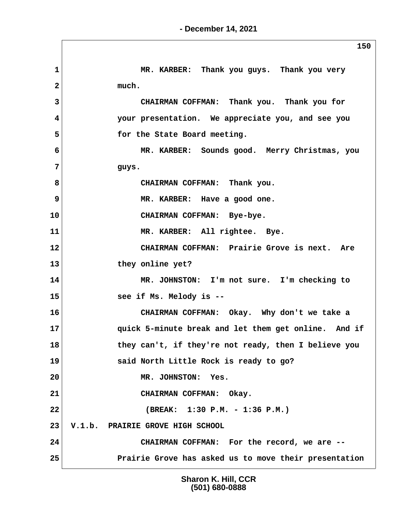$\sqrt{ }$ 

|                | 150                                                   |
|----------------|-------------------------------------------------------|
| $\mathbf{1}$   | MR. KARBER: Thank you guys. Thank you very            |
| $\mathbf{2}$   | much.                                                 |
| 3              | CHAIRMAN COFFMAN: Thank you. Thank you for            |
| 4              | your presentation. We appreciate you, and see you     |
| 5              | for the State Board meeting.                          |
| 6              | MR. KARBER: Sounds good. Merry Christmas, you         |
| 7              | guys.                                                 |
| 8              | CHAIRMAN COFFMAN: Thank you.                          |
| $\overline{9}$ | MR. KARBER: Have a good one.                          |
| 10             | CHAIRMAN COFFMAN: Bye-bye.                            |
| 11             | MR. KARBER: All rightee. Bye.                         |
| 12             | CHAIRMAN COFFMAN: Prairie Grove is next. Are          |
| 13             | they online yet?                                      |
| 14             | MR. JOHNSTON: I'm not sure. I'm checking to           |
| 15             | see if Ms. Melody is --                               |
| 16             | CHAIRMAN COFFMAN: Okay. Why don't we take a           |
| 17             | quick 5-minute break and let them get online. And if  |
| 18             | they can't, if they're not ready, then I believe you  |
| 19             | said North Little Rock is ready to go?                |
| 20             | MR. JOHNSTON: Yes.                                    |
| 21             | CHAIRMAN COFFMAN: Okay.                               |
| 22             | (BREAK: 1:30 P.M. - 1:36 P.M.)                        |
| 23             | V.1.b. PRAIRIE GROVE HIGH SCHOOL                      |
| 24             | CHAIRMAN COFFMAN: For the record, we are --           |
| 25             | Prairie Grove has asked us to move their presentation |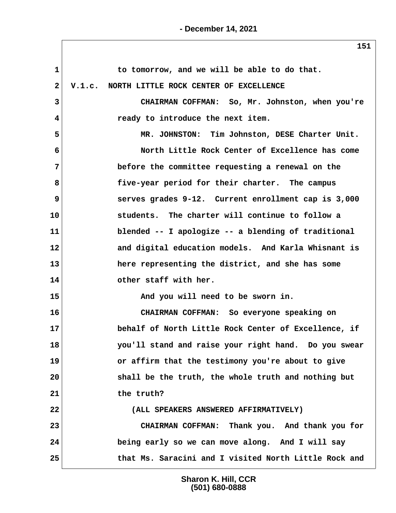**- December 14, 2021**

| $\mathbf{1}$ | to tomorrow, and we will be able to do that.          |
|--------------|-------------------------------------------------------|
| $\mathbf{2}$ | V.1.c. NORTH LITTLE ROCK CENTER OF EXCELLENCE         |
| 3            | CHAIRMAN COFFMAN: So, Mr. Johnston, when you're       |
| 4            | ready to introduce the next item.                     |
| 5            | MR. JOHNSTON: Tim Johnston, DESE Charter Unit.        |
| 6            | North Little Rock Center of Excellence has come       |
| 7            | before the committee requesting a renewal on the      |
| 8            | five-year period for their charter. The campus        |
| 9            | serves grades 9-12. Current enrollment cap is 3,000   |
| 10           | students. The charter will continue to follow a       |
| 11           | blended -- I apologize -- a blending of traditional   |
| 12           | and digital education models. And Karla Whisnant is   |
| 13           | here representing the district, and she has some      |
| 14           | other staff with her.                                 |
| 15           | And you will need to be sworn in.                     |
| 16           | CHAIRMAN COFFMAN: So everyone speaking on             |
| 17           | behalf of North Little Rock Center of Excellence, if  |
| 18           | you'll stand and raise your right hand. Do you swear  |
| 19           | or affirm that the testimony you're about to give     |
| 20           | shall be the truth, the whole truth and nothing but   |
| 21           | the truth?                                            |
| 22           | (ALL SPEAKERS ANSWERED AFFIRMATIVELY)                 |
| 23           | CHAIRMAN COFFMAN: Thank you. And thank you for        |
| 24           | being early so we can move along. And I will say      |
| 25           | that Ms. Saracini and I visited North Little Rock and |

**Sharon K. Hill, CCR (501) 680-0888**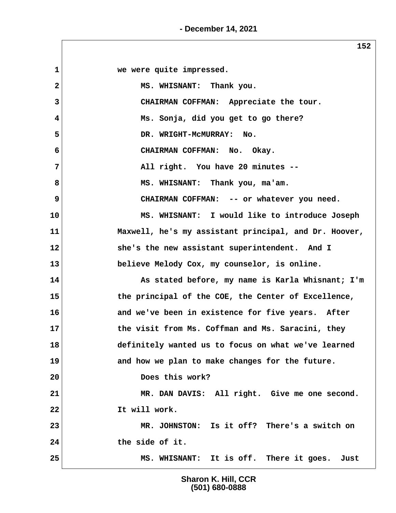**- December 14, 2021**

 $\sqrt{2}$ 

|              | ᅩJム                                                   |
|--------------|-------------------------------------------------------|
| $\mathbf{1}$ | we were quite impressed.                              |
| 2            | MS. WHISNANT: Thank you.                              |
| 3            | CHAIRMAN COFFMAN: Appreciate the tour.                |
| 4            | Ms. Sonja, did you get to go there?                   |
| 5            | DR. WRIGHT-MCMURRAY: No.                              |
| 6            | CHAIRMAN COFFMAN: No. Okay.                           |
| 7            | All right. You have 20 minutes --                     |
| 8            | MS. WHISNANT: Thank you, ma'am.                       |
| 9            | CHAIRMAN COFFMAN: -- or whatever you need.            |
| 10           | MS. WHISNANT: I would like to introduce Joseph        |
| 11           | Maxwell, he's my assistant principal, and Dr. Hoover, |
| 12           | she's the new assistant superintendent. And I         |
| 13           | believe Melody Cox, my counselor, is online.          |
| 14           | As stated before, my name is Karla Whisnant; I'm      |
| 15           | the principal of the COE, the Center of Excellence,   |
| 16           | and we've been in existence for five years. After     |
| 17           | the visit from Ms. Coffman and Ms. Saracini, they     |
| 18           | definitely wanted us to focus on what we've learned   |
| 19           | and how we plan to make changes for the future.       |
| 20           | Does this work?                                       |
| 21           | MR. DAN DAVIS: All right. Give me one second.         |
| 22           | It will work.                                         |
| 23           | MR. JOHNSTON: Is it off? There's a switch on          |
| 24           | the side of it.                                       |
| 25           | MS. WHISNANT: It is off. There it goes. Just          |
|              |                                                       |

**Sharon K. Hill, CCR (501) 680-0888**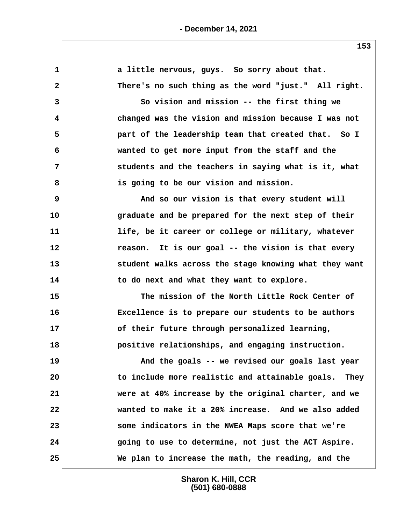**1 a little nervous, guys. So sorry about that. 2 There's no such thing as the word "just." All right. 3 So vision and mission -- the first thing we 4 changed was the vision and mission because I was not 5 part of the leadership team that created that. So I 6 wanted to get more input from the staff and the 7 students and the teachers in saying what is it, what 8 is going to be our vision and mission. 9 And so our vision is that every student will 10 graduate and be prepared for the next step of their 11 life, be it career or college or military, whatever 12 reason. It is our goal -- the vision is that every 13 student walks across the stage knowing what they want 14 to do next and what they want to explore. 15 The mission of the North Little Rock Center of 16 Excellence is to prepare our students to be authors 17 of their future through personalized learning, 18 positive relationships, and engaging instruction. 19 And the goals -- we revised our goals last year 20 to include more realistic and attainable goals. They 21 were at 40% increase by the original charter, and we 22 wanted to make it a 20% increase. And we also added 23 some indicators in the NWEA Maps score that we're 24 going to use to determine, not just the ACT Aspire. 25 We plan to increase the math, the reading, and the**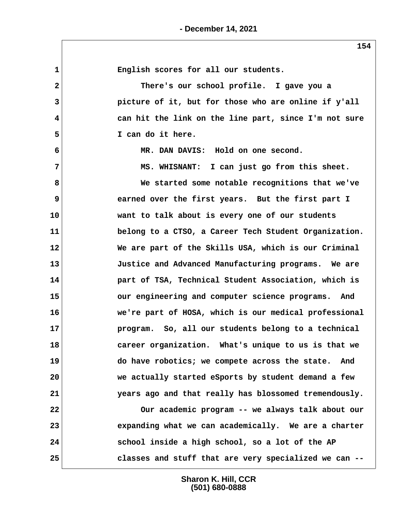| $\mathbf{1}$            | English scores for all our students.                  |
|-------------------------|-------------------------------------------------------|
| $\mathbf{2}$            | There's our school profile. I gave you a              |
| 3                       | picture of it, but for those who are online if y'all  |
| $\overline{\mathbf{4}}$ | can hit the link on the line part, since I'm not sure |
| 5                       | I can do it here.                                     |
| 6                       | MR. DAN DAVIS: Hold on one second.                    |
| $\overline{7}$          | MS. WHISNANT: I can just go from this sheet.          |
| 8                       | We started some notable recognitions that we've       |
| 9                       | earned over the first years. But the first part I     |
| 10                      | want to talk about is every one of our students       |
| 11                      | belong to a CTSO, a Career Tech Student Organization. |
| 12                      | We are part of the Skills USA, which is our Criminal  |
| 13                      | Justice and Advanced Manufacturing programs. We are   |
| 14                      | part of TSA, Technical Student Association, which is  |
| 15                      | our engineering and computer science programs. And    |
| 16                      | we're part of HOSA, which is our medical professional |
| 17                      | program. So, all our students belong to a technical   |
| 18                      | career organization. What's unique to us is that we   |
| 19                      | do have robotics; we compete across the state. And    |
| 20                      | we actually started eSports by student demand a few   |
| 21                      | years ago and that really has blossomed tremendously. |
| 22                      | Our academic program -- we always talk about our      |
| 23                      | expanding what we can academically. We are a charter  |
| 24                      | school inside a high school, so a lot of the AP       |
| 25                      | classes and stuff that are very specialized we can -- |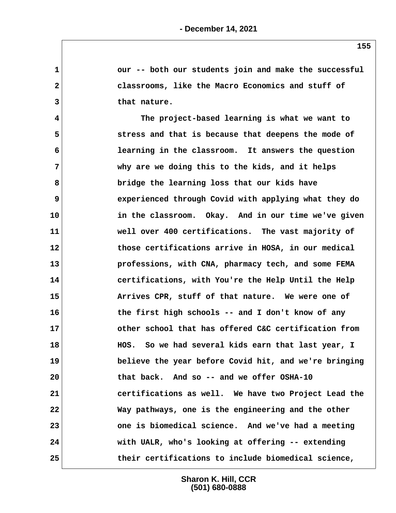1 **1 our -- both our students join and make the successful 2 classrooms, like the Macro Economics and stuff of 3 that nature. 4 The project-based learning is what we want to 5 stress and that is because that deepens the mode of 6 learning in the classroom. It answers the question 7 why are we doing this to the kids, and it helps 8 bridge the learning loss that our kids have 9 experienced through Covid with applying what they do 10 in the classroom. Okay. And in our time we've given 11 well over 400 certifications. The vast majority of 12 those certifications arrive in HOSA, in our medical 13 professions, with CNA, pharmacy tech, and some FEMA 14 certifications, with You're the Help Until the Help 15 Arrives CPR, stuff of that nature. We were one of 16 the first high schools -- and I don't know of any 17 other school that has offered C&C certification from 18 HOS. So we had several kids earn that last year, I 19 believe the year before Covid hit, and we're bringing 20 that back. And so -- and we offer OSHA-10 21 certifications as well. We have two Project Lead the 22 Way pathways, one is the engineering and the other 23 one is biomedical science. And we've had a meeting 24 with UALR, who's looking at offering -- extending 25 their certifications to include biomedical science,**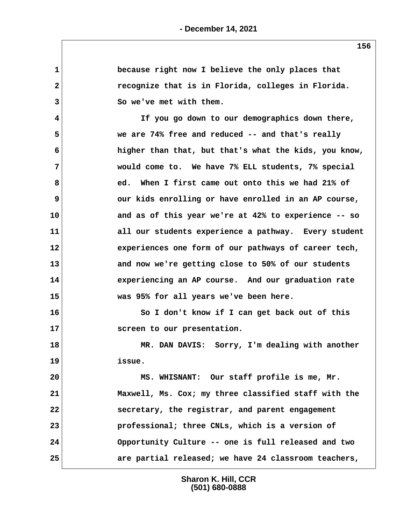| 1               | because right now I believe the only places that      |
|-----------------|-------------------------------------------------------|
| $\mathbf{2}$    | recognize that is in Florida, colleges in Florida.    |
| 3               | So we've met with them.                               |
| 4               | If you go down to our demographics down there,        |
| 5               | we are 74% free and reduced -- and that's really      |
| 6               | higher than that, but that's what the kids, you know, |
| 7               | would come to. We have 7% ELL students, 7% special    |
| 8               | ed. When I first came out onto this we had 21% of     |
| 9               | our kids enrolling or have enrolled in an AP course,  |
| 10              | and as of this year we're at 42% to experience -- so  |
| 11              | all our students experience a pathway. Every student  |
| 12 <sub>2</sub> | experiences one form of our pathways of career tech,  |
| 13              | and now we're getting close to 50% of our students    |
| 14              | experiencing an AP course. And our graduation rate    |
| 15              | was 95% for all years we've been here.                |
| 16              | So I don't know if I can get back out of this         |
| 17              | screen to our presentation.                           |
| 18              | MR. DAN DAVIS: Sorry, I'm dealing with another        |
| 19              | issue.                                                |
| 20              | MS. WHISNANT: Our staff profile is me, Mr.            |
| 21              | Maxwell, Ms. Cox; my three classified staff with the  |
| 22              | secretary, the registrar, and parent engagement       |
| 23              | professional; three CNLs, which is a version of       |
| 24              | Opportunity Culture -- one is full released and two   |
| 25              | are partial released; we have 24 classroom teachers,  |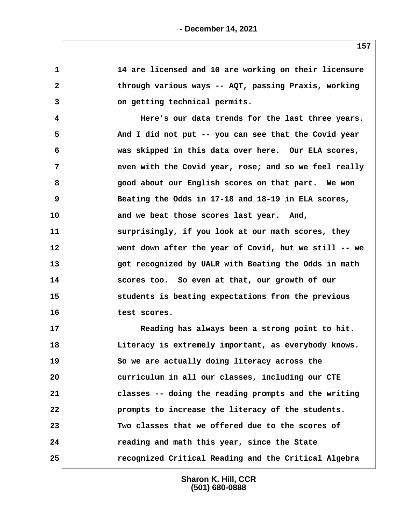| 1            | 14 are licensed and 10 are working on their licensure |
|--------------|-------------------------------------------------------|
| $\mathbf{2}$ | through various ways -- AQT, passing Praxis, working  |
| 3            | on getting technical permits.                         |
| 4            | Here's our data trends for the last three years.      |
| 5            | And I did not put -- you can see that the Covid year  |
| 6            | was skipped in this data over here. Our ELA scores,   |
| 7            | even with the Covid year, rose; and so we feel really |
| 8            | good about our English scores on that part. We won    |
| 9            | Beating the Odds in 17-18 and 18-19 in ELA scores,    |
| 10           | and we beat those scores last year. And,              |
| 11           | surprisingly, if you look at our math scores, they    |
| 12           | went down after the year of Covid, but we still -- we |
| 13           | got recognized by UALR with Beating the Odds in math  |
| 14           | scores too. So even at that, our growth of our        |
| 15           | students is beating expectations from the previous    |
| 16           | test scores.                                          |
| 17           | Reading has always been a strong point to hit.        |
| 18           | Literacy is extremely important, as everybody knows.  |
| 19           | So we are actually doing literacy across the          |
| 20           | curriculum in all our classes, including our CTE      |
| 21           | classes -- doing the reading prompts and the writing  |
| 22           | prompts to increase the literacy of the students.     |
| 23           | Two classes that we offered due to the scores of      |
| 24           | reading and math this year, since the State           |
| 25           | recognized Critical Reading and the Critical Algebra  |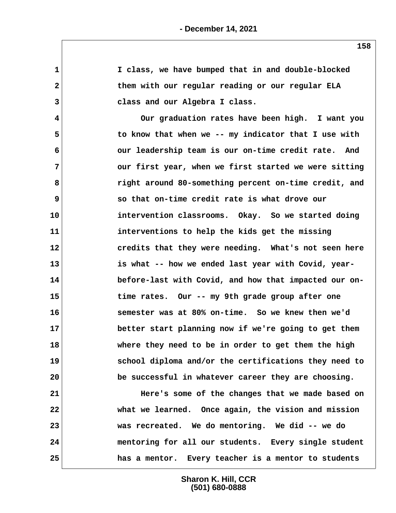**1 I class, we have bumped that in and double-blocked 2 them with our regular reading or our regular ELA 3 class and our Algebra I class. 4 Our graduation rates have been high. I want you 5 to know that when we -- my indicator that I use with 6 our leadership team is our on-time credit rate. And 7 our first year, when we first started we were sitting 8 right around 80-something percent on-time credit, and 9 so that on-time credit rate is what drove our 10 intervention classrooms. Okay. So we started doing 11 interventions to help the kids get the missing 12 credits that they were needing. What's not seen here 13 is what -- how we ended last year with Covid, year-14 before-last with Covid, and how that impacted our on-15 time rates. Our -- my 9th grade group after one 16 semester was at 80% on-time. So we knew then we'd 17 better start planning now if we're going to get them 18 where they need to be in order to get them the high 19 school diploma and/or the certifications they need to 20 be successful in whatever career they are choosing. 21 Here's some of the changes that we made based on 22 what we learned. Once again, the vision and mission 23 was recreated. We do mentoring. We did -- we do 24 mentoring for all our students. Every single student 25 has a mentor. Every teacher is a mentor to students**

> **Sharon K. Hill, CCR (501) 680-0888**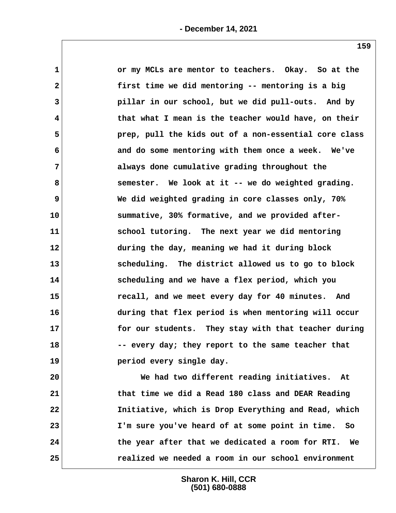| $\mathbf 1$             | or my MCLs are mentor to teachers. Okay. So at the     |
|-------------------------|--------------------------------------------------------|
| $\mathbf{2}$            | first time we did mentoring -- mentoring is a big      |
| 3                       | pillar in our school, but we did pull-outs. And by     |
| $\overline{\mathbf{4}}$ | that what I mean is the teacher would have, on their   |
| 5                       | prep, pull the kids out of a non-essential core class  |
| 6                       | and do some mentoring with them once a week. We've     |
| 7                       | always done cumulative grading throughout the          |
| 8                       | semester. We look at it -- we do weighted grading.     |
| 9                       | We did weighted grading in core classes only, 70%      |
| 10                      | summative, 30% formative, and we provided after-       |
| 11                      | school tutoring. The next year we did mentoring        |
| 12                      | during the day, meaning we had it during block         |
| 13                      | scheduling. The district allowed us to go to block     |
| 14                      | scheduling and we have a flex period, which you        |
| 15                      | recall, and we meet every day for 40 minutes. And      |
| 16                      | during that flex period is when mentoring will occur   |
| 17                      | for our students. They stay with that teacher during   |
| 18                      | -- every day; they report to the same teacher that     |
| 19                      | period every single day.                               |
| 20                      | We had two different reading initiatives. At           |
| 21                      | that time we did a Read 180 class and DEAR Reading     |
| 22                      | Initiative, which is Drop Everything and Read, which   |
| 23                      | I'm sure you've heard of at some point in time.<br>So  |
| 24                      | the year after that we dedicated a room for RTI.<br>We |

**25 realized we needed a room in our school environment**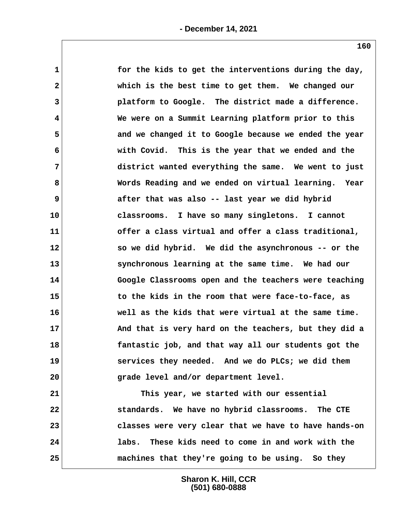| $\mathbf 1$  | for the kids to get the interventions during the day, |
|--------------|-------------------------------------------------------|
| $\mathbf{2}$ | which is the best time to get them. We changed our    |
| 3            | platform to Google. The district made a difference.   |
| 4            | We were on a Summit Learning platform prior to this   |
| 5            | and we changed it to Google because we ended the year |
| 6            | with Covid. This is the year that we ended and the    |
| 7            | district wanted everything the same. We went to just  |
| 8            | Words Reading and we ended on virtual learning. Year  |
| 9            | after that was also -- last year we did hybrid        |
| 10           | classrooms. I have so many singletons. I cannot       |
| 11           | offer a class virtual and offer a class traditional,  |
| 12           | so we did hybrid. We did the asynchronous -- or the   |
| 13           | synchronous learning at the same time. We had our     |
| 14           | Google Classrooms open and the teachers were teaching |
| 15           | to the kids in the room that were face-to-face, as    |
| 16           | well as the kids that were virtual at the same time.  |
| 17           | And that is very hard on the teachers, but they did a |
| 18           | fantastic job, and that way all our students got the  |
| 19           | services they needed. And we do PLCs; we did them     |
| 20           | grade level and/or department level.                  |
| 21           | This year, we started with our essential              |
| 22           | standards. We have no hybrid classrooms. The CTE      |
| 23           | classes were very clear that we have to have hands-on |
| 24           | labs. These kids need to come in and work with the    |
| 25           | machines that they're going to be using. So they      |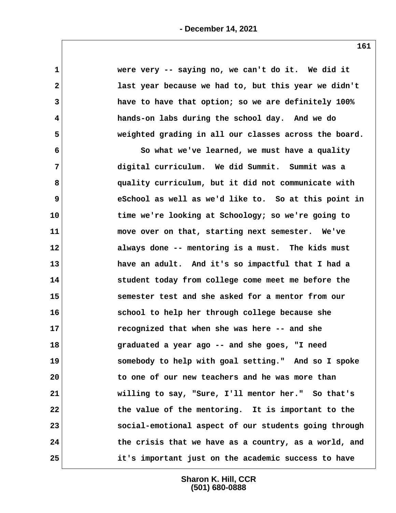| $\mathbf 1$             | were very -- saying no, we can't do it. We did it     |
|-------------------------|-------------------------------------------------------|
| $\mathbf{2}$            | last year because we had to, but this year we didn't  |
| 3                       | have to have that option; so we are definitely 100%   |
| $\overline{\mathbf{4}}$ | hands-on labs during the school day. And we do        |
| 5                       | weighted grading in all our classes across the board. |
| 6                       | So what we've learned, we must have a quality         |
| $\overline{7}$          | digital curriculum. We did Summit. Summit was a       |
| 8                       | quality curriculum, but it did not communicate with   |
| 9                       | eSchool as well as we'd like to. So at this point in  |
| 10                      | time we're looking at Schoology; so we're going to    |
| 11                      | move over on that, starting next semester. We've      |
| 12                      | always done -- mentoring is a must. The kids must     |
| 13                      | have an adult. And it's so impactful that I had a     |
| 14                      | student today from college come meet me before the    |
| 15                      | semester test and she asked for a mentor from our     |
| 16                      | school to help her through college because she        |
| 17                      | recognized that when she was here -- and she          |
| 18                      | graduated a year ago -- and she goes, "I need         |
| 19                      | somebody to help with goal setting." And so I spoke   |
| 20                      | to one of our new teachers and he was more than       |
| 21                      | willing to say, "Sure, I'll mentor her." So that's    |
| 22                      | the value of the mentoring. It is important to the    |
| 23                      | social-emotional aspect of our students going through |
| 24                      | the crisis that we have as a country, as a world, and |
| 25                      | it's important just on the academic success to have   |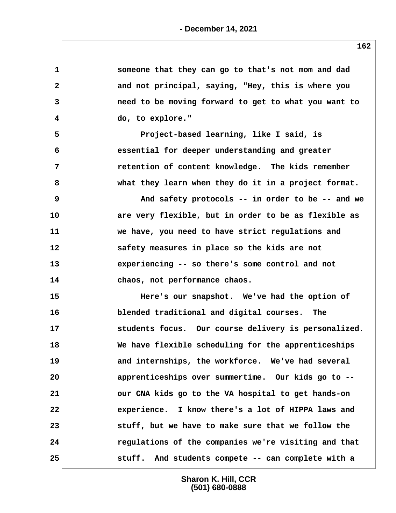| $\mathbf 1$  | someone that they can go to that's not mom and dad   |
|--------------|------------------------------------------------------|
| $\mathbf{2}$ | and not principal, saying, "Hey, this is where you   |
| 3            | need to be moving forward to get to what you want to |
| 4            | do, to explore."                                     |
| 5            | Project-based learning, like I said, is              |
| 6            | essential for deeper understanding and greater       |
| 7            | retention of content knowledge. The kids remember    |
| 8            | what they learn when they do it in a project format. |
| 9            | And safety protocols -- in order to be -- and we     |
| 10           | are very flexible, but in order to be as flexible as |
| 11           | we have, you need to have strict regulations and     |
| 12           | safety measures in place so the kids are not         |
| 13           | experiencing -- so there's some control and not      |
| 14           | chaos, not performance chaos.                        |
| 15           | Here's our snapshot. We've had the option of         |
| 16           | blended traditional and digital courses. The         |
| 17           | students focus. Our course delivery is personalized. |
| 18           | We have flexible scheduling for the apprenticeships  |
| 19           | and internships, the workforce. We've had several    |
| 20           | apprenticeships over summertime. Our kids go to --   |
| 21           | our CNA kids go to the VA hospital to get hands-on   |
| 22           | experience. I know there's a lot of HIPPA laws and   |
| 23           | stuff, but we have to make sure that we follow the   |
| 24           | regulations of the companies we're visiting and that |
| 25           | stuff. And students compete -- can complete with a   |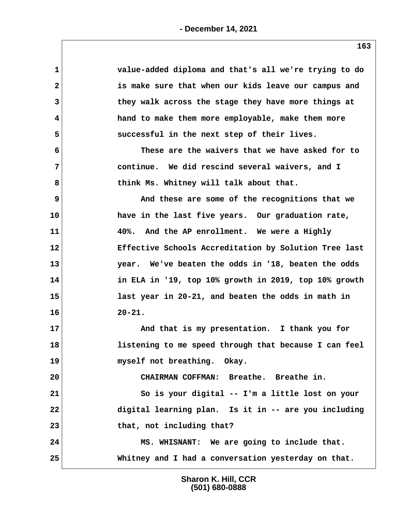| 1  | value-added diploma and that's all we're trying to do |
|----|-------------------------------------------------------|
| 2  | is make sure that when our kids leave our campus and  |
| 3  | they walk across the stage they have more things at   |
| 4  | hand to make them more employable, make them more     |
| 5  | successful in the next step of their lives.           |
| 6  | These are the waivers that we have asked for to       |
| 7  | continue. We did rescind several waivers, and I       |
| 8  | think Ms. Whitney will talk about that.               |
| 9  | And these are some of the recognitions that we        |
| 10 | have in the last five years. Our graduation rate,     |
| 11 | 40%. And the AP enrollment. We were a Highly          |
| 12 | Effective Schools Accreditation by Solution Tree last |
| 13 | year. We've beaten the odds in '18, beaten the odds   |
| 14 | in ELA in '19, top 10% growth in 2019, top 10% growth |
| 15 | last year in 20-21, and beaten the odds in math in    |
| 16 | $20 - 21.$                                            |
| 17 | And that is my presentation. I thank you for          |
| 18 | listening to me speed through that because I can feel |
| 19 | myself not breathing. Okay.                           |
| 20 | CHAIRMAN COFFMAN: Breathe. Breathe in.                |
| 21 | So is your digital -- I'm a little lost on your       |
| 22 | digital learning plan. Is it in -- are you including  |
| 23 | that, not including that?                             |
| 24 | MS. WHISNANT: We are going to include that.           |
| 25 | Whitney and I had a conversation yesterday on that.   |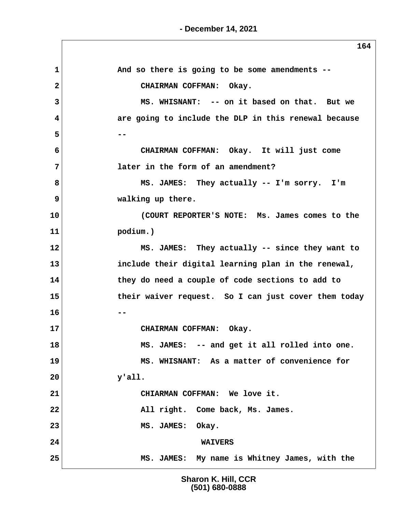|                | 164                                                  |
|----------------|------------------------------------------------------|
| 1              | And so there is going to be some amendments --       |
| $\overline{2}$ | CHAIRMAN COFFMAN: Okay.                              |
| 3              | MS. WHISNANT: -- on it based on that. But we         |
| 4              | are going to include the DLP in this renewal because |
| 5              |                                                      |
| 6              | CHAIRMAN COFFMAN: Okay. It will just come            |
| 7              | later in the form of an amendment?                   |
| 8              | MS. JAMES: They actually -- I'm sorry. I'm           |
| 9              | walking up there.                                    |
| 10             | (COURT REPORTER'S NOTE: Ms. James comes to the       |
| 11             | podium.)                                             |
| 12             | MS. JAMES: They actually -- since they want to       |
| 13             | include their digital learning plan in the renewal,  |
| 14             | they do need a couple of code sections to add to     |
| 15             | their waiver request. So I can just cover them today |
| 16             |                                                      |
| 17             | CHAIRMAN COFFMAN: Okay.                              |
| 18             | MS. JAMES: -- and get it all rolled into one.        |
| 19             | MS. WHISNANT: As a matter of convenience for         |
| 20             | $y$ 'all.                                            |
| 21             | CHIARMAN COFFMAN: We love it.                        |
| 22             | All right. Come back, Ms. James.                     |
| 23             | MS. JAMES: Okay.                                     |
| 24             | <b>WAIVERS</b>                                       |
| 25             | MS. JAMES: My name is Whitney James, with the        |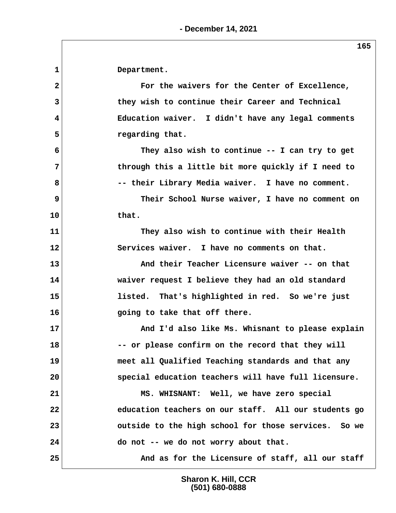**1 Department.**

 **2 For the waivers for the Center of Excellence, 3 they wish to continue their Career and Technical 4 Education waiver. I didn't have any legal comments** 5 *regarding that.*  **6 They also wish to continue -- I can try to get 7 through this a little bit more quickly if I need to 8 -- their Library Media waiver. I have no comment. 9** Their School Nurse waiver, I have no comment on **10 that. 11 They also wish to continue with their Health 12 Services waiver. I have no comments on that. 13 And their Teacher Licensure waiver -- on that 14 waiver request I believe they had an old standard 15 listed. That's highlighted in red. So we're just 16 going to take that off there. 17 And I'd also like Ms. Whisnant to please explain 18 -- or please confirm on the record that they will 19 meet all Qualified Teaching standards and that any 20 special education teachers will have full licensure. 21 MS. WHISNANT: Well, we have zero special 22 education teachers on our staff. All our students go 23 outside to the high school for those services. So we 24 do not -- we do not worry about that.** 25 And as for the Licensure of staff, all our staff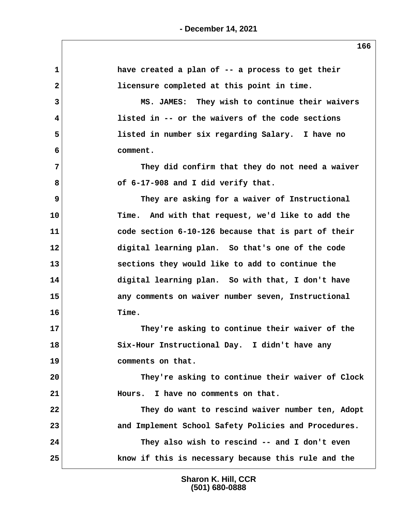| have created a plan of -- a process to get their     |
|------------------------------------------------------|
| licensure completed at this point in time.           |
| MS. JAMES: They wish to continue their waivers       |
| listed in -- or the waivers of the code sections     |
| listed in number six regarding Salary. I have no     |
| comment.                                             |
| They did confirm that they do not need a waiver      |
| of 6-17-908 and I did verify that.                   |
| They are asking for a waiver of Instructional        |
| Time. And with that request, we'd like to add the    |
| code section 6-10-126 because that is part of their  |
| digital learning plan. So that's one of the code     |
| sections they would like to add to continue the      |
| digital learning plan. So with that, I don't have    |
| any comments on waiver number seven, Instructional   |
| Time.                                                |
| They're asking to continue their waiver of the       |
| Six-Hour Instructional Day. I didn't have any        |
| comments on that.                                    |
| They're asking to continue their waiver of Clock     |
| I have no comments on that.<br>Hours.                |
| They do want to rescind waiver number ten, Adopt     |
| and Implement School Safety Policies and Procedures. |
|                                                      |
| They also wish to rescind -- and I don't even        |
|                                                      |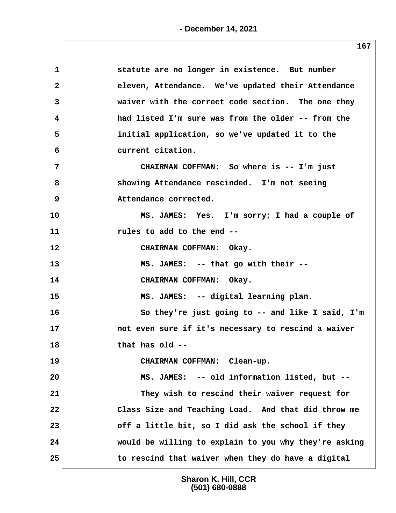| $\mathbf{1}$            | statute are no longer in existence. But number        |
|-------------------------|-------------------------------------------------------|
| $\overline{\mathbf{2}}$ | eleven, Attendance. We've updated their Attendance    |
| 3                       | waiver with the correct code section. The one they    |
| 4                       | had listed I'm sure was from the older -- from the    |
| 5                       | initial application, so we've updated it to the       |
| 6                       | current citation.                                     |
| 7                       | CHAIRMAN COFFMAN: So where is -- I'm just             |
| 8                       | showing Attendance rescinded. I'm not seeing          |
| 9                       | Attendance corrected.                                 |
| 10                      | MS. JAMES: Yes. I'm sorry; I had a couple of          |
| 11                      | rules to add to the end --                            |
| 12                      | CHAIRMAN COFFMAN: Okay.                               |
| 13                      | MS. JAMES: -- that go with their --                   |
| 14                      | CHAIRMAN COFFMAN: Okay.                               |
| 15                      | MS. JAMES: -- digital learning plan.                  |
| 16                      | So they're just going to -- and like I said, I'm      |
| 17                      | not even sure if it's necessary to rescind a waiver   |
| 18                      | that has old --                                       |
| 19                      | CHAIRMAN COFFMAN: Clean-up.                           |
| 20                      | MS. JAMES: -- old information listed, but --          |
| 21                      | They wish to rescind their waiver request for         |
| 22                      | Class Size and Teaching Load. And that did throw me   |
| 23                      | off a little bit, so I did ask the school if they     |
| 24                      | would be willing to explain to you why they're asking |
| 25                      | to rescind that waiver when they do have a digital    |
|                         |                                                       |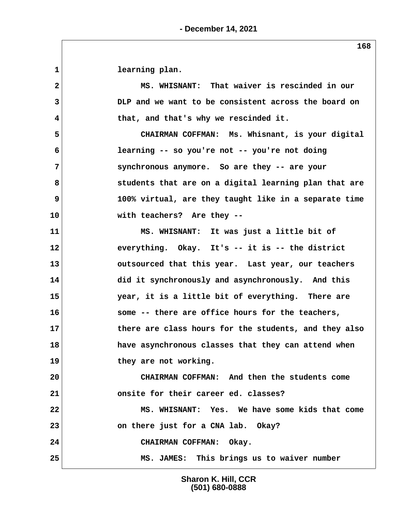**1 learning plan.**

 **2 MS. WHISNANT: That waiver is rescinded in our 3 DLP and we want to be consistent across the board on 4 that, and that's why we rescinded it.**

 **5 CHAIRMAN COFFMAN: Ms. Whisnant, is your digital 6 learning -- so you're not -- you're not doing 7 synchronous anymore. So are they -- are your 8 students that are on a digital learning plan that are 9 100% virtual, are they taught like in a separate time 10 with teachers? Are they --**

**11 MS. WHISNANT: It was just a little bit of 12 everything. Okay. It's -- it is -- the district 13 outsourced that this year. Last year, our teachers 14 did it synchronously and asynchronously. And this 15 year, it is a little bit of everything. There are 16 some -- there are office hours for the teachers, 17 there are class hours for the students, and they also 18 have asynchronous classes that they can attend when 19 they are not working. 20 CHAIRMAN COFFMAN: And then the students come 21 onsite for their career ed. classes?**

**22 MS. WHISNANT: Yes. We have some kids that come 23 on there just for a CNA lab. Okay? 24 CHAIRMAN COFFMAN: Okay. 25 MS. JAMES: This brings us to waiver number**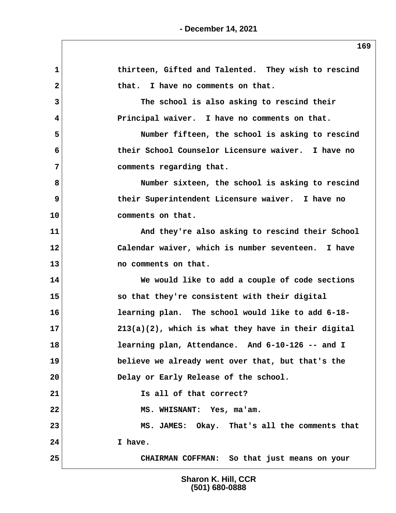**1 thirteen, Gifted and Talented. They wish to rescind** 2 that. I have no comments on that.  **3 The school is also asking to rescind their 4 Principal waiver. I have no comments on that. 5 Number fifteen, the school is asking to rescind 6 their School Counselor Licensure waiver. I have no 7 comments regarding that. 8 Number sixteen, the school is asking to rescind 9 their Superintendent Licensure waiver. I have no 10 comments on that.** 11 And they're also asking to rescind their School **12 Calendar waiver, which is number seventeen. I have 13 no comments on that. 14 We would like to add a couple of code sections 15 so that they're consistent with their digital 16 learning plan. The school would like to add 6-18- 17 213(a)(2), which is what they have in their digital 18 learning plan, Attendance. And 6-10-126 -- and I 19 believe we already went over that, but that's the 20 Delay or Early Release of the school. 21 Is all of that correct? 22 MS. WHISNANT: Yes, ma'am. 23 MS. JAMES: Okay. That's all the comments that 24 I have. 25 CHAIRMAN COFFMAN: So that just means on your**

> **Sharon K. Hill, CCR (501) 680-0888**

**- December 14, 2021**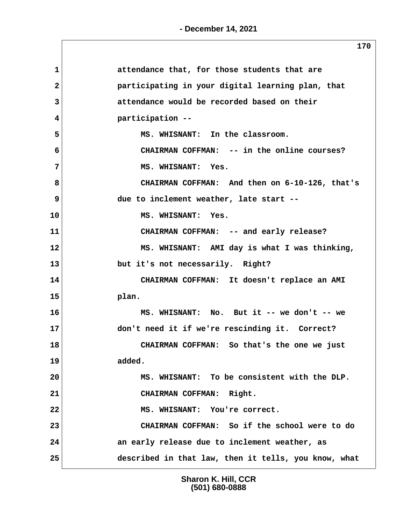| $\mathbf{1}$ | attendance that, for those students that are         |
|--------------|------------------------------------------------------|
| $\mathbf{2}$ | participating in your digital learning plan, that    |
| 3            | attendance would be recorded based on their          |
| 4            | participation --                                     |
| 5            | MS. WHISNANT: In the classroom.                      |
| 6            | CHAIRMAN COFFMAN: -- in the online courses?          |
| 7            | MS. WHISNANT: Yes.                                   |
| 8            | CHAIRMAN COFFMAN: And then on 6-10-126, that's       |
| 9            | due to inclement weather, late start --              |
| 10           | MS. WHISNANT: Yes.                                   |
| 11           | CHAIRMAN COFFMAN: -- and early release?              |
| 12           | MS. WHISNANT: AMI day is what I was thinking,        |
| 13           | but it's not necessarily. Right?                     |
| 14           | CHAIRMAN COFFMAN: It doesn't replace an AMI          |
| 15           | plan.                                                |
| 16           | MS. WHISNANT: No. But it -- we don't -- we           |
| 17           | don't need it if we're rescinding it. Correct?       |
| 18           | CHAIRMAN COFFMAN: So that's the one we just          |
| 19           | added.                                               |
| 20           | MS. WHISNANT: To be consistent with the DLP.         |
| 21           | CHAIRMAN COFFMAN: Right.                             |
| 22           | MS. WHISNANT: You're correct.                        |
| 23           | CHAIRMAN COFFMAN: So if the school were to do        |
| 24           | an early release due to inclement weather, as        |
| 25           | described in that law, then it tells, you know, what |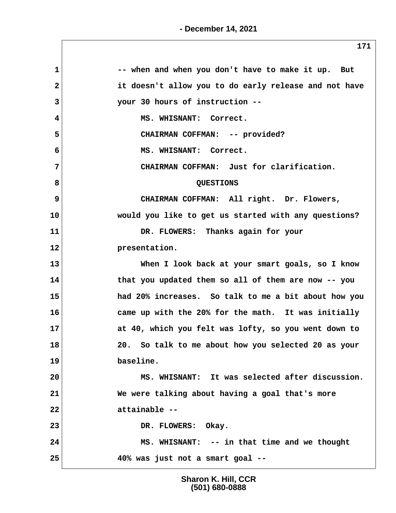| $\mathbf{1}$ | -- when and when you don't have to make it up. But    |
|--------------|-------------------------------------------------------|
| $\mathbf{2}$ | it doesn't allow you to do early release and not have |
| 3            | your 30 hours of instruction --                       |
| 4            | MS. WHISNANT: Correct.                                |
| 5            | CHAIRMAN COFFMAN: -- provided?                        |
| 6            | MS. WHISNANT: Correct.                                |
| 7            | CHAIRMAN COFFMAN: Just for clarification.             |
| 8            | <b>QUESTIONS</b>                                      |
| 9            | CHAIRMAN COFFMAN: All right. Dr. Flowers,             |
| 10           | would you like to get us started with any questions?  |
| 11           | DR. FLOWERS: Thanks again for your                    |
| 12           | presentation.                                         |
| 13           | When I look back at your smart goals, so I know       |
| 14           | that you updated them so all of them are now -- you   |
| 15           | had 20% increases. So talk to me a bit about how you  |
| 16           | came up with the 20% for the math. It was initially   |
| 17           | at 40, which you felt was lofty, so you went down to  |
| 18           | 20. So talk to me about how you selected 20 as your   |
| 19           | baseline.                                             |
| 20           | MS. WHISNANT: It was selected after discussion.       |
| 21           | We were talking about having a goal that's more       |
| 22           | attainable --                                         |
| 23           | DR. FLOWERS: Okay.                                    |
| 24           | MS. WHISNANT: -- in that time and we thought          |
| 25           | 40% was just not a smart goal --                      |
|              |                                                       |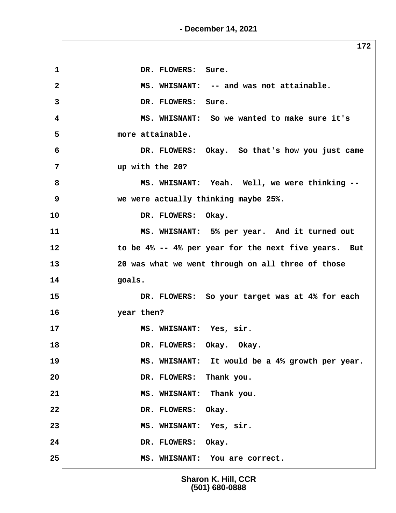**172** 1 DR. FLOWERS: Sure.  **2 MS. WHISNANT: -- and was not attainable. 3 DR. FLOWERS: Sure. 4 MS. WHISNANT: So we wanted to make sure it's 5 more attainable. 6 DR. FLOWERS: Okay. So that's how you just came 7 up with the 20? 8 MS. WHISNANT: Yeah. Well, we were thinking -- 9 we were actually thinking maybe 25%. 10 DR. FLOWERS: Okay. 11 MS. WHISNANT: 5% per year. And it turned out 12 to be 4% -- 4% per year for the next five years. But 13 20 was what we went through on all three of those 14 goals. 15 DR. FLOWERS: So your target was at 4% for each 16 year then?** 17 MS. WHISNANT: Yes, sir. 18 DR. FLOWERS: Okay. Okay. **19 MS. WHISNANT: It would be a 4% growth per year. 20 DR. FLOWERS: Thank you. 21 MS. WHISNANT: Thank you. 22 DR. FLOWERS: Okay. 23 MS. WHISNANT: Yes, sir. 24 DR. FLOWERS: Okay. 25 MS. WHISNANT: You are correct.**

**- December 14, 2021**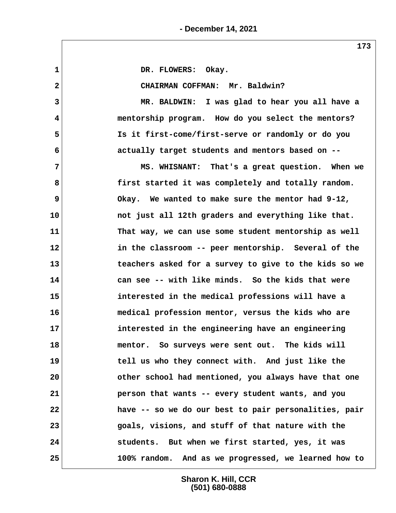1 DR. FLOWERS: Okay.  **2 CHAIRMAN COFFMAN: Mr. Baldwin? 3 MR. BALDWIN: I was glad to hear you all have a 4 mentorship program. How do you select the mentors? 5 Is it first-come/first-serve or randomly or do you 6 actually target students and mentors based on -- 7 MS. WHISNANT: That's a great question. When we 8 first started it was completely and totally random. 9 Okay. We wanted to make sure the mentor had 9-12, 10 not just all 12th graders and everything like that. 11 That way, we can use some student mentorship as well 12 in the classroom -- peer mentorship. Several of the 13 teachers asked for a survey to give to the kids so we 14 can see -- with like minds. So the kids that were 15 interested in the medical professions will have a 16 medical profession mentor, versus the kids who are 17 interested in the engineering have an engineering 18 mentor. So surveys were sent out. The kids will 19 tell us who they connect with. And just like the 20 other school had mentioned, you always have that one 21 person that wants -- every student wants, and you 22 have -- so we do our best to pair personalities, pair 23 goals, visions, and stuff of that nature with the 24 students. But when we first started, yes, it was 25 100% random. And as we progressed, we learned how to**

> **Sharon K. Hill, CCR (501) 680-0888**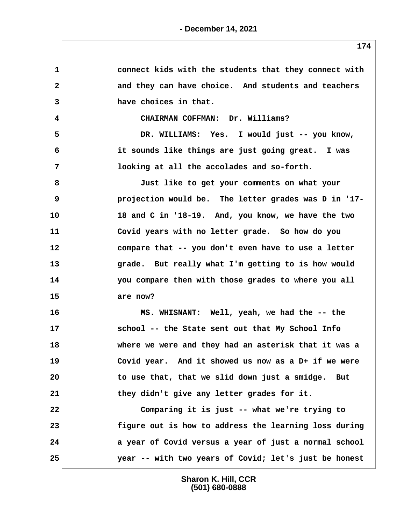| 1            | connect kids with the students that they connect with |
|--------------|-------------------------------------------------------|
| $\mathbf{2}$ | and they can have choice. And students and teachers   |
| 3            | have choices in that.                                 |
| 4            | CHAIRMAN COFFMAN: Dr. Williams?                       |
| 5            | DR. WILLIAMS: Yes. I would just -- you know,          |
| 6            | it sounds like things are just going great. I was     |
| 7            | looking at all the accolades and so-forth.            |
| 8            | Just like to get your comments on what your           |
| 9            | projection would be. The letter grades was D in '17-  |
| 10           | 18 and C in '18-19. And, you know, we have the two    |
| 11           | Covid years with no letter grade. So how do you       |
| 12           | compare that -- you don't even have to use a letter   |
| 13           | grade. But really what I'm getting to is how would    |
| 14           | you compare then with those grades to where you all   |
| 15           | are now?                                              |
| 16           | MS. WHISNANT: Well, yeah, we had the -- the           |
| 17           | school -- the State sent out that My School Info      |
| 18           | where we were and they had an asterisk that it was a  |
| 19           | Covid year. And it showed us now as a D+ if we were   |
| 20           | to use that, that we slid down just a smidge. But     |
| 21           | they didn't give any letter grades for it.            |
| 22           | Comparing it is just -- what we're trying to          |
| 23           | figure out is how to address the learning loss during |
| 24           | a year of Covid versus a year of just a normal school |
| 25           | year -- with two years of Covid; let's just be honest |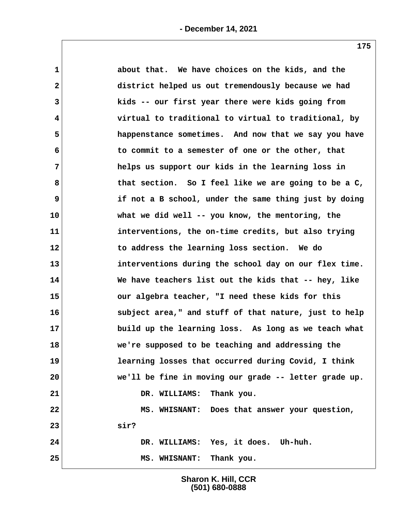| $\mathbf{1}$   | about that. We have choices on the kids, and the        |
|----------------|---------------------------------------------------------|
| $\mathbf{2}$   | district helped us out tremendously because we had      |
| 3              | kids -- our first year there were kids going from       |
| $\overline{4}$ | virtual to traditional to virtual to traditional, by    |
| 5              | happenstance sometimes. And now that we say you have    |
| 6              | to commit to a semester of one or the other, that       |
| 7              | helps us support our kids in the learning loss in       |
| 8              | that section. So I feel like we are going to be a $C$ , |
| 9              | if not a B school, under the same thing just by doing   |
| 10             | what we did well -- you know, the mentoring, the        |
| 11             | interventions, the on-time credits, but also trying     |
| 12             | to address the learning loss section. We do             |
| 13             | interventions during the school day on our flex time.   |
| 14             | We have teachers list out the kids that -- hey, like    |
| 15             | our algebra teacher, "I need these kids for this        |
| 16             | subject area," and stuff of that nature, just to help   |
| 17             | build up the learning loss. As long as we teach what    |
| 18             | we're supposed to be teaching and addressing the        |
| 19             | learning losses that occurred during Covid, I think     |
| 20             | we'll be fine in moving our grade -- letter grade up.   |
| 21             | DR. WILLIAMS: Thank you.                                |
| 22             | MS. WHISNANT: Does that answer your question,           |
| 23             | sir?                                                    |
| 24             | DR. WILLIAMS: Yes, it does. Uh-huh.                     |
| 25             | MS. WHISNANT: Thank you.                                |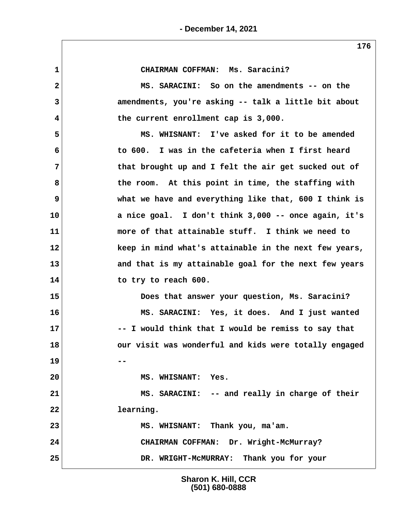**1 CHAIRMAN COFFMAN: Ms. Saracini? 2 MS. SARACINI: So on the amendments -- on the 3 amendments, you're asking -- talk a little bit about 4 the current enrollment cap is 3,000. 5 MS. WHISNANT: I've asked for it to be amended 6 to 600. I was in the cafeteria when I first heard 7 that brought up and I felt the air get sucked out of 8 the room. At this point in time, the staffing with 9 what we have and everything like that, 600 I think is 10 a nice goal. I don't think 3,000 -- once again, it's 11 more of that attainable stuff. I think we need to 12 keep in mind what's attainable in the next few years, 13 and that is my attainable goal for the next few years 14 to try to reach 600. 15 Does that answer your question, Ms. Saracini? 16 MS. SARACINI: Yes, it does. And I just wanted 17 -- I would think that I would be remiss to say that 18 our visit was wonderful and kids were totally engaged 19 -- 20 MS. WHISNANT: Yes. 21 MS. SARACINI: -- and really in charge of their 22 learning. 23 MS. WHISNANT: Thank you, ma'am. 24 CHAIRMAN COFFMAN: Dr. Wright-McMurray? 25 DR. WRIGHT-McMURRAY: Thank you for your**

> **Sharon K. Hill, CCR (501) 680-0888**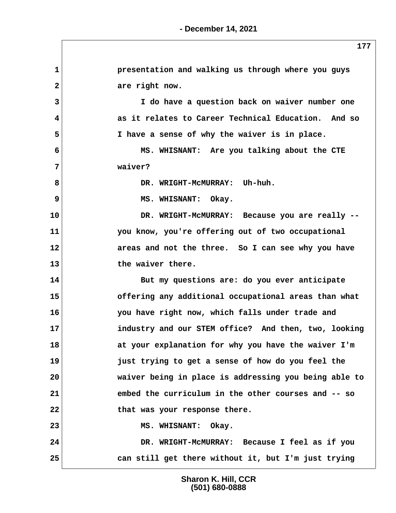**1 presentation and walking us through where you guys** 2 are right now.  **3 I do have a question back on waiver number one 4 as it relates to Career Technical Education. And so 5 I have a sense of why the waiver is in place. 6 MS. WHISNANT: Are you talking about the CTE 7 waiver? 8 DR. WRIGHT-McMURRAY: Uh-huh. 9** MS. WHISNANT: Okay. **10 DR. WRIGHT-McMURRAY: Because you are really -- 11 you know, you're offering out of two occupational 12 areas and not the three. So I can see why you have 13 the waiver there. 14 But my questions are: do you ever anticipate 15 offering any additional occupational areas than what 16 you have right now, which falls under trade and 17 industry and our STEM office? And then, two, looking 18 at your explanation for why you have the waiver I'm 19 just trying to get a sense of how do you feel the 20 waiver being in place is addressing you being able to 21 embed the curriculum in the other courses and -- so 22 that was your response there.** 23 MS. WHISNANT: Okay. **24 DR. WRIGHT-McMURRAY: Because I feel as if you 25 can still get there without it, but I'm just trying**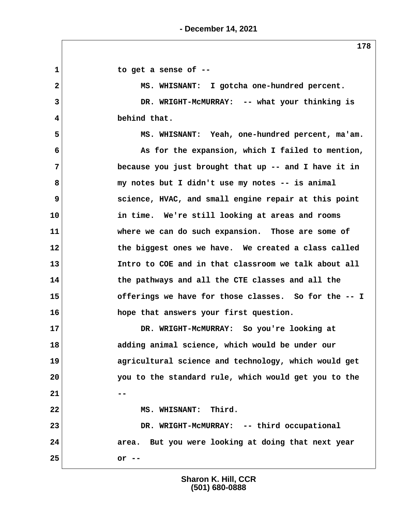1 to get a sense of  $-$  **2 MS. WHISNANT: I gotcha one-hundred percent. 3 DR. WRIGHT-McMURRAY: -- what your thinking is 4 behind that. 5 MS. WHISNANT: Yeah, one-hundred percent, ma'am. 6 As for the expansion, which I failed to mention, 7 because you just brought that up -- and I have it in 8 my notes but I didn't use my notes -- is animal 9 science, HVAC, and small engine repair at this point 10 in time. We're still looking at areas and rooms 11 where we can do such expansion. Those are some of 12 the biggest ones we have. We created a class called 13 Intro to COE and in that classroom we talk about all 14 the pathways and all the CTE classes and all the 15 offerings we have for those classes. So for the -- I 16 hope that answers your first question. 17 DR. WRIGHT-McMURRAY: So you're looking at 18 adding animal science, which would be under our 19 agricultural science and technology, which would get 20 you to the standard rule, which would get you to the 21** --22 MS. WHISNANT: Third. **23 DR. WRIGHT-McMURRAY: -- third occupational 24 area. But you were looking at doing that next year 25 or --**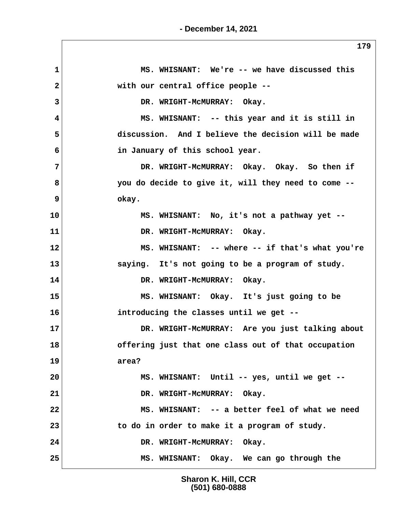**- December 14, 2021**

 **1 MS. WHISNANT: We're -- we have discussed this 2 with our central office people -- 3 DR. WRIGHT-McMURRAY: Okay. 4 MS. WHISNANT: -- this year and it is still in 5 discussion. And I believe the decision will be made 6 in January of this school year. 7 DR. WRIGHT-McMURRAY: Okay. Okay. So then if 8 you do decide to give it, will they need to come -- 9 okay. 10 MS. WHISNANT: No, it's not a pathway yet -- 11 DR. WRIGHT-McMURRAY: Okay. 12 MS. WHISNANT: -- where -- if that's what you're 13 saying. It's not going to be a program of study. 14 DR. WRIGHT-McMURRAY: Okay. 15 MS. WHISNANT: Okay. It's just going to be 16 introducing the classes until we get -- 17 DR. WRIGHT-McMURRAY: Are you just talking about 18 offering just that one class out of that occupation 19 area? 20 MS. WHISNANT: Until -- yes, until we get --** 21 DR. WRIGHT-MCMURRAY: Okay. 22 MS. WHISNANT: -- a better feel of what we need **23 to do in order to make it a program of study. 24 DR. WRIGHT-McMURRAY: Okay. 25 MS. WHISNANT: Okay. We can go through the**

> **Sharon K. Hill, CCR (501) 680-0888**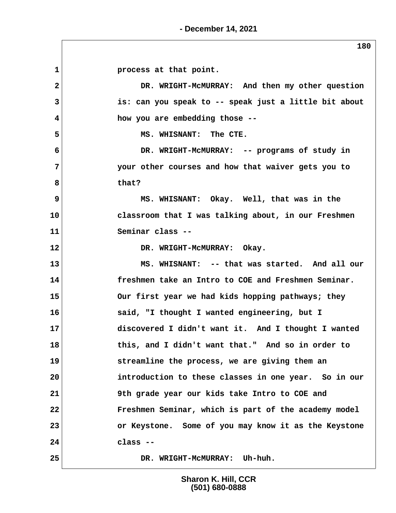1 **process at that point. 2 DR. WRIGHT-McMURRAY: And then my other question 3 is: can you speak to -- speak just a little bit about 4 how you are embedding those --** 5 MS. WHISNANT: The CTE.  **6 DR. WRIGHT-McMURRAY: -- programs of study in 7 your other courses and how that waiver gets you to 8 that? 9 MS. WHISNANT: Okay. Well, that was in the 10 classroom that I was talking about, in our Freshmen 11 Seminar class -- 12 DR. WRIGHT-McMURRAY: Okay. 13 MS. WHISNANT: -- that was started. And all our 14 freshmen take an Intro to COE and Freshmen Seminar. 15 Our first year we had kids hopping pathways; they 16 said, "I thought I wanted engineering, but I 17 discovered I didn't want it. And I thought I wanted 18 this, and I didn't want that." And so in order to 19 streamline the process, we are giving them an 20 introduction to these classes in one year. So in our 21 9th grade year our kids take Intro to COE and 22 Freshmen Seminar, which is part of the academy model 23 or Keystone. Some of you may know it as the Keystone 24 class -- 25 DR. WRIGHT-McMURRAY: Uh-huh.**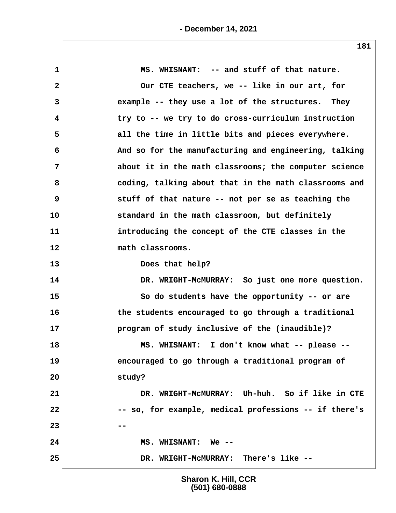| $\mathbf{1}$ | MS. WHISNANT: -- and stuff of that nature.            |
|--------------|-------------------------------------------------------|
| $\mathbf{2}$ | Our CTE teachers, we -- like in our art, for          |
| 3            | example -- they use a lot of the structures. They     |
| 4            | try to -- we try to do cross-curriculum instruction   |
| 5            | all the time in little bits and pieces everywhere.    |
| 6            | And so for the manufacturing and engineering, talking |
| 7            | about it in the math classrooms; the computer science |
| 8            | coding, talking about that in the math classrooms and |
| 9            | stuff of that nature -- not per se as teaching the    |
| 10           | standard in the math classroom, but definitely        |
| 11           | introducing the concept of the CTE classes in the     |
| 12           | math classrooms.                                      |
| 13           | Does that help?                                       |
| 14           | DR. WRIGHT-MCMURRAY: So just one more question.       |
| 15           | So do students have the opportunity -- or are         |
| 16           | the students encouraged to go through a traditional   |
| 17           | program of study inclusive of the (inaudible)?        |
| 18           | MS. WHISNANT: I don't know what -- please --          |
| 19           | encouraged to go through a traditional program of     |
| 20           | study?                                                |
| 21           | DR. WRIGHT-MCMURRAY: Uh-huh. So if like in CTE        |
| 22           | -- so, for example, medical professions -- if there's |
| 23           |                                                       |
| 24           | MS. WHISNANT: We --                                   |
| 25           | DR. WRIGHT-MCMURRAY: There's like --                  |
|              |                                                       |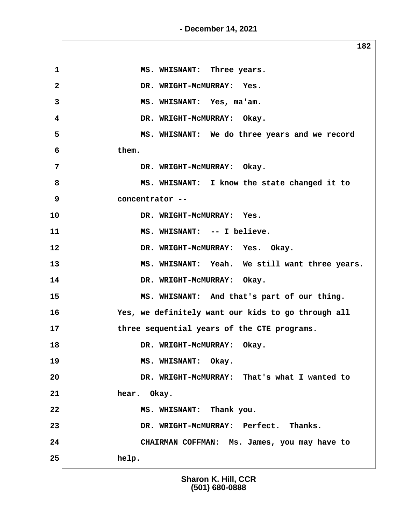**- December 14, 2021**

**182 1 MS. WHISNANT: Three years. 2 DR. WRIGHT-McMURRAY: Yes. 3 MS. WHISNANT: Yes, ma'am. 4 DR. WRIGHT-McMURRAY: Okay. 5 MS. WHISNANT: We do three years and we record 6 them. 7 DR. WRIGHT-McMURRAY: Okay. 8 MS. WHISNANT: I know the state changed it to 9 concentrator -- 10 DR. WRIGHT-McMURRAY: Yes. 11 MS. WHISNANT: -- I believe. 12 DR. WRIGHT-McMURRAY: Yes. Okay. 13 MS. WHISNANT: Yeah. We still want three years. 14 DR. WRIGHT-McMURRAY: Okay. 15 MS. WHISNANT: And that's part of our thing. 16 Yes, we definitely want our kids to go through all 17 three sequential years of the CTE programs.** 18 DR. WRIGHT-MCMURRAY: Okay. 19 MS. WHISNANT: Okay. **20 DR. WRIGHT-McMURRAY: That's what I wanted to 21 hear. Okay. 22 MS. WHISNANT: Thank you. 23 DR. WRIGHT-McMURRAY: Perfect. Thanks. 24 CHAIRMAN COFFMAN: Ms. James, you may have to 25 help.**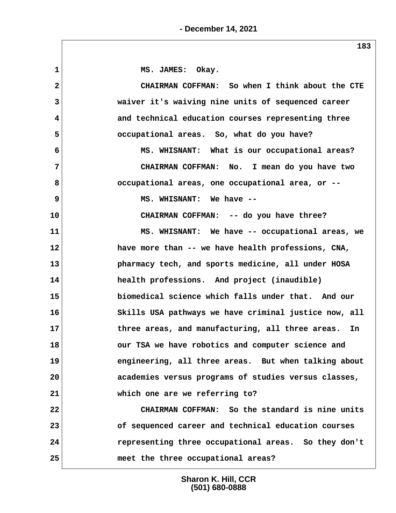1 MS. JAMES: Okay.  **2 CHAIRMAN COFFMAN: So when I think about the CTE 3 waiver it's waiving nine units of sequenced career 4 and technical education courses representing three 5 occupational areas. So, what do you have? 6 MS. WHISNANT: What is our occupational areas? 7 CHAIRMAN COFFMAN: No. I mean do you have two 8 occupational areas, one occupational area, or -- 9 MS. WHISNANT: We have -- 10 CHAIRMAN COFFMAN: -- do you have three? 11 MS. WHISNANT: We have -- occupational areas, we 12 have more than -- we have health professions, CNA, 13 pharmacy tech, and sports medicine, all under HOSA 14 health professions. And project (inaudible) 15 biomedical science which falls under that. And our 16 Skills USA pathways we have criminal justice now, all 17 three areas, and manufacturing, all three areas. In 18 our TSA we have robotics and computer science and 19 engineering, all three areas. But when talking about 20 academies versus programs of studies versus classes, 21 which one are we referring to? 22 CHAIRMAN COFFMAN: So the standard is nine units 23 of sequenced career and technical education courses 24 representing three occupational areas. So they don't 25 meet the three occupational areas?**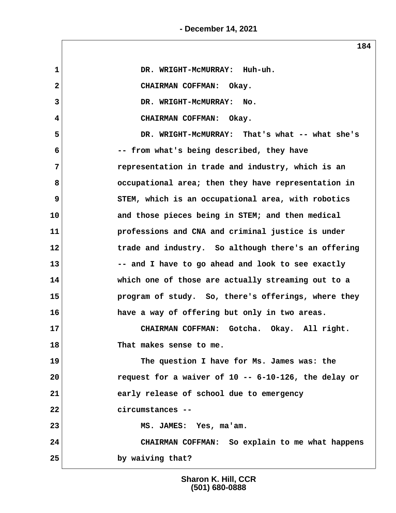**- December 14, 2021**

 **1 DR. WRIGHT-McMURRAY: Huh-uh. 2 CHAIRMAN COFFMAN: Okay. 3 DR. WRIGHT-McMURRAY: No. 4 CHAIRMAN COFFMAN: Okay. 5 DR. WRIGHT-McMURRAY: That's what -- what she's 6 -- from what's being described, they have 7 representation in trade and industry, which is an 8 occupational area; then they have representation in 9** STEM, which is an occupational area, with robotics **10 and those pieces being in STEM; and then medical 11 professions and CNA and criminal justice is under 12 trade and industry. So although there's an offering 13 -- and I have to go ahead and look to see exactly 14 which one of those are actually streaming out to a 15 program of study. So, there's offerings, where they 16 have a way of offering but only in two areas. 17 CHAIRMAN COFFMAN: Gotcha. Okay. All right. 18 That makes sense to me. 19 The question I have for Ms. James was: the 20 request for a waiver of 10 -- 6-10-126, the delay or 21 early release of school due to emergency 22 circumstances -- 23 MS. JAMES: Yes, ma'am. 24 CHAIRMAN COFFMAN: So explain to me what happens 25 by waiving that?**

**184**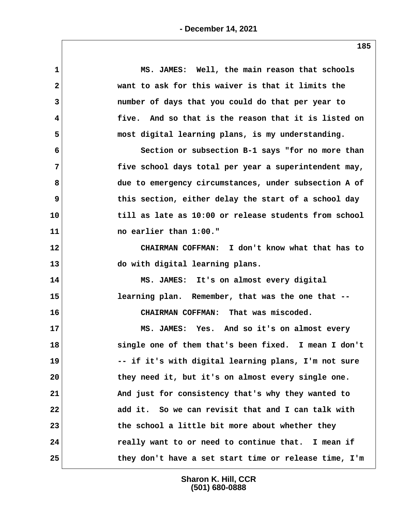| $\mathbf{1}$   | MS. JAMES: Well, the main reason that schools         |
|----------------|-------------------------------------------------------|
| 2              | want to ask for this waiver is that it limits the     |
| 3              | number of days that you could do that per year to     |
| 4              | five. And so that is the reason that it is listed on  |
| 5              | most digital learning plans, is my understanding.     |
| 6              | Section or subsection B-1 says "for no more than      |
| $\overline{7}$ | five school days total per year a superintendent may, |
| 8              | due to emergency circumstances, under subsection A of |
| 9              | this section, either delay the start of a school day  |
| 10             | till as late as 10:00 or release students from school |
| 11             | no earlier than 1:00."                                |
| 12             | CHAIRMAN COFFMAN: I don't know what that has to       |
| 13             | do with digital learning plans.                       |
| 14             | MS. JAMES: It's on almost every digital               |
| 15             | learning plan. Remember, that was the one that --     |
| 16             | CHAIRMAN COFFMAN: That was miscoded.                  |
| 17             | MS. JAMES: Yes. And so it's on almost every           |
| 18             | single one of them that's been fixed. I mean I don't  |
| 19             | -- if it's with digital learning plans, I'm not sure  |
| 20             | they need it, but it's on almost every single one.    |
| 21             | And just for consistency that's why they wanted to    |
| 22             | add it. So we can revisit that and I can talk with    |
| 23             | the school a little bit more about whether they       |
| 24             | really want to or need to continue that. I mean if    |
| 25             | they don't have a set start time or release time, I'm |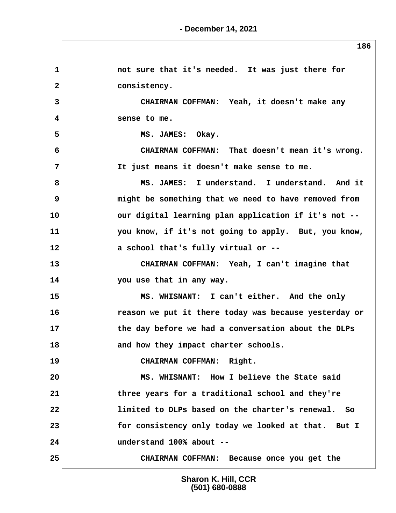1 **1** not sure that it's needed. It was just there for 2 **consistency. 3 CHAIRMAN COFFMAN: Yeah, it doesn't make any 4 sense to me.** 5 MS. JAMES: Okay.  **6 CHAIRMAN COFFMAN: That doesn't mean it's wrong. 7 It just means it doesn't make sense to me. 8 MS. JAMES: I understand. I understand. And it 9 might be something that we need to have removed from 10 our digital learning plan application if it's not -- 11 you know, if it's not going to apply. But, you know, 12 a school that's fully virtual or -- 13 CHAIRMAN COFFMAN: Yeah, I can't imagine that 14 you use that in any way. 15 MS. WHISNANT: I can't either. And the only 16 reason we put it there today was because yesterday or 17 the day before we had a conversation about the DLPs** 18 and how they impact charter schools. **19 CHAIRMAN COFFMAN: Right. 20 MS. WHISNANT: How I believe the State said 21 three years for a traditional school and they're 22 limited to DLPs based on the charter's renewal. So 23 for consistency only today we looked at that. But I 24 understand 100% about -- 25 CHAIRMAN COFFMAN: Because once you get the**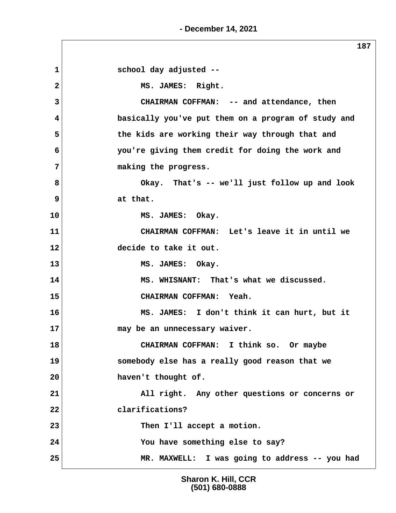**- December 14, 2021**

 **1 school day adjusted -- 2 MS. JAMES: Right. 3 CHAIRMAN COFFMAN: -- and attendance, then 4 basically you've put them on a program of study and 5 the kids are working their way through that and 6 you're giving them credit for doing the work and 7 making the progress. 8 Okay. That's -- we'll just follow up and look 9 at that. 10 MS. JAMES: Okay. 11 CHAIRMAN COFFMAN: Let's leave it in until we 12 decide to take it out. 13 MS. JAMES: Okay. 14 MS. WHISNANT: That's what we discussed. 15 CHAIRMAN COFFMAN: Yeah. 16 MS. JAMES: I don't think it can hurt, but it 17 may be an unnecessary waiver. 18 CHAIRMAN COFFMAN: I think so. Or maybe 19 somebody else has a really good reason that we 20 haven't thought of. 21 All right. Any other questions or concerns or 22 clarifications? 23 Then I'll accept a motion. 24 You have something else to say? 25 MR. MAXWELL: I was going to address -- you had**

> **Sharon K. Hill, CCR (501) 680-0888**

**187**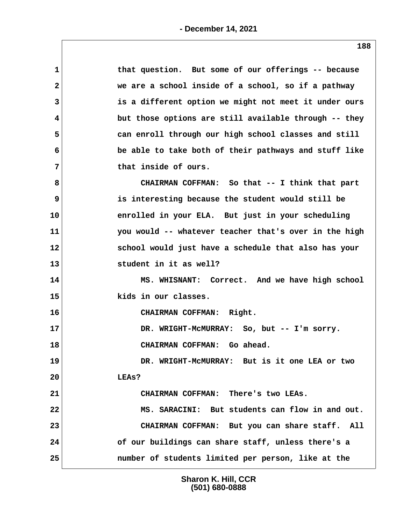| $\mathbf 1$    | that question. But some of our offerings -- because   |
|----------------|-------------------------------------------------------|
| $\mathbf{2}$   | we are a school inside of a school, so if a pathway   |
| 3              | is a different option we might not meet it under ours |
| 4              | but those options are still available through -- they |
| 5              | can enroll through our high school classes and still  |
| 6              | be able to take both of their pathways and stuff like |
| $7\phantom{.}$ | that inside of ours.                                  |
| 8              | CHAIRMAN COFFMAN: So that -- I think that part        |
| 9              | is interesting because the student would still be     |
| 10             | enrolled in your ELA. But just in your scheduling     |
| 11             | you would -- whatever teacher that's over in the high |
| 12             | school would just have a schedule that also has your  |
| 13             | student in it as well?                                |
| 14             | MS. WHISNANT: Correct. And we have high school        |
| 15             | kids in our classes.                                  |
| 16             | CHAIRMAN COFFMAN: Right.                              |
| 17             | DR. WRIGHT-MCMURRAY: So, but -- I'm sorry.            |
| 18             | CHAIRMAN COFFMAN: Go ahead.                           |
| 19             | DR. WRIGHT-MCMURRAY: But is it one LEA or two         |
| 20             | LEAs?                                                 |
| 21             | CHAIRMAN COFFMAN: There's two LEAs.                   |
| 22             | MS. SARACINI: But students can flow in and out.       |
| 23             | CHAIRMAN COFFMAN: But you can share staff. All        |
| 24             | of our buildings can share staff, unless there's a    |
| 25             | number of students limited per person, like at the    |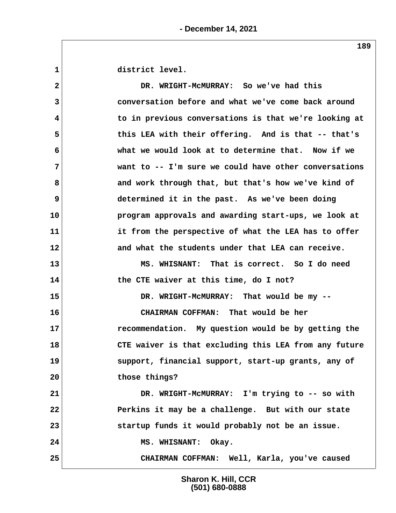1 district level.

 **2 DR. WRIGHT-McMURRAY: So we've had this 3 conversation before and what we've come back around 4 to in previous conversations is that we're looking at 5 this LEA with their offering. And is that -- that's 6 what we would look at to determine that. Now if we 7 want to -- I'm sure we could have other conversations 8 and work through that, but that's how we've kind of 9** determined it in the past. As we've been doing **10 program approvals and awarding start-ups, we look at 11 it from the perspective of what the LEA has to offer 12 and what the students under that LEA can receive. 13 MS. WHISNANT: That is correct. So I do need 14 the CTE waiver at this time, do I not? 15 DR. WRIGHT-McMURRAY: That would be my -- 16 CHAIRMAN COFFMAN: That would be her 17 recommendation. My question would be by getting the 18 CTE waiver is that excluding this LEA from any future 19 support, financial support, start-up grants, any of 20 those things? 21 DR. WRIGHT-McMURRAY: I'm trying to -- so with 22 Perkins it may be a challenge. But with our state 23 startup funds it would probably not be an issue.** 24 MS. WHISNANT: Okay. **25 CHAIRMAN COFFMAN: Well, Karla, you've caused**

> **Sharon K. Hill, CCR (501) 680-0888**

**189**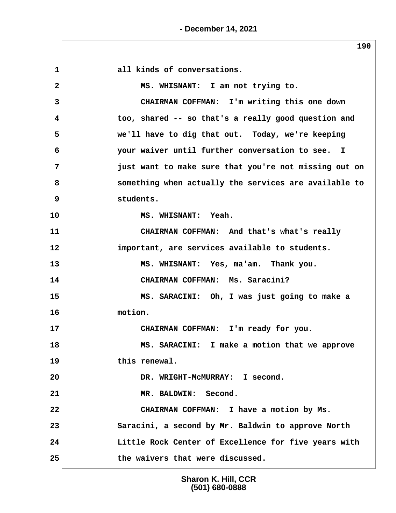1 all kinds of conversations.  **2 MS. WHISNANT: I am not trying to. 3 CHAIRMAN COFFMAN: I'm writing this one down 4 too, shared -- so that's a really good question and 5 we'll have to dig that out. Today, we're keeping 6 your waiver until further conversation to see. I 7 just want to make sure that you're not missing out on 8 something when actually the services are available to 9 students. 10 MS. WHISNANT: Yeah. 11 CHAIRMAN COFFMAN: And that's what's really 12 important, are services available to students. 13 MS. WHISNANT: Yes, ma'am. Thank you. 14 CHAIRMAN COFFMAN: Ms. Saracini? 15 MS. SARACINI: Oh, I was just going to make a 16 motion. 17 CHAIRMAN COFFMAN: I'm ready for you. 18 MS. SARACINI: I make a motion that we approve 19 this renewal. 20 DR. WRIGHT-McMURRAY: I second. 21 MR. BALDWIN: Second. 22 CHAIRMAN COFFMAN: I have a motion by Ms. 23 Saracini, a second by Mr. Baldwin to approve North 24 Little Rock Center of Excellence for five years with 25 the waivers that were discussed.**

> **Sharon K. Hill, CCR (501) 680-0888**

**190**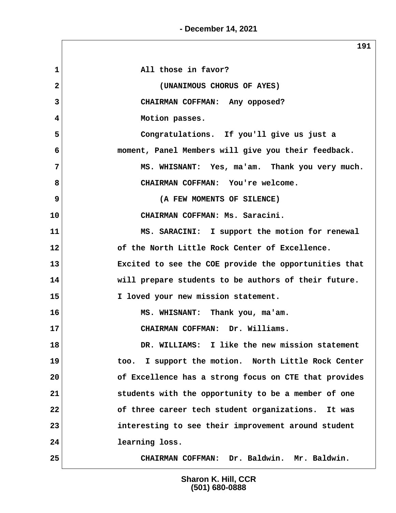**- December 14, 2021**

|                | 191                                                    |
|----------------|--------------------------------------------------------|
| $\mathbf 1$    | All those in favor?                                    |
| $\mathbf{2}$   | (UNANIMOUS CHORUS OF AYES)                             |
| 3              | CHAIRMAN COFFMAN: Any opposed?                         |
| 4              | Motion passes.                                         |
| 5              | Congratulations. If you'll give us just a              |
| 6              | moment, Panel Members will give you their feedback.    |
| 7              | MS. WHISNANT: Yes, ma'am. Thank you very much.         |
| 8              | CHAIRMAN COFFMAN: You're welcome.                      |
| $\overline{9}$ | (A FEW MOMENTS OF SILENCE)                             |
| 10             | CHAIRMAN COFFMAN: Ms. Saracini.                        |
| 11             | MS. SARACINI: I support the motion for renewal         |
| 12             | of the North Little Rock Center of Excellence.         |
| 13             | Excited to see the COE provide the opportunities that  |
| 14             | will prepare students to be authors of their future.   |
| 15             | I loved your new mission statement.                    |
| 16             | MS. WHISNANT: Thank you, ma'am.                        |
| 17             | Dr. Williams.<br>CHAIRMAN COFFMAN:                     |
| 18             | DR. WILLIAMS: I like the new mission statement         |
| 19             | I support the motion. North Little Rock Center<br>too. |
| 20             | of Excellence has a strong focus on CTE that provides  |
| 21             | students with the opportunity to be a member of one    |
| 22             | of three career tech student organizations. It was     |
| 23             | interesting to see their improvement around student    |
| 24             | learning loss.                                         |
| 25             | CHAIRMAN COFFMAN: Dr. Baldwin. Mr. Baldwin.            |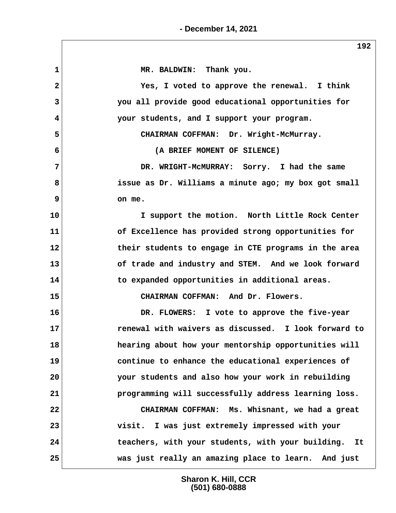| 1                       | MR. BALDWIN: Thank you.                              |
|-------------------------|------------------------------------------------------|
| $\overline{\mathbf{2}}$ | Yes, I voted to approve the renewal. I think         |
| 3                       | you all provide good educational opportunities for   |
| 4                       | your students, and I support your program.           |
| 5                       | CHAIRMAN COFFMAN: Dr. Wright-McMurray.               |
| 6                       | (A BRIEF MOMENT OF SILENCE)                          |
| 7                       | DR. WRIGHT-MCMURRAY: Sorry. I had the same           |
| 8                       | issue as Dr. Williams a minute ago; my box got small |
| 9                       | on me.                                               |
| 10                      | I support the motion. North Little Rock Center       |
| 11                      | of Excellence has provided strong opportunities for  |
| 12                      | their students to engage in CTE programs in the area |
| 13                      | of trade and industry and STEM. And we look forward  |
| 14                      | to expanded opportunities in additional areas.       |
| 15                      | CHAIRMAN COFFMAN: And Dr. Flowers.                   |
| 16                      | DR. FLOWERS: I vote to approve the five-year         |
| 17                      | renewal with waivers as discussed. I look forward to |
| 18                      | hearing about how your mentorship opportunities will |
| 19                      | continue to enhance the educational experiences of   |
| 20                      | your students and also how your work in rebuilding   |
| 21                      | programming will successfully address learning loss. |
| 22                      | CHAIRMAN COFFMAN: Ms. Whisnant, we had a great       |
| 23                      | visit. I was just extremely impressed with your      |
| 24                      | teachers, with your students, with your building. It |
| 25                      | was just really an amazing place to learn. And just  |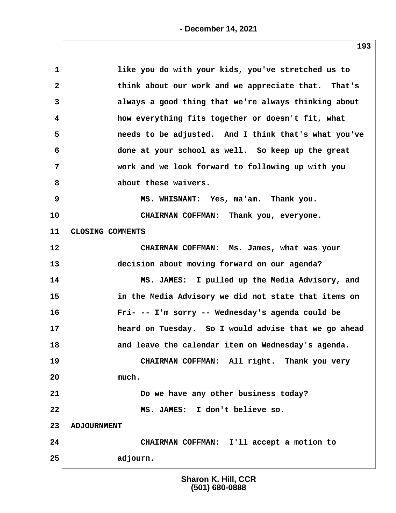| $\mathbf 1$             | like you do with your kids, you've stretched us to   |
|-------------------------|------------------------------------------------------|
| $\mathbf{2}$            | think about our work and we appreciate that. That's  |
| 3                       | always a good thing that we're always thinking about |
| $\overline{\mathbf{4}}$ | how everything fits together or doesn't fit, what    |
| 5                       | needs to be adjusted. And I think that's what you've |
| 6                       | done at your school as well. So keep up the great    |
| 7                       | work and we look forward to following up with you    |
| 8                       | about these waivers.                                 |
| 9                       | MS. WHISNANT: Yes, ma'am. Thank you.                 |
| 10                      | CHAIRMAN COFFMAN: Thank you, everyone.               |
| 11                      | CLOSING COMMENTS                                     |
| 12                      | CHAIRMAN COFFMAN: Ms. James, what was your           |
| 13                      | decision about moving forward on our agenda?         |
| 14                      | MS. JAMES: I pulled up the Media Advisory, and       |
| 15                      | in the Media Advisory we did not state that items on |
| 16                      | Fri- -- I'm sorry -- Wednesday's agenda could be     |
| 17                      | heard on Tuesday. So I would advise that we go ahead |
| 18                      | and leave the calendar item on Wednesday's agenda.   |
| 19                      | CHAIRMAN COFFMAN: All right. Thank you very          |
| 20                      | much.                                                |
| 21                      | Do we have any other business today?                 |
| 22                      | MS. JAMES: I don't believe so.                       |
| 23                      | <b>ADJOURNMENT</b>                                   |
| 24                      | CHAIRMAN COFFMAN: I'll accept a motion to            |
| 25                      | adjourn.                                             |
|                         |                                                      |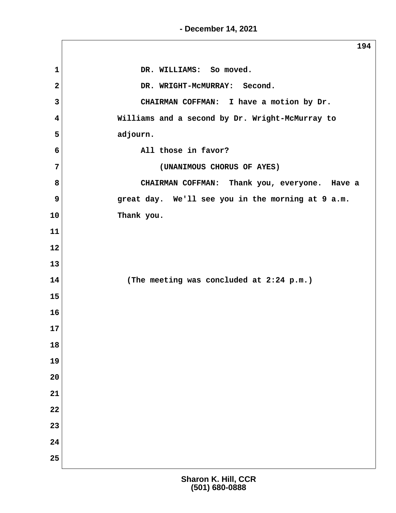**- December 14, 2021**

**194** 1 DR. WILLIAMS: So moved. 2 DR. WRIGHT-MCMURRAY: Second.  **3 CHAIRMAN COFFMAN: I have a motion by Dr. 4 Williams and a second by Dr. Wright-McMurray to 5 adjourn. 6 All those in favor? 7 (UNANIMOUS CHORUS OF AYES) 8 CHAIRMAN COFFMAN: Thank you, everyone. Have a 9 great day. We'll see you in the morning at 9 a.m. 10 Thank you. 11 12 13 14 (The meeting was concluded at 2:24 p.m.) 15 16 17 18 19 20 21 22 23 24 25**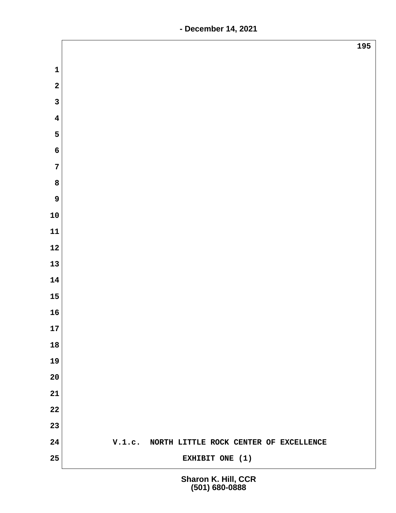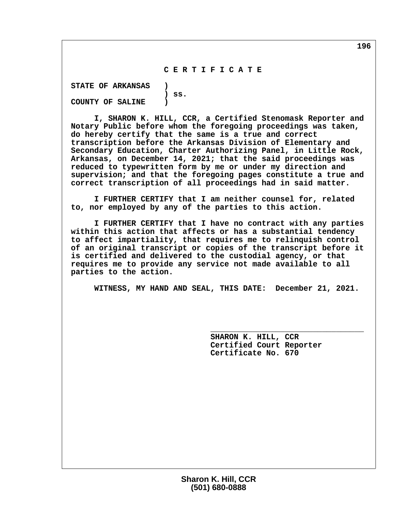## **C E R T I F I C A T E**

 **STATE OF ARKANSAS ) ) ss. COUNTY OF SALINE )**

 **I, SHARON K. HILL, CCR, a Certified Stenomask Reporter and Notary Public before whom the foregoing proceedings was taken, do hereby certify that the same is a true and correct transcription before the Arkansas Division of Elementary and Secondary Education, Charter Authorizing Panel, in Little Rock, Arkansas, on December 14, 2021; that the said proceedings was reduced to typewritten form by me or under my direction and supervision; and that the foregoing pages constitute a true and correct transcription of all proceedings had in said matter.**

 **I FURTHER CERTIFY that I am neither counsel for, related to, nor employed by any of the parties to this action.**

 **I FURTHER CERTIFY that I have no contract with any parties within this action that affects or has a substantial tendency to affect impartiality, that requires me to relinquish control of an original transcript or copies of the transcript before it is certified and delivered to the custodial agency, or that requires me to provide any service not made available to all parties to the action.**

 **WITNESS, MY HAND AND SEAL, THIS DATE: December 21, 2021.**

 **\_\_\_\_\_\_\_\_\_\_\_\_\_\_\_\_\_\_\_\_\_\_\_\_\_\_\_\_\_\_\_\_\_**

 **SHARON K. HILL, CCR Certified Court Reporter Certificate No. 670**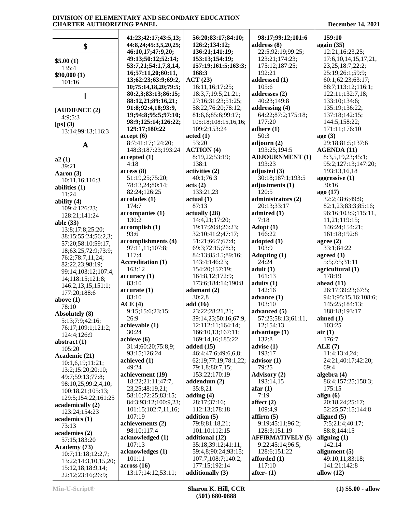|                                            | 41:23;42:17;43:5,13;                     | 56:20;83:17;84:10;                | 98:17;99:12;101:6          | 159:10                                     |
|--------------------------------------------|------------------------------------------|-----------------------------------|----------------------------|--------------------------------------------|
| \$                                         | 44:8,24;45:3,5,20,25;                    | 126:2;134:12;                     | address $(8)$              | again $(35)$                               |
|                                            | 46:10,17;47:9,20;                        | 136:21;141:19;                    | 22:5;92:19;99:25;          | 12:21;16:23,25;                            |
|                                            | 49:13;50:12;52:14;                       | 153:13;154:19;                    | 123:21;174:23;             | 17:6, 10, 14, 15, 17, 21,                  |
| \$5.00(1)<br>135:4                         | 53:7,21;54:1,7,8,14,                     | 157:19;161:5;163:3;               | 175:12;187:25;             | 23, 25; 18: 7; 22: 2;                      |
| \$90,000(1)                                | 16;57:11,20;60:11,                       | 168:3                             | 192:21                     | 25:19;26:1;59:9;                           |
| 101:16                                     | 13;62:23;63:9;69:2,                      | ACT (23)                          | addressed (1)              | 60:1;62:23;63:17;                          |
|                                            | 10;75:14,18,20;79:5;                     | 16:11,16;17:25;                   | 105:6                      | 88:7;113:12;116:1;                         |
|                                            | 80:2,3;83:13;86:15;                      | 18:3,7;19:5;21:21;                | addresses (2)              | 122:11;132:7,18;                           |
|                                            | 88:12,21;89:16,21;                       | 27:16;31:23;51:25;                | 40:23:149:8                | 133:10;134:6;                              |
| [ADIIENCE (2)]                             | 91:8;92:4,18;93:9,                       | 58:22;76:20;78:12;                | addressing (4)             | 135:19;136:22;                             |
| 4:9:5:3                                    | 19;94:8;95:5;97:10;                      | 81:6,6;85:6;99:17;                | 64:22;87:2;175:18;         | 137:18;142:15;                             |
| [ps](3)                                    | 98:9;125:14;126:22;                      | 105:18;108:15,16,16;              | 177:20                     | 144:5;158:22;                              |
| 13:14;99:13;116:3                          | 129:17;180:22                            | 109:2;153:24                      | adhere $(1)$               | 171:11;176:10                              |
|                                            | accept(6)                                | $\boldsymbol{\mathrm{acted}}$ (1) | 50:3                       | age(3)                                     |
| $\mathbf A$                                | 8:7;41:17;124:20;                        | 53:20                             | adjourn (2)                | 29:18;81:5;137:6                           |
|                                            | 148:3;187:23;193:24                      | <b>ACTION</b> (4)                 | 193:25;194:5               | <b>AGENDA (11)</b>                         |
| a2(1)                                      | accepted(1)                              | 8:19,22;53:19;                    | <b>ADJOURNMENT (1)</b>     | 8:3,5,19,23;45:1;                          |
| 39:21                                      | 4:18                                     | 138:1                             | 193:23                     | 95:2;127:13;147:20;                        |
| Aaron (3)                                  | access(8)                                | activities (2)                    | adjusted $(3)$             | 193:13,16,18                               |
| 10:11,16;116:3                             | 51:19,25;75:20;                          | 40:1:76:3                         | 30:18;187:1;193:5          | aggressive (1)                             |
| abilities $(1)$                            | 78:13,24;80:14;                          | acts (2)                          | adjustments (1)            | 30:16                                      |
| 11:24                                      | 82:24;126:25                             | 133:21,23                         | 120:5                      | ago (17)                                   |
| ability (4)                                | accolades(1)<br>174:7                    | actual(1)<br>87:13                | administrators (2)         | 32:2;48:6;49:9;                            |
| 109:4;126:23;                              | accompanies (1)                          | actually (28)                     | 20:13;33:17<br>admired (1) | 82:1,23;83:3;85:16;<br>96:16;103:9;115:11, |
| 128:21;141:24                              | 130:2                                    | 14:4,21;17:20;                    | 7:18                       | 11,21;119:15;                              |
| able $(33)$                                | accomplish(1)                            | 19:17;20:8;26:23;                 | Adopt (1)                  | 146:24;154:21;                             |
| 13:8;17:8;25:20;                           | 93:6                                     | 32:10;41:2;47:17;                 | 166:22                     | 161:18;192:8                               |
| 38:15;55:24;56:2,3;                        | accomplishments (4)                      | 51:21;66:7;67:4;                  | adopted $(1)$              | agree $(2)$                                |
| 57:20;58:10;59:17,                         | 97:11,11;107:8;                          | 69:3;72:15;78:3;                  | 103:9                      | 33:1;84:22                                 |
| 18;63:25;72:9;73:9;                        | 117:4                                    | 84:13;85:15;89:16;                | Adopting (1)               | agreed $(3)$                               |
| 76:2;78:7,11,24;                           | <b>Accreditation (1)</b>                 | 143:4;146:23;                     | 24:24                      | 5:5;7:5;31:11                              |
| 82:22,23;98:19;                            | 163:12                                   | 154:20;157:19;                    | adult(1)                   | agricultural (1)                           |
| 99:14;103:12;107:4,<br>14;118:15;121:8;    | accuracy(1)                              | 164:8,12;172:9;                   | 161:13                     | 178:19                                     |
| 146:2,13,15;151:1;                         | 83:10                                    | 173:6;184:14;190:8                | adults $(1)$               | ahead $(11)$                               |
| 177:20;188:6                               | accurate(1)                              | adamant (2)                       | 142:16                     | 26:17;39:23;67:5;                          |
| above $(1)$                                | 83:10                                    | 30:2,8                            | advance (1)                | 94:1;95:15,16;108:6;                       |
| 78:10                                      | ACE(4)                                   | add (16)                          | 103:10                     | 145:25;184:13;                             |
| Absolutely (8)                             | 9:15:15:6:23:15;                         | 23:22;28:21,21;                   | advanced (5)               | 188:18;193:17                              |
| 5:13;7:9;42:16;                            | 26:9                                     | 39:14,23;50:16;67:9,              | 57:25;58:13;61:11,         | aimed $(1)$                                |
| 76:17;109:1;121:2;                         | achievable (1)                           | 12;112:11;164:14;                 | 12;154:13                  | 103:25                                     |
| 124:4;126:9                                | 30:24                                    | 166:10,13;167:11;                 | advantage $(1)$            | air(1)                                     |
| abstract $(1)$                             | achieve (6)                              | 169:14,16;185:22                  | 132:8                      | 176:7                                      |
| 105:20                                     | 31:4;60:20;75:8,9;                       | added $(15)$                      | advise $(1)$               | ALE(7)                                     |
| Academic (21)                              | 93:15;126:24                             | 46:4;47:6;49:6,6,8;               | 193:17                     | 11:4;13:4,24;                              |
| 10:1,6,19;11:21;                           | achieved (1)                             | 62:19;77:19;78:1,22;              | advisor $(1)$              | 24:21;40:17;42:20;                         |
| 13:2;15:20;20:10;                          | 49:24                                    | 79:1,8;80:7,15;                   | 79:25                      | 69:4                                       |
| 49:7;59:13;77:8;                           | achievement (19)                         | 153:22;170:19<br>addendum (2)     | <b>Advisory (2)</b>        | algebra (4)                                |
| 98:10,25;99:2,4,10;                        | 18:22;21:11;47:7,<br>23, 25; 48: 19, 21; | 35:8,21                           | 193:14,15<br>afar $(1)$    | 86:4;157:25;158:3;<br>175:15               |
| 100:18,21;105:13;                          | 58:16;72:25;83:15;                       | adding $(4)$                      | 7:19                       | align $(6)$                                |
| 129:5;154:22;161:25                        | 84:3;93:12;100:9,23;                     | 28:17;37:16;                      | affect $(2)$               | 20:18,24;25:17;                            |
| academically (2)                           | 101:15;102:7,11,16;                      | 112:13;178:18                     | 109:4,9                    | 52:25;57:15;144:8                          |
| 123:24;154:23                              | 107:19                                   | addition $(5)$                    | affirm $(5)$               | aligned $(5)$                              |
| academics (1)                              | achievements (2)                         | 79:8;81:18,21;                    | 9:19;45:11;96:2;           | 7:5;21:4;40:17;                            |
| 73:13                                      | 98:10;117:4                              | 101:10;112:15                     | 128:3;151:19               | 88:8;144:15                                |
| academies (2)                              | acknowledged (1)                         | additional (12)                   | <b>AFFIRMATIVELY (5)</b>   | aligning $(1)$                             |
| 57:15;183:20                               | 107:13                                   | 35:18;39:12;41:11;                | 9:22;45:14;96:5;           | 142:14                                     |
| Academy (73)                               | acknowledges (1)                         | 59:4,8;90:24;93:15;               | 128:6;151:22               | alignment $(5)$                            |
| 10:7;11:18;12:2,7;<br>13:22;14:3,10,15,20; | 101:11                                   | 107:7;108:7;140:2;                | afforded (1)               | 49:10,11;83:18;                            |
| 15:12,18:18:9,14;                          | across(16)                               | 177:15;192:14                     | 117:10                     | 141:21;142:8                               |
| 22:12;23:16;26:9;                          | 13:17;14:12;53:11;                       | additionally (3)                  | after- $(1)$               | allow $(12)$                               |
|                                            |                                          |                                   |                            |                                            |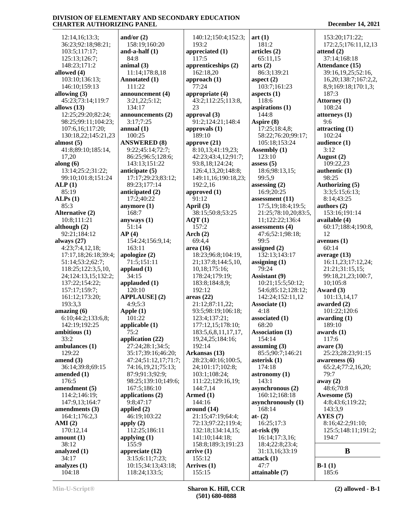12:14,16;13:3; 36:23;92:18;98:21; 103:5;117:17; 125:13;126:7; 148:23;171:2 **allowed (4)** 103:10;136:13; 146:10;159:13 **allowing (3)** 45:23;73:14;119:7 **allows (13)** 12:25;29:20;82:24; 98:25;99:11;104:23; 107:6,16;117:20; 130:18,22;145:21,23 **almost (5)** 41:8;89:10;185:14, 17,20 **along (6)** 13:14;25:2;31:22; 99:10;101:8;151:24 **ALP (1)** 85:19 **ALPs (1)** 85:3 **Alternative (2)** 10:8;111:21 **although (2)** 92:21;184:12 **always (27)** 4:23;7:4,12,18; 17:17,18;26:18;39:4; 51:14;53:2;62:7; 118:25;122:3,5,10, 24;124:13,15;132:2; 137:22;154:22; 157:17;159:7; 161:12;173:20; 193:3,3 **amazing (6)** 6:10;44:2;133:6,8; 142:19;192:25 **ambitious (1)** 33:2 **ambulances (1)** 129:22 **amend (3)** 36:14;39:8;69:15 **amended (1)** 176:5 **amendment (5)** 114:2;146:19; 147:9,13;164:7 **amendments (3)** 164:1;176:2,3 **AMI (2)** 170:12,14 **amount (1)** 38:12 **analyzed (1)** 34:17 **analyzes (1)** 104:18

**and/or (2)** 158:19;160:20 **and-a-half (1)** 84:8 **animal (3)** 11:14;178:8,18 **Annotated (1)** 111:22 **announcement (4)** 3:21,22;5:12; 134:17 **announcements (2)** 3:17;7:25 **annual (1)** 100:25 **ANSWERED (8)** 9:22;45:14;72:7; 86:25;96:5;128:6; 143:13;151:22 **anticipate (5)** 17:17;29:23;83:12; 89:23;177:14 **anticipated (2)** 17:2;40:22 **anymore (1)** 168:7 **anyways (1)** 51:14 **AP (4)** 154:24;156:9,14; 163:11 **apologize (2)** 71:5;151:11 **applaud (1)** 34:15 **applauded (1)** 120:10 **APPLAUSE] (2)** 4:9;5:3 **Apple (1)** 101:22 **applicable (1)** 75:2 **application (22)** 27:24;28:1;34:5; 35:17;39:16;46:20; 47:24;51:12,17;71:7; 74:16,19,21;75:13; 87:9;91:3;92:9; 98:25;139:10;149:6; 167:5;186:10 **applications (2)** 9:8;47:17 **applied (2)** 46:19;103:22 **apply (2)** 112:25;186:11 **applying (1)** 155:9 **appreciate (12)** 3:15;6:11;7:23; 10:15;34:13;43:18; 118:24;133:5;

 140:12;150:4;152:3; 193:2 **appreciated (1)** 117:5 **apprenticeships (2)** 162:18,20 **approach (1)** 77:24 **appropriate (4)** 43:2;112:25;113:8, 23 **approval (3)** 91:2;124:21;148:4 **approvals (1)** 189:10 **approve (21)** 8:10,13;41:19,23; 42:23;43:4,12;91:7; 93:8,18;124:24; 126:4,13,20;148:8; 149:11,16;190:18,23; 192:2,16 **approved (1)** 91:12 **April (3)** 38:15;50:8;53:25 **AQT (1)** 157:2 **Arch (2)** 69:4,4 **area (16)** 18:23;96:8;104:19, 21;137:8;144:5,10, 10,18;175:16; 178:24;179:19; 183:8;184:8,9; 192:12 **areas (22)** 21:12;87:11,22; 93:5;98:19;106:18; 123:4;137:21; 177:12,15;178:10; 183:5,6,8,11,17,17, 19,24,25;184:16; 192:14 **Arkansas (13)** 28:23;40:16;100:5, 24;101:17;102:8; 103:1;108:24; 111:22;129:16,19; 144:7,14 **Armed (1)** 144:16 **around (14)** 21:15;47:19;64:4; 72:13;97:22;119:4; 132:18;134:14,15; 141:10;144:18; 158:8;189:3;191:23 **arrive (1)** 155:12 **Arrives (1)** 155:15

**art (1)** 181:2 **articles (2)** 65:11,15 **arts (2)** 86:3;139:21 **aspect (2)** 103:7;161:23 **aspects (1)** 118:6 **aspirations (1)** 144:8 **Aspire (8)** 17:25;18:4,8; 58:22;76:20;99:17; 105:18;153:24 **Assembly (1)** 123:10 **assess (5)** 18:6;98:13,15; 99:5,9 **assessing (2)** 16:9;20:25 **assessment (11)** 17:5,19;18:4;19:5; 21:25;78:10,20;83:5, 11;122:22;136:4 **assessments (4)** 47:6;52:1;98:18; 99:5 **assigned (2)** 132:13;143:17 **assigning (1)** 79:24 **Assistant (9)** 10:21;15:5;50:12; 54:6;85:12;128:12; 142:24;152:11,12 **Associate (1)** 4:18 **associated (1)** 68:20 **Association (1)** 154:14 **assuming (3)** 85:5;90:7;146:21 **asterisk (1)** 174:18 **astronomy (1)** 143:1 **asynchronous (2)** 160:12;168:18 **asynchronously (1)** 168:14 **at- (2)** 16:25;17:3 **at-risk (9)** 16:14;17:3,16; 18:4;22:8;23:4; 31:13,16;33:19 **attack (1)** 47:7 **attainable (7)**

 153:20;171:22; 172:2,5;176:11,12,13 **attend (2)** 37:14;168:18 **Attendance (15)** 39:16,19,25;52:16, 16,20;138:7;167:2,2, 8,9;169:18;170:1,3; 187:3 **Attorney (1)** 108:24 **attorneys (1)** 9:6 **attracting (1)** 102:24 **audience (1)** 3:12 **August (2)** 109:22,23 **authentic (1)** 98:25 **Authorizing (5)** 3:3;5:15;6:13; 8:14;43:25 **authors (2)** 153:16;191:14 **available (4)** 60:17;188:4;190:8, 12 **avenues (1)** 60:14 **average (13)** 16:11,23;17:12,24; 21:21;31:15,15; 99:18,21,23;100:7, 10;105:8 **Award (3)** 101:13,14,17 **awarded (2)** 101:22;120:6 **awarding (1)** 189:10 **awards (1)** 117:6 **aware (3)** 25:23;28:23;91:15 **awareness (6)** 65:2,4;77:2,16,20; 79:7 **away (2)** 48:6;70:8 **Awesome (5)** 4:8;43:6;119:22; 143:3,9 **AYES (7)** 8:16;42:2;91:10; 125:5;148:11;191:2; 194:7 **B B-1 (1)** 185:6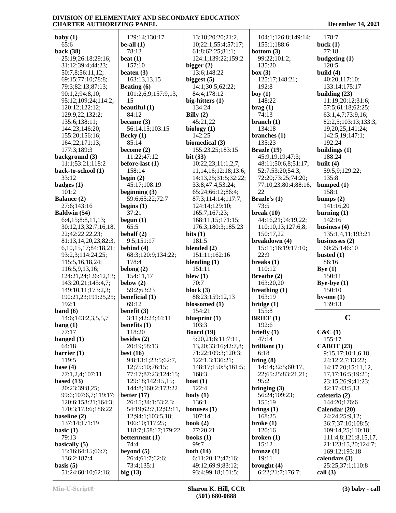15

**baby (1)** 65:6 **back (38)** 25:19;26:18;29:16; 31:12;39:4;44:23; 50:7,8;56:11,12; 69:15;77:10;78:8; 79:3;82:13;87:13; 90:1,2;94:8,10; 95:12;109:24;114:2; 120:12;122:12; 129:9,22;132:2; 135:6;138:11; 144:23;146:20; 155:20;156:16; 164:22;171:13; 177:3;189:3 **background (3)** 11:1;53:21;118:2 **back-to-school (1)** 33:12 **badges (1)** 101:2 **Balance (2)** 27:6;143:16 **Baldwin (54)** 6:4,15;8:8,11,13; 30:12,13;32:7,16,18, 22;42:22,22,23; 81:13,14,20,23;82:3, 6,10,15,17;84:18,21; 93:2,3;114:24,25; 115:5,16,18,24; 116:5,9,13,16; 124:21,24;126:12,13; 143:20,21;145:4,7; 149:10,11;173:2,3; 190:21,23;191:25,25; 192:1 **band (6)** 14:6;143:2,3,5,5,7 **bang (1)** 77:17 **banged (1)** 64:18 **barrier (1)** 119:5 **base (4)** 77:1,2,4;107:11 **based (13)** 20:23;39:8,25; 99:6;107:6,7;119:17; 120:6;158:21;164:3; 170:3;173:6;186:22 **baseline (2)** 137:14;171:19 **basic (1)** 79:13 **basically (5)** 15:16;64:15;66:7; 136:2;187:4 **basis (5)** 51:24;60:10;62:16;

 129:14;130:17 **be-all (1)** 78:13 **beat (1)** 157:10 **beaten (3)** 163:13,13,15 **Beating (6)** 101:2,6,9;157:9,13, **beautiful (1)** 84:12 **became (3)** 56:14,15;103:15 **Becky (1)** 85:14 **become (2)** 11:22;47:12 **before-last (1)** 158:14 **begin (2)** 45:17;108:19 **beginning (3)** 59:6;65:22;72:7 **begins (1)** 37:21 **begun (1)** 65:5 **behalf (2)** 9:5;151:17 **behind (4)** 68:3;120:9;134:22; 178:4 **belong (2)** 154:11,17 **below (2)** 59:2;63:23 **beneficial (1)** 69:12 **benefit (3)** 3:11;42:24;44:11 **benefits (1)** 118:20 **besides (2)** 20:19;58:13 **best (16)** 9:8;13:1;23:5;62:7, 12;75:10;76:15; 77:17;87:23;124:15; 129:18;142:15,15; 144:8;160:2;173:22 **better (17)** 26:15;34:1;53:2,3; 54:19;62:7,12;92:11, 12;94:1;103:5,18; 106:10;117:25; 118:7;158:17;179:22 **betterment (1)** 74:4 **beyond (5)** 26:4;61:7;62:6; 73:4;135:1 **big (13) bigger (2)** 13:6;148:22 **biggest (5)** 84:4;178:12 **big-hitters (1)** 134:24 **Billy (2)** 45:21,22 **biology (1)** 142:25 **biomedical (3) bit (33) bits (1)** 181:5 **blended (2) blending (1)** 151:11 **blew (1)** 70:7 **block (3) blossomed (1)** 154:21 **blueprint (1)** 103:3 **Board (19)** 168:3 **boat (1)** 122:4 **body (1)** 136:1 **bonuses (1)** 107:14 **book (2)** 77:20,21 **books (1)** 99:7 **both (14)**

 13:18;20:20;21:2, 10;22:1;55:4;57:17; 61:8;62:25;81:1; 124:1;139:22;159:2 14:1;30:5;62:22; 155:23,25;183:15 10:22,23;11:1,2,7, 11,14,16;12:18;13:6; 14:13,25;31:5;32:22; 33:8;47:4;53:24; 65:24;66:12;86:4; 87:3;114:14;117:7; 124:14;129:10; 165:7;167:23; 168:11,15;171:15; 176:3;180:3;185:23 151:11;162:16 88:23;159:12,13 5:20,21;6:11;7:11, 13,20;33:16;42:7,8; 71:22;109:3;120:3; 122:1,3;136:21; 148:17;150:5;161:5; 6:11;20:12;47:16; 49:12;69:9;83:12; 93:4;99:18;101:5; 104:1;126:8;149:14; 155:1;188:6 **bottom (3)** 99:22;101:2; 135:20 **box (3)** 125:17;148:21; 192:8 **boy (1)** 148:22 **brag (1)** 74:13 **branch (1)** 134:18 **branches (1)** 135:23 **Brazle (19)** 45:9,19,19;47:3; 48:11;50:6,8;51:17; 52:7;53:20;54:3; 72:20;73:25;74:20; 77:10,23;80:4;88:16, 22 **Brazle's (1)** 73:5 **break (10)** 44:16,21;94:19,22; 110:10,13;127:6,8; 150:17,22 **breakdown (4)** 15:11;16:19;17:10; 22:9 **breaks (1)** 110:12 **Breathe (2)** 163:20,20 **breathing (1)** 163:19 **bridge (1)** 155:8 **BRIEF (1)** 192:6 **briefly (1)** 47:14 **brilliant (1)** 6:18 **bring (8)** 14:14;32:5;60:17, 22;65:25;83:21,21; 95:2 **bringing (3)** 56:24;109:23; 155:19 **brings (1)** 168:25 **broke (1)** 120:16 **broken (1)** 15:12 **bronze (1)** 19:11 **brought (4)** 6:22;21:7;176:7;

| 178:7                                     |
|-------------------------------------------|
| buck $(1)$                                |
| 77:18                                     |
| budgeting (1)<br>120:5                    |
| build $(4)$                               |
| 40:20;117:10;                             |
| 133:14;175:17                             |
| building $(23)$                           |
| 11:19;20:12;31:6;<br>57:5;61:18;62:25;    |
| 63:1,4,7;73:9,16;                         |
| 82:2,5;103:13;133:3,                      |
| 19,20,25;141:24;                          |
| 142:5,19;147:1;                           |
| 192:24<br>buildings (1)                   |
| 188:24                                    |
| built $(4)$                               |
| 59:5,9;129:22;                            |
| 135:8                                     |
| bumped $(1)$<br>158:1                     |
| bumps $(2)$                               |
| 141:16,20                                 |
| burning $(1)$                             |
| 142:16                                    |
| business $(4)$                            |
| 135:1,4,11;193:21<br>businesses (2)       |
| 60:25;146:10                              |
| busted $(1)$                              |
| 86:16                                     |
| Bye(1)<br>150:11                          |
| Bye-bye $(1)$                             |
| 150:10                                    |
| by-one $(1)$                              |
| 139:13                                    |
| c                                         |
|                                           |
| C&C(1)                                    |
| 155:17                                    |
| <b>CABOT</b> (23)<br>9:15,17;10:1,6,18,   |
| 24;12:2,7;13:22;                          |
| 14:17,20;15:11,12,                        |
| 17,17;16:5;19:25;                         |
| 23:15;26:9;41:23;                         |
| 42:17;43:5,13<br>cafeteria (2)            |
| 144:20;176:6                              |
| Calendar (20)                             |
| 24:24;25:9,12;                            |
| 36:7;37:10;108:5;                         |
| 109:14,25;110:18;<br>111:4,8;121:8,15,17, |
| 21;123:15,20;124:7;                       |
| 169:12;193:18                             |
| calendars (3)                             |
| 25:25;37:1;110:8                          |
| call $(3)$                                |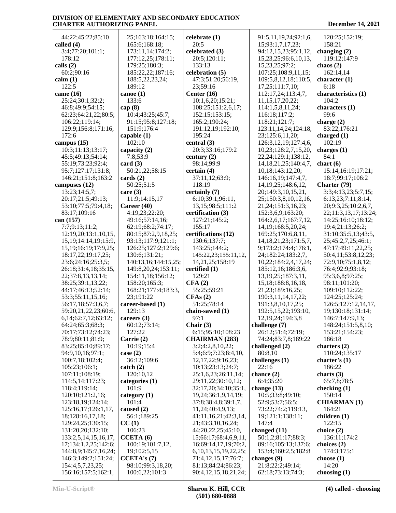| 44:22;45:22;85:10          | 25;163:18;164:15;    | celebrate (1)              | 91:5,11,19,24;92:1,6,      | 120:25;152:19;       |
|----------------------------|----------------------|----------------------------|----------------------------|----------------------|
| called $(4)$               | 165:6;168:18;        | 20:5                       | 15;93:1,7,17,23;           | 158:21               |
| 3:4;77:20;101:1;           | 173:11,14;174:2;     | celebrated (3)             | 94:12,15,23;95:1,12,       | changing $(2)$       |
| 178:12                     | 177:12,25;178:11;    | 20:5;120:11;               | 15,23,25;96:6,10,13,       | 119:12;147:9         |
| calls $(2)$                | 179:25;180:3;        | 133:13                     | 15,23,25;97:2;             | chaos $(2)$          |
| 60:2;90:16                 | 185:22,22;187:16;    | celebration (5)            | 107:25;108:9,11,15;        | 162:14,14            |
| calm(1)                    | 188:5,22,23,24;      | 47:3;51:20;56:19,          | 109:5,8,12,18;110:5,       | character $(1)$      |
| 122:5                      | 189:12               | 23;59:16                   | 17,25;111;7,10;            | 6:18                 |
|                            |                      |                            |                            |                      |
| came $(16)$                | canoe $(1)$          | Center $(16)$              | 112:17,24;113:4,7,         | characteristics (1)  |
| 25:24;30:1;32:2;           | 133:6                | 10:1,6,20;15:21;           | 11, 15, 17, 20, 22;        | 104:2                |
| 46:8;49:9;54:15;           | cap $(8)$            | 108:25;151:2,6,17;         | 114:1,5,8,11,24;           | characters (1)       |
| 62:23;64:21,22;80:5;       | 10:4;43:25;45:7;     | 152:15;153:15;             | 116:18;117:2;              | 99:6                 |
| 106:22;119:14;             | 91:15;95:8;127:18;   | 165:2;190:24;              | 118:21;121:7;              | charge $(2)$         |
| 129:9;156:8;171:16;        | 151:9;176:4          | 191:12,19;192:10;          | 123:11,14,24;124:18,       | 83:22;176:21         |
| 172:6                      | capable $(1)$        | 195:24                     | 23;125:6,11,20;            | charged $(1)$        |
| campus (15)                | 102:10               | central (3)                | 126:3, 12, 19; 127: 4, 6,  | 102:19               |
| 10:3;11:13;13:17;          | capacity (2)         | 20:3;33:16;179:2           | 10,23;128:2,7,15,20,       | charges $(1)$        |
| 45:5;49:13;54:14;          | 7:8:53:9             | century $(2)$              | 22, 24; 129: 1; 138: 12,   | 84:1                 |
| 55:19;73:23;92:4;          | card(3)              | 98:14:99:9                 | 14, 18, 21, 25; 140: 4, 7, | chart(6)             |
| 95:7;127:17;131:8;         | 50:21,22;58:15       | certain(4)                 | 10,18;143:12,20;           | 15:14;16:19;17:21;   |
| 146:21;151:8;163:2         | cards $(2)$          | 37:11,12;63:9;             | 146:16,19;147:4,7,         | 18:7;99:17;106:2     |
| campuses (12)              | 50:25;51:5           | 118:19                     | 14, 19, 25; 148: 6, 12,    | Charter (79)         |
| 13:23;14:5,7;              | care $(3)$           | certainly (7)              | 20;149:3,10,15,21,         | 3:3;4:13,23;5:7,15;  |
| 20:17;21:5;49:13;          | 11:9;14:15,17        | 6:10;39:1;96:11,           | 25;150:3,8,10,12,16,       | 6:13,23;7:11;8:14,   |
| 53:10;77:5;79:4,18;        | Career (40)          | 13,15;98:5;111:2           | 21, 24; 151: 3, 16, 23;    | 20;9:3,25;10:2,6,7,  |
|                            | 4:19,23;22:20;       |                            |                            | 22;11:3,13,17;13:24; |
| 83:17;109:16               |                      | certification (3)          | 152:3,6,9;163:20;          |                      |
| can (157)                  | 49:16;57:14,16;      | 127:21;145:2;              | 164:2,6,17;167:7,12,       | 14:25;16:10;18:12;   |
| 7:7;9:13;11:2;             | 62:19;68:2;74:17;    | 155:17                     | 14, 19; 168: 5, 20, 24;    | 19:4;21:13;26:2;     |
| 12:19,20;13:1,10,15,       | 80:15;87:2,9,18,25;  | certifications (12)        | 169:25;170:6,8,11,         | 31:10;35:5,13;43:5,  |
| 15, 19; 14: 14, 19; 15: 9, | 93:13;117:9;121:1;   | 130:6;137:7;               | 14, 18, 21, 23; 171: 5, 7, | 25;45:2,7,25;46:1;   |
| 15, 19; 16: 19; 17: 9, 25; | 126:25;127:2;129:6;  | 143:25;144:2;              | 9;173:2;174:4;176:1,       | 47:17;49:11,22,25;   |
| 18:17,22;19:17,25;         | 130:6;131:21;        | 145:22,23;155:11,12,       | 24;182:24;183:2,7,         | 50:4,11;53:8,12,23;  |
| 23:6;24:16;25:3,5;         | 140:13,16;144:15,25; | 14,21,25;158:19            | 10,22;184:2,4,17,24;       | 72:9,10;75:1,8,12;   |
| 26:18;31:4,18;35:15,       | 149:8,20,24;153:11;  | certified (1)              | 185:12,16;186:3,6,         | 76:4;92:9;93:18;     |
| 22;37:8,13,13,14;          | 154:11,18;156:12;    | 129:21                     | 13, 19, 25; 187: 3, 11,    | 95:3,6,8;97:25;      |
| 38:25;39:1,13,22;          | 158:20;165:3;        | CFA(2)                     | 15, 18; 188: 8, 16, 18,    | 98:11;101:20;        |
| 44:17;46:13;52:14;         | 168:21;177:4;183:3,  | 55:25;59:21                | 21, 23; 189: 16, 25;       | 109:10;112:22;       |
| 53:3;55:11,15,16;          | 23;191:22            | CFAs(2)                    | 190:3,11,14,17,22;         | 124:25;125:24;       |
| 56:17,18;57:3,6,7;         | career-based (1)     | 51:25;78:14                | 191:3,8,10,17,25;          | 126:5;127:12,14,17,  |
| 59:20,21,22,23;60:6,       | 129:13               | chain-sawed (1)            | 192:5, 15, 22; 193: 10,    | 19;130:18;131:14;    |
| 6,14;62:7,12;63:12;        | careers $(3)$        | 97:1                       | 12, 19, 24; 194: 3, 8      | 146:7;147:9,13;      |
| 64:24;65:3;68:3;           | 60:12;73:14;         | Chair $(3)$                | challenge (7)              | 148:24;151:5,8,10;   |
| 70:17;73:12;74:23;         | 127:22               | 6:15;95:10;108:23          | 26:12;51:4;72:19;          | 153:21;154:23;       |
|                            |                      |                            |                            |                      |
| 78:9;80:11;81:9;           | Carrie (2)           | <b>CHAIRMAN (283)</b>      | 74:24;83:7,8;189:22        | 186:18               |
| 83:25;85:10;89:17;         | 10:19;15:4           | 3:2;4:2,8,10,22;           | challenged (2)             | charters $(2)$       |
| 94:9,10,16;97:1;           | case $(2)$           | 5:4;6:9;7:23;8:4,10,       | 80:8,10                    | 110:24;135:17        |
| 100:7,18;102:4;            | 36:12;109:6          | 12, 17, 22; 9: 16, 23;     | challenges (1)             | charter's $(1)$      |
| 105:23;106:1;              | $\text{catch} (2)$   | 10:13;23:13;24:7;          | 22:16                      | 186:22               |
| 107:11;108:19;             | 120:10,12            | 25:1,6,23;26:11,14;        | chance $(2)$               | charts $(3)$         |
| 114:5,14;117:23;           | categories (1)       | 29:11,22;30:10,12;         | 6:4;35:20                  | 65:7,8;78:5          |
| 118:4;119:14;              | 101:9                | 32:17,20;34:10;35:1,       | change $(13)$              | checking $(1)$       |
| 120:10;121:2,16;           | category $(1)$       | 19,24;36:1,9,14,19;        | 10:5;33:8;49:10;           | 150:14               |
| 123:18,19;124:14;          | 101:4                | 37:8;38:4,8;39:1,7,        | 52:9;53:7;56:5;            | <b>CHIARMAN</b> (1)  |
| 125:16,17;126:1,17,        | caused (2)           | 11,24;40:4,9,13;           | 73:22;74:2;119:13,         | 164:21               |
| 18;128:16,17,18;           | 56:1;189:25          | 41:11,16,21;42:3,14,       | 19;121:1;138:11;           | children (1)         |
| 129:24,25;130:15;          | CC(1)                | 21;43:3,10,16,24;          | 147:4                      | 122:15               |
| 131:20,20;132:10;          | 106:23               | 44:20,22,25;45:10,         | changed (11)               | choice $(2)$         |
| 133:2,5,14,15,16,17,       | CCETA(6)             | 15;66:17;68:4,6,9,11,      | 50:1,2;81:17;88:3;         | 136:11;174:2         |
| 17;134:1,2,25;142:6;       | 100:19;101:7,12,     | 16;69:14,17,19;70:2,       | 89:16;105:13;137:6;        | choices (2)          |
| 144:8,9;145:7,16,24;       | 19;102:5,15          | 6, 10, 13, 15, 19, 22, 25; | 153:4;160:2,5;182:8        | 174:3;175:1          |
| 146:3;149:2;151:24;        | CCETA's(7)           | 71:4,12,15,17;76:7;        | changes (9)                | choose $(1)$         |
| 154:4,5,7,23,25;           | 98:10;99:3,18,20;    | 81:13;84:24;86:23;         | 21:8;22:2;49:14;           | 14:20                |
|                            |                      | 90:4,12,15,18,21,24;       |                            |                      |
| 156:16;157:5;162:1,        | 100:6,22;101:3       |                            | 62:18;73:13;74:3;          | choosing $(1)$       |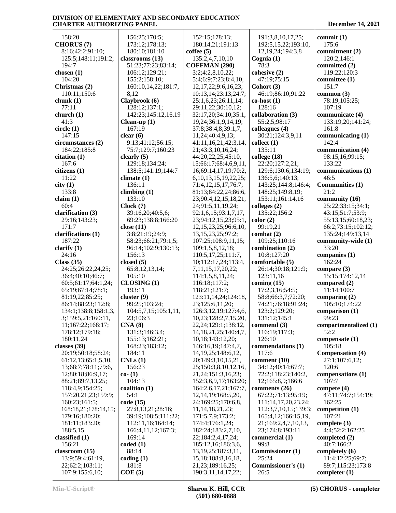158:20 **CHORUS (7)** 8:16;42:2;91:10; 125:5;148:11;191:2; 194:7 **chosen (1)** 104:20 **Christmas (2)** 110:11;150:6 **chunk (1)** 77:11 **church (1)** 41:3 **circle (1)** 147:15 **circumstances (2)** 184:22;185:8 **citation (1)** 167:6 **citizens (1)** 11:22 **city (1)** 133:8 **claim (1)** 60:4 **clarification (3)** 29:16;143:23; 171:7 **clarifications (1)** 187:22 **clarify (1)** 24:16 **Class (35)** 24:25;26:22,24,25; 36:4;40:10;46:7; 60:5;61:17;64:1,24; 65:19;67:14;78:1; 81:19,22;85:25; 86:14;88:23;112:8; 134:1;138:8;158:1,3, 3;159:5,21;160:11, 11;167:22;168:17; 178:12;179:18; 180:11,24 **classes (39)** 20:19;50:18;58:24; 61:12,13;65:1,5,10, 13;68:7;78:11;79:6, 12;80:18;86:9,17; 88:21;89:7,13,25; 118:4,9;154:25; 157:20,21,23;159:9; 160:23;161:5; 168:18,21;178:14,15; 179:16;180:20; 181:11;183:20; 188:5,15 **classified (1)** 156:21 **classroom (15)** 13:9;59:4;61:19, 22;62:2;103:11; 107:9;155:6,10; 156:25;170:5; 173:12;178:13; 180:10;181:10 **classrooms (13)** 51:23;77:23;83:14; 106:12;129:21; 155:2;158:10; 160:10,14,22;181:7, 8,12 **Claybrook (6)** 128:12;137:1; 142:23;145:12,16,19 **Clean-up (1)** 167:19 **clear (6)** 9:13;41:12;56:15; 75:7;129:7;160:23 **clearly (5)** 129:18;134:24; 138:5;141:19;144:7 **climate (1)** 136:11 **climbing (1)** 133:10 **Clock (7)** 39:16,20;40:5,6; 69:23;138:8;166:20 **close (11)** 3:8;21:19;24:9; 58:23;66:21;79:1,5; 96:14;102:9;130:13; 156:13 **closed (5)** 65:8,12,13,14; 105:10 **CLOSING (1)** 193:11 **cluster (9)** 99:25;103:24; 104:5,7,15;105:1,11, 23;106:3 **CNA (8)** 131:3;146:3,4; 155:13;162:21; 168:23;183:12; 184:11 **CNLs (1)** 156:23 **co- (1)** 104:13 **coalition (1)** 54:1 **code (15)** 27:8,13,21;28:16; 39:19;108:5;111:22; 112:11,16;164:14; 166:4,11,12;167:3; 169:14 **coded (1)** 88:14 **coding (1)** 181:8 **COE (5)** 152:15;178:13; 180:14,21;191:13 **coffee (5)** 135:2,4,7,10,10 **COFFMAN (290)** 3:2;4:2,8,10,22; 5:4;6:9;7:23;8:4,10, 12,17,22;9:6,16,23; 10:13,14;23:13;24:7; 25:1,6,23;26:11,14; 29:11,22;30:10,12; 32:17,20;34:10;35:1, 19,24;36:1,9,14,19; 37:8;38:4,8;39:1,7, 11,24;40:4,9,13; 41:11,16,21;42:3,14, 21;43:3,10,16,24; 44:20,22,25;45:10, 15;66:17;68:4,6,9,11, 16;69:14,17,19;70:2, 6,10,13,15,19,22,25; 71:4,12,15,17;76:7; 81:13;84:22,24;86:6, 23;90:4,12,15,18,21, 24;91:5,11,19,24; 92:1,6,15;93:1,7,17, 23;94:12,15,23;95:1, 12,15,23,25;96:6,10, 13,15,23,25;97:2; 107:25;108:9,11,15; 109:1,5,8,12,18; 110:5,17,25;111:7, 10;112:17,24;113:4, 7,11,15,17,20,22; 114:1,5,8,11,24; 116:18;117:2; 118:21;121:7; 123:11,14,24;124:18, 23;125:6,11,20; 126:3,12,19;127:4,6, 10,23;128:2,7,15,20, 22,24;129:1;138:12, 14,18,21,25;140:4,7, 10,18;143:12,20; 146:16,19;147:4,7, 14,19,25;148:6,12, 20;149:3,10,15,21, 25;150:3,8,10,12,16, 21,24;151:3,16,23; 152:3,6,9,17;163:20; 164:2,6,17,21;167:7, 12,14,19;168:5,20, 24;169:25;170:6,8, 11,14,18,21,23; 171:5,7,9;173:2; 174:4;176:1,24; 182:24;183:2,7,10, 22;184:2,4,17,24; 185:12,16;186:3,6, 13,19,25;187:3,11, 15,18;188:8,16,18, 21,23;189:16,25; 190:3,11,14,17,22;

 191:3,8,10,17,25; 192:5,15,22;193:10, 12,19,24;194:3,8 **Cognia (1)** 78:3 **cohesive (2)** 47:19;75:15 **Cohort (3)** 46:19;86:10;91:22 **co-host (1)** 128:16 **collaboration (3)** 55:2,5;98:17 **colleagues (4)** 30:21;124:3,9,11 **collect (1)** 135:11 **college (18)** 22:20;127:2,21; 129:6;130:6;134:19; 136:5,6;140:13; 143:25;144:8;146:4; 148:25;149:8,19; 153:11;161:14,16 **colleges (2)** 135:22;156:2 **color (2)** 99:19,21 **combat (2)** 109:25;110:16 **combination (2)** 10:8;127:20 **comfortable (5)** 26:14;30:18;121:9; 123:11,16 **coming (15)** 17:2,3,16;54:5; 58:8;66:3,7;72:20; 74:21;76:18;91:24; 123:2;129:20; 131:12;145:1 **commend (3)** 116:19;117:3; 126:10 **commendations (1)** 117:6 **comment (10)** 34:12;40:14;67:7; 72:2;118:23;140:2, 12;165:8,9;166:6 **comments (26)** 67:22;71:13;95:19; 111:14,17,20,23,24; 112:3,7,10,15;139:3; 165:4,12;166:15,19, 21;169:2,4,7,10,13, 23;174:8;193:11 **commercial (1)** 99:8 **Commissioner (1)** 25:24 **Commissioner's (1)** 26:5

**commit (1)** 175:6 **commitment (2)** 120:2;146:1 **committed (2)** 119:22;120:3 **committee (1)** 151:7 **common (3)** 78:19;105:25; 107:19 **communicate (4)** 133:19,20;141:24; 161:8 **communicating (1)** 142:4 **communication (4)** 98:15,16;99:15; 133:22 **communications (1)** 46:5 **Communities (1)** 21:2 **community (16)** 25:22;33:15;34:1; 43:15;51:7;53:9; 55:13,15;60:18,23; 66:2;73:15;102:12; 135:24;149:13,14 **community-wide (1)** 33:20 **companies (1)** 162:24 **compare (3)** 15:15;174:12,14 **compared (2)** 11:14;100:7 **comparing (2)** 105:10;174:22 **comparison (1)** 99:23 **compartmentalized (1)** 52:2 **compensate (1)** 105:18 **Compensation (4)** 27:1;107:6,12; 120:6 **compensations (1)** 107:7 **compete (4)** 47:11;74:7;154:19; 162:25 **competition (1)** 107:21 **complete (3)** 4:4;52:2;162:25 **completed (2)** 40:7;166:2 **completely (6)** 11:4;12:25;69:7; 89:7;115:23;173:8 **completer (1)**

**Min-U-Script® Sharon K. Hill, CCR (501) 680-0888**

**(5) CHORUS - completer**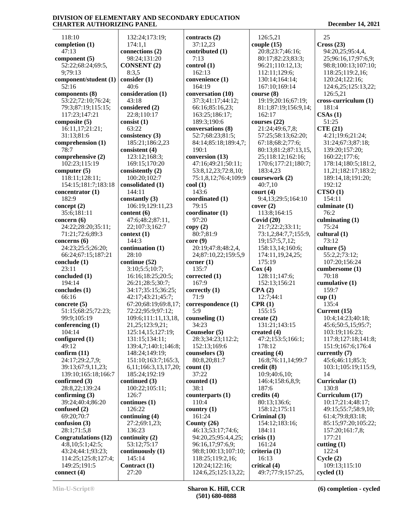118:10 **completion (1)** 47:13 **component (5)** 52:22;68:24;69:5, 9;79:13 **component/student (1)** 52:16 **components (8)** 53:22;72:10;76:24; 79:3;87:19;115:15; 117:23;147:21 **composite (5)** 16:11,17;21:21; 31:13;81:6 **comprehension (1)** 78:7 **comprehensive (2)** 102:23;115:19 **computer (5)** 118:11;128:11; 154:15;181:7;183:18 **concentrator (1)** 182:9 **concept (2)** 35:6;181:11 **concern (6)** 24:22;28:20;35:11; 71:21;72:6;89:3 **concerns (6)** 24:23;25:5;26:20; 66:24;67:15;187:21 **conclude (1)** 23:11 **concluded (1)** 194:14 **concludes (1)** 66:16 **concrete (5)** 51:15;68:25;72:23; 99:9;105:19 **conferencing (1)** 104:14 **configured (1)** 49:12 **confirm (11)** 24:17;29:2,7,9; 39:13;67:9,11,23; 139:10;165:18;166:7 **confirmed (3)** 28:8,22;139:24 **confirming (3)** 39:24;40:4;86:20 **confused (2)** 69:20;70:7 **confusion (3)** 28:1;71:5,8 **Congratulations (12)** 4:8,10;5:1;42:5; 43:24;44:1;93:23; 114:25;125:8;127:4; 149:25;191:5 **connect (4)**

 132:24;173:19; 174:1,1 **connections (2)** 98:24;131:20 **CONSENT (2)** 8:3,5 **consider (1)** 40:6 **consideration (1)** 43:18 **considered (2)** 22:8;110:17 **consist (1)** 63:22 **consistency (3)** 185:21;186:2,23 **consistent (4)** 123:12;168:3; 169:15;170:20 **consistently (2)** 100:20;102:7 **consolidated (1)** 144:11 **constantly (3)** 106:19;129:11,23 **content (6)** 47:6;48:2;87:11, 22;107:3;162:7 **context (1)** 144:3 **continuation (1)** 28:10 **continue (52)** 3:10;5:5;10:7; 16:16;18:25;20:5; 26:21;28:5;30:7; 34:17;35:15;36:25; 42:17;43:21;45:7; 67:20;68:19;69:8,17; 72:22;95:9;97:12; 109:6;111:11,13,18, 21,25;123:9,21; 125:14,15;127:19; 131:15;134:11; 139:4,7;140:1;146:8; 148:24;149:19; 151:10;163:7;165:3, 6,11;166:3,13,17,20; 185:24;192:19 **continued (3)** 100:22;105:11; 126:7 **continues (1)** 126:22 **continuing (4)** 27:2;69:1,23; 136:23 **continuity (2)** 53:12;75:17 **continuously (1)** 145:14 **Contract (1)** 27:20

**contracts (2)** 37:12,23 **contributed (1)** 7:13 **control (1)** 162:13 **convenience (1)** 164:19 **conversation (10)** 37:3;41:17;44:12; 66:16;85:16,23; 163:25;186:17; 189:3;190:6 **conversations (8)** 52:7;68:23;81:5; 84:14;85:18;189:4,7; 190:1 **conversion (13)** 47:16;49:21;50:11; 53:8,12,23;72:8,10; 75:1,8,12;76:4;109:9 **cool (1)** 143:6 **coordinated (1)** 79:15 **coordinator (1)** 97:20 **copy (2)** 80:7;81:9 **core (9)** 20:19;47:8;48:2,4, 24;87:10,22;159:5,9 **corner (1)** 135:7 **corrected (1)** 167:9 **correctly (1)** 71:9 **correspondence (1)** 5:9 **counseling (1)** 34:23 **Counselor (5)** 28:3;34:23;112:2; 152:13;169:6 **counselors (3)** 80:8,20;81:7 **count (1)** 37:22 **counted (1)** 38:1 **counterparts (1)** 110:4 **country (1)** 161:24 **County (26)** 46:13;53:17;74:6; 94:20,25;95:4,4,25; 96:16,17;97:6,9; 98:8;100:13;107:10; 118:25;119:2,16; 120:24;122:16; 124:6,25;125:13,22;

 126:5,21 **couple (15)** 20:8;23:7;46:16; 80:17;82:23;83:3; 96:21;110:12,13; 112:11;129:6; 130:14;164:14; 167:10;169:14 **course (8)** 19:19;20:16;67:19; 81:1;87:19;156:9,14; 162:17 **courses (22)** 21:24;49:6,7,8; 57:25;58:13;62:20; 67:18;68:2;77:6; 80:13;81:2;87:13,15, 25;118:12;162:16; 170:6;177:21;180:7; 183:4,23 **coursework (2)** 40:7,10 **court (4)** 9:4,13;29:5;164:10 **cover (2)** 113:8;164:15 **Covid (20)** 21:7;22:2;33:11; 73:1,2;84:7,7;155:9, 19;157:5,7,12; 158:13,14;160:6; 174:11,19,24,25; 175:19 **Cox (4)** 128:11;147:6; 152:13;156:21 **CPA (2)** 12:7;44:1 **CPR (1)** 155:15 **create (2)** 131:21;143:15 **created (4)** 47:2;153:5;166:1; 178:12 **creating (4)** 16:8;76:11,14;99:7 **credit (8)** 10:9;40:6,10; 146:4;158:6,8,9; 187:6 **credits (4)** 80:13;136:6; 158:12;175:11 **Criminal (3)** 154:12;183:16; 184:11 **crisis (1)** 161:24 **criteria (1)** 16:13 **critical (4)** 49:7;77:9;157:25,

 25 **Cross (23)** 94:20,25;95:4,4, 25;96:16,17;97:6,9; 98:8;100:13;107:10; 118:25;119:2,16; 120:24;122:16; 124:6,25;125:13,22; 126:5,21 **cross-curriculum (1)** 181:4 **CSAs (1)** 51:25 **CTE (21)** 4:21;19:6;21:24; 31:24;67:3;87:18; 139:20;157:20; 160:22;177:6; 178:14;180:5;181:2, 11,21;182:17;183:2; 189:14,18;191:20; 192:12 **CTSO (1)** 154:11 **culminate (1)** 76:2 **culminating (1)** 75:24 **cultural (1)** 73:12 **culture (5)** 55:2,2;73:12; 107:20;156:24 **cumbersome (1)** 70:18 **cumulative (1)** 159:7 **cup (1)** 135:4 **Current (15)** 10:4;14:23;40:18; 45:6;50:5,15;95:7; 103:19;116:23; 117:8;127:18;141:8; 151:9;167:6;176:4 **currently (7)** 45:6;46:11;85:3; 103:1;105:19;115:9, 14 **Curricular (1)** 130:8 **Curriculum (17)** 10:17;21:4;48:17; 49:15;55:7;58:9,10; 61:4;79:8;83:18; 85:15;97:20;105:22; 157:20;161:7,8; 177:21 **cutting (1)** 122:4 **Cycle (2)** 109:13;115:10 **cycled (1)**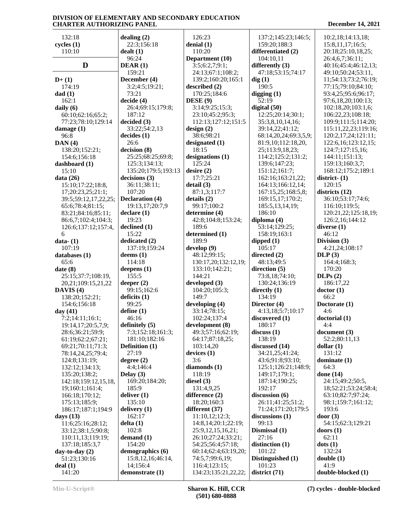132:18 **cycles (1)** 110:10  $\mathbf{D}$  **DEAR** (1) **D+ (1)** 174:19 **dad (1)** 162:1 **daily (6)** 60:10;62:16;65:2; 77:23;78:10;129:14 **damage (1)** 96:8 **DAN (4)** 138:20;152:21; 154:6;156:18 **dashboard (1)** 15:10 **data (26)** 15:10;17:22;18:8, 17;20:23,25;21:1; 39:5;59:12,17,22,25; 65:6;78:4;81:15; 83:21;84:16;85:11; 86:6,7;102:4;104:3; 126:6;137:12;157:4, 6 **data- (1)** 107:19 **databases (1)**  $65.6$ **date (8)** 25:15;37:7;108:19, 20,21;109:15,21,22 **DAVIS (4)** 138:20;152:21; 154:6;156:18 **day (41)** 7:2;14:11;16:1; 19:14,17;20:5,7,9; 28:6;36:21;59:9; 61:19;62:2;67:21; 69:21;70:11;71:3; 78:14,24,25;79:4; 124:8;131:19; 132:12;134:13; 135:20;138:2; 142:18;159:12,15,18, 19;160:1;161:4; 166:18;170:12; 175:13;185:9; 186:17;187:1;194:9 **days (13)** 11:6;25:16;28:12; 33:12;38:1,5;90:8; 110:11,13;119:19; 137:18;185:3,7 **day-to-day (2)** 51:23;130:16 **deal (1)** 141:20

**dealing (2)** 22:3;156:18 **dealt (1)** 96:24 159:21 **December (4)** 3:2;4:5;19:21; 73:21 **decide (4)** 26:4;69:15;179:8; 187:12 **decided (3)** 33:22;54:2,13 **decides (1)** 26:6 **decision (8)** 25:25;68:25;69:8; 125:3;134:13; 135:20;179:5;193:13 **decisions (3)** 36:11;38:11; 107:20 **Declaration (4)** 19:13,17;20:7,9 **declare (1)** 19:23 **declined (1)** 15:22 **dedicated (2)** 137:19;159:24 **deems (1)** 114:18 **deepens (1)** 155:5 **deeper (2)** 99:15;162:6 **deficits (1)** 99:25 **define (1)** 46:16 **definitely (5)** 7:3;152:18;161:3; 181:10;182:16 **Definition (1)** 27:19 **degree (2)** 4:4;146:4 **Delay (3)** 169:20;184:20; 185:9 **deliver (1)** 135:10 **delivery (1)** 162:17 **delta (1)** 102:8 **demand (1)** 154:20 **demographics (6)** 15:8,12,16;46:14, 14;156:4 **demonstrate (1)**

 126:23 **denial (1)** 110:20 **Department (10)** 3:5;6:2,7;9:1; 24:13;67:1;108:2; 139:2;160:20;165:1 **described (2)** 170:25;184:6 **DESE (9)** 3:14;9:25;15:3; 23:10;45:2;95:3; 112:13;127:12;151:5 **design (2)** 38:6;98:21 **designated (1)** 18:15 **designations (1)** 125:24 **desire (2)** 17:7;25:21 **detail (3)** 87:1,3;117:7 **details (2)** 99:17;100:2 **determine (4)** 42:8;104:8;153:24; 189:6 **determined (1)** 189:9 **develop (9)** 48:12;99:15; 130:17,20;132:12,19; 133:10;142:21; 144:21 **developed (3)** 104:20;105:3; 149:7 **developing (4)** 33:14;78:15; 102:24;137:4 **development (8)** 49:3;57:16;62:19; 64:17;87:18,25; 103:14,20 **devices (1)** 3:6 **diamonds (1)** 118:19 **diesel (3)** 131:4,9,25 **difference (2)** 18:20;160:3 **different (37)** 11:10,12;12:3; 14:8,14;20:1;22:19; 25:9,12,15,16,21; 26:10;27:24;33:21; 54:25;56:4;57:18; 60:14;62:4;63:19,20; 74:5,7;99:6,19; 116:4;123:15; 134:23;135:21,22,22;

 137:2;145:23;146:5; 159:20;188:3 **differentiated (2)** 104:10,11 **differently (3)** 47:18;53:15;74:17 **dig (1)** 190:5 **digging (1)** 52:19 **digital (50)** 12:25;20:14;30:1; 35:3,8,10,14,16; 39:14,22;41:12; 68:14,20,24;69:3,5,9; 81:9,10;112:18,20, 25;113:9,18,23; 114:2;125:2;131:2; 139:6;147:23; 151:12;161:7; 162:16;163:21,22; 164:13;166:12,14; 167:15,25;168:5,8; 169:15,17;170:2; 185:5,13,14,19; 186:10 **diploma (4)** 53:14;129:25; 158:19;163:1 **dipped (1)** 105:17 **directed (2)** 48:13;49:5 **direction (5)** 73:8,18;74:10; 130:24;136:19 **directly (1)** 134:19 **Director (4)** 4:13,18;5:7;10:17 **discovered (1)** 180:17 **discuss (1)** 138:19 **discussed (14)** 34:21,25;41:24; 43:6;91:8;93:10; 125:1;126:21;148:9; 149:17;179:1; 187:14;190:25; 192:17 **discussion (6)** 26:11;41:25;51:2; 71:24;171:20;179:5 **discussions (1)** 99:13 **Dismissal (1)** 27:16 **distinction (1)** 101:22 **Distinguished (1)** 101:23 **district (71)**

 10:2,18;14:13,18; 15:8,11,17;16:5; 20:18;25:10,18,25; 26:4,6,7;36:11; 40:16;45:4;46:12,13; 49:10;50:24;53:11, 11;54:13;73:2;76:19; 77:15;79:10;84:10; 93:4,25;95:6;96:17; 97:6,18,20;100:13; 102:18,20;103:1,6; 106:22,23;108:18; 109:9;111:5;114:20; 115:11,22,23;119:16; 120:2,17,24;121:11; 122:6,16;123:12,15; 124:7;127:15,16; 144:11;151:13; 159:13;160:3,7; 168:12;175:2;189:1 **district- (1)** 120:15 **districts (12)** 36:10;53:17;74:6; 116:10;119:5; 120:21,22;125:18,19; 126:2,16;144:12 **diverse (1)** 46:12 **Division (3)** 4:21,24;108:17 **DLP (3)** 164:4;168:3; 170:20 **DLPs (2)** 186:17,22 **doctor (1)** 66:2 **Doctorate (1)** 4:6 **doctorial (1)** 4:4 **document (3)** 52:2;80:11,13 **dollar (1)** 131:12 **dominate (1)** 64:3 **done (14)** 24:15;49:2;50:5, 18;52:21;53:24;58:4; 63:10;82:7;97:24; 98:1;159:7;161:12; 193:6 **door (3)** 54:15;62:3;129:21 **doors (1)** 62:11 **dots (1)** 132:24 **double (1)** 41:9 **double-blocked (1)**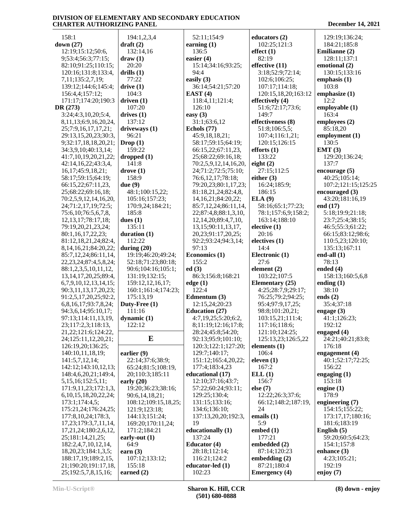| 158:1                                       | 194:1,2,3,4            | 52:11;154:9                | educators (2)                       | 129:19;136:24;        |
|---------------------------------------------|------------------------|----------------------------|-------------------------------------|-----------------------|
| down (27)                                   | $dr$ aft $(2)$         | earning $(1)$              | 102:25;121:3                        | 184:21;185:8          |
| 12:19;15:12;50:6,                           | 132:14,16              | 136:5                      | effect(1)                           | Emilianne (2)         |
|                                             |                        |                            |                                     |                       |
| 9;53:4;56:3;77:15;                          | draw(1)                | easier (4)                 | 82:19                               | 128:11;137:1          |
| 82:10;91:25;110:15;                         | 20:20                  | 15:14;34:16;93:25;         | effective (11)                      | emotional (2)         |
| 120:16;131:8;133:4,                         | drills $(1)$           | 94:4                       | 3:18;52:9;72:14;                    | 130:15;133:16         |
| 7,11;135:2,7,19;                            | 77:22                  | easily $(3)$               | 102:6;106:25;                       | emphasis $(1)$        |
| 139:12;144:6;145:4;                         | drive(1)               | 36:14;54:21;57:20          | 107:17;114:18;                      | 103:8                 |
| 156:4,4;157:12;                             | 104:3                  | EAST $(4)$                 | 120:15,18,20;163:12                 | emphasize (1)         |
|                                             |                        |                            |                                     |                       |
| 171:17;174:20;190:3                         | driven $(1)$           | 118:4,11;121:4;            | effectively (4)                     | 12:2                  |
| DR (273)                                    | 107:20                 | 126:10                     | 51:6;72:17;73:6;                    | employable (1)        |
| 3:24;4:3,10,20;5:4,                         | drives $(1)$           | easy $(3)$                 | 149:7                               | 163:4                 |
| 8, 11, 13; 6: 9, 16, 20, 24,                | 137:12                 | 31:1;63:6,12               | effectiveness (8)                   | employees (2)         |
| 25;7:9,16,17,17,21;                         | driveways (1)          | Echols (77)                | 51:8;106:5,5;                       | 85:18,20              |
| 29:13,15,20,23;30:3,                        | 96:21                  | 45:9,18,18,21;             | 107:4;116:1,21;                     | employment (1)        |
|                                             |                        |                            |                                     |                       |
| 9;32:17,18,18,20,21;                        | Drop(1)                | 58:17;59:15;64:19;         | 120:15;126:15                       | 130:5                 |
| 34:3,9,10;40:13,14;                         | 159:22                 | 66:15,22;67:11,23,         | efforts $(1)$                       | EMT(3)                |
| 41:7,10,19,20,21,22;                        | dropped $(1)$          | 25;68:22;69:16,18;         | 133:22                              | 129:20;136:24;        |
| 42:14,16,22;43:3,4,                         | 141:8                  | 70:2,5,9,12,14,16,20,      | eight $(2)$                         | 137:7                 |
| 16,17;45:9,18,21;                           | $\bf{drive}$ $(1)$     | 24;71:2;72:5;75:10;        | 27:15;112:5                         | encourage $(5)$       |
| 58:17;59:15;64:19;                          | 158:9                  | 76:6,12,17;78:18;          | either $(3)$                        | 40:25;105:14;         |
|                                             |                        |                            |                                     |                       |
| 66:15,22;67:11,23,                          | due $(9)$              | 79:20,23;80:1,17,23;       | 16:24;185:9;                        | 107:2;121:15;125:25   |
| 25;68:22;69:16,18;                          | 48:1;100:15,22;        | 81:18,21,24;82:4,8,        | 186:15                              | encouraged (3)        |
| 70:2,5,9,12,14,16,20,                       | 105:16;157:23;         | 14, 16, 21; 84: 20, 22;    | ELA(9)                              | 43:20;181:16,19       |
| 24;71:2,17,19;72:5;                         | 170:9,24;184:21;       | 85:7,12,24;86:11,14,       | 58:16;65:1;77:23;                   | end (17)              |
| 75:6,10;76:5,6,7,8,                         | 185:8                  | 22;87:4,8;88:1,3,10,       | 78:1;157:6,9;158:2;                 | 5:18;19:9;21:18;      |
| 12, 13, 17; 78: 17, 18;                     | dues $(1)$             | 12, 14, 20; 89: 4, 7, 10,  | 163:14;188:10                       | 23:7;25:4;38:15;      |
|                                             |                        |                            |                                     |                       |
| 79:19,20,21,23,24;                          | 135:11                 | 13, 15; 90: 11, 13, 17,    | electric(1)                         | 46:5;55:3;61:22;      |
| 80:1,16,17,22,23;                           | duration (1)           | 20,23;91:17,20,25;         | 20:16                               | 66:15;83:12;98:6;     |
| 81:12,18,21,24;82:4,                        | 112:22                 | 92:2;93:24;94:3,14;        | electives (1)                       | 110:5,23;120:10;      |
| 8, 14, 16, 21; 84: 20, 22;                  | during $(20)$          | 97:13                      | 14:4                                | 135:13;167:11         |
| 85:7,12,24;86:11,14,                        | 19:19;46:20;49:24;     | Economics (1)              | Electronic (1)                      | end-all $(1)$         |
|                                             |                        |                            |                                     |                       |
|                                             |                        |                            |                                     |                       |
| 22, 23, 24; 87: 4, 5, 8, 24;                | 52:18;71:23;80:18;     | 155:2                      | 27:6                                | 78:13                 |
| 88:1,2,3,5,10,11,12,                        | 90:6;104:16;105:1;     | ed(3)                      | element (2)                         | ended $(4)$           |
| 13, 14, 17, 20, 25; 89: 4,                  | 131:19;132:15;         | 86:3;156:8;168:21          | 103:22;107:5                        | 158:13;160:5,6,8      |
| 6,7,9,10,12,13,14,15;                       | 159:12,12,16,17;       | edge(1)                    | Elementary (25)                     | ending $(1)$          |
|                                             | 160:1;161:4;174:23;    | 122:4                      | 4:25;28:7,9;29:17;                  | 38:10                 |
| 90:3,11,13,17,20,23;                        |                        |                            |                                     |                       |
| 91:2,5,17,20,25;92:2,                       | 175:13,19              | Edmentum (3)               | 76:25;79:2;94:25;                   | ends $(2)$            |
| 6,8,16,17;93:7,8,24;                        | Duty-Free (1)          | 12:15,24;20:23             | 95:4;97:9,17,25;                    | 35:4;37:18            |
| 94:3,6,14;95:10,17;                         | 111:16                 | <b>Education (27)</b>      | 98:8;101:20,21;                     | engage $(3)$          |
| 97:13;114:11,13,19,                         | dynamic $(1)$          | 4:7,19,25;5:20;6:2,        | 103:15,21;111:4;                    | 41:1;126:23;          |
| 23;117:2,3;118:13,                          | 122:12                 | 8;11:19;12:16;17:8;        | 117:16;118:6;                       | 192:12                |
| 21, 22; 121: 6; 124: 22,                    |                        | 28:24;45:8;54:20;          | 121:10;124:25;                      | engaged $(4)$         |
| 24;125:11,12,20,21;                         | E                      | 92:13;95:9;101:10;         | 125:13,23;126:5,22                  | 24:21;40:21;83:8;     |
|                                             |                        |                            |                                     |                       |
| 126:19,20;136:25;                           |                        | 120:3;122:1;127:20;        | elements $(1)$                      | 176:18                |
| 140:10,11,18,19;                            | earlier $(9)$          | 129:7;140:17;              | 106:4                               | engagement (4)        |
| 141:5,7,12,14;                              | 22:14;37:6;38:9;       | 151:12;165:4,20,22;        | eleven $(1)$                        | 40:1;52:17;72:25;     |
| 142:12;143:10,12,13;                        | 65:24;81:5;108:19,     | 177:4;183:4,23             | 167:2                               | 156:22                |
| 148:4,6,20,21;149:4,                        | 20:110:3:185:11        | educational (17)           | ELL(1)                              | engaging $(1)$        |
| 5, 15, 16; 152: 5, 11;                      | early $(20)$           | 12:10;37:16;43:7;          | 156:7                               | 153:18                |
|                                             |                        |                            |                                     |                       |
| 171:9,11,23;172:1,3,                        | 19:20;36:23;38:16;     | 57:22;60:24;93:11;         | else $(7)$                          | engine $(1)$          |
| 6, 10, 15, 18, 20, 22, 24;                  | 90:6,14,18,21;         | 129:25;130:4;              | 12:22;26:3;37:6;                    | 178:9                 |
| 173:1;174:4,5;                              | 108:12;109:15,18,25;   | 131:15;133:16;             | 66:12;148:2;187:19,                 | engineering $(7)$     |
| 175:21,24;176:24,25;                        | 121:9;123:18;          | 134:6;136:10;              | 24                                  | 154:15;155:22;        |
| 177:8, 10, 24; 178:3,                       | 144:13;151:24;         | 137:13,20,20;192:3,        | emails (1)                          | 173:17,17;180:16;     |
| 17,23;179:3,7,11,14,                        | 169:20;170:11,24;      | 19                         | 5:9                                 | 181:6;183:19          |
| 17,21,24;180:2,6,12,                        | 171:2;184:21           | educationally (1)          | embed $(1)$                         | English $(5)$         |
| 25;181:14,21,25;                            | early-out $(1)$        | 137:24                     | 177:21                              | 59:20;60:5;64:23;     |
|                                             |                        |                            |                                     |                       |
| 182:2,4,7,10,12,14,                         | 64:9                   | Educator (4)               | embedded (2)                        | 154:1;157:8           |
| 18,20,23;184:1,3,5;                         | earn $(3)$             | 28:18;112:14;              | 87:14;120:23                        | enhance (3)           |
| 188:17,19;189:2,15,                         | 107:12;133:12;         | 116:21;124:2               | embedding $(2)$                     | 4:23;105:21;          |
| 21;190:20;191:17,18,<br>25;192:5,7,8,15,16; | 155:18<br>earned $(2)$ | educator-led (1)<br>102:23 | 87:21;180:4<br><b>Emergency</b> (4) | 192:19<br>enjoy $(7)$ |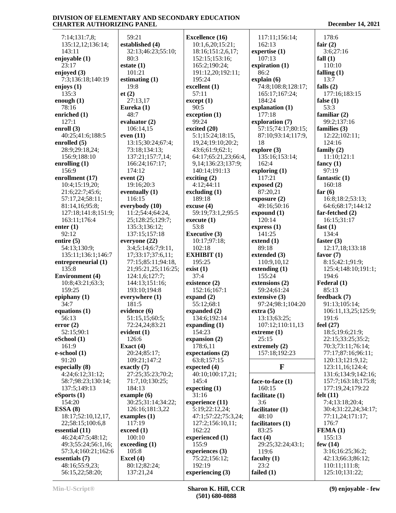7:14;131:7,8; 135:12,12;136:14; 143:11 **enjoyable (1)** 23:17 **enjoyed (3)** 7:3;136:18;140:19 **enjoys (1)** 135:3 **enough (1)** 78:16 **enriched (1)** 127:1 **enroll (3)** 40:25;41:6;188:5 **enrolled (5)** 28:9;29:18,24; 156:9;188:10 **enrolling (1)** 156:9 **enrollment (17)** 10:4;15:19,20; 21:6;22:7;45:6; 57:17,24;58:11; 81:14,16;95:8; 127:18;141:8;151:9; 163:11;176:4 **enter (1)** 92:12 **entire (5)** 54:13;130:9; 135:11;136:1;146:7 **entrepreneurial (1)** 135:8 **Environment (4)** 10:8;43:21;63:3; 159:25 **epiphany (1)** 34:7 **equations (1)** 56:13 **error (2)** 52:15;90:1 **eSchool (1)** 161:9 **e-school (1)** 91:20 **especially (8)** 4:24;6:12;31:12; 58:7;98:23;130:14; 137:5;149:13 **eSports (1)** 154:20 **ESSA (8)** 18:17;52:10,12,17, 22;58:15;100:6,8 **essential (11)** 46:24;47:5;48:12; 49:3;55:24;56:1,16; 57:3,4;160:21;162:6 **essentials (7)** 48:16;55:9,23; 56:15,22;58:20;

 59:21 **established (4)** 32:13;46:23;55:10; 80:3 **estate (1)** 101:21 **estimating (1)** 19:8 **et (2)** 27:13,17 **Eureka (1)** 48:7 **evaluator (2)** 106:14,15 **even (11)** 13:15;30:24;67:4; 73:18;134:13; 137:21;157:7,14; 166:24;167:17; 174:12 **event (2)** 19:16;20:3 **eventually (1)** 116:15 **everybody (10)** 11:2;54:4;64:24, 25;128:25;129:7; 135:3;136:12; 137:15;157:18 **everyone (22)** 3:4;5:14;6:7;9:11, 17;33:17;37:6,11; 77:15;85:11;94:18, 21;95:21,25;116:25; 124:1,6;127:7; 144:13;151:16; 193:10;194:8 **everywhere (1)** 181:5 **evidence (6)** 51:15,15;60:5; 72:24,24;83:21 **evident (1)** 126:6 **Exact (4)** 20:24;85:17; 109:21;147:2 **exactly (7)** 27:25;35:23;70:2; 71:7,10;130:25; 184:13 **example (6)** 30:25;31:14;34:22; 126:16;181:3,22 **examples (1)** 117:19 **exceed (1)** 100:10 **exceeding (1)** 105:8 **Excel (4)** 80:12;82:24; 137:21,24

**Excellence (16)** 10:1,6,20;15:21; 18:16;151:2,6,17; 152:15;153:16; 165:2;190:24; 191:12,20;192:11; 195:24 **excellent (1)** 57:11 **except (1)** 90:5 **exception (1)** 99:24 **excited (20)** 5:1;15:24;18:15, 19,24;19:10;20:2; 43:6;61:9;62:1; 64:17;65:21,23;66:4, 9,14;136:23;137:9; 140:14;191:13 **exciting (2)** 4:12;44:11 **excluding (1)** 189:18 **excuse (4)** 59:19;73:1,2;95:5 **execute (1)** 53:8 **Executive (3)** 10:17;97:18; 102:18 **EXHIBIT (1)** 195:25 **exist (1)** 37:4 **existence (2)** 152:16;167:1 **expand (2)** 55:12;68:1 **expanded (2)** 134:6;192:14 **expanding (1)** 154:23 **expansion (2)** 178:6,11 **expectations (2)** 63:8;157:15 **expected (4)** 40:10;100:17,21; 145:4 **expecting (1)** 31:16 **experience (11)** 5:19;22:12,24; 47:1;57:22;75:3,24; 127:2;156:10,11; 162:22 **experienced (1)** 155:9 **experiences (3)** 75:22;156:12; 192:19 **experiencing (3)**

 117:11;156:14; 162:13 **expertise (1)** 107:13 **expiration (1)** 86:2 **explain (6)** 74:8;108:8;128:17; 165:17;167:24; 184:24 **explanation (1)** 177:18 **exploration (7)** 57:15;74:17;80:15; 87:10;93:14;117:9, 18 **explore (3)** 135:16;153:14; 162:4 **exploring (1)** 117:21 **exposed (2)** 87:20,21 **exposure (2)** 49:16;50:16 **expound (1)** 120:14 **express (1)** 141:25 **extend (1)** 89:18 **extended (3)** 110:9,10,12 **extending (1)** 155:24 **extensions (2)** 59:24;61:24 **extensive (3)** 97:24;98:1;104:20 **extra (5)** 13:13;63:25; 107:12;110:11,13 **extreme (1)**  $25:15$ **extremely (2)** 157:18;192:23 **F face-to-face (1)** 160:15 **facilitate (1)** 3:6 **facilitator (1)** 48:10 **facilitators (1)** 83:25 **fact (4)** 29:25;32:24;43:1; 119:6 **faculty (1)** 23:2

 178:6 **fair (2)** 3:6;27:16 **fall (1)** 110:10 **falling (1)** 13:7 **falls (2)** 177:16;183:15 **false (1)** 53:3 **familiar (2)** 99:2;137:16 **families (3)** 12:22;102:11; 124:16 **family (2)** 11:10;121:1 **fancy (1)** 97:19 **fantastic (1)** 160:18 **far (6)** 16:8;18:2;53:13; 64:6;68:17;144:12 **far-fetched (2)** 16:15;31:17 **fast (1)** 134:4 **faster (3)** 12:17,18;133:18 **favor (7)** 8:15;42:1;91:9; 125:4;148:10;191:1; 194:6 **Federal (1)** 85:13 **feedback (7)** 91:13;105:14; 106:11,13,25;125:9; 191:6 **feel (27)** 18:5;19:6;21:9; 22:15;33:25;35:2; 70:3;73:11;76:14; 77:17;87:16;96:11; 120:13;121:9,12; 123:11,16;124:4; 131:6;134:9;142:16; 157:7;163:18;175:8; 177:19,24;179:22 **felt (11)** 7:4;13:18;20:4; 30:4;31:22,24;34:17; 77:11,24;171:17; 176:7 **FEMA (1)** 155:13 **few (14)** 3:16;16:25;36:2; 42:13;66:3;86:12; 110:11;111:8; 125:10;131:22;

**failed (1)**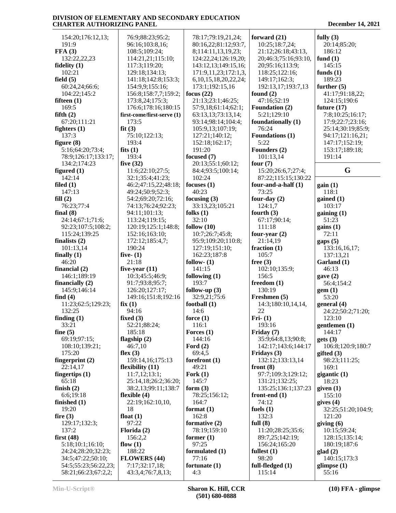| 154:20;176:12,13;                           | 76:9;88:23;95:2;                    | 78:17;79:19,21,24;         | forward $(21)$               | fully $(3)$            |
|---------------------------------------------|-------------------------------------|----------------------------|------------------------------|------------------------|
| 191:9                                       | 96:16;103:8,16;                     | 80:16,22;81:12;93:7,       | 10:25;18:7,24;               | 20:14;85:20;           |
| FFA(3)                                      | 108:5;109:24;                       | 8;114:11,13,19,23;         | 21:12;26:18;43:13,           | 186:12                 |
| 132:22,22,23                                | 114:21,21;115:10;                   | 124:22,24;126:19,20;       | 20;46:3;75:16;93:10,         | fund $(1)$             |
| fidelity $(1)$                              | 117:3;119:20;                       | 143:12,13;149:15,16;       | 20;95:16;113:9;              | 145:15                 |
|                                             |                                     |                            |                              |                        |
| 102:21                                      | 129:18;134:13;                      | 171:9,11,23;172:1,3,       | 118:25;122:16;               | funds $(1)$            |
| field $(5)$                                 | 141:18;142:8;153:3;                 | 6, 10, 15, 18, 20, 22, 24; | 149:17;162:3;                | 189:23                 |
| 60:24,24;66:6;                              | 154:9,9;155:16;                     | 173:1;192:15,16            | 192:13,17;193:7,13           | further $(5)$          |
| 104:22;145:2                                | 156:8;158:7,7;159:2;                | focus $(22)$               | found $(2)$                  | 41:17;91:18,22;        |
| fifteen $(1)$                               | 173:8,24;175:3;                     | 21:13;23:1;46:25;          | 47:16;52:19                  | 124:15;190:6           |
| 169:5                                       | 176:6;178:16;180:15                 | 57:9,18;61:14;62:1;        | Foundation (2)               | future $(17)$          |
| fifth $(2)$                                 | first-come/first-serve (1)          | 63:13,13;73:13,14;         | 5:21;129:10                  | 7:8;10:25;16:17;       |
| 67:20;111:21                                | 173:5                               | 93:14;98:14;104:4;         | foundationally (1)           | 17:9;22:7;23:16;       |
| fighters $(1)$                              | fit(3)                              | 105:9,13;107:19;           | 76:24                        | 25:14;30:19;85:9;      |
| 137:3                                       | 75:10;122:13;                       | 127:21;140:12;             | <b>Foundations (1)</b>       | 94:17;121:16,21;       |
| figure $(8)$                                | 193:4                               | 152:18;162:17;             | 5:22                         | 147:17;152:19;         |
| 5:16;64:20;73:4;                            | fits $(1)$                          | 191:20                     | Founders (2)                 | 153:17;189:18;         |
| 78:9;126:17;133:17;                         | 193:4                               | focused (7)                | 101:13,14                    | 191:14                 |
| 134:2;174:23                                | five $(32)$                         | 20:13;55:1;60:12;          | four $(7)$                   |                        |
| figured $(1)$                               | 11:6;22:10;27:5;                    | 84:4;93:5;100:14;          | 15:20;26:6,7;27:4;           | G                      |
| 142:14                                      | 32:1;35:4;41:23;                    | 102:24                     | 87:22;115:15;130:22          |                        |
| filed $(1)$                                 | 46:2;47:15,22;48:18;                | focuses $(1)$              | four-and-a-half $(1)$        | gain(1)                |
| 147:13                                      | 49:24;50:9;52:3;                    | 40:23                      | 73:25                        | 118:1                  |
| fill(2)                                     | 54:2;69:20;72:16;                   | focusing $(3)$             | four-day $(2)$               | gained $(1)$           |
| 76:23;77:4                                  | 74:13;76:24;92:23;                  | 33:13,23;105:21            | 124:1,7                      | 103:17                 |
| final $(8)$                                 | 94:11;101:13;                       | folks $(1)$                | fourth $(3)$                 | gaining(1)             |
| 24:14;67:1;71:6;                            | 113:24;119:15;                      | 32:10                      | 67:17;90:14;                 | 51:23                  |
| 92:23;107:5;108:2;                          | 120:19;125:1;148:8;                 | follow $(10)$              | 111:18                       | gains(1)               |
| 115:24;139:25                               | 152:16;163:10;                      | 10:7;26:7;45:8;            | four-year $(2)$              | 72:11                  |
| finalists $(2)$                             | 172:12;185:4,7;                     | 95:9;109:20;110:8;         | 21:14,19                     | $\text{gaps}(5)$       |
| 101:13,14                                   | 190:24                              | 127:19;151:10;             | fraction $(1)$               | 133:16,16,17;          |
| finally $(1)$                               | five- $(1)$                         | 162:23;187:8               | 105:7                        | 137:13,21              |
| 46:20                                       | 21:18                               | follow- $(1)$              | free $(3)$                   |                        |
| financial $(2)$                             |                                     | 141:15                     |                              | Garland (1)<br>46:13   |
|                                             | five-year $(11)$                    |                            | 102:10;135:9;<br>156:5       |                        |
| 146:1;189:19                                | 10:3;45:5;46:9;                     | following $(1)$            |                              | gave(2)                |
| financially $(2)$                           | 91:7;93:8;95:7;                     | 193:7                      | freedom $(1)$                | 56:4;154:2             |
| 145:9;146:14                                | 126:20;127:17;                      | follow-up $(3)$            | 130:19                       | gem(1)                 |
| find $(4)$                                  | 149:16;151:8;192:16                 | 32:9,21;75:6               | Freshmen (5)                 | 53:20                  |
| 11:23;62:5;129:23;                          | fix(1)                              | football (1)               | 14:3;180:10,14,14,           | general (4)            |
| 132:25                                      | 94:16                               | 14:6                       | 22                           | 24:22;50:2;71:20;      |
| finding $(1)$                               | fixed $(3)$                         | force $(1)$                | Fri- $(1)$                   | 123:10                 |
| 33:21                                       | 52:21;88:24;                        | 116:1                      | 193:16                       | gentlemen $(1)$        |
| fine $(5)$                                  | 185:18                              | Forces $(1)$               | Friday (7)                   | 144:17                 |
| 69:19;97:15;                                | flagship $(2)$                      | 144:16                     | 35:9;64:8,13;90:8;           | gets(3)                |
| 108:10;139:21;                              | 46:7,10                             | Ford $(2)$                 | 142:17;143:6;144:17          | 106:8;120:9;180:7      |
| 175:20                                      | flex $(3)$                          | 69:4,5                     | Fridays (3)                  | gifted $(3)$           |
| fingerprint $(2)$                           | 159:14,16;175:13                    | forefront $(1)$            | 132:12;133:13,14             | 98:23;111:25;          |
| 22:14,17                                    | flexibility (11)                    | 49:21                      | front $(8)$                  | 169:1                  |
| fingertips $(1)$                            | 11:7,12;13:1;                       | Fork $(1)$                 | 97:7;109:3;129:12;           | gigantic (1)           |
| 65:18                                       | 25:14,18;26:2;36:20;                | 145:7                      | 131:21;132:25;               | 18:23                  |
| finish $(2)$                                | 38:2,13;99:11;138:7                 | form $(3)$                 | 135:25;136:1;137:23          | given (1)              |
| 6:6;19:18                                   | flexible $(4)$                      | 78:25;156:12;              | front-end $(1)$              | 155:10                 |
| finished $(1)$                              | 22:19;162:10,10,                    | 164:7                      | 74:12                        | gives $(4)$            |
| 19:20                                       | 18                                  | format $(1)$               | fuels $(1)$                  | 32:25;51:20;104:9;     |
| fire $(3)$                                  | float $(1)$                         | 162:8                      | 132:3                        | 121:20                 |
| 129:17;132:3;                               | 97:22                               | formative (2)              | full $(8)$                   | giving $(6)$           |
| 137:2                                       |                                     |                            |                              |                        |
| first $(48)$                                |                                     |                            |                              |                        |
|                                             | Florida (2)                         | 78:19;159:10               | 11:20;28:25;35:6;            | 10:15;59:24;           |
|                                             | 156:2,2                             | former $(1)$               | 89:7,25;142:19;              | 128:15;135:14;         |
| 5:18;10:1;16:10;                            | flow $(1)$                          | 97:25                      | 156:24;165:20                | 180:19;187:6           |
| 24:24;28:20;32:23;                          | 188:22                              | formulated (1)             | fullest $(1)$                | glad(2)                |
| 34:5;47:22;50:10;                           | FLOWERS (44)                        | 77:16                      | 98:20                        | 140:15;173:3           |
| 54:5;55:23;56:22,23;<br>58:21;66:23;67:2,2; | 7:17;32:17,18;<br>43:3,4;76:7,8,13; | fortunate $(1)$<br>4:3     | full-fledged $(1)$<br>115:14 | glimpse $(1)$<br>55:16 |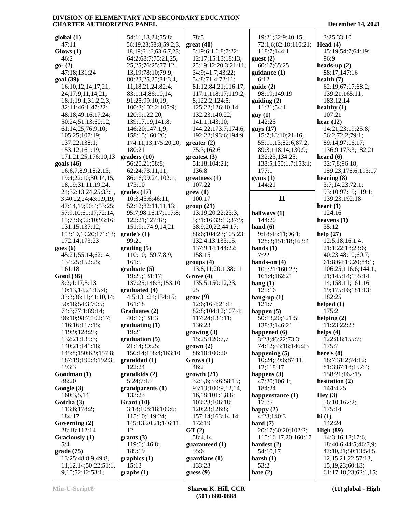| global(1)                                     | 54:11,18,24;55:8;                   | 78:5                                | 19:21;32:9;40:15;                         | 3:25;33:10                               |
|-----------------------------------------------|-------------------------------------|-------------------------------------|-------------------------------------------|------------------------------------------|
| 47:11                                         | 56:19,23;58:8;59:2,3,               | great(40)                           | 72:1,6;82:18;110:21;                      | Head $(4)$                               |
| $G$ lows $(1)$                                | 18, 19; 61: 6; 63: 6, 7, 23;        | 5:19;6:1,6,8;7:22;                  | 118:7;144:1                               | 45:19;54:7;64:19;                        |
| 46:2                                          | 64:2;68:7;75:21,25,                 | 12:17;15:13;18:13,                  | guest(2)                                  | 96:9                                     |
| $go-(2)$                                      | 25, 25; 76: 25; 77: 12,             | 25;19:12;20:3;21:11;                | 60:17;65:25                               | heads-up $(2)$                           |
| 47:18:131:24                                  | 13, 19; 78: 10; 79: 9;              | 34:9;41:7;43:22;                    | $\text{quidance}$ $(1)$                   | 88:17;147:16                             |
| goal (39)                                     | 80:23,25,25;81:3,4,                 | 54:8;71:4;72:11;                    | 6:12                                      | health $(7)$                             |
| 16:10, 12, 14, 17, 21,                        | 11,18,21,24;82:4;                   | 81:12;84:21;116:17;                 | guide(2)                                  | 62:19;67:17;68:2;                        |
| 24;17:9,11,14,21;                             | 83:1,14;86:10,14;                   | 117:1;118:17;119:2,                 | 98:19;149:19                              | 139:21;165:11;                           |
| 18:1;19:1;31:2,2,3;                           | 91:25;99:10,19;                     | 8;122:2;124:5;                      | $\text{guiding}(2)$                       | 183:12,14                                |
| 32:11;46:1;47:22;<br>48:18;49:16,17,24;       | 100:3;102:2;105:9;<br>120:9;122:20; | 125:22;126:10,14;<br>132:23;140:22; | 11:21;54:1<br>guy(1)                      | healthy $(1)$<br>107:21                  |
| 50:24;51:13;60:12;                            | 139:17,19;141:8;                    | 141:1;143:10;                       | 142:25                                    | hear $(12)$                              |
| 61:14,25;76:9,10;                             | 146:20;147:1,9;                     | 144:22;173:7;174:6;                 | gays(17)                                  | 14:21;23:19;25:8;                        |
| 105:25;107:19;                                | 158:15;160:20;                      | 192:22;193:6;194:9                  | 15:7;18:10;21:16;                         | 56:2;72:2;79:1;                          |
| 137:22;138:1;                                 | 174:11,13;175:20,20;                | greater (2)                         | 55:11,13;82:6;87:2;                       | 89:14;97:16,17;                          |
| 153:12;161:19;                                | 180:21                              | 75:3;162:6                          | 89:3;118:14;130:9;                        | 136:9;173:3;182:21                       |
| 171:21,25;176:10,13                           | graders(10)                         | greatest (3)                        | 132:23;134:25;                            | heard $(6)$                              |
| goals $(46)$                                  | 56:20,21;58:8;                      | 51:18;104:21;                       | 138:5;150:1,7;153:1;                      | 32:7,8;96:18;                            |
| 16:6,7,8,9;18:2,13;                           | 62:24;73:11,11;                     | 136:8                               | 177:1                                     | 159:23;176:6;193:17                      |
| 19:4;22:10;30:14,15,                          | 86:16;99:24;102:1;                  | greatest (1)                        | gyms(1)                                   | hearing $(8)$                            |
| 18, 19; 31: 11, 19, 24,                       | 173:10                              | 107:22                              | 144:21                                    | 3:7;14:23;72:1;                          |
| 24;32:13,24,25;33:1,<br>3;40:22,24;43:1,9,19; | grades(17)<br>10:3;45:6;46:11;      | green(1)<br>100:17                  | H                                         | 93:10;97:15;119:1;<br>139:23;192:18      |
| 47:14,19;50:4;53:25;                          | 52:12;82:11,11,13;                  | group(21)                           |                                           | heart $(1)$                              |
| 57:9,10;61:17;72:14,                          | 95:7;98:16,17;117:8;                | 13:19;20:22;23:3,                   | hallways (1)                              | 124:16                                   |
| 15;73:6;92:10;93:16;                          | 122:21;127:18;                      | 5;31:16;33:19;37:9;                 | 144:20                                    | heavens $(1)$                            |
| 131:15;137:12;                                | 151:9;174:9,14,21                   | 38:9,20,22;44:17;                   | hand $(6)$                                | 35:12                                    |
| 153:19,19,20;171:13;                          | grade's(1)                          | 88:6;104:23;105:23;                 | 9:18;45:11;96:1;                          | help $(27)$                              |
| 172:14;173:23                                 | 99:21                               | 132:4,13;133:15;                    | 128:3;151:18;163:4                        | 12:5,18;16:1,4;                          |
| goes(6)                                       | grading(5)                          | 137:9,14;144:22;                    | hands $(1)$                               | 21:1;22:18;23:6;                         |
| 45:21;55:14;62:14;                            | 110:10;159:7,8,9;                   | 158:15                              | 7:22                                      | 40:23;48:10;60:7;                        |
| 134:25;152:25;                                | 161:5                               | groups (4)                          | hands-on $(4)$                            | 61:8;64:19,20;84:1;                      |
| 161:18<br>Good (36)                           | graduate(5)<br>19:25;131:17;        | 13:8,11;20:1;38:11<br>Grove (4)     | 105:21;160:23;<br>161:4;162:21            | 106:25;116:6;144:1,<br>21;145:14;155:14, |
| 3:2;4:17;5:13;                                | 137:25;146:3;153:10                 | 135:5;150:12,23,                    | hang $(1)$                                | 14;158:11;161:16,                        |
| 10:13,14,24;15:4;                             | graduated (4)                       | 25                                  | 125:16                                    | 19;175:16;181:13;                        |
| 33:3;36:11;41:10,14;                          | 4:5;131:24;134:15;                  | grow(9)                             | hang-up $(1)$                             | 182:25                                   |
| 50:18;54:3;70:5;                              | 161:18                              | 12:6;16:4;21:1;                     | 121:7                                     | helped $(1)$                             |
| 74:3;77:1;89:14;                              | Graduates (2)                       | 82:8;104:12;107:4;                  | happen $(5)$                              | 175:2                                    |
| 96:10;98:7;102:17;                            | 40:16;131:3                         | 117:24;134:11;                      | 50:13,20;121:5;                           | helping (2)                              |
| 116:16;117:15;                                | graduating(1)                       | 136:23                              | 138:3;146:21                              | 11:23;22:23                              |
| 119:9;128:25;                                 | 19:21                               | growing (3)                         | happened $(6)$                            | helps $(4)$                              |
| 132:21;135:3;                                 | graduation (5)                      | 15:25;120:7,7                       | 3:23;46:22;73:3;                          | 122:8,8;155:7;                           |
| 140:21;141:18;                                | 21:14;30:25;                        | $\mathbf{grow}(2)$                  | 74:12;83:18;146:23                        | 175:7                                    |
| 145:8;150:6,9;157:8;<br>187:19;190:4;192:3;   | 156:14;158:4;163:10<br>granddad(1)  | 86:10;100:20<br>Grows (1)           | happening $(5)$<br>10:24;59:6;87:11,      | here's $(8)$<br>18:7;31:2;74:12;         |
| 193:3                                         | 122:24                              | 46:2                                | 12;118:17                                 | 81:3;87:18;157:4;                        |
| Goodman (1)                                   | grandkids (2)                       | growth(21)                          | happens $(3)$                             | 158:21;162:15                            |
| 88:20                                         | 5:24;7:15                           | 32:5,6;33:6;58:15;                  | 47:20;106:1;                              | hesitation $(2)$                         |
| Google (3)                                    | grandparents(1)                     | 93:13;100:9,12,14,                  | 184:24                                    | 144:4,25                                 |
| 160:3,5,14                                    | 133:23                              | 16,18;101:1,8,8;                    | happenstance (1)                          | Hey $(3)$                                |
| Gotcha (3)                                    | Grant(10)                           | 103:23;106:18;                      | 175:5                                     | 56:10;162:2;                             |
| 113:6;178:2;                                  | 3:18;108:18;109:6;                  | 120:23;126:8;                       | happy $(2)$                               | 175:14                                   |
| 184:17                                        | 115:10;119:24;                      | 157:14;163:14,14;                   | 4:23;140:3                                | hi(1)                                    |
| Governing $(2)$                               | 145:13,20,21;146:11,                | 172:19                              | hard $(7)$                                | 142:24                                   |
| 28:18;112:14<br>Graciously (1)                | 12<br>grants(3)                     | GT(2)<br>58:4,14                    | 20:17;60:20;102:2;<br>115:16,17,20;160:17 | High $(89)$<br>14:3;16:18;17:6,          |
| 5:4                                           | 119:6;146:8;                        | guaranteed (1)                      | hardest $(2)$                             | 18;40:6;44:5;46:7,9;                     |
| grade (75)                                    | 189:19                              | 55:6                                | 54:10,17                                  | 47:10,21;50:13;54:5,                     |
| 13:25;48:8,9;49:8,                            | graphics $(1)$                      | guardians $(1)$                     | harsh $(1)$                               | 12, 15, 21, 22; 57: 13,                  |
| 11, 12, 14; 50: 22; 51: 1,                    | 15:13                               | 133:23                              | 53:2                                      | 15, 19, 23; 60: 13;                      |
| 9,10;52:12;53:1;                              | graphs(1)                           | guess $(9)$                         | hate $(2)$                                | 61:17,18,23;62:1,15;                     |
|                                               |                                     |                                     |                                           |                                          |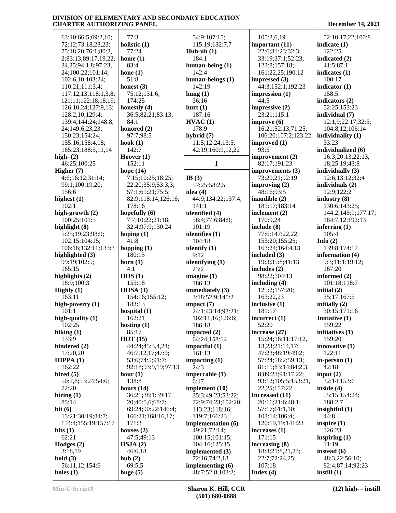63:10;66:5;69:2,10; 72:12;73:18,23,23; 75:18,20;76:1;80:2, 2;83:13;89:17,19,22, 24,25;94:1,8;97:23, 24;100:22;101:14; 102:6,10;103:24; 110:21;111:3,4; 117:12,13;118:1,3,8; 121:11;122:18,18,19; 126:10,24;127:9,13; 128:2,10;129:4; 139:4;144:24;148:8, 24;149:6,23,23; 150:23;154:24; 155:16;158:4,18; 165:23;188:5,11,14 **high- (2)** 46:25;100:25 **Higher (7)** 4:6;16:12;31:14; 99:1;100:19,20; 156:6 **highest (1)** 102:1 **high-growth (2)** 100:25;101:5 **highlight (8)** 5:25;19:23;98:9; 102:15;104:15; 106:16;132:11;133:3 **highlighted (3)** 99:19;102:5; 165:15 **highlights (2)** 18:9;100:3 **Highly (1)** 163:11 **high-poverty (1)** 101:1 **high-quality (1)** 102:25 **hiking (1)** 133:9 **hindered (2)** 17:20,20 **HIPPA (1)** 162:22 **hired (5)** 50:7,8;53:24;54:6; 72:20 **hiring (1)** 85:14 **hit (6)** 15:21;30:19;84:7; 154:4;155:19;157:17 **hits (1)** 62:21 **Hodges (2)** 3:18,19 **hold (3)** 56:11,12;154:6 **holes (1)**

 77:3 **holistic (1)** 77:24 **home (1)** 83:4 **hone (1)** 51:8 **honest (3)** 75:12;131:6; 174:25 **honestly (4)** 36:5;82:21;83:13; 84:1 **honored (2)** 97:7;98:5 **hook (1)** 142:7 **Hoover (1)** 152:11 **hope (14)** 7:15;10:25;18:25; 22:20;35:9;53:3,3; 57:1;61:21;75:5; 82:9;118:14;126:16; 178:16 **hopefully (6)** 7:7;10:22;21:18; 32:4;97:9;130:24 **hoping (1)** 41:8 **hopping (1)** 180:15 **horn (1)** 4:1 **HOS (1)** 155:18 **HOSA (3)** 154:16;155:12; 183:13 **hospital (1)** 162:21 **hosting (1)** 85:17 **HOT (15)** 44:24;45:3,4,24; 46:7,12,17;47:9; 53:6;74:5;91:7; 92:18;93:9,19;97:13 **hour (1)** 138:8 **hours (14)** 36:21;38:1;39:17, 20;40:5,6;68:7; 69:24;90:22;146:4; 166:21;168:16,17; 171:3 **houses (2)** 47:5;49:13 **HSJA (2)** 46:6,18 **hub (2)** 69:5,5 **huge (5)**

 54:9;107:15; 115:19;132:7,7 **Huh-uh (1)** 184:1 **human-being (1)** 142:4 **human-beings (1)** 142:19 **hung (1)** 36:16 **hurt (1)** 187:16 **HVAC (1)** 178:9 **hybrid (7)** 11:5;12:24;13:5; 42:19;160:9,12,22 **I IB (3)** 57:25;58:2,5 **idea (4)** 44:9;134:22;137:4; 141:1 **identified (4)** 58:4;77:6;84:9; 101:19 **identifies (1)** 104:18 **identify (1)** 9:12 **identifying (1)** 23:2 **imagine (1)** 186:13 **immediately (3)** 3:18;52:9;145:2 **impact (7)** 24:1;43:14;93:21; 102:11,16;126:6; 186:18 **impacted (2)** 64:24;158:14 **impactful (1)** 161:13 **impacting (1)** 24:3 **impeccable (1)** 6:17 **implement (10)** 35:3;49:23;53:22; 72:9;74:23;102:20; 113:23;118:16; 119:7;166:23 **implementation (6)** 49:21;72:14; 100:15;101:15; 104:16;125:15 **implemented (3)** 72:16;74:2,18 **implementing (6)** 48:7;52:8;103:2;

 105:2,6,19 **important (11)** 22:6;31:23;32:3; 33:19;37:1;52:23; 123:8;157:18; 161:22,25;190:12 **impressed (3)** 44:3;152:1;192:23 **impression (1)** 44:5 **impressive (2)** 23:21;115:1 **improve (6)** 16:21;52:13;71:25; 106:20;107:2;123:22 **improved (1)** 93:5 **improvement (2)** 82:17;191:23 **improvements (3)** 73:20,21;92:19 **improving (2)** 48:16;93:5 **inaudible (2)** 181:17;183:14 **inclement (2)** 170:9,24 **include (8)** 77:6;147:22,22; 153:20;155:25; 163:24;164:4,13 **included (3)** 19:3;35:8;41:13 **includes (2)** 98:22;104:13 **including (4)** 125:2;157:20; 163:22,23 **inclusive (1)** 181:17 **incorrect (1)** 52:20 **increase (27)** 15:24;16:11;17:12, 13,23;21:14,17; 47:23;48:19;49:2; 57:24;58:2;59:13; 81:15;83:14;84:2,3, 8;89:23;91:17,22; 93:12;105:5;153:21, 22,25;157:22 **Increased (11)** 20:16;21:6;48:1; 57:17;61:1,10; 103:14;106:4; 120:19,19;141:23 **increases (1)** 171:15 **increasing (8)** 18:3;21:8,21,23; 22:7;72:24,25; 107:18 **Index (4)**

 52:10,17,22;100:8 **indicate (1)** 122:25 **indicated (2)** 41:5;87:1 **indicates (1)** 100:17 **indicator (1)** 158:5 **indicators (2)** 52:25;153:23 **individual (7)** 12:1,9;22:17;32:5; 104:8,12;106:14 **individuality (1)** 33:23 **individualized (6)** 16:3;20:13;22:13, 18;25:19;43:8 **individually (3)** 12:6;13:12;32:4 **individuals (2)** 12:9;122:2 **industry (8)** 130:6;143:25; 144:2;145:9;177:17; 184:7,12;192:13 **inferring (1)** 105:4 **Info (2)** 139:8;174:17 **information (4)** 9:3;11:1;19:12; 167:20 **informed (2)** 101:18;118:7 **initial (2)** 35:17;167:5 **initially (2)** 30:15;171:16 **Initiative (1)** 159:22 **initiatives (1)** 159:20 **innovative (1)** 122:11 **in-person (1)** 42:18 **input (2)** 32:14;153:6 **inside (4)** 55:15;154:24; 188:2,7 **insightful (1)** 44:8 **inspire (1)** 126:23 **inspiring (1)** 11:19 **instead (6)** 48:3,22;56:10; 82:4;87:14;92:23 **instill (1)**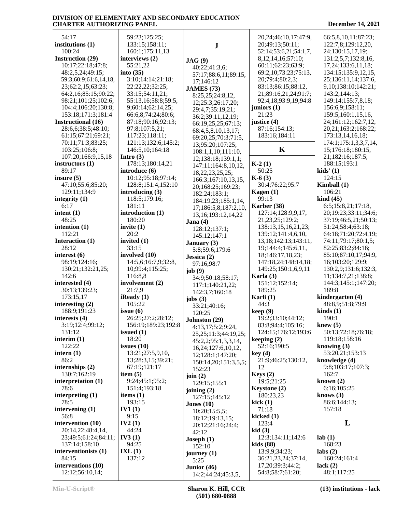# **DIVISION OF ELEMENTARY AND SECONDARY EDUCATION**

#### **CHARTER AUTHORIZING PANEL December 14, 2021** 59:23;125:25; 133:15;158:11; 160:1;175:11,13 **interviews (2) J JAG (9)** 40:22;41:3,6; 57:17;88:6,11;89:15, 17;146:12 **JAMES (73)** 8:25,25;24:8,12, 12;25:3;26:17,20; 29:4,7;35:19,21; 36:2;39:11,12,19; 66:19,25,25;67:13; 68:4,5,8,10,13,17; 69:20,25;70:3;71:5, 13;95:20;107:25; 108:1,1,10;111:10, 12;138:18;139:1,1; 147:11;164:8,10,12, 18,22,23,25,25; 166:3;167:10,13,15, 20;168:25;169:23; 182:24;183:1; 184:19,23;185:1,14, 17;186:5,8;187:2,10, 13,16;193:12,14,22 **Jana (4)** 128:12;137:1; 145:12;147:1 20,24;46:10,17;47:9, 20;49:13;50:11; 52:14;53:6,21;54:1,7, 8,12,14,16;57:10; 60:11;62:23;63:9; 69:2,10;73:23;75:13, 20;79:4;80:2,3; 83:13;86:15;88:12, 21;89:16,21,24;91:7; 92:4,18;93:9,19;94:8 **juniors (1)** 21:23 **justice (4)** 87:16;154:13; 183:16;184:11 **K K-2 (1)** 50:25 **K-6 (3)** 30:4;76:22;95:7 **Kagen (1)** 99:13 **Karber (38)** 127:14;128:9,9,17, 21,23,25;129:2; 138:13,15,16,21,23; 139:12;141:4,6,10, 13,18;142:13;143:11, 66:5,8,10,11;87:23; 122:7,8;129:12,20, 24;130:15,17,19; 131:2,5,7;132:8,16, 17,24;133:6,11,18; 134:15;135:9,12,15, 25;136:11,14;137:6, 9,10;138:10;142:21; 143:2;144:13; 149:14;155:7,8,18; 156:6,9;158:11; 159:5;160:1,15,16, 24;161:12;162:7,12, 20,21;163:2;168:22; 173:13,14,16,18; 174:1;175:1,3,3,7,14, 15;176:18;180:15, 21;182:16;187:5; 188:15;193:1 **kids' (1)** 124:15 **Kimball (1)** 106:21 **kind (45)** 6:5;15:8,21;17:18, 20;19:23;33:11;34:6; 37:19;46:5,21;50:13; 51:24;58:4;63:18; 64:18;71:20;72:4,19;

 19;144:4;145:6,11, 18;146:17,18,23; 147:18,24;148:14,18; 149:25;150:1,6,9,11

151:12;152:14;

 19:2;33:10;44:12; 83:8;94:4;105:16; 124:15;176:12;193:6

21:9;46:25;130:12,

12:3;134:11;142:6

 13:9,9;34:23; 36:21,23,24;37:14,

**Karla (3)**

 189:25 **Karli (1)** 44:3 **keep (9)**

**keeping (2)** 52:16;190:5

**key (4)**

 12 **Keys (2)** 19:5;21:25 **Keystone (2)** 180:23,23 **kick (1)** 71:18 **kicked (1)** 123:4 **kid (3)**

**Instructional (16)** 28:6,6;38:5;48:10; 61:15;67:21;69:21; 70:11;71:3;83:25; 103:25;106:8; 107:20;166:9,15,18 **instructors (1)** 89:17 **insure (5)** 47:10;55:6;85:20; 129:11;134:9 **integrity (1)** 6:17 **intent (1)** 48:25 **intention (1)** 112:21 **Interaction (1)** 28:12 **interest (6)** 98:19;124:16; 130:21;132:21,25; 142:6 **interested (4)** 30:13;139:23; 173:15,17 **interesting (2)** 188:9;191:23 **interests (4)** 3:19;12:4;99:12; 131:12 **interim (1)** 122:22 **intern (1)** 86:2 **internships (2)** 130:7;162:19 **interpretation (1)** 78:6 **interpreting (1)** 78:5 **intervening (1)** 56:8 **intervention (10)** 20:14,22;48:4,14, 23;49:5;61:24;84:11; 137:14;158:10 **interventionists (1)** 84:15 **interventions (10)** 12:12;56:10,14;

 54:17 **institutions (1)** 100:24 **Instruction (29)** 10:17;22:18;47:8; 48:2,5,24;49:15; 59:3;60:9;61:6,14,18, 23;62:2,15;63:23; 64:2,16;85:15;90:22; 98:21;101:25;102:6; 104:4;106:20;130:8; 153:18;171:3;181:4

 55:21,22 **into (35)** 3:10;14:14;21:18; 22:22,22;32:25; 33:15;54:11,21; 55:13,16;58:8;59:5, 9;60:14;62:14,25; 66:6,8;74:24;80:6; 87:18;90:16;92:13; 97:8;107:5,21; 117:23;118:11; 121:13;132:6;145:2; 146:5,10;164:18 **Intro (3)** 178:13;180:14,21 **introduce (6)** 10:12;95:18;97:14; 128:8;151:4;152:10 **introducing (3)** 118:5;179:16; 181:11 **introduction (1)** 180:20 **invite (1)** 20:2 **invited (1)** 33:15 **involved (10)** 14:5,6;16:7,9;32:8, 10;99:4;115:25; 116:8,8 **involvement (2)** 21:7,9 **iReady (1)** 105:22 **issue (6)** 26:25;27:2;28:12; 156:19;189:23;192:8 **issued (1)** 18:20 **issues (10)** 13:21;27:5,9,10, 13;28:3,15;39:21; 67:19;121:17 **item (5)** 9:24;45:1;95:2; 151:4;193:18 **items (1)** 193:15 **IV1 (1)** 9:15 **IV2 (1)** 44:24 **IV3 (1)** 94:25 **IXL (1)** 137:12 **January (3)** 5:8;59:6;179:6 **Jessica (2)** 97:16;98:7 **job (9)** 34:9;50:18;58:17; 117:1;140:21,22; 142:3,7;160:18 **jobs (3)** 33:21;40:16; 120:25 **Johnston (29)** 4:13,17;5:2;9:24, 25,25;11:3;44:19,25; 45:2,2;95:1,3,3,14, 16,24;127:6,10,12, 12;128:1;147:20; 150:14,20;151:3,5,5; 152:23 **join (2)** 129:15;155:1 **joining (2)** 127:15;145:12 **Jones (10)** 10:20;15:5,5; 18:12;19:13,15; 20:12;21:16;24:4; 42:12 **Joseph (1)** 152:10 **journey (1)** 5:25 **Junior (46)**

 14:2;44:24;45:3,5, 17,20;39:3;44:2; 54:8;58:7;61:20;

**kids (88)**

 74:11;79:17;80:1,5; 82:25;83:2;84:16; 85:10;87:10,17;94:9, 16;103:20;129:9; 130:2,9;131:6;132:3, 11;134:7,21;138:8; 144:3;145:1;147:20; 189:8 **kindergarten (4)** 48:8,9;51:8;79:9 **kinds (1)** 190:1 **knew (5)**

 50:13;72:18;76:18; 119:18;158:16 **knowing (3)** 53:20,21;153:13 **knowledge (4)** 9:8;103:17;107:3; 162:7 **known (2)** 6:16;105:25 **knows (3)** 86:6;144:13; 157:18 **L**

**lab (1)** 168:23 **labs (2)** 160:24;161:4 **lack (2)** 48:1;117:25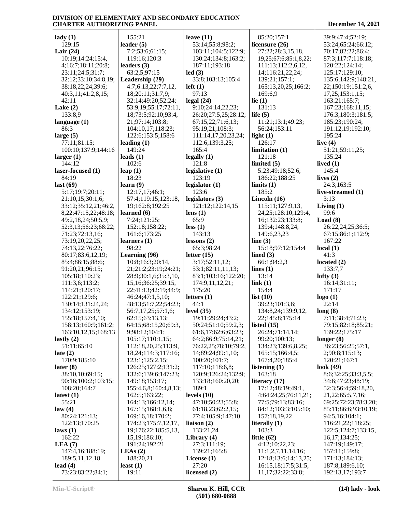| $\text{lady}(1)$                | 155:21                  | leave $(11)$              | 85:20;157:1                              | 39:9;47:4;52:19;                   |
|---------------------------------|-------------------------|---------------------------|------------------------------------------|------------------------------------|
| 129:15                          | leader $(5)$            | 53:14;55:8;98:2;          | licensure (26)                           | 53:24;65:24;66:12;                 |
| Lair $(24)$                     | 7:2;53:6;61:15;         | 103:11;104:5;122:9;       | 27:22;28:3,15,18,                        | 70:17;82:22;86:4;                  |
| 10:19;14:24;15:4,               | 119:16;120:3            | 130:24;134:8;163:2;       | 19,25;67:6;85:1,8,22;                    | 87:3;117:7;118:18;                 |
| 4;16:7;18:11;20:8;              | leaders $(3)$           | 187:11;193:18             | 111:13;112:2,6,12,                       | 120:22;124:14;                     |
| 23:11;24:5;31:7;                | 63:2,5;97:15            | led(3)                    | 14;116:21,22,24;                         | 125:17:129:10:                     |
| 32:12;33:10;34:8,19;            | Leadership (29)         | 33:8;103:13;105:4         | 139:21;157:1;                            | 135:6;142:9;148:21,                |
| 38:18,22,24;39:6;               | 4:7;6:13,22;7:7,12,     | $left(1\right)$           | 165:13,20,25;166:2;                      | 22;150:19;151:2,6,                 |
| 40:3,11;41:2,8,15;              | 18;20:11;31:7,9;        | 97:13                     | 169:6,9                                  | 17,25;153:1,15;                    |
| 42:11                           | 32:14;49:20;52:24;      | legal(24)                 | lie $(1)$                                | 163:21;165:7;                      |
| Lake $(2)$                      | 53:9,19;55:17;72:11,    | 9:10;24:14,22,23;         | 131:13                                   | 167:23;168:11,15;                  |
| 133:8,9                         | 18;73:5;92:10;93:4,     | 26:20;27:5,25;28:12;      | life $(5)$                               | 176:3;180:3;181:5;                 |
| language $(1)$                  | 21;97:14;103:8;         | 67:15,22;71:6,13;         | 11:21;13:1;49:23;                        | 185:23;190:24;                     |
| 86:3                            | 104:10,17;118:23;       | 95:19,21;108:3;           | 56:24;153:11                             | 191:12,19;192:10;                  |
| large $(5)$                     | 122:6;153:5;158:6       | 111:14,17,20,23,24;       | light $(1)$                              | 195:24                             |
| 77:11;81:15;                    | leading $(1)$           | 112:6;139:3,25;           | 126:17                                   | live $(4)$                         |
| 100:10;137:9;144:16             | 149:24                  | 165:4                     | limitation(1)                            | 51:21;59:11,25;                    |
| larger $(1)$                    | leads $(1)$             | legally(1)                | 121:18                                   | 135:24                             |
| 144:12                          | 102:6                   | 121:8                     | limited $(5)$                            | lived $(1)$                        |
| laser-focused (1)               | leap $(1)$              | legislative (1)           | 5:23;49:18;52:6;                         | 145:4                              |
| 84:19                           | 18:23                   | 123:19                    | 186:22;188:25                            | lives $(2)$                        |
|                                 |                         |                           | limits(1)                                | 24:3;163:5                         |
| last $(69)$                     | learn $(9)$             | legislator $(1)$<br>123:6 | 185:2                                    | live-streamed (1)                  |
| 5:17;19:7;20:11;                | 12:17,17;46:1;          |                           |                                          |                                    |
| 21:10,15;30:1,6;                | 57:4;119:15;123:18,     | legislators (3)           | Lincoln $(16)$                           | 3:13                               |
| 33:12;35:12,21;46:2,            | 19;162:8;192:25         | 121:12;122:14,15          | 115:11;127:9,13,                         | Living $(1)$                       |
| 8, 22; 47: 15, 22; 48: 18;      | learned $(6)$           | lens $(1)$                | 24, 25; 128: 10; 129: 4,                 | 99:6                               |
| 49:2,18,24;50:5,9;              | 7:24;121:25;            | 65:9                      | 16;132:23;133:8;                         | Load(8)                            |
| 52:3,13;56:23;68:22;            | 152:18;158:22;          | less(1)                   | 139:4;148:8,24;                          | 26:22,24,25;36:5;                  |
| 71:23;72:13,16;                 | 161:6;173:25            | 143:13                    | 149:6,23,23                              | 67:15;86:1;112:9;                  |
| 73:19,20,22,25;                 | learners (1)            | lessons(2)                | line $(3)$                               | 167:22                             |
| 74:13,22;76:22;                 | 98:22                   | 65:3;98:24                | 15:18;97:12;154:4                        | local(1)                           |
| 80:17;83:6,12,19;               | Learning (96)           | letter $(15)$             | lined $(3)$                              | 41:3                               |
| 85:4;86:15;88:6;                | 10:8;16:3;20:14,        | 3:17;52:11,12;            | 66:1;94:2,3                              | located $(2)$                      |
| 91:20,21;96:15;                 | 21;21:2;23:19;24:21;    | 53:1;82:11,11,13;         | lines $(1)$                              | 133:7,7                            |
| 105:18;110:23;                  | 28:9;30:1,6;35:3,10,    | 83:1;103:16;122:20;       | 13:14                                    | lofty $(3)$                        |
| 111:3,6;113:2;                  | 15, 16; 36: 25; 39: 15, | 174:9,11,12,21;           | link(1)                                  | 16:14;31:11;                       |
| 114:21;120:17;                  | 22;41:13;42:19;44:9;    | 175:20                    | 154:4                                    | 171:17                             |
| 122:21;129:6;                   | 46:24;47:1,5,10;        | letters $(1)$             | list $(10)$                              | logo(1)                            |
| 130:14;131:24,24;               | 48:13;51:7,22;54:23;    | 44:1                      | 39:23;101:3,6;                           | 22:14                              |
| 134:12;153:19;                  | 56:7,17,25;57:1,6;      | level $(35)$              | 134:8,24;139:9,12,                       | long(8)                            |
| 155:18;157:4,10;                | 62:15;63:13,13;         | 19:11;29:24;43:2;         | 22;145:8;175:14                          | 7:11;38:4;71:23;                   |
| 158:13;160:9;161:2;             | 64:15;68:15,20;69:3,    | 50:24;51:10;59:2,3;       | listed $(15)$                            | 79:15;82:18;85:21;                 |
| 163:10,12,15;168:13             | 9;98:12;104:1;          | 61:6,17;62:6;63:23;       | 26:24;71:14,14;                          | 139:22;175:17                      |
| lastly $(2)$                    | 105:17;110:1,15;        | 64:2;66:9;75:14,21;       | 99:20;100:13;                            | longer $(8)$                       |
| 51:11;65:10                     | 112:18,20,25;113:9,     | 76:22,25;78:10;79:2,      | 134:23;139:6,8,25;                       | 36:23;56:25;57:1,                  |
| late $(2)$                      | 18,24;114:3;117:16;     | 14;89:24;99:1,10;         | 165:15;166:4,5;                          | 2;90:8;115:13;                     |
| 170:9;185:10                    | 123:1;125:2,15;         | 100:20;101:7;             | 167:4,20;185:4                           | 120:21;167:1                       |
| later (8)                       | 126:25;127:2;131:2;     | 117:10;118:6,8;           | listening $(1)$                          | look $(49)$                        |
| 38:10,10;69:15;                 | 132:6;139:6;147:23;     | 120:9;126:24;132:9;       | 163:18                                   | 8:6;32:25;33:3,5,5;                |
| 90:16;100:2;103:15;             | 149:18;153:17;          | 133:18;160:20,20;         | literacy $(17)$                          | 34:6;47:23;48:19;                  |
| 108:20;164:7                    | 155:4,6,8;160:4,8,13;   | 189:1                     | 17:12;48:19;49:1,                        | 52:3;56:4;59:18,20,                |
| latest $(1)$                    | 162:5;163:22;           | levels $(10)$             | 4;64:24,25;76:11,21;                     | 21,22;65:5,7,16;                   |
| 55:21                           | 164:13;166:12,14;       | 47:10;50:23;55:8;         | 77:5;79:13;83:16;                        | 69:25;72:23;78:3,20;               |
| law(4)                          | 167:15;168:1,6,8;       | 61:18,23;62:2,15;         | 84:12;103:3;105:10;                      | 85:11;86:6;93:10,19;               |
| 80:24;121:13;                   | 169:16,18;170:2;        | 77:4;105:9;147:10         | 157:18,19,22                             | 94:5,16;104:1;                     |
| 122:13;170:25                   | 174:23;175:7,12,17,     | liaison $(2)$             | literally (1)                            | 116:21,22;118:25;                  |
| laws (1)                        | 19;176:22;185:5,13,     | 133:21,24                 | 103:3                                    | 122:5;124:7;133:15,                |
| 162:22                          | 15, 19; 186: 10;        | Library $(4)$             | little $(62)$                            | 16, 17; 134: 25;                   |
| LEA(7)                          | 191:24;192:21           | 27:3;111:19;              | 4:12;10:22,23;                           | 147:19;149:17;                     |
| 147:4,16;188:19;                |                         |                           |                                          |                                    |
|                                 |                         |                           |                                          |                                    |
|                                 | LEAs(2)                 | 139:21;165:8              | 11:1,2,7,11,14,16;                       | 157:11;159:8;                      |
| 189:5, 11, 12, 18               | 188:20,21               | License $(1)$             | 12:18;13:6;14:13,25;                     | 171:13;184:13;                     |
| lead $(4)$<br>73:23;83:22;84:1; | least $(1)$<br>19:11    | 27:20<br>licensed $(2)$   | 16:15,18;17:5;31:5,<br>11,17;32:22;33:8; | 187:8;189:6,10;<br>192:13,17;193:7 |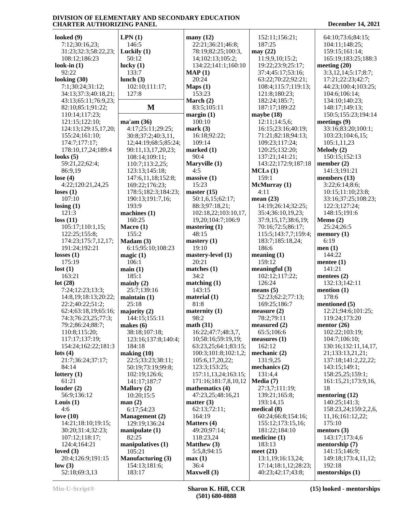| looked $(9)$            | LPN(1)                   | many $(12)$                | 152:11;156:21;                            | 64:10;73:6;84:15;         |
|-------------------------|--------------------------|----------------------------|-------------------------------------------|---------------------------|
| 7:12;30:16,23;          | 146:5                    | 22:21;36:21;46:8;          | 187:25                                    | 104:11;148:25;            |
| 31:23;32:3;58:22,23;    | Luckily $(1)$            | 78:19;82:25;100:3,         | may $(22)$                                | 159:15;161:14;            |
| 108:12;186:23           | 50:12                    | 14;102:13;105:2;           | 11:9,9,10;15:2;                           | 165:19;183:25;188:3       |
| look-in $(1)$           | lucky $(1)$              | 134:22;141:1;160:10        | 19:22;23:9;25:17;                         | meeting $(20)$            |
| 92:22                   | 133:7                    | MAP(1)                     | 37:4;45:17;53:16;                         | 3:3,12,14;5:17;8:7;       |
| looking (30)            | lunch $(3)$              | 20:24                      | 63:22;70:22;92:21;                        | 17:21;22:23;42:7;         |
| 7:1;30:24;31:12;        | 102:10;111:17;           |                            | 108:4;115:7;119:13;                       | 44:23;100:4;103:25;       |
|                         |                          | Maps(1)                    |                                           |                           |
| 34:13;37:3;40:18,21;    | 127:8                    | 153:23                     | 121:8;180:23;                             | 104:6;106:14;             |
| 43:13;65:11;76:9,23;    |                          | March (2)                  | 182:24;185:7;                             | 134:10;140:23;            |
| 82:10;85:1;91:22;       | M                        | 83:5;105:11                | 187:17;189:22                             | 148:17;149:13;            |
| 110:14;117:23;          |                          | margin(1)                  | maybe $(18)$                              | 150:5;155:23;194:14       |
| 121:15;122:10;          | ma'am(36)                | 100:10                     | 12:11;14:5,6;                             | meetings $(9)$            |
| 124:13;129:15,17,20;    | 4:17;25:11;29:25;        | mark(3)                    | 16:15;23:16;40:19;                        | 33:16;83:20;100:1;        |
| 155:24;161:10;          | 30:8;37:2;40:3,11,       | 16:18;92:22;               | 71:21;82:18;94:13;                        | 103:23;104:6,15;          |
| 174:7;177:17;           | 12;44:19;68:5;85:24;     | 109:14                     | 109:23;117:24;                            | 105:1,11,23               |
| 178:10,17,24;189:4      | 90:11,13,17,20,23;       | marked (1)                 | 120:25;132:20;                            | Melody (2)                |
| looks $(5)$             | 108:14;109:11;           | 90:4                       | 137:21;141:21;                            | 150:15:152:13             |
| 59:21,22;62:4;          | 110:7;113:2,25;          | Maryville (1)              | 143:22;172:9;187:18                       | member $(2)$              |
| 86:9,19                 | 123:13;145:18;           | 4:5                        | MCLs(1)                                   | 141:3;191:21              |
| lose $(4)$              | 147:6,11,18;152:8;       | massive (1)                | 159:1                                     | members $(13)$            |
| 4:22;120:21,24,25       | 169:22;176:23;           | 15:23                      | McMurray (1)                              | 3:22;6:14;8:6;            |
| loss(1)                 |                          | master $(15)$              | 4:11                                      | 10:15;11:10;23:8;         |
|                         | 178:5;182:3;184:23;      |                            |                                           |                           |
| 107:10                  | 190:13;191:7,16;         | 50:1,6,15;62:17;           | mean $(23)$<br>14:19;26:14;32:25;         | 33:16;37:25;108:23;       |
| $\text{losing } (1)$    | 193:9                    | 88:3;97:18,21;             |                                           | 122:3;127:24;             |
| 121:3                   | machines $(1)$           | 102:18,22;103:10,17,       | 35:4;36:10,19,23;                         | 148:15:191:6              |
| loss(11)                | 160:25                   | 19,20;104:7;106:9          | 37:9,15,17;38:6,19;                       | Memo(2)                   |
| 105:17;110:1,15;        | Macro $(1)$              | mastering(1)               | 70:16;72:5;86:17;                         | 25:24;26:5                |
| 122:25;155:8;           | 155:2                    | 48:15                      | 115:5;143:7,7;159:4;                      | memory(1)                 |
| 174:23;175:7,12,17;     | Madam (3)                | mastery $(1)$              | 183:7;185:18,24;                          | 6:19                      |
| 191:24;192:21           | 6:15;95:10;108:23        | 19:10                      | 186:6                                     | men(1)                    |
|                         |                          |                            |                                           |                           |
| losses $(1)$            | magic $(1)$              | mastery-level (1)          | meaning $(1)$                             | 144:22                    |
| 175:19                  |                          | 20:21                      | 159:12                                    |                           |
|                         | 106:1                    |                            |                                           | mentee $(1)$              |
| lost(1)                 | main(1)                  | matches $(1)$              | meaningful $(3)$                          | 141:21                    |
| 163:21                  | 185:1                    | 34:2                       | 102:12;117:22;                            | mentees $(2)$             |
| lot $(28)$              | mainly $(2)$             | matching(1)                | 126:24                                    | 132:13;142:11             |
| 7:24;12:23;13:3;        | 25:7;139:16              | 143:15                     | means $(5)$                               | mention $(1)$             |
| 14:8, 19; 18:13; 20:22; | maintain(1)              | material $(1)$             | 52:23;62:2;77:13;                         | 178:6                     |
| 22:2;40:22;51:2;        | 25:18                    | 81:8                       | 169:25;186:7                              | mentioned (5)             |
| 62:4;63:18,19;65:16;    | majority $(2)$           | maternity (1)              | measure $(2)$                             | 12:21;94:6;101:25;        |
| 74:3;76:23,25;77:3;     | 144:15;155:11            | 98:2                       | 78:2;79:11                                | 119:24;173:20             |
| 79:2;86:24;88:7;        | makes $(6)$              | math(31)                   | measured $(2)$                            | mentor $(26)$             |
| 110:8;115:20;           | 38:18;107:18;            | 16:22;47:7;48:3,7,         | 65:5;106:6                                | 102:22;103:19;            |
| 117:17;137:19;          | 123:16;137:8;140:4;      | 10;58:16;59:19,19;         | measures (1)                              | 104:7;106:10;             |
| 154:24;162:22;181:3     | 184:18                   | 63:23,25;64:1;83:15;       | 162:12                                    | 130:16;132:11,14,17,      |
| $\text{lots} (4)$       | making $(10)$            | 100:3;101:8;102:1,2;       | mechanic $(2)$                            | 21;133:13,21,21;          |
| 21:7;36:24;37:17;       | 22:5;33:23;38:11;        | 105:6,17,20,22;            | 131:9,25                                  | 137:18;141:2,22,22;       |
| 84:14                   | 50:19;73:19;99:8;        | 123:3;153:25;              | mechanics (2)                             | 143:15;149:1;             |
| lottery $(1)$           | 102:19;126:6;            | 157:11,13,24;163:15;       | 131:4,4                                   | 158:25,25;159:1;          |
| 61:21                   | 141:17;187:7             | 171:16;181:7,8,10,12       | Media (7)                                 | 161:15,21;173:9,16,       |
| louder $(2)$            | Mallory (2)              | mathematics (4)            | 27:3,7;111:19;                            | 18                        |
| 56:9;136:12             | 10:20;15:5               | 47:23,25;48:16,21          | 139:21;165:8;                             | mentoring $(12)$          |
|                         | man(2)                   | matter $(3)$               | 193:14,15                                 | 140:25;141:3;             |
| Louis $(1)$             |                          |                            |                                           |                           |
| 4:6                     | 6:17:54:23               | 62:13;72:11;               | medical(8)                                | 158:23,24;159:2,2,6,      |
| love $(10)$             | <b>Management</b> (2)    | 164:19                     | 60:24;66:8;154:16;                        | 11,16;161:12,22;          |
| 14:21;18:10;19:15;      | 129:19;136:24            | Matters (4)                | 155:12;173:15,16;                         | 175:10                    |
| 30:20;31:4;32:23;       | manipulate $(1)$         | 49:20;97:14;               | 181:22;184:10                             | mentors $(3)$             |
| 107:12;118:17;          | 82:25                    | 118:23,24                  | medicine $(1)$                            | 143:17;173:4,6            |
| 124:4;164:21            | manipulatives $(1)$      | <b>Matthew</b> (3)         | 183:13                                    | mentorship (7)            |
| loved $(3)$             | 105:21                   | 5:5,8;94:15                | meet $(21)$                               | 141:15;146:9;             |
| 20:4;126:9;191:15       | <b>Manufacturing (3)</b> | max(1)                     | 13:1,19;16:13,24;                         | 149:18;173:4,11,12;       |
| low(3)<br>52:18;69:3,13 | 154:13;181:6;<br>183:17  | 36:4<br><b>Maxwell</b> (3) | 17:14;18:1,12;28:23;<br>40:23;42:17;43:8; | 192:18<br>mentorships (1) |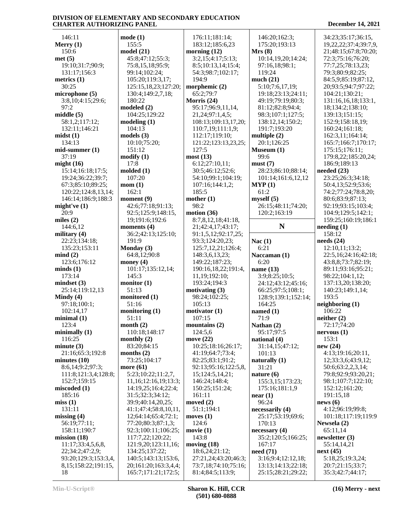146:11 **Merry (1)** 150:6 **met (5)** 19:10;31:7;90:9; 131:17;156:3 **metrics (1)** 30:25 **microphone (5)** 3:8,10;4:15;29:6; 97:2 **middle (5)** 58:1,2;117:12; 132:11;146:21 **midst (1)** 134:13 **mid-summer (1)** 37:19 **might (16)** 15:14;16:18;17:5; 19:24;36:22;39:7; 67:3;85:10;89:25; 120:22;124:8,13,14; 146:14;186:9;188:3 **might've (1)** 20:9 **miles (2)** 144:6,12 **military (4)** 22:23;134:18; 135:23;153:11 **mind (2)** 123:6;176:12 **minds (1)** 173:14 **mindset (3)** 25:14;119:12,13 **Mindy (4)** 97:18;100:1; 102:14,17 **minimal (1)** 123:4 **minimally (1)** 116:25 **minute (3)** 21:16;65:3;192:8 **minutes (10)** 8:6,14;9:2;97:3; 111:8;121:3,4;128:8; 152:7;159:15 **miscoded (1)** 185:16 **miss (1)** 131:11 **missing (4)** 56:19;77:11; 158:11;190:7 **mission (18)** 11:17;33:4,5,6,8, 22;34:2;47:2,9; 93:20;129:3;153:3,4, 8,15;158:22;191:15, 18

**mode (1)** 155:5 **model (21)** 45:8;47:12;55:3; 75:8,15,18;95:9; 99:14;102:24; 105:20;119:3,17; 125:15,18,23;127:20; 130:4;149:2,7,18; 180:22 **modeled (2)** 104:25;129:22 **modeling (1)** 104:13 **models (3)** 10:10;75:20; 151:12 **modify (1)** 17:8 **molded (1)** 107:20 **mom (1)** 162:1 **moment (9)** 42:6;77:18;91:13; 92:5;125:9;148:15, 19;191:6;192:6 **moments (4)** 36:2;42:13;125:10; 191:9 **Monday (3)** 64:8,12;90:8 **money (4)** 101:17;135:12,14; 145:3 **monitor (1)** 51:13 **monitored (1)** 51:16 **monitoring (1)** 51:11 **month (2)** 110:18;148:17 **monthly (2)** 83:20;84:15 **months (2)** 73:25;104:17 **more (61)** 5:23;10:22;11:2,7, 11,16;12:16,19;13:3; 14:19,25;16:4;22:4; 31:5;32:3;34:12; 39:9;40:14,20,25; 41:1;47:4;58:8,10,11, 12;64:14;65:4;72:1; 77:20;80:3;87:1,3; 92:3;100:11;106:25; 117:7,22;120:22; 121:9,20;123:11,16; 134:25;137:22; 140:5;143:13;153:6, 20;161:20;163:3,4,4; 165:7;171:21;172:5;

 176:11;181:14; 183:12;185:6,23 **morning (12)** 3:2,15;4:17;5:13; 8:5;10:13,14;15:4; 54:3;98:7;102:17; 194:9 **morphemic (2)** 65:2;79:7 **Morris (24)** 95:17;96:9,11,14, 21,24;97:1,4,5; 108:13;109:13,17,20; 110:7,19;111:1,9; 112:17;119:10; 121:22;123:13,23,25; 127:5 **most (13)** 6:12;27:10,11; 30:5;46:12;52:6; 54:10;99:1;104:19; 107:16;144:1,2; 185:5 **mother (1)** 98:2 **motion (36)** 8:7,8,12,18;41:18, 21;42:4,17;43:17; 91:1,5,12;92:17,25; 93:3;124:20,23; 125:7,12,21;126:4; 148:3,6,13,23; 149:22;187:23; 190:16,18,22;191:4, 11,19;192:10; 193:24;194:3 **motivating (3)** 98:24;102:25; 105:13 **motivator (1)** 107:15 **mountains (2)** 124:5,6 **move (22)** 10:25;18:16;26:17; 41:19;64:7;73:4; 82:25;83:1;91:2; 92:13;95:16;122:5,8, 15;124:5,14,21; 146:24;148:4; 150:25;151:24; 161:11 **moved (2)** 51:1;194:1 **moves (1)** 124:6 **movie (1)** 143:8 **moving (18)** 18:6,24;21:12; 27:21,24;43:20;46:3; 73:7,18;74:10;75:16; 81:4;84:5;113:9;

 146:20;162:3; 175:20;193:13 **Mrs (8)** 10:14,19,20;14:24; 97:16,18;98:1; 119:24 **much (21)** 5:10;7:6,17,19; 19:18;23:13;24:11; 49:19;79:19;80:3; 81:12;82:8;94:4; 98:3;107:1;127:5; 138:12,14;150:2; 191:7;193:20 **multiple (2)** 20:1;126:25 **Museum (1)** 99:6 **must (7)** 28:23;86:10;88:14; 101:14;161:6,12,12 **MYP (1)** 61:2 **myself (5)** 26:15;48:11;74:20; 120:2;163:19 **Nac (1)** 6:21 **Naccaman (1)** 6:20 **name (13)** 3:9;8:25;10:5; 24:12;43:12;45:16; 66:25;97:5;108:1; 128:9;139:1;152:14; 164:25 **named (1)** 71:9 **Nathan (2)** 95:17;97:5 **national (4)** 31:14,15;47:12; 101:13 **naturally (1)** 31:21 **nature (6)** 155:3,15;173:23; 175:16;181:1,9 **near (1)** 96:24 **necessarily (4)** 25:17;53:19;69:6; 170:13 **necessary (4)** 35:2;120:5;166:25; 167:17 **need (71)** 3:16;9:4;12:12,18; 13:13;14:13;22:18; 25:15;28:21;29:22;

**N needing (1)** 34:23;35:17;36:15, 19,22,22;37:4;39:7,9, 21;48:15;67:8;70:20; 72:3;75:16;76:20; 77:7,25;78:13,23; 79:3;80:9;82:25; 84:5,9;85:19;87:12, 20;93:5;94:7;97:22; 104:21;130:21; 131:16,16,18;133:1, 18;134:2;138:10; 139:13;151:15; 152:9;158:18,19; 160:24;161:18; 162:3,11;164:14; 165:7;166:7;170:17; 175:15;176:11; 179:8,22;185:20,24; 186:9;189:13 **needed (23)** 23:25;26:3;34:18; 50:4,13;52:9;53:6; 74:2;77:24;78:8,20; 80:6;83:9;87:13; 92:19;93:15;103:4; 104:9;129:5;142:1; 159:25;160:19;186:1 158:12 **needs (24)** 12:10,11;13:2; 22:5,16;24:16;42:18; 43:8,8;73:7;82:19; 89:11;93:16;95:21; 98:22;104:1,12; 137:13,20;138:20; 140:23;149:1,14; 193:5 **neighboring (1)** 106:22 **neither (2)** 72:17;74:20 **nervous (1)** 153:1 **new (24)** 4:13;19:16;20:11, 12;33:3,6;43:9,12; 50:6;63:2,2,3,14; 79:8;92:9;93:20,21; 98:1;107:7;122:10; 152:12;161:20; 191:15,18 **news (6)** 4:12;96:19;99:8; 101:18;117:19;119:9 **Newsela (2)** 65:11,14 **newsletter (3)** 55:14,14,21 **next (45)** 5:18,25;19:3,24; 20:7;21:15;33:7; 35:3;42:7;44:17;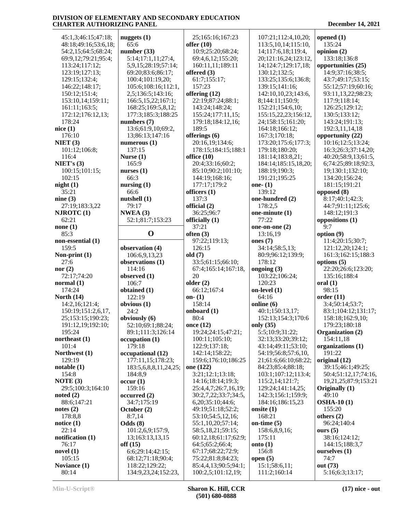| 45:1,3;46:15;47:18;  | nuggets $(1)$         | 25;165:16;167:23     | 107:21;112:4,10,20;     | opened $(1)$         |
|----------------------|-----------------------|----------------------|-------------------------|----------------------|
| 48:18;49:16;53:6,18; | 65:6                  | offer $(10)$         | 113:5, 10, 14; 115: 10, | 135:24               |
| 54:2,15;64:5;68:24;  | number(33)            | 10:9;25:20;68:24;    | 14;117:6,18;119:4,      | opinion (2)          |
| 69:9,12;79:21;95:4;  | 5:14;17:1,11;27:4,    | 69:4,6,12;155:20;    | 20;121:16,24;123:12,    | 133:18;136:8         |
| 113:24;117:12;       | 5,9,15;28:19;57:14;   | 160:11,11;189:11     | 14;124:7;129:17,18;     | opportunities (25)   |
| 123:19;127:13;       | 69:20;83:6;86:17;     | offered (3)          | 130:12:132:5;           | 14:9:37:16:38:5:     |
| 129:15;132:4;        | 100:4;101:19,20;      | 61:7;155:17;         | 133:25;135:6;136:8;     | 43:7;49:17;53:15;    |
| 146:22;148:17;       | 105:6;108:16;112:1,   | 157:23               | 139:15;141:16;          | 55:12;57:19;60:16;   |
| 150:12;151:4;        | 2,5;136:5;143:16;     | offering (12)        | 142:10,10,23;143:6,     | 93:11,13,22;98:23;   |
| 153:10,14;159:11;    | 166:5, 15, 22; 167:1; | 22:19;87:24;88:1;    | 8;144:11;150:9;         | 117:9;118:14;        |
| 161:11;163:5;        | 168:25;169:5,8,12;    | 143:24;148:24;       | 152:21;154:6,10;        | 126:25;129:12;       |
| 172:12;176:12,13;    | 177:3;185:3;188:25    | 155:24;177:11,15;    | 155:15,22,23;156:12,    | 130:5;133:12;        |
| 178:24               | numbers $(7)$         | 179:18;184:12,16;    | 24;158:15;161:20;       | 143:24;191:13;       |
|                      |                       |                      |                         |                      |
| nice $(1)$           | 13:6;61:9,10;69:2,    | 189:5                | 164:18;166:12;          | 192:3,11,14,18       |
| 176:10               | 13;86:13;147:16       | offerings $(6)$      | 167:3;170:18;           | opportunity (22)     |
| NIET(3)              | numerous $(1)$        | 20:16,19;134:6;      | 173:20;175:6;177:3;     | 10:16;12:5;13:24;    |
| 101:12;106:8;        | 137:15                | 178:15;184:15;188:1  | 179:18;180:20;          | 16:3;26:3;37:14,20;  |
| 116:4                | Nurse $(1)$           | office $(10)$        | 181:14;183:8,21;        | 40:20;58:9,13;61:5,  |
| NIET's $(3)$         | 165:9                 | 20:4;33:16;60:2;     | 184:14;185:15,18,20;    | 6;74:25;89:18;92:3,  |
| 100:15;101:15;       | nurses $(1)$          | 85:10;90:2;101:10;   | 188:19;190:3;           | 19;130:1;132:10;     |
| 102:15               | 66:3                  | 144:19;168:16;       | 191:21;195:25           | 134:20;156:24;       |
| night(1)             | nursing $(1)$         | 177:17;179:2         | one- $(1)$              | 181:15;191:21        |
| 35:21                | 66:6                  | officers (1)         | 139:12                  | opposed (8)          |
| nine $(3)$           | nutshell(1)           | 137:3                | one-hundred (2)         | 8:17;40:1;42:3;      |
| 27:19;183:3,22       | 79:17                 | official (2)         | 178:2,5                 | 44:7:91:11:125:6:    |
| NJROTC(1)            | NWEA(3)               | 36:25;96:7           | one-minute (1)          | 148:12;191:3         |
| 62:21                | 52:1;81:7;153:23      | officially (1)       | 77:22                   | oppositions (1)      |
| none $(1)$           |                       | 37:21                | one-on-one (2)          | 9:7                  |
| 85:3                 | $\mathbf 0$           | often $(3)$          | 13:16,19                | option (9)           |
| non-essential (1)    |                       | 97:22;119:13;        | ones $(7)$              | 11:4;20:15;30:7;     |
| 159:5                | observation (4)       | 126:15               | 34:14;58:5,13;          | 121:12,20;124:1;     |
| Non-print $(1)$      | 106:6,9,13,23         | old (7)              | 80:9;96:12;139:9;       | 161:3;162:15;188:3   |
| 27:6                 |                       | 33:5;61:15;66:10;    | 178:12                  | options $(5)$        |
|                      | observations (1)      |                      |                         |                      |
| nor $(2)$            | 114:16                | 67:4;165:14;167:18,  | ongoing $(3)$           | 22:20;26:6;123:20;   |
| 72:17;74:20          | observed (1)          | 20                   | 103:22;106:24;          | 135:16;188:4         |
| normal $(1)$         | 106:7                 | older $(2)$          | 120:23                  | $\bf{oral}$ $(1)$    |
| 174:24               | obtained (1)          | 66:12;167:4          | on-level $(1)$          | 98:15                |
| North $(14)$         | 122:19                | on- $(1)$            | 64:16                   | order(11)            |
| 14:2,16;121:4;       | obvious $(1)$         | 158:14               | online (6)              | 3:4;50:14;53:7;      |
| 150:19;151:2,6,17,   | 24:2                  | onboard $(1)$        | 40:1;150:13,17;         | 83:1;104:12;131:17;  |
| 25;153:15;190:23;    | obviously (6)         | 80:4                 | 152:13;154:3;170:6      | 158:18;162:9,10;     |
| 191:12,19;192:10;    | 52:10;69:1;88:24;     | once $(12)$          | only $(35)$             | 179:23;180:18        |
| 195:24               | 89:1;111:3;126:14     | 19:24;24:15;47:21;   | 5:5;10:9;31:22;         | Organization (2)     |
| northeast $(1)$      | occupation(1)         | 100:11;105:10;       | 32:13;33:20;39:12;      | 154:11,18            |
| 101:4                | 179:18                | 122:9;137:18;        | 43:14;49:11;53:10;      | organizations (1)    |
| Northwest (1)        | occupational (12)     | 142:14;158:22;       | 54:19;56:8;57:6,10,     | 191:22               |
| 129:19               | 177:11,15;178:23;     | 159:6;176:10;186:25  | 21;61:6;66:10;68:22;    | original (12)        |
| notable(1)           | 183:5,6,8,8,11,24,25; | one (122)            | 84:23;85:4;88:18;       | 39:15;46:1;49:25;    |
| 154:8                | 184:8,9               | 3:21;12:1;13:18;     | 103:1;107:12;113:4;     | 50:4;51:12,17;74:16, |
| NOTE $(3)$           | occur(1)              | 14:16;18:14;19:3;    | 115:2,14;121:7;         | 19,21,25;87:9;153:21 |
| 29:5;100:3;164:10    | 159:16                | 25:4,4,7;26:7,16,19; | 129:24;141:14,25;       | Originally (1)       |
| noted $(2)$          | occurred(2)           | 30:2,7,22;33:7;34:5, | 142:3;156:1;159:9;      | 49:10                |
| 88:6;147:21          | 34:7;175:19           | 6,20;35:10;44:6;     | 184:16;186:15,23        | <b>OSHA-10(1)</b>    |
|                      |                       |                      |                         |                      |
| notes $(2)$          | October (2)           | 49:19;51:18;52:2;    | onsite $(1)$            | 155:20               |
| 178:8,8              | 8:7,14                | 53:10;54:5,12,16;    | 168:21                  | others $(2)$         |
| notice $(1)$         | Odds(8)               | 55:1,10,20;57:14;    | on-time $(5)$           | 96:24;140:4          |
| 22:14                | 101:2,6,9;157:9,      | 58:5,18,21;59:15;    | 158:6,8,9,16;           | ours $(5)$           |
| notification (1)     | 13;163:13,13,15       | 60:12,18;61:17;62:9; | 175:11                  | 38:16;124:12;        |
| 76:17                | off $(15)$            | 64:5;65:2;66:4;      | onto $(1)$              | 144:15;188:3,7       |
| novel $(1)$          | 6:6;29:14;42:15;      | 67:17;68:22;72:9;    | 156:8                   | ourselves (1)        |
| 105:15               | 68:12;71:18;90:4;     | 75:22;81:8;84:23;    | open $(5)$              | 74:7                 |
| Noviance (1)         | 118:22;129:22;        | 85:4,4,13;90:5;94:1; | 15:1;58:6,11;           | out (73)             |
| 80:14                | 134:9,23,24;152:23,   | 100:2,5;101:12,19;   | 111:2;160:14            | 5:16;6:3;13:17;      |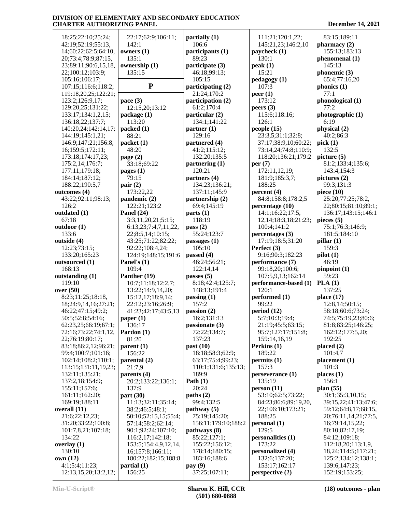| 18:25;22:10;25:24;                           | 22:17;62:9;106:11;                     | partially (1)                            | 111:21;120:1,22;                     | 83:15;189:11                              |
|----------------------------------------------|----------------------------------------|------------------------------------------|--------------------------------------|-------------------------------------------|
| 42:19;52:19;55:13,                           | 142:1                                  | 106:6                                    | 145:21,23;146:2,10                   | pharmacy(2)                               |
| 14;60:22;62:5;64:10,                         | owners (1)                             | participants (1)                         | paycheck (1)                         | 155:13;183:13                             |
| 20;73:4;78:9;87:15,                          | 135:1                                  | 89:23                                    | 130:1                                | phenomenal (1)                            |
| 23;89:11;90:6,15,18,                         | ownership (1)                          | participate (3)                          | peak(1)                              | 145:13                                    |
| 22;100:12;103:9;                             | 135:15                                 | 46:18;99:13;                             | 15:21                                | phonemic $(3)$                            |
| 105:16;106:17;                               |                                        | 105:15                                   | pedagogy (1)                         | 65:4;77:16,20                             |
| 107:15;116:6;118:2;                          | ${\bf P}$                              | participating (2)                        | 107:3                                | phonics $(1)$                             |
| 119:18,20,25;122:21;                         |                                        | 21:24;170:2                              | peer $(1)$                           | 77:1                                      |
| 123:2;126:9,17;                              | pace $(3)$                             | participation (2)                        | 173:12                               | phonological (1)                          |
| 129:20,25;131:22;                            | 12:15,20;13:12                         | 61:2;170:4                               | peers $(3)$                          | 77:2                                      |
| 133:17;134:1,2,15;                           | package (1)                            | particular (2)                           | 115:6;118:16;                        | photographic (1)                          |
| 136:18,22;137:7;                             | 113:20                                 | 134:1;141:22                             | 126:1                                | 6:19                                      |
| 140:20,24;142:14,17;                         | packet(1)                              | partner $(1)$                            | people(15)                           | physical (2)                              |
| 144:19;145:1,21;                             | 88:21                                  | 129:16                                   | 23:3,5;31:1;32:8;                    | 40:2;86:3                                 |
| 146:9;147:21;156:8,                          | packet (1)                             | partnered (4)                            | 37:17;38:9,10;60:22;                 | pick(1)                                   |
| 16;159:5;172:11;                             | 48:20                                  | 41:2;115:12;                             | 73:14,24;74:8;110:9;                 | 132:5                                     |
| 173:18;174:17,23;                            | page $(2)$                             | 132:20;135:5                             | 118:20;136:21;179:2                  | picture (5)                               |
| 175:2,14;176:7;                              | 33:18;69:22                            | partnering (1)                           | per $(7)$                            | 81:2;133:4;135:6;                         |
| 177:11;179:18;                               | pages $(1)$                            | 120:21                                   | 172:11,12,19;                        | 143:4;154:3                               |
| 184:14;187:12;                               | 79:15                                  | partners (4)                             | 181:9;185:3,7;                       | pictures $(2)$                            |
| 188:22;190:5,7                               | pair $(2)$                             | 134:23;136:21;                           | 188:25                               | 99:3;131:3                                |
| outcomes (4)                                 | 173:22,22                              | 137:11;145:9                             | percent (4)                          | piece $(10)$                              |
| 43:22;92:11;98:13;                           | pandemic (2)                           | partnership (2)                          | 84:8;158:8;178:2,5                   | 25:20;77:25;78:2,                         |
| 126:2                                        | 122:21;123:2                           | 69:4;145:19                              | percentage (10)                      | 22;80:15;81:10;89:1;                      |
| outdated (1)                                 | Panel $(24)$                           | parts(1)                                 | 14:1;16:22;17:5,                     | 136:17;143:15;146:1                       |
| 67:18                                        |                                        | 118:19                                   | 12, 14; 18: 3, 18; 21: 23;           | pieces $(5)$                              |
|                                              | 3:3,11,20,21;5:15;                     |                                          |                                      | 75:1;76:3;146:9;                          |
| outdoor (1)<br>133:6                         | 6:13,23;7:4,7,11,22,                   | pass $(2)$<br>55:24;123:7                | 100:4;141:2                          |                                           |
| outside (4)                                  | 22;8:5,14;10:15;<br>43:25;71:22;82:22; |                                          | percentages (3)<br>17:19;18:5;31:20  | 181:5;184:10                              |
|                                              |                                        | passages (1)                             |                                      | pillar $(1)$                              |
| 12:23;73:15;                                 | 92:22;108:4,24;                        | 105:10                                   | Perfect (3)                          | 159:3                                     |
| 133:20;165:23                                | 124:19;148:15;191:6                    | passed $(4)$                             | 9:16;90:3;182:23                     | pilot(1)                                  |
| outsourced (1)                               | Panel's (1)                            | 46:24;56:21;                             | performance (7)                      | 46:19                                     |
| 168:13                                       | 109:4                                  | 122:14,14                                | 99:18,20;100:6;<br>107:5,9,13;162:14 | pinpoint (1)<br>59:23                     |
| outstanding (1)<br>119:10                    | Panther (19)<br>10:7;11:18;12:2,7;     | passes $(5)$<br>8:18;42:4;125:7;         | performance-based (1)                | PLA(1)                                    |
| over $(50)$                                  | 13:22;14:9,14,20;                      | 148:13;191:4                             | 120:1                                | 137:25                                    |
| 8:23;11:25;18:18,                            | 15:12,17;18:9,14;                      | passing $(1)$                            | performed (1)                        | place $(17)$                              |
| 18;24:9,14,16;27:21;                         | 22:12;23:16;26:9;                      | 157:2                                    | 99:22                                | 12:8,14;50:15;                            |
| 46:22;47:15;49:2;                            |                                        | passion(2)                               | period(12)                           | 58:18;60:6;73:24;                         |
| 50:5;52:8;54:16;                             | 41:23;42:17;43:5,13                    |                                          |                                      |                                           |
|                                              | paper $(1)$                            | 16:2;131:13<br>passionate $(3)$          | 5:7;10:3;19:4;<br>21:19;45:5;63:15;  | 74:5;75:19,23;80:6;<br>81:8;83:25;146:25; |
| 62:23,25;66:19;67:1;<br>72:16;73:22;74:1,12, | 136:17<br>Pardon (1)                   | 72:22;134:7;                             | 95:7;127:17;151:8;                   | 162:12;177:5,20;                          |
| 22;76:19;80:17;                              | 81:20                                  | 137:23                                   | 159:14,16,19                         | 192:25                                    |
| 83:18;86:2,12;96:21;                         | parent(1)                              | past $(10)$                              | Perkins (1)                          | placed $(2)$                              |
|                                              |                                        |                                          |                                      |                                           |
| 99:4;100:7;101:16;                           | 156:22                                 | 18:18;58:3;62:9;                         | 189:22<br>permits(1)                 | 101:4,7                                   |
| 102:14;108:2;110:1;                          | parental (2)<br>21:7,9                 | 63:17;75:4;99:23;<br>110:1;131:6;135:13; | 157:3                                | placement (1)<br>101:3                    |
| 113:15;131:11,19,23;                         |                                        | 189:9                                    |                                      | places $(1)$                              |
| 132:11;135:21;<br>137:2,18;154:9;            | parents (4)<br>20:2;133:22;136:1;      | Path $(1)$                               | perseverance (1)<br>135:19           | 156:1                                     |
|                                              | 137:9                                  | 20:24                                    |                                      | plan $(55)$                               |
| 155:11;157:6;                                |                                        |                                          | person(11)                           |                                           |
| 161:11;162:20;                               | part(30)                               | paths (2)                                | 53:10;62:5;73:22;                    | 30:1;35:3,10,15;                          |
| 169:19;188:11                                | 11:13;32:11;35:14;                     | 99:4;132:5                               | 84:23;86:6;89:19,20,                 | 39:15,22;41:13;47:6;                      |
| overall (11)                                 | 38:2;46:5;48:1;                        | pathway(5)                               | 22;106:10;173:21;                    | 59:12;64:8,17;68:15,                      |
| 21:6;22:12,23;                               | 50:10;52:15,15;55:4;                   | 75:19;145:20;                            | 188:25                               | 20;76:11,14,21;77:5,                      |
| 31:20;33:22;100:8;                           | 57:14;58:2;62:14;                      | 156:11;179:10;188:2                      | personal (1)                         | 16;79:14,15,22;                           |
| 101:7,8,21;107:18;                           | 90:1;92:24;107:10;                     | pathways (8)                             | 129:5                                | 80:10;82:17,19;                           |
| 134:22                                       | 116:2,17;142:18;                       | 85:22;127:1;                             | personalities (1)                    | 84:12;109:18;                             |
| overlay $(1)$                                | 153:5;154:4,9,12,14,                   | 155:22;156:12;                           | 173:22                               | 112:18,20;113:1,9,                        |
| 130:10                                       | 16;157:8;166:11;                       | 178:14;180:15;                           | personalized (4)                     | 18, 24; 114: 5; 117: 21;                  |
| own (12)                                     | 180:22;182:15;188:8                    | 183:16;188:6                             | 132:6;137:20;                        | 125:2;134:12;138:1;                       |
| 4:1;5:4;11:23;                               | partial(1)                             | pay(9)                                   | 153:17;162:17                        | 139:6;147:23;                             |
| 12:13,15,20;13:2,12;                         | 156:25                                 | 37:25;107:11;                            | perspective (2)                      | 152:19;153:25;                            |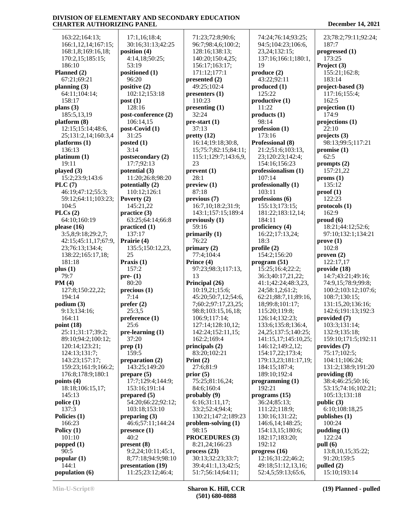163:22;164:13; 166:1,12,14;167:15; 168:1,8;169:16,18; 170:2,15;185:15; 186:10 **Planned (2)** 67:21;69:21 **planning (3)** 64:11;104:14; 158:17 **plans (3)** 185:5,13,19 **platform (8)** 12:15;15:14;48:6, 25;131:2,14;160:3,4 **platforms (1)** 136:13 **platinum (1)** 19:11 **played (3)** 15:2;23:9;143:6 **PLC (7)** 46:19;47:12;55:3; 59:12;64:11;103:23; 104:5 **PLCs (2)** 64:10;160:19 **please (16)** 3:5,8;9:18;29:2,7; 42:15;45:11,17;67:9, 23;76:13;134:4; 138:22;165:17,18; 181:18 **plus (1)** 79:7 **PM (4)** 127:8;150:22,22; 194:14 **podium (3)** 9:13;134:16; 164:11 **point (18)** 25:11;31:17;39:2; 89:10;94:2;100:12; 120:14;123:21; 124:13;131:7; 143:23;157:17; 159:23;161:9;166:2; 176:8;178:9;180:1 **points (4)** 18:18;106:15,17; 145:13 **police (1)** 137:3 **Policies (1)** 166:23 **Policy (1)** 101:10 **popped (1)** 90:5 **popular (1)** 144:1 **population (6)**

 17:1,16;18:4; 30:16;31:13;42:25 **position (4)** 4:14,18;50:25; 53:19 **positioned (1)** 96:20 **positive (2)** 102:12;153:18 **post (1)** 128:16 **post-conference (2)** 106:14,15 **post-Covid (1)** 31:25 **posted (1)** 3:14 **postsecondary (2)** 17:7;92:13 **potential (3)** 11:20;26:8;98:20 **potentially (2)** 110:12;126:1 **Poverty (2)** 145:21,22 **practice (3)** 63:25;64:14;66:8 **practiced (1)** 137:17 **Prairie (4)** 135:5;150:12,23, 25 **Praxis (1)** 157:2 **pre- (1)** 80:20 **precious (1)** 7:14 **prefer (2)** 25:3,5 **preference (1)** 25:6 **pre-learning (1)** 37:20 **prep (1)** 159:5 **preparation (2)** 143:25;149:20 **prepare (5)** 17:7;129:4;144:9; 153:16;191:14 **prepared (5)** 54:20;66:22;92:12; 103:18;153:10 **preparing (3)** 46:6;57:11;144:24 **presence (1)** 40:2 **present (8)** 9:2,24;10:11;45:1, 8;77:18;94:9;98:10 **presentation (19)** 11:25;23:12;46:4;

 71:23;72:8;90:6; 96:7;98:4,6;100:2; 128:16;138:13; 140:20;150:4,25; 156:17;163:17; 171:12;177:1 **presented (2)** 49:25;102:4 **presenters (1)** 110:23 **presenting (1)** 32:24 **pre-start (1)** 37:13 **pretty (12)** 16:14;19:18;30:8, 15;75:7;82:15;84:11; 115:1;129:7;143:6,9, 23 **prevent (1)** 28:1 **preview (1)** 87:18 **previous (7)** 16:7,10;18:2;31:9; 143:1;157:15;189:4 **previously (1)** 59:16 **primarily (1)** 76:22 **primary (2)** 77:4;104:4 **Prince (4)** 97:23;98:3;117:13, 13 **Principal (26)** 10:19,21;15:6; 45:20;50:7,12;54:6, 7;60:2;97:17,23,25; 98:8;103:15,16,18; 106:9;117:14; 127:14;128:10,12; 142:24;152:11,15; 162:2;169:4 **principals (2)** 83:20;102:21 **Print (2)** 27:6;81:9 **prior (5)** 75:25;81:16,24; 84:6;160:4 **probably (9)** 6:16;31:11,17; 33:2;52:4;94:4; 130:21;147:2;189:23 **problem-solving (1)** 98:15 **PROCEDURES (3)** 8:21,24;166:23 **process (23)** 30:13;32:23;33:7; 39:4;41:1,13;42:5; 51:7;56:14;64:11;

 74:24;76:14;93:25; 94:5;104:23;106:6, 23,24;132:15; 137:16;166:1;180:1, 19 **produce (2)** 43:22;92:11 **produced (1)** 125:22 **productive (1)** 11:22 **products (1)** 98:14 **profession (1)** 173:16 **Professional (8)** 21:2;51:6;103:13, 23;120:23;142:4; 154:16;156:23 **professionalism (1)** 107:14 **professionally (1)** 103:11 **professions (6)** 155:13;173:15; 181:22;183:12,14; 184:11 **proficiency (4)** 16:22;17:13,24; 18:3 **profile (2)** 154:2;156:20 **program (51)** 15:25;16:4;22:2; 36:3;40:17,21,22; 41:1;42:24;48:3,23, 24;58:1,2;61:2; 62:21;88:7,11;89:16, 18;99:8;101:17; 115:20;119:8; 126:14;132:23; 133:6;135:8;136:4, 24,25;137:5;140:25; 141:15,17;145:10,25; 146:12;149:2,12; 154:17,22;173:4; 179:13,23;181:17,19; 184:15;187:4; 189:10;192:4 **programming (1)** 192:21 **programs (15)** 36:24;85:13; 111:22;118:9; 130:16;131:22; 146:6,14;148:25; 154:13,15;180:6; 182:17;183:20; 192:12 **progress (16)** 12:16;31:22;46:2; 49:18;51:12,13,16; 52:4,5;59:13;65:6,

 23;78:2;79:11;92:24; 187:7 **progressed (1)** 173:25 **Project (3)** 155:21;162:8; 183:14 **project-based (3)** 117:16;155:4; 162:5 **projection (1)** 174:9 **projections (1)** 22:10 **projects (3)** 98:13;99:5;117:21 **promise (1)** 62:5 **prompts (2)** 157:21,22 **proms (1)** 135:12 **proof (1)** 122:23 **protocols (1)** 162:9 **proud (6)** 18:21;44:12;52:6; 97:10;132:1;134:21 **prove (1)** 102:8 **proven (2)** 122:17,17 **provide (18)** 14:7;43:21;49:16; 74:9,15;78:9;99:8; 100:2;103:12;107:6; 108:7;130:15; 131:15,20;136:16; 142:6;191:13;192:3 **provided (7)** 103:3;131:14; 132:9;135:18; 159:10;171:5;192:11 **provides (7)** 75:17;102:5; 104:11;106:24; 131:2;138:9;191:20 **providing (8)** 38:4;46:25;50:16; 53:15;74:16;102:21; 105:13;131:18 **public (3)** 6:10;108:18,25 **publishes (1)** 100:24 **pudding (1)** 122:24 **pull (6)** 13:8,10,15;35:22; 91:20;159:5 **pulled (2)** 15:10;193:14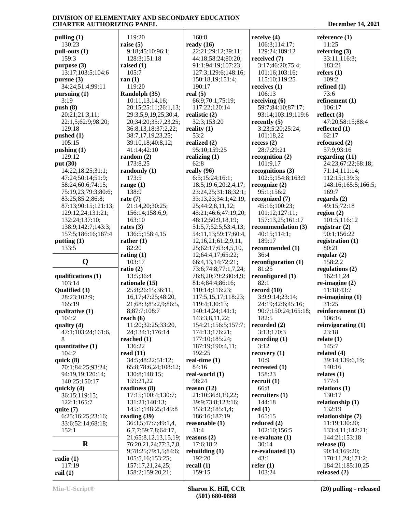119:20 **raise (5)**

105:7

119:20

 173:5 **range (1)** 138:9 **rate (7)**

 163:10 **rates (3)**

82:20

103:17

**reach (6)**

 136:22 **read (11)**

**pulling (1)** 130:23 **pull-outs (1)** 159:3 **purpose (3)** 13:17;103:5;104:6 **pursue (3)** 34:24;51:4;99:11 **pursuing (1)** 3:19 **push (8)** 20:21;21:3,11; 22:1,5;62:9;98:20; 129:18 **pushed (1)** 105:15 **pushing (1)** 129:12 **put (30)** 14:22;18:25;31:1; 47:24;50:14;51:9; 58:24;60:6;74:15; 75:19,23;79:3;80:6; 83:25;85:2;86:8; 87:13;90:15;121:13; 129:12,24;131:21; 132:24;137:10; 138:9;142:7;143:3; 157:5;186:16;187:4 **putting (1)** 133:5 **Q qualifications (1)** 103:14 **Qualified (3)** 28:23;102:9; 165:19 **qualitative (1)** 104:2 **quality (4)** 47:1;103:24;161:6, 8 **quantitative (1)** 104:2 **quick (8)** 70:1;84:25;93:24; 94:19,19;120:14; 140:25;150:17 **quickly (4)** 36:15;119:15; 122:1;165:7 **quite (7)** 6:25;16:25;23:16; 33:6;52:14;68:18;  $152:1$ **R** 7 **radio (1)** 117:19 **ran (1) ratio (2)**

 9:18;45:10;96:1; 128:3;151:18 **raised (1) Randolph (35)** 10:11,13,14,16; 20:15;25:11;26:1,13; 29:3,5,9,19,25;30:4, 20;34:20;35:7,23,25; 36:8,13,18;37:2,22; 38:7,17,19,23,25; 39:10,18;40:8,12; 41:14;42:10 **random (2)** 173:8,25 **randomly (1)** 21:14,20;30:25; 156:14;158:6,9; 136:5;158:4,15 **rather (1) rating (1)** 13:5;36:4 **rationale (15)** 25:8;26:15;36:11, 16,17;47:25;48:20, 21;68:3;85:2,9;86:5, 8;87:7;108:7 11:20;32:25;33:20, 24;134:1;176:14 **reached (1)** 34:5;48:22;51:12; 65:8;78:6,24;108:12; 130:8;148:15; 159:21,22 **readiness (8)** 17:15;100:4;130:7; 131:21;140:13; 145:1;148:25;149:8 **reading (39)** 36:3,5;47:7;49:1,4, 6,7,7;59:7,8;64:17, 21;65:8,12,13,15,19; 76:20,21,24;77:3,7,8, 9;78:25;79:1,5;84:6; 105:5,16;153:25; 157:17,21,24,25; 158:2;159:20,21; 160:8 **ready (16)** 22:21;29:12;39:11; 44:18;58:24;80:20; 91:1;94:19;107:23; 127:3;129:6;148:16; 150:18,19;151:4; 190:17 **real (5)** 66:9;70:1;75:19; 117:22;120:14 **realistic (2)** 32:3;153:20 **reality (1)** 53:2 **realized (2)** 95:10;159:25 **realizing (1)** 62:8 **really (96)** 6:5;15:24;16:1; 18:5;19:6;20:2,4,17; 23:24,25;31:18;32:1; 33:13,23;34:1;42:19, 25;44:2,8,11,12; 45:21;46:6;47:19,20; 48:12;50:9,18,19; 51:5,7;52:5;53:4,13; 54:11,13;59:17;60:4, 12,16,21;61:2,9,11, 25;62:17;63:4,5,10, 12;64:4,17;65:22; 66:4,13,14;72:21; 73:6;74:8;77:1,7,24; 78:8,20;79:2;80:4,9; 81:4;84:4;86:16; 110:14;116:23; 117:5,15,17;118:23; 119:4;130:13; 140:14,24;141:1; 143:3,8,11,22; 154:21;156:5;157:7; 174:13;176:21; 177:10;185:24; 187:19;190:4,11; 192:25 **real-time (1)** 84:16 **real-world (1)** 98:24 **reason (12)** 21:10;36:9,19,22; 39:9;73:8;123:16; 153:12;185:1,4; 186:16;187:19 **reasonable (1)** 31:4 **reasons (2)** 17:6;18:2 **rebuilding (1)** 192:20 **recall (1)** 159:15

**receive (4)** 106:3;114:17; 129:24;189:12 **received (7)** 3:17;46:20;75:4; 101:16;103:16; 115:10;119:25 **receives (1)** 106:13 **receiving (6)** 59:7;84:10;87:17; 93:14;103:19;119:6 **recently (5)** 3:23;5:20;25:24; 101:18,22 **recess (2)** 28:7;29:21 **recognition (2)** 101:9,17 **recognitions (3)** 102:5;154:8;163:9 **recognize (2)** 95:1;156:2 **recognized (7)** 45:16;100:23; 101:12;127:11; 157:13,25;161:17 **recommendation (3)** 40:15;114:1; 189:17 **recommended (1)** 36:4 **reconfiguration (1)** 81:25 **reconfigured (1)** 82:1 **record (10)** 3:9;9:14;23:14; 24:19;42:6;45:16; 90:7;150:24;165:18; 182:5 **recorded (2)** 3:13;170:3 **recording (1)** 3:12 **recovery (1)** 10:9 **recreated (1)** 158:23 **recruit (1)** 66:8 **recruiters (1)** 144:18 **red (1)** 165:15 **reduced (2)** 102:10;156:5 **re-evaluate (1)** 30:14 **re-evaluated (1)** 43:1 **refer (1)** 103:24

**reference (1)** 11:25 **referring (3)** 33:11;116:3; 183:21 **refers (1)** 109:2 **refined (1)** 73:6 **refinement (1)** 106:17 **reflect (3)** 47:20;58:15;88:4 **reflected (1)** 62:17 **refocused (2)** 57:9;93:16 **regarding (11)** 24:23;67:22;68:18; 71:14;111:14; 112:15;139:3; 148:16;165:5;166:5; 169:7 **regards (2)** 49:15;72:18 **region (2)** 101:5;116:12 **registrar (2)** 90:1;156:22 **registration (1)** 80:21 **regular (2)** 158:2,2 **regulations (2)** 162:11,24 **re-imagine (2)** 11:18;43:7 **re-imagining (1)** 31:25 **reinforcement (1)** 106:16 **reinvigorating (1)** 23:18 **relate (1)** 145:7 **related (4)** 39:14;139:6,19; 140:16 **relates (1)** 177:4 **relations (1)** 130:17 **relationship (1)** 132:19 **relationships (7)** 11:19;130:20; 133:4,11;142:21; 144:21;153:18 **release (8)** 90:14;169:20; 170:11,24;171:2; 184:21;185:10,25 **released (2)**

**rail (1)**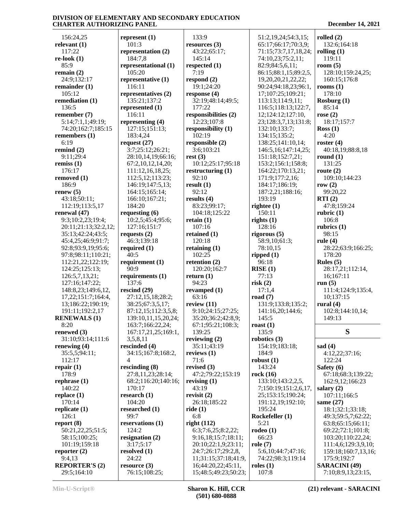156:24,25 **relevant (1)** 117:22 **re-look (1)** 85:9 **remain (2)** 24:9;132:17 **remainder (1)** 105:12 **remediation (1)** 136:5 **remember (7)** 5:14;7:1,1;49:19; 74:20;162:7;185:15 **remembers (1)** 6:19 **remind (2)** 9:11;29:4 **remiss (1)** 176:17 **removed (1)** 186:9 **renew (5)** 43:18;50:11; 112:19;113:5,17 **renewal (47)** 9:3;10:2,23;19:4; 20:11;21:13;32:2,12; 35:13;42:24;43:5; 45:4,25;46:9;91:7; 92:8;93:9,19;95:6; 97:8;98:11;110:21; 112:21,22;122:19; 124:25;125:13; 126:5,7,13,21; 127:16;147:22; 148:8,23;149:6,12, 17,22;151:7;164:4, 13;186:22;190:19; 191:11;192:2,17 **RENEWALS (1)** 8:20 **renewed (3)** 31:10;93:14;111:6 **renewing (4)** 35:5,5;94:11; 112:17 **repair (1)** 178:9 **rephrase (1)** 140:22 **replace (1)** 170:14 **replicate (1)** 126:1 **report (8)** 50:21,22,25;51:5; 58:15;100:25; 101:19;159:18 **reporter (2)** 9:4,13 **REPORTER'S (2)**

**represent (1)** 101:3 **representation (2)** 184:7,8 **representational (1)** 105:20 **representative (1)** 116:11 **representatives (2)** 135:21;137:2 **represented (1)** 116:11 **representing (4)** 127:15;151:13; 183:4,24 **request (27)** 3:7;25:12;26:21; 28:10,14,19;66:16; 67:2,10,12,14,20; 111:12,16,18,25; 112:5,12;113:23; 146:19;147:5,13; 164:15;165:14; 166:10;167:21; 184:20 **requesting (6)** 10:2,5;45:4;95:6; 127:16;151:7 **requests (2)** 46:3;139:18 **required (1)** 40:5 **requirement (1)** 90:9 **requirements (1)** 137:6 **rescind (29)** 27:12,15,18;28:2; 38:25;67:3,5,17; 87:12,15;112:3,5,8; 139:10,11,15,20,24; 163:7;166:22,24; 167:17,21,25;169:1, 3,5,8,11 **rescinded (4)** 34:15;167:8;168:2, 4 **rescinding (8)** 27:8,11,23;28:14; 68:2;116:20;140:16; 170:17 **research (1)** 104:20 **researched (1)** 99:7 **reservations (1)** 124:2 **resignation (2)** 3:17;5:17 **resolved (1)** 24:22 **resource (3)** 76:15;108:25;

 133:9 **resources (3)** 43:22;65:17; 145:14 **respected (1)** 7:19 **respond (2)** 19:1;24:20 **response (4)** 32:19;48:14;49:5; 177:22 **responsibilities (2)** 12:23;107:8 **responsibility (1)** 102:19 **responsible (2)** 3:6;103:21 **rest (3)** 10:12;25:17;95:18 **restructuring (1)** 92:10 **result (1)** 92:12 **results (4)** 83:23;99:17; 104:18;125:22 **retain (1)** 107:16 **retained (1)** 120:18 **retaining (1)** 102:25 **retention (2)** 120:20;162:7 **return (1)** 94:23 **revamped (1)** 63:16 **review (11)** 9:10;24:15;27:25; 35:20;36:2;42:8,9; 67:1;95:21;108:3; 139:25 **reviewing (2)** 35:11;43:19 **reviews (1)** 71:6 **revised (3)** 47:2;79:22;153:19 **revising (1)** 43:19 **revisit (2)** 26:18;185:22 **ride (1)** 6:8 **right (112)** 6:3;7:6,25;8:2,22; 9:16,18;15:7;18:11; 20:10;22:1,9;23:11; 24:7;26:17;29:2,8, 11;31:15;37:18;41:9, 16;44:20,22;45:11, 15;48:5;49:23;50:23;

 51:2,19,24;54:3,15; 65:17;66:17;70:3,9; 71:15;73:7,17,18,24; 74:10,23;75:2,11; 82:9;84:5,6,11; 86:15;88:1,15;89:2,5, 19,20,20,21,22,22; 90:24;94:18,23;96:1, 17;107:25;109:21; 113:13;114:9,11; 116:5;118:13;122:7, 12;124:12;127:10, 23;128:3,7,13;131:8; 132:10;133:7; 134:15;135:2; 138:25;141:10,14; 146:5,16;147:14,25; 151:18;152:7,21; 153:2;156:1;158:8; 164:22;170:13,21; 171:9;177:2,16; 184:17;186:19; 187:2,21;188:16; 193:19 **rightee (1)** 150:11 **rights (1)** 128:16 **rigorous (5)** 58:9,10;61:3; 78:10,15 **ripped (1)** 96:18 **RISE (1)** 77:13 **risk (2)** 17:1,4 **road (7)** 131:9;133:8;135:2; 141:16,20;144:6; 145:5 **roast (1)** 135:9 **robotics (3)** 154:19;183:18; 184:9 **robust (1)** 143:24 **rock (16)** 133:10;143:2,2,5, 7;150:19;151:2,6,17, 25;153:15;190:24; 191:12,19;192:10; 195:24 **Rockefeller (1)** 5:21 **rodeo (1)** 66:23 **role (7)** 5:6,10;44:7;47:16; 74:22;98:3;119:14 **roles (1)** 107:8

| December 14, 2021                        |
|------------------------------------------|
| rolled $(2)$                             |
| 132:6;164:18                             |
| rolling $(1)$                            |
| 119:11                                   |
| room $(5)$                               |
| 128:10;159:24,25;                        |
| 160:15;176:8<br>rooms $(1)$              |
| 178:10                                   |
| Rosburg $(1)$                            |
| 85:14                                    |
| rose $(2)$                               |
| 18:17;157:7                              |
| Ross(1)                                  |
| 4:20<br>roster $(4)$                     |
| 40:18,19;88:8,18                         |
| round $(1)$                              |
| 131:25                                   |
| route $(2)$                              |
| 109:10;144:23                            |
| row $(2)$                                |
| 99:20,22                                 |
| RTI(2)<br>47:8;159:24                    |
| rubric $(1)$                             |
| 106:8                                    |
| rubrics $(1)$                            |
| 98:15                                    |
| rule $(4)$                               |
| 28:22;63:9;166:25;                       |
| 178:20                                   |
| Rules $(5)$<br>28:17,21;112:14,          |
| 16;167:11                                |
| run $(5)$                                |
| 111:4;124:9;135:4,                       |
| 10;137:15                                |
| rural $(4)$                              |
| 102:8;144:10,14;                         |
| 149:13                                   |
| S                                        |
|                                          |
| sad $(4)$                                |
| 4:12,22;37:16;                           |
| 122:24                                   |
| Safety (6)                               |
| 67:18;68:3;139:22;<br>162:9,12;166:23    |
| salary $(2)$                             |
| 107:11;166:5                             |
| same (27)                                |
| 18:1;32:1;33:18;                         |
| 49:3;59:5,7;62:22;                       |
| 63:8;65:15;66:11;                        |
| 69:22;72:1;101:8;                        |
| 103:20;110:22,24;<br>111:4,6;129:3,9,10; |
| 159:18;160:7,13,16;                      |
| 175:9;192:7                              |
| <b>SARACINI</b> (49)                     |

29:5;164:10

7:10;8:9,13;23:15,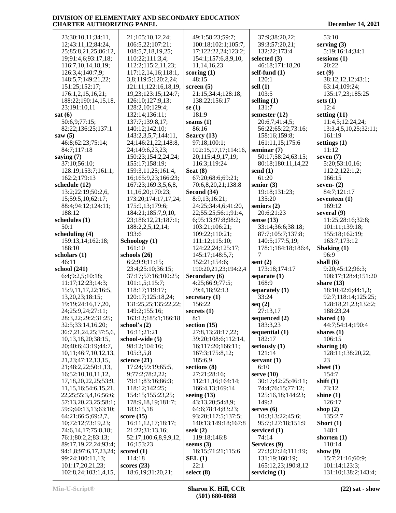| 23;30:10,11;34:11,                       | 21;105:10,12,24;                      | 49:1;58:23;59:7;     | 37:9;38:20,22;                        | 53:10                                |
|------------------------------------------|---------------------------------------|----------------------|---------------------------------------|--------------------------------------|
| 12;43:11,12;84:24,                       | 106:5,22;107:21;                      | 100:18;102:1;105:7,  | 39:3;57:20,21;                        | serving $(3)$                        |
|                                          |                                       |                      |                                       |                                      |
| 25;85:8,21,25;86:12,                     | 108:5,7,18,19,25;                     | 17;122:22,24;123:2;  | 132:22:173:4                          | 5:19;16:14;34:1                      |
| 19;91:4,6;93:17,18;                      | 110:22;111:3,4;                       | 154:1;157:6,8,9,10,  | selected $(3)$                        | $s_{\text{essions}}(1)$              |
| 116:7, 10, 14, 18, 19;                   | 112:2;115:2,11,23;                    | 11,14,16,23          | 46:18;171:18,20                       | 20:22                                |
| 126:3,4;140:7,9;                         | 117:12,14,16;118:1,                   | scoring $(1)$        | self-fund (1)                         | set $(9)$                            |
| 148:5,7;149:21,22;                       | 3,8;119:5;120:2,24;                   | 48:15                | 120:1                                 | 38:12,12,12;43:1;                    |
| 151:25;152:17;                           | 121:11;122:16,18,19,                  | screen $(5)$         | sell $(1)$                            | 63:14;109:24;                        |
|                                          |                                       | 21:15;34:4;128:18;   | 103:5                                 |                                      |
| 176:1,2,15,16,21;                        | 19,23;123:15;124:7;                   |                      |                                       | 135:17,23;185:25                     |
| 188:22;190:14,15,18,                     | 126:10;127:9,13;                      | 138:22;156:17        | selling $(1)$                         | sets $(1)$                           |
| 23;191:10,11                             | 128:2,10;129:4;                       | se $(1)$             | 131:7                                 | 12:4                                 |
| sat(6)                                   | 132:14;136:11;                        | 181:9                | semester $(12)$                       | setting $(11)$                       |
| 50:6,9;77:15;                            | 137:7:139:8.17:                       | seams $(1)$          | 20:6,7;41:4,5;                        | 11:4,5;12:24,24;                     |
| 82:22;136:25;137:1                       | 140:12;142:10;                        | 86:16                | 56:22;65:22;73:16;                    | 13:3,4,5,10,25;32:11;                |
| saw $(5)$                                | 143:2,3,5,7;144:11,                   | Searcy (13)          | 158:16;159:8;                         | 161:19                               |
| 46:8;62:23;75:14;                        | 24;146:21,22;148:8,                   | 97:18;100:1;         | 161:11,15;175:6                       | settings $(1)$                       |
| 84:7;117:18                              | 24;149:6,23,23;                       | 102:15,17,17;114:16, | seminar $(7)$                         | 11:12                                |
|                                          | 150:23;154:2,24,24;                   |                      | 50:17;58:24;63:15;                    | seven $(7)$                          |
| saying $(7)$                             |                                       | 20;115:4,9,17,19;    |                                       |                                      |
| 37:10;56:10;                             | 155:17;158:19;                        | 116:3;119:24         | 80:18;180:11,14,22                    | 5:20;53:10,16;                       |
| 128:19;153:7;161:1;                      | 159:3,11,25;161:4,                    | Seat $(8)$           | send $(1)$                            | 112:2;122:1,2;                       |
| 162:2;179:13                             | 16;165:9,23;166:23;                   | 67:20;68:6;69:21;    | 61:20                                 | 166:15                               |
| schedule (12)                            | 167:23;169:3,5,6,8,                   | 70:6,8,20,21;138:8   | senior $(3)$                          | seven- $(2)$                         |
| 13:2;22:19;50:2,6,                       | 11,16,20;170:23;                      | Second (34)          | 19:18;131:23;                         | 84:7;121:17                          |
| 15;59:5,10;62:17;                        | 173:20;174:17,17,24;                  | 8:9,13;16:21;        | 135:20                                | seventeen (1)                        |
| 88:4;94:12;124:11;                       | 175:9,13;179:6;                       | 24:25;34:4,6;41:20,  | seniors $(2)$                         | 169:12                               |
| 188:12                                   | 184:21;185:7,9,10,                    | 22;55:25;56:1;91:4,  | 20:6;21:23                            | several (9)                          |
| schedules (1)                            | 23;186:12,21;187:1;                   | 6;95:13;97:8;98:2;   | sense $(13)$                          | 11:25;28:16;32:8;                    |
| 50:1                                     |                                       | 103:21;106:21;       | 33:14;36:6;38:18;                     | 101:11;139:18;                       |
|                                          | 188:2,2,5,12,14;                      |                      |                                       |                                      |
| scheduling (4)                           | 193:6                                 | 109:22;110:21;       | 87:7;105:7;137:8;                     | 155:18;162:19;                       |
| 159:13,14;162:18;                        | Schoology (1)                         | 111:12;115:10;       | 140:5;177:5,19;                       | 163:7;173:12                         |
| 188:10                                   | 161:10                                | 124:22,24;125:17;    | 178:1;184:18;186:4,                   | Shaking (1)                          |
|                                          |                                       |                      |                                       |                                      |
| scholars (1)                             | schools $(26)$                        | 145:17;148:5,7;      | 7                                     | 96:9                                 |
| 46:11                                    | 6:2;9:9;11:15;                        | 152:21;154:6;        | sent $(2)$                            | shall $(6)$                          |
| school (241)                             | 23:4;25:10;36:15;                     | 190:20,21,23;194:2,4 | 173:18;174:17                         | 9:20;45:12;96:3;                     |
|                                          |                                       |                      |                                       |                                      |
| 6:4;9:2,5;10:18;                         | 37:17;57:16;100:25;                   | Secondary (6)        | separate $(1)$                        | 108:17;128:4;151:20                  |
| 11:17;12:23;14:3;                        | 101:1,5;115:7;                        | 4:25;66:9;77:5;      | 168:9                                 | share $(13)$                         |
| 15:9, 11, 17, 22; 16:5,                  | 118:17;119:17;                        | 79:4,18;92:13        | separately $(1)$                      | 18:10;42:6;44:1,3;                   |
| 13,20,23;18:15;                          | 120:17;125:18,24;                     | secretary $(1)$      | 33:24                                 | 92:7;118:14;125:25;                  |
| 19:19;24:16,17,20,                       | 131:25,25;135:22,22;                  | 156:22               | seq(2)                                | 128:18,21,23;132:2;                  |
| 24;25:9,24;27:11;                        | 149:2;155:16;                         | secrets $(1)$        | 27:13,17                              | 188:23,24                            |
| 28:3,22;29:2;31:25;                      | 163:12;185:1;186:18                   | 8:1                  | sequenced $(2)$                       | shared $(3)$                         |
| 32:5;33:14,16,20;                        | school's $(2)$                        | section $(15)$       | 183:3,23                              | 44:7;54:14;190:4                     |
| 36:7,21,24,25;37:5,6,                    | 16:11;21:21                           | 27:8,13;28:17,22;    | sequential $(1)$                      | shares $(1)$                         |
| 10,13,18,20;38:15,                       | school-wide (5)                       | 39:20;108:6;112:14,  | 182:17                                | 106:15                               |
| 20;40:6;43:19;44:7,                      | 98:12;104:16;                         | 16;117:20;166:11;    | seriously (1)                         | sharing $(4)$                        |
| 10,11;46:7,10,12,13,                     |                                       | 167:3;175:8,12;      | 121:14                                | 128:11;138:20,22,                    |
|                                          | 105:3,5,8                             |                      |                                       |                                      |
| 21, 23; 47: 12, 13, 15,                  | science (21)                          | 185:6,9              | servant $(1)$                         | 23                                   |
| 21;48:2,22;50:1,13,                      | 17:24;59:19;65:5,                     | sections (8)         | 6:10                                  | sheet $(1)$                          |
| 16:52:10,10,11,12,                       | 9;77:2;78:2,22;                       | 27:21;28:16;         | serve $(10)$                          | 154:7                                |
| 17, 18, 20, 22, 25; 53: 9,               | 79:11;83:16;86:3;                     | 112:11,16;164:14;    | 30:17;42:25;46:11;                    | shift $(1)$                          |
| 11, 15, 16; 54: 6, 15, 21,               | 118:12;142:25;                        | 166:4,13;169:14      | 74:4;76:15;77:12;                     | 73:12                                |
| 22, 25; 55: 3, 4, 16; 56: 6;             | 154:15;155:23,25;                     | seeing $(13)$        | 125:16,18;144:23;                     | shine $(1)$                          |
| 57:13,20,23,25;58:1;                     | 178:9,18,19;181:7;                    | 43:13,20;54:8,9;     | 149:2                                 | 126:17                               |
| 59:9;60:13,13;63:10;                     | 183:15,18                             | 64:6;78:14;83:23;    | serves $(6)$                          | shop $(2)$                           |
| 64:21;66:5;69:2,7,                       | score $(15)$                          | 93:20;117:5;137:5;   | 10:3;13:22;45:6;                      | 135:2,7                              |
| 10;72:12;73:19,23;                       | 16:11,12,17;18:17;                    | 140:13;149:18;167:8  | 95:7;127:18;151:9                     | Short $(1)$                          |
|                                          |                                       |                      |                                       |                                      |
| 74:6,14,17;75:8,18;                      | 21:22;31:13,16;                       | seek $(2)$           | serviced (1)                          | 148:1                                |
| 76:1;80:2,2;83:13;                       | 52:17;100:6,8,9,9,12,                 | 119:18;146:8         | 74:14                                 | shorten $(1)$                        |
| 89:17,19,22,24;93:4;                     | 16;153:23                             | seems $(3)$          | Services (9)                          | 110:14                               |
| 94:1,8;97:6,17,23,24;                    | scored $(1)$                          | 16:15:71:21:115:6    | 27:3;37:24;111:19;                    | show $(9)$                           |
| 99:24;100:11,13;                         | 114:18                                | SEL(1)               | 131:19;160:19;                        | 15:7;21:16;60:9;                     |
| 101:17,20,21,23;<br>102:8,24;103:1,4,15, | scores $(23)$<br>18:6, 19:31: 20, 21; | 22:1<br>select $(8)$ | 165:12,23;190:8,12<br>servicing $(1)$ | 101:14;123:3;<br>131:10;138:2;143:4; |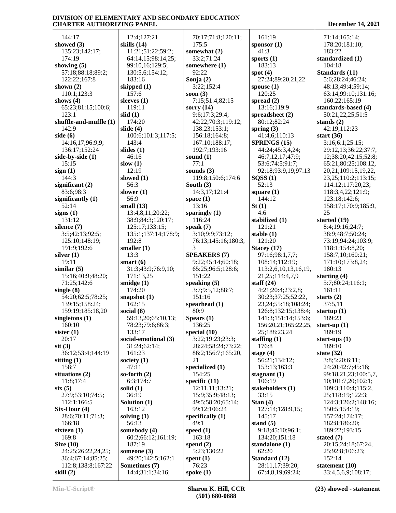| 144:17                 | 12:4;127:21                    | 70:17;71:8;120:11;                 | 161:19                   | 71:14;165:14;            |
|------------------------|--------------------------------|------------------------------------|--------------------------|--------------------------|
| showed $(3)$           | skills (14)                    | 175:5                              |                          | 178:20;181:10;           |
|                        |                                |                                    | sponsor $(1)$            |                          |
| 135:23;142:17;         | 11:21;51:22;59:2;              | somewhat (2)                       | 41:3                     | 183:22                   |
| 174:19                 | 64:14,15;98:14,25;             | 33:2;71:24                         | sports $(1)$             | standardized (1)         |
| showing $(5)$          | 99:10,16;129:5;                | somewhere (1)                      | 183:13                   | 104:18                   |
| 57:18;88:18;89:2;      | 130:5,6;154:12;                | 92:22                              | spot $(4)$               | Standards (11)           |
| 122:22;167:8           | 183:16                         | Sonja $(2)$                        | 27:24;89:20,21,22        | 5:6;28:24;46:24;         |
| shown $(2)$            | skipped (1)                    | 3:22;152:4                         | spouse $(1)$             | 48:13;49:4;59:14;        |
| 110:1;123:3            | 157:6                          | soon $(3)$                         | 120:25                   | 63:14;99:10;131:16;      |
| shows $(4)$            | sleeves $(1)$                  | 7:15:51:4:82:15                    | spread $(2)$             | 160:22;165:19            |
| 65:23;81:15;100:6;     | 119:11                         | sorry $(14)$                       | 13:16;119:9              | standards-based (4)      |
| 123:1                  | slid(1)                        | 9:6;17:3;29:4;                     | spreadsheet (2)          | 50:21,22,25;51:5         |
| shuffle-and-muffle (1) | 174:20                         | 42:22;70:3;119:12;                 | 80:12;82:24              | stands $(2)$             |
| 142:9                  | slide $(4)$                    | 138:23;153:1;                      | spring $(3)$             | 42:19;112:23             |
| side $(6)$             | 100:6;101:3;117:5;             | 156:18;164:8;                      | 41:4,6;110:13            | start $(36)$             |
| 14:16,17;96:9,9;       | 143:4                          | 167:10;188:17;                     | SPRINGS (15)             | 3:16;6:1;25:15;          |
| 136:17;152:24          | slides $(1)$                   | 192:7;193:16                       | 44:24;45:3,4,24;         | 29:12,13;36:22;37:7,     |
| side-by-side (1)       | 46:16                          | sound $(1)$                        | 46:7,12,17;47:9;         | 12;38:20;42:15;52:8;     |
| 15:15                  | slow $(1)$                     | 77:1                               | 53:6;74:5;91:7;          | 65:21;80:25;108:12,      |
| sign(1)                | 12:19                          | sounds $(3)$                       | 92:18;93:9,19;97:13      | 20, 21; 109: 15, 19, 22, |
| 144:3                  | slowed $(1)$                   | 119:8;150:6;174:6                  | SQSS(1)                  | 23, 25; 110: 2; 113: 15; |
| significant $(2)$      | 56:3                           | South $(3)$                        | 52:13                    | 114:12;117:20,23;        |
| 83:6:98:3              | slower $(1)$                   |                                    |                          |                          |
|                        |                                | 14:3,17;121:4                      | square $(1)$             | 118:3,4,22;121:9;        |
| significantly $(1)$    | 56:9                           | space $(1)$                        | 144:12                   | 123:18;142:6;            |
| 52:14                  | small $(13)$                   | 13:16                              | St(1)                    | 158:17;170:9;185:9,      |
| signs $(1)$            | 13:4,8,11;20:22;               | sparingly $(1)$                    | 4:6                      | 25                       |
| 131:12                 | 38:9;84:3;120:17;              | 116:24                             | stabilized (1)           | started (19)             |
| silence $(7)$          | 125:17;133:15;                 | speak $(7)$                        | 121:21                   | 8:4;19:16;24:7;          |
| 3:5;42:13;92:5;        | 135:1;137:14;178:9;            | 3:10;9:9;73:12;                    | stable $(1)$             | 38:9;48:7;50:24;         |
| 125:10;148:19;         | 192:8                          | 76:13;145:16;180:3,                | 121:20                   | 73:19:94:24:103:9;       |
| 191:9;192:6            | smaller $(1)$                  | 3                                  | Stacey $(17)$            | 118:1;154:8,20;          |
| silver $(1)$           | 13:3                           | <b>SPEAKERS (7)</b>                | 97:16;98:1,7,7;          | 158:7,10;160:21;         |
| 19:11                  | smart $(6)$                    | 9:22;45:14;60:18;                  | 108:14;112:19;           | 171:10;173:8,24;         |
| similar(5)             | 31:3;43:9;76:9,10;             | 65:25;96:5;128:6;                  | 113:2,6,10,13,16,19,     | 180:13                   |
| 15:16;40:9;48:20;      | 171:13,25                      | 151:22                             | 21, 25; 114: 4, 7, 9     | starting $(4)$           |
| 71:25:142:6            | smidge $(1)$                   | speaking $(5)$                     | staff $(24)$             | 5:7;80:24;116:1;         |
| single $(8)$           | 174:20                         | 3:7:9:5,12:88:7;                   | 4:21;20:4;23:2,8;        | 161:11                   |
| 54:20;62:5;78:25;      | snapshot $(1)$                 | 151:16                             | 30:23;37:25;52:22,       | starts $(2)$             |
| 139:15;158:24;         | 162:15                         | spearhead (1)                      | 23, 24; 55: 18; 108: 24; | 37:5,11                  |
| 159:19;185:18,20       | social $(8)$                   | 80:9                               | 126:8;132:15;138:4;      | startup $(1)$            |
| singletons $(1)$       | 59:13,20;65:10,13;             | Spears $(1)$                       | 141:3;151:14;153:6;      | 189:23                   |
| 160:10                 | 78:23;79:6;86:3;               | 136:25                             | 156:20,21;165:22,25,     | start-up $(1)$           |
|                        |                                |                                    |                          |                          |
| sister $(1)$           | 133:17<br>social-emotional (3) | special $(10)$<br>3:22;19:23;23:3; | 25;188:23,24             | 189:19                   |
| 20:17                  |                                |                                    | staffing $(1)$           | start-ups $(1)$          |
| $s$ it $(3)$           | 31:24;62:14;                   | 28:24;58:24;73:22;                 | 176:8                    | 189:10                   |
| 36:12;53:4;144:19      | 161:23                         | 86:2;156:7;165:20,                 | stage $(4)$              | state $(32)$             |
| sitting $(1)$          | society $(1)$                  | 21                                 | 56:21;134:12;            | 3:8;5:20;6:11;           |
| 158:7                  | 47:11                          | specialized $(1)$                  | 153:13;163:3             | 24:20;42:7;45:16;        |
| situations $(2)$       | so-forth $(2)$                 | 154:25                             | stagnant $(1)$           | 99:18,21,23;100:5,7,     |
| 11:8:17:4              | 6:3;174:7                      | specific $(11)$                    | 106:19                   | 10; 101: 7, 20; 102:1;   |
| six(5)                 | solid $(1)$                    | 12:11,11;13:21;                    | stakeholders (1)         | 109:3;110:4;115:2,       |
| 27:9;53:10;74:5;       | 36:19                          | 15:9;35:9;48:13;                   | 33:15                    | 25;118:19;122:3;         |
| 112:1;166:5            | Solution (1)                   | 49:5;58:20;65:14;                  | Stan $(4)$               | 124:3;126:2;148:16;      |
| $Six-Hour(4)$          | 163:12                         | 99:12;106:24                       | 127:14;128:9,15;         | 150:5;154:19;            |
| 28:6;70:11;71:3;       | solving $(1)$                  | specifically $(1)$                 | 145:17                   | 157:24;174:17;           |
| 166:18                 | 56:13                          | 49:1                               | stand $(5)$              | 182:8;186:20;            |
| sixteen $(1)$          | somebody (4)                   | speed $(1)$                        | 9:18;45:10;96:1;         | 189:22;193:15            |
| 169:8                  | 60:2;66:12;161:19;             | 163:18                             | 134:20;151:18            | stated (7)               |
| Size $(10)$            | 187:19                         | spend $(2)$                        | standalone (1)           | 20:15;24:18;67:24,       |
| 24:25;26:22,24,25;     | someone $(3)$                  | 5:23;130:22                        | 62:20                    | 25;92:8;106:23;          |
| 36:4;67:14;85:25;      | 49:20;142:5;162:1              | spent $(1)$                        | Standard (12)            | 152:14                   |
| 112:8;138:8;167:22     | Sometimes (7)                  | 76:23                              | 28:11,17;39:20;          | statement $(10)$         |
|                        |                                |                                    |                          |                          |
| skill $(2)$            | 14:4;31:1;34:16;               | spoke $(1)$                        | 67:4,8,19;69:24;         | 33:4,5,6,9;108:17;       |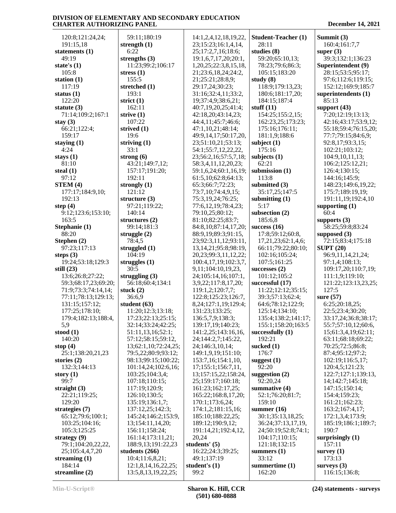| 120:8;121:24,24;     | 59:11;180:19         | 14:1,2,4,12,18,19,22,      | <b>Student-Teacher (1)</b> | Summit (3)           |
|----------------------|----------------------|----------------------------|----------------------------|----------------------|
| 191:15,18            | strength $(1)$       | 23;15:23;16:1,4,14,        | 28:11                      | 160:4;161:7,7        |
| statements (1)       | 6:22                 | 25;17:2,7,16;18:6;         | studies (8)                | super $(3)$          |
| 49:19                | strengths $(3)$      | 19:1,6,7,17,20;20:1,       | 59:20;65:10,13;            | 39:3;132:1;136:23    |
| state's $(1)$        | 11:23;99:2;106:17    | 1,20,25;22:3,8,15,18,      | 78:23;79:6;86:3;           | Superintendent (9)   |
| 105:8                | stress $(1)$         | 21;23:6,18,24;24:2,        | 105:15;183:20              | 28:15;53:5;95:17;    |
| station $(1)$        | 155:5                | 21;25:21;28:8,9;           | study $(8)$                | 97:6;112:6;119:15;   |
| 117:19               | stretched (1)        | 29:17,24;30:23;            | 118:9;179:13,23;           | 152:12;169:9;185:7   |
| status $(1)$         | 193:1                | 31:16;32:4,11;33:2,        | 180:6;181:17,20;           | superintendents (1)  |
| 122:20               | strict $(1)$         | 19;37:4,9;38:6,21;         | 184:15;187:4               | 85:13                |
| statute $(3)$        | 162:11               | 40:7,19,20,25;41:4;        | stuff $(11)$               | support $(43)$       |
| 71:14;109:2;167:1    | strive $(1)$         | 42:18,20;43:14,23;         | 154:25;155:2,15;           | 7:20;12:19;13:13;    |
| stay $(3)$           | 107:22               | 44:4,11;45:7;46:6;         | 162:23,25;173:23;          | 42:16;43:17;53:9,12; |
| 66:21;122:4;         | strived $(1)$        | 47:1,10,21;48:14;          | 175:16;176:11;             | 55:18;59:4;76:15,20; |
| 159:17               | 19:6                 | 49:9,14,17;50:17,20,       | 181:1,9;188:6              | 77:7;79:15;84:6,9;   |
| staying $(1)$        | striving $(1)$       | 23;51:10,21;53:13;         | subject $(1)$              | 92:8,17;93:3,15;     |
| 4:24                 | 33:1                 | 54:1;55:7,12,22,22,        | 175:16                     | 102:21;103:12;       |
| stays $(1)$          | strong $(6)$         | 23;56:2,16;57:5,7,18;      | subjects $(1)$             | 104:9,10,11,13;      |
| 81:10                | 43:21;149:7,12;      | 58:3,4,11,12,20,23;        | 62:21                      | 106:2;125:12,21;     |
| steal $(1)$          | 157:17;191:20;       | 59:1,6,24;60:1,16,19;      | submission (1)             | 126:4;130:15;        |
| 97:12                | 192:11               | 61:5,10;62:8;64:13;        | 113:8                      | 144:16;145:9;        |
| STEM(4)              | strongly $(1)$       | 65:3;66:7;72:23;           | submitted (3)              | 148:23;149:6,19,22;  |
| 177:17;184:9,10;     | 121:12               | 73:7,10;74:4,9,15;         | 35:17,25;147:5             | 175:7;189:19,19;     |
| 192:13               | structure $(3)$      | 75:3,19,24;76:25;          | submitting $(1)$           | 191:11,19;192:4,10   |
| step $(4)$           | 97:21;119:22;        | 77:6,12,19;78:4,23;        | 5:17                       | supporting (1)       |
| 9:12;123:6;153:10;   | 140:14               | 79:10,25;80:12;            | subsection (2)             | 60:4                 |
| 163:5                | structures $(2)$     | 81:10;82:25;83:7;          | 185:6,8                    | supports $(3)$       |
| Stephanie (1)        | 99:14;181:3          | 84:8,10;87:14,17,20;       | success $(16)$             | 58:25;59:8;83:24     |
| 88:20                | struggle $(2)$       | 88:9,19;89:3;91:15,        | 17:8;59:12;60:8,           | supposed $(3)$       |
| Stephen (2)          | 78:4,5               | 23;92:3,11,12;93:11,       | 17,21,23;62:1,4,6;         | 72:15:83:4:175:18    |
| 97:23;117:13         | struggled (1)        | 13, 14, 21; 95: 8; 98: 19, | 66:11;79:22;80:10;         | <b>SUPT (20)</b>     |
| steps $(3)$          | 104:19               | 20, 23; 99: 3, 11, 12, 22; | 102:16;105:24;             | 96:9,11,14,21,24;    |
| 19:24;53:18;129:3    | struggles $(1)$      | 100:4,17,19;102:3,7,       | 107:5;161:25               | 97:1,4;108:13;       |
| still $(23)$         | 30:5                 | 9,11;104:10,19,23,         | successes $(2)$            | 109:17,20;110:7,19;  |
| 13:6;26:8;27:22;     | struggling $(3)$     | 24;105:14,16;107:1,        | 101:12;105:2               | 111:1,9;119:10;      |
| 59:3;68:17,23;69:20; | 56:18;60:4;134:1     | 3,9,22;117:8,17,20;        | successful (17)            | 121:22;123:13,23,25; |
| 71:9;73:3;74:14,14;  | stuck $(2)$          | 119:1,2;120:7,7;           | 11:22;12:12;35:15;         | 127:5                |
| 77:11;78:13;129:13;  | 36:6,9               | 122:8;125:23;126:7,        | 39:3;57:13;62:4;           | sure $(57)$          |
| 131:15;157:12;       | student $(63)$       | 8,24;127:1,19;129:4;       | 64:6;78:12;122:9;          | 6:25;20:18,25;       |
| 177:25;178:10;       | 11:20;12:3;13:18;    | 131:23;133:25;             | 125:14;134:10;             | 22:5;23:4;30:20;     |
| 179:4;182:13;188:4,  | 17:23;22:13;25:15;   | 136:5,7,9;138:3;           | 135:4;138:2;141:17;        | 33:17,24;36:8;38:17; |
| 5,9                  | 32:14;33:24;42:25;   | 139:17,19;140:23;          | 155:1;158:20;163:5         | 55:7;57:10,12;60:6,  |
| stood $(1)$          | 51:11,13,16;52:1;    | 141:2,25;143:16,16,        | successfully $(1)$         | 15;61:3,4,19;62:11;  |
| 140:20               | 57:12;58:15;59:12,   | 24;144:2,7;145:22,         | 192:21                     | 63:11;68:18;69:22;   |
| stop $(4)$           | 13;62:1,10;72:24,25; | 24;146:3,10,14;            | sucked $(1)$               | 70:25;72:5;86:8;     |
| 25:1;138:20,21,23    | 79:5,22;80:9;93:12;  | 149:1,9,19;151:10;         | 176:7                      | 87:4;95:12;97:2;     |
| stories $(2)$        | 98:13;99:15;100:22;  | 153:7,16;154:1,10,         | suggest $(1)$              | 102:19;116:5,17;     |
| 132:3;144:13         | 101:14,24;102:6,16;  | 17;155:1;156:7,11,         | 92:20                      | 120:4,5;121:23;      |
| story $(1)$          | 103:25;104:3,4;      | 13;157:15,22;158:24,       | suggestion $(2)$           | 122:7;127:1;139:13,  |
| 99:7                 | 107:18;110:15;       | 25;159:17;160:18;          | 92:20,24                   | 14;142:7;145:18;     |
| straight $(3)$       | 117:19;120:9;        | 161:23;162:17,25;          | summative (4)              | 147:15;150:14;       |
| 22:21;119:25;        | 126:10;130:5;        | 165:22;168:8,17,20;        | 52:1;76:20;81:7;           | 154:4;159:23;        |
| 129:20               | 135:19;136:1,7;      | 170:1;173:6,24;            | 159:10                     | 161:21;162:23;       |
| strategies (7)       | 137:12,25;142:3;     | 174:1,2;181:15,16;         | summer $(16)$              | 163:2;167:4,17;      |
| 65:12;79:6;100:1;    | 145:24;146:2;153:9,  | 185:10;188:22,25;          | 30:1;35:13,18,25;          | 172:1,3,4;173:9;     |
| 103:25;104:16;       | 13;154:11,14,20;     | 189:12;190:9,12;           | 36:24;37:13,17,19,         | 185:19;186:1;189:7;  |
| 105:3;125:25         | 156:11;158:24;       | 191:14,21;192:4,12,        | 24;50:19;52:8;74:1;        | 190:7                |
| strategy $(9)$       | 161:14;173:11,21;    | 20,24                      | 104:17;110:15;             | surprisingly $(1)$   |
| 79:1;104:20,22,22,   | 188:9,13;191:22,23   | students' (5)              | 121:18;132:15              | 157:11               |
| 25;105:4,4,7,20      | students $(266)$     | 16:22;24:3;39:25;          | summers $(1)$              | survey $(1)$         |
| streaming $(1)$      | 10:4;11:6,8,21;      | 49:1;137:19                | 33:12                      | 173:13               |
| 184:14               | 12:1,8,14,16,22,25;  | student's $(1)$            | summertime (1)             | surveys $(3)$        |
| streamline $(2)$     | 13:5,8,13,19,22,25;  | 99:2                       | 162:20                     | 116:15;136:8;        |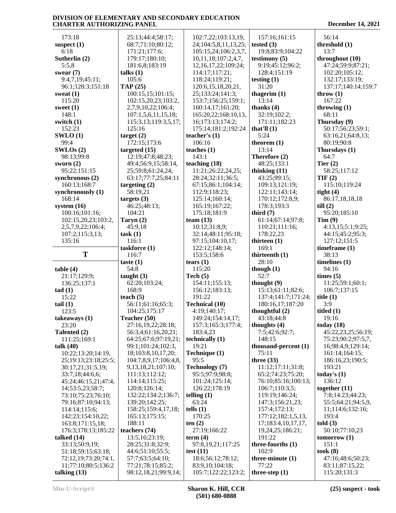| 173:18                                      | 25:13;44:4;58:17;       | 102:7,22;103:13,19,      | 157:16;161:15        | 56:14               |
|---------------------------------------------|-------------------------|--------------------------|----------------------|---------------------|
| suspect $(1)$                               | 68:7;71:10;80:12;       | 24;104:5,8,11,13,25;     | tested $(3)$         | threshold (1)       |
| 6:18                                        | 171:21;177:6;           | 105:15,24;106:2,3,7,     | 19:8;83:9;104:22     | 13:7                |
| Sutherlin (2)                               | 179:17;180:10;          | 10,11,18;107:2,4,7,      | testimony $(5)$      | throughout (10)     |
| 5:5,8                                       | 181:6,8;183:19          | 12, 16, 17, 22; 109: 24; | 9:19;45:12;96:2;     | 47:24;59:9;87:21;   |
| swear $(7)$                                 | talks $(1)$             | 114:17;117:21;           | 128:4;151:19         | 102:20;105:12;      |
| 9:4,7,19;45:11;                             | 105:6                   | 118:24;119:21;           | testing $(1)$        | 132:17;133:19;      |
| 96:1;128:3;151:18                           | TAP(25)                 | 120:6, 15, 18, 20, 21,   | 31:20                | 137:17;140:14;159:7 |
| sweat $(1)$                                 | 100:15,15;101:15;       | 25;133:24;141:3;         | thagerim $(1)$       | throw $(1)$         |
| 115:20                                      | 102:15,20,23;103:2,     | 153:7;156:25;159:1;      | 13:14                | 167:22              |
| sweet $(1)$                                 | 2,7,9,10,22;106:4;      | 160:14,17;161:20;        | thanks $(4)$         | throwing $(1)$      |
| 148:1                                       | 107:1,5,6,11,15,18;     | 165:20,22;168:10,13,     | 32:19;102:2;         | 68:11               |
| switch $(1)$                                | 115:3,13;119:3,5,17;    | 16;173:13;174:2;         | 171:11;182:23        | Thursday (9)        |
| 152:23                                      | 125:16                  | 175:14;181:2;192:24      | that'll $(1)$        | 50:17;56:23;59:1;   |
| SWLO(1)                                     | target $(2)$            | teacher's $(1)$          | 5:24                 | 63:16,21;64:8,13;   |
| 99:4                                        | 172:15;173:6            | 106:16                   | theorem $(1)$        | 80:19;90:8          |
| SWLOS(2)                                    | targeted $(15)$         | teaches $(1)$            | 13:14                | Thursdays (1)       |
|                                             |                         |                          |                      |                     |
| 98:13;99:8                                  | 12:19;47:8;48:23;       | 143:1                    | Therefore (2)        | 64:7                |
| sworn $(2)$                                 | 49:4;56:9,15;58:14,     | teaching (18)            | 48:25;133:1          | Tier $(2)$          |
| 95:22;151:15                                | 25;59:8;61:24,24;       | 11:21;26:22,24,25;       | thinking $(11)$      | 58:25;117:12        |
| synchronous (2)                             | 63:17;77:7,25;84:11     | 28:24;32:11;36:5;        | 43:25;99:15;         | TIF(2)              |
| 160:13;168:7                                | targeting $(2)$         | 67:15;86:1;104:14;       | 109:13;121:19;       | 115:10;119:24       |
| synchronously $(1)$                         | 58:19,21                | 112:9;118:23;            | 122:11;143:14;       | tight $(4)$         |
| 168:14                                      | targets $(3)$           | 125:14;160:14;           | 170:12;172:8,9;      | 86:17,18,18,18      |
| system $(16)$                               | 46:25;48:13;            | 165:19;167:22;           | 178:3;193:3          | till(2)             |
| 100:16;101:16;                              | 104:21                  | 175:18;181:9             | third $(7)$          | 95:20;185:10        |
| 102:15,20,23;103:2,                         | Taryn $(2)$             | team $(13)$              | 61:14;67:14;97:8;    | Tim(9)              |
| 2,5,7,9,22;106:4;                           | 45:9,18                 | 10:12;31:8,9;            | 110:21;111:16;       | 4:13,15;5:1;9:25;   |
| 107:2;115:3,13;                             | task(1)                 | 32:14;48:11;95:18;       | 178:22,23            | 44:15;45:2;95:3;    |
| 135:16                                      | 116:1                   | 97:15;104:10,17;         | thirteen $(1)$       | 127:12;151:5        |
|                                             | taskforce (1)           | 122:12;148:14;           | 169:1                | timeframe (1)       |
| T                                           | 116:7                   | 153:5;158:6              | thirteenth (1)       | 38:13               |
|                                             | taste $(1)$             | tears $(1)$              | 28:10                | timelines $(1)$     |
| table(4)                                    | 54:8                    | 115:20                   | though $(1)$         | 94:16               |
| 21:17;129:9;                                | taught $(3)$            | Tech $(5)$               | 52:7                 | times (5)           |
| 136:25;137:1                                | 62:20;103:24;           | 154:11;155:13;           | thought $(9)$        | 11:25;59:1;60:1;    |
| tad(1)                                      | 168:9                   | 156:12;183:13;           | 15:13;61:11;82:6;    | 106:7;137:15        |
| 15:22                                       | teach $(5)$             | 191:22                   | 137:4;141:7;171:24;  | title $(1)$         |
| tail $(1)$                                  | 56:11;61:16;65:3;       | <b>Technical (10)</b>    | 180:16,17;187:20     | 3:9                 |
| 123:5                                       | 104:25;175:17           | 4:19;140:17;             | thoughtful $(2)$     | titled $(1)$        |
| takeaways (1)                               | Teacher (50)            | 149:24;154:14,17;        | 43:18;44:8           | 19:16               |
| 23:20                                       | 27:16,19,22;28:18;      | 157:3;165:3;177:4;       | thoughts $(4)$       | today $(18)$        |
| Talented (2)                                | 56:3,4;61:16,20,21;     | 183:4,23                 | 7:5;42:6;92:7;       | 45:22,23,25;56:19;  |
| 111:25;169:1                                | 64:25;67:6;97:19,21;    | technically (1)          | 148:15               | 75:23;90:2;97:5,7,  |
| talk $(40)$                                 | 99:1;101:24;102:3,      | 19:21                    | thousand-percent (1) | 16;98:4,9;129:14;   |
| 10:22;13:20;14:19,                          | 18;103:8,10,17,20;      | Technique (1)            | 75:11                | 161:14;164:15;      |
| 25;19:13;23:18;25:5;                        | 104:7,8,9,17;106:4,8,   | 95:5                     | three $(33)$         | 186:16,23;190:5;    |
| 30:17,21;31:5,19;                           | 9, 13, 18, 21; 107: 10; | Technology (7)           | 11:12;17:11;31:8;    | 193:21              |
| 33:7,18;44:6,6;                             | 111:13;112:12;          | 95:5;97:9;98:8;          | 65:2;74:23;75:20;    | today's $(1)$       |
| 45:24;46:15,21;47:4,                        | 114:14;115:25;          | 101:24;125:14;           | 76:10;85:16;100:13;  | 136:12              |
| 14;53:5,23;58:7;                            | 120:8;126:14;           | 126:22;178:19            | 106:7;110:3,5;       | together $(11)$     |
| 73:10;75:23;76:10;                          | 132:22;134:2;136:7;     | telling $(1)$            | 119:19;146:24;       | 7:8;14:23;44:23;    |
| 79:16;87:10;94:13;                          | 139:20;142:25;          | 63:24                    | 147:3;156:21,23;     | 55:5;64:21;94:5,9,  |
| 114:14;115:6;                               | 158:25;159:4,17,18;     | tells $(1)$              | 157:4;172:13;        | 11;114:6;132:16;    |
| 142:23;154:10,22;                           | 165:13;175:15;          | 170:25                   | 177:12;182:1,5,13,   | 193:4               |
| 163:8;171:15,18;                            | 188:11                  | ten $(2)$                | 17;183:4,10,17,17,   | told(3)             |
| 176:3;178:13;185:22                         | teachers (74)           | 27:19;166:22             | 19,24,25;186:21;     | 50:10;77:10,23      |
| talked $(14)$                               | 13:5, 16: 23: 19;       | term $(4)$               | 191:22               | tomorrow(1)         |
| 33:13;50:9,19;                              | 28:25;31:8;32:9;        | 97:8,19,21;117:25        | three-fourths (1)    | 151:1               |
| 51:18;59:15;63:18;                          | 44:6;51:10;55:5;        | test $(11)$              | 102:9                | took(8)             |
|                                             | 57:7;63:5;64:10;        | 18:6;56:12;78:12;        | three-minute (1)     | 47:16;48:6;50:23;   |
| 72:12,19;73:20;74:1,<br>11;77:10;80:5;136:2 | 77:21;78:15;85:2;       | 83:9,10;104:18;          | 77:22                | 83:11;87:15,22;     |
|                                             |                         |                          |                      |                     |
| talking $(13)$                              | 98:12,18,21;99:9,14;    | 105:7;122:22;123:2;      | three-step $(1)$     | 115:20;131:3        |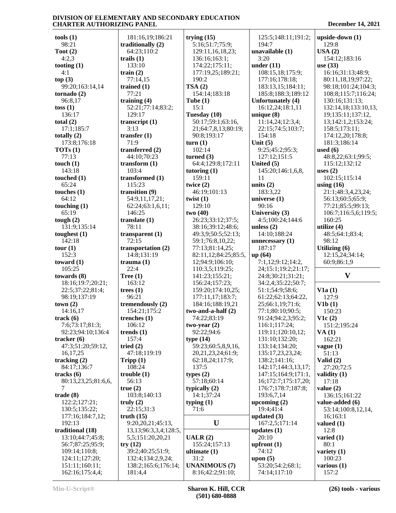**tools (1)** 98:21 **Toot (2)** 4:2,3 **tooting (1)** 4:1 **top (3)** 99:20;163:14,14 **tornado (2)** 96:8,17 **toss (1)** 136:17 **total (2)** 17:1;185:7 **totally (2)** 173:8;176:18 **TOTs (1)** 77:13 **touch (1)** 143:18 **touched (1)** 65:24 **touches (1)** 64:12 **touching (1)** 65:19 **tough (2)** 131:9;135:14 **toughest (1)** 142:18 **tour (1)** 152:3 **toward (1)** 105:25 **towards (8)** 18:16;19:7;20:21; 22:5;37:22;81:4; 98:19;137:19 **town (2)** 14:16,17 **track (6)** 7:6;73:17;81:3; 92:23;94:10;136:4 **tracker (6)** 47:3;51:20;59:12, 16,17,25 **tracking (2)** 84:17;136:7 **tracks (6)** 80:13,23,25;81:6,6, 7 **trade (8)** 122:2;127:21; 130:5;135:22; 177:16;184:7,12; 192:13 **traditional (18)** 13:10;44:7;45:8; 56:7;87:25;95:9; 109:14;110:8; 124:11;127:20; 151:11;160:11; 162:16;175:4,4;

 181:16,19;186:21 **traditionally (2)** 64:23;110:2 **trails (1)** 133:10 **train (2)** 77:14,15 **trained (1)** 77:21 **training (4)** 52:21;77:14;83:2; 129:17 **transcript (1)** 3:13 **transfer (1)** 71:9 **transferred (2)** 44:10;70:23 **transform (1)** 103:4 **transformed (1)** 115:23 **transition (9)** 54:9,11,17,21; 62:24;63:1,6,11; 146:25 **translate (1)** 78:11 **transparent (1)** 72:15 **transportation (2)** 14:8;131:19 **trauma (1)** 22:4 **Tree (1)** 163:12 **trees (1)** 96:21 **tremendously (2)** 154:21;175:2 **trenches (1)** 106:12 **trends (1)** 157:4 **tried (2)** 47:18;119:19 **Tripp (1)** 108:24 **trouble (1)** 56:13 **true (2)** 103:8;140:13 **truly (2)** 22:15;31:3 **truth (15)** 9:20,20,21;45:13, 13,13;96:3,3,4;128:5, 5,5;151:20,20,21 **try (12)** 39:2;40:25;51:9; 132:4;134:2,9,24; 138:2;165:6;176:14; 181:4,4

**trying (15)** 5:16;51:7;75:9; 129:11,16,18,23; 136:16;163:1; 174:22;175:11; 177:19,25;189:21; 190:2 **TSA (2)** 154:14;183:18 **Tube (1)** 15:1 **Tuesday (10)** 50:17;59:1;63:16, 21;64:7,8,13;80:19; 90:8;193:17 **turn (1)** 102:14 **turned (3)** 64:4;129:8;172:11 **tutoring (1)** 159:11 **twice (2)** 46:19;101:13 **twist (1)** 129:10 **two (40)** 26:23;33:12;37:5; 38:16;39:12;48:6; 49:3,9;50:5;52:13; 59:1;76:8,10,22; 77:13;81:14,25; 82:11,12;84:25;85:5, 12;94:9;106:10; 110:3,5;119:25; 141:23;155:21; 156:24;157:23; 159:20;174:10,25; 177:11,17;183:7; 184:16;188:19,21 **two-and-a-half (2)** 74:22;83:19 **two-year (2)** 92:22;94:6 **type (14)** 59:23;60:5,8,9,16, 20,21,23,24;61:9; 62:18,24;117:9; 137:5 **types (2)** 57:18;60:14 **typically (2)** 14:1;37:24 **typing (1)** 71:6 **U UALR (2)** 155:24;157:13 **ultimate (1)** 31:2 **UNANIMOUS (7)** 8:16;42:2;91:10;

 125:5;148:11;191:2; 194:7 **unavailable (1)** 3:20 **under (11)** 108:15,18;175:9; 177:16;178:18; 183:13,15;184:11; 185:8;188:3;189:12 **Unfortunately (4)** 16:12,24;18:1,11 **unique (8)** 11:14,24;12:3,4; 22:15;74:5;103:7; 154:18 **Unit (5)** 9:25;45:2;95:3; 127:12;151:5 **United (5)** 145:20;146:1,6,8, 11 **units (2)** 183:3,22 **universe (1)** 90:16 **University (3)** 4:5;100:24;144:6 **unless (2)** 14:10;188:24 **unnecessary (1)** 187:17 **up (64)** 7:1,12;9:12;14:2, 24;15:1;19:2;21:17; 24:8;30:21;31:21; 34:2,4;35:22;50:7; 51:1;54:9;58:6; 61:22;62:13;64:22, 25;66:1,19;71:6; 77:1;80:10;90:5; 91:24;94:2,3;95:2; 116:1;117:24; 119:11;120:10,12; 131:10;132:20; 133:14;134:20; 135:17,23,23,24; 138:2;141:16; 142:17;144:3,13,17; 147:15;164:9;171:1, 16;172:7;175:17,20; 176:7;178:7;187:8; 193:6,7,14 **upcoming (2)** 19:4;41:4 **updated (3)** 167:2,5;171:14 **updates (1)** 20:10 **upfront (1)** 74:12 **upon (5)** 53:20;54:2;68:1; 74:14;117:10

| upside-down (1)                            |
|--------------------------------------------|
| 129:8<br>USA(2)<br>154:12;183:16           |
| use (33)                                   |
| 16:16;31:13;48:9;<br>80:11,18,19;97:22;    |
| 98:18;101:24;104:3;<br>108:8;115:7;116:24; |
| 130:16;131:13;<br>132:14,18;133:10,13,     |
| 19;135:11;137:12,                          |
| 13;142:1,2;153:24;<br>158:5;173:11;        |
| 174:12,20;178:8;<br>181:3;186:14           |
| used $(6)$                                 |
| 48:8,22;63:1;99:5;<br>115:12;132:12        |
| uses $(2)$<br>102:15;115:14                |
| using $(16)$<br>21:1;48:3,4,23,24;         |
| 56:13;60:5;65:9;                           |
| 77:21;85:5;99:13;<br>106:7;116:5,6;119:5;  |
| 160:25<br>utilize (4)                      |
| 48:5;64:1;83:4;                            |
| 98:12<br>Utilizing (6)                     |
| 12:15,24;34:14;<br>60:9;86:1,9             |
|                                            |
| V                                          |
| V1a(1)                                     |
| 127:9<br>V1b(1)                            |
| 150:23                                     |
| V1c(2)<br>151:2;195:24                     |
| VA(1)<br>162:21                            |
| vague(1)<br>51:13                          |
| Valid (2)<br>27:20;72:5                    |
| validity (1)<br>17:18                      |
| value $(2)$                                |
| 136:15;161:22<br>value-added (6)           |
| 53:14;100:8,12,14,<br>16;163:1             |
| valued $(1)$<br>12:8                       |
| varied $(1)$<br>80:1                       |
| variety $(1)$<br>100:23                    |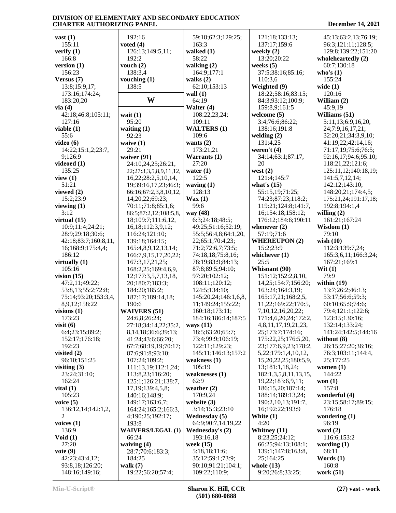| vast $(1)$                        | 192:16                          | 59:18;62:3;129:25;                  | 121:18;133:13;                   | 45:13;63:2,13;76:19; |
|-----------------------------------|---------------------------------|-------------------------------------|----------------------------------|----------------------|
| 155:11                            | voted $(4)$                     | 163:3                               | 137:17;159:6                     | 96:3;121:11;128:5;   |
| verify $(1)$                      | 126:13;149:5,11;                | walked $(1)$                        | weekly $(2)$                     | 129:8;139:22;151:20  |
| 166:8                             | 192:2                           | 58:22                               | 13:20;20:22                      | wholeheartedly (2)   |
| version $(1)$                     | vouch $(2)$                     | walking $(2)$                       | weeks $(5)$                      | 60:7;130:18          |
| 156:23                            | 138:3,4                         | 164:9;177:1                         | 37:5;38:16;85:16;                | who's $(1)$          |
| Versus $(7)$                      | vouching $(1)$                  | walks $(2)$                         | 110:3,6                          | 155:24               |
|                                   |                                 |                                     |                                  |                      |
| 13:8;15:9,17;                     | 138:5                           | 62:10;153:13                        | Weighted (9)                     | wide $(1)$           |
| 173:16;174:24;                    |                                 | wall $(1)$                          | 18:22;58:16;83:15;               | 120:16               |
| 183:20,20                         | W                               | 64:19                               | 84:3;93:12;100:9;                | William (2)          |
| via(4)                            |                                 | Walter (4)                          | 159:8,9;161:5                    | 45:9,19              |
| 42:18;46:8;105:11;                | wait $(1)$                      | 108:22,23,24;                       | welcome $(5)$                    | Williams (51)        |
| 127:16                            | 95:20                           | 109:11                              | 3:4;76:6;86:22;                  | 5:11,13;6:9,16,20,   |
| viable $(1)$                      | waiting $(1)$                   | <b>WALTERS (1)</b>                  | 138:16;191:8                     | 24;7:9,16,17,21;     |
| 55:6                              | 92:23                           | 109:6                               | welding $(2)$                    | 32:20,21;34:3,9,10;  |
| video $(6)$                       | waive $(1)$                     | wants $(2)$                         | 131:4,25                         | 41:19,22;42:14,16;   |
|                                   |                                 |                                     |                                  |                      |
| 14:22;15:1,2;23:7,                | 29:21                           | 173:21,21                           | weren't $(4)$                    | 71:17,19;75:6;76:5;  |
| 9;126:9                           | waiver (91)                     | Warrants (1)                        | 34:14;63:1;87:17,                | 92:16,17;94:6;95:10; |
| videoed $(1)$                     | 24:10,24,25;26:21,              | 27:20                               | 20                               | 118:21,22;121:6;     |
| 135:25                            | 22;27:3,3,5,8,9,11,12,          | water $(1)$                         | west $(2)$                       | 125:11,12;140:18,19; |
| view $(1)$                        | 16,22;28:2,5,10,14,             | 122:5                               | 121:4;145:7                      | 141:5,7,12,14;       |
| 51:21                             | 19;39:16,17,23;46:3;            | waving $(1)$                        | what's $(15)$                    | 142:12;143:10;       |
| viewed $(2)$                      | 66:16;67:2,3,8,10,12,           | 128:13                              | 55:15,19;71:25;                  | 148:20,21;174:4,5;   |
| 15:2;23:9                         | 14, 20, 22; 69: 23;             | $\text{Wax}\left(1\right)$          | 74:23;87:23;118:2;               | 175:21,24;191:17,18; |
| viewing $(1)$                     | 70:11;71:8;85:1,6;              | 99:6                                | 119:21;124:8;141:7,              | 192:8;194:1,4        |
| 3:12                              |                                 |                                     |                                  |                      |
|                                   | 86:5;87:2,12;108:5,8,           | way (48)                            | 16;154:18;158:12;                | willing $(2)$        |
| virtual $(15)$                    | 18;109:7;111:6,12,              | 6:3;24:18;48:5;                     | 176:12;184:6;190:11              | 161:21;167:24        |
| 10:9;11:4;24:21;                  | 16,18;112:3,9,12;               | 49:25;51:16;52:19;                  | whenever $(2)$                   | Wisdom $(1)$         |
| 28:9;29:18;30:6;                  | 116:24;121:10;                  | 55:5;56:4,8;64:1,20,                | 57:19;71:6                       | 79:10                |
| 42:18;83:7;160:8,11,              | 139:18;164:15;                  | 22;65:1;70:4,23;                    | <b>WHEREUPON (2)</b>             | wish $(10)$          |
| 16;168:9;175:4,4;                 | 165:4,8,9,12,13,14;             | 71:2;72:6,7;73:5;                   | 15:2;23:9                        | 112:3;139:7,24;      |
| 186:12                            | 166:7,9,15,17,20,22;            | 74:18,18;75:8,16;                   | whichever $(1)$                  | 165:3,6,11;166:3,24; |
|                                   |                                 |                                     |                                  |                      |
|                                   |                                 |                                     |                                  |                      |
| virtually $(1)$                   | 167:3,17,21,25;                 | 78:19;83:9;84:13;                   | 25:5                             | 167:21;169:1         |
| 105:16                            | 168:2,25;169:4,6,9,             | 87:8;89:5;94:10;                    | Whisnant (90)                    | Wit $(1)$            |
| vision $(15)$                     | 12;177:3,5,7,13,18,             | 97:20;102:12;                       | 151:12;152:2,8,10,               | 79:9                 |
| 47:2,11;49:22;                    | 20;180:7;183:3;                 | 108:11;120:12;                      | 14,25;154:7;156:20;              | within $(19)$        |
| 53:8,13;55:2;72:8;                | 184:20;185:2;                   | 124:5;134:10;                       | 163:24;164:3,19;                 | 13:7;26:2;46:13;     |
| 75:14;93:20;153:3,4,              | 187:17;189:14,18;               | 145:20,24;146:1,6,8,                | 165:17,21;168:2,5,               | 53:17;56:6;59:3;     |
| 8,9,12;158:22                     | 190:6                           | 11;149:24;155:22;                   | 11,22;169:22;170:5,              | 60:10;65:9;74:6;     |
|                                   |                                 | 160:18;173:11;                      |                                  |                      |
| visions $(1)$                     | <b>WAIVERS (51)</b>             |                                     | 7, 10, 12, 16, 20, 22;           | 79:4;121:1;122:6;    |
| 173:23                            | 24:6,8;26:24;                   | 184:16;186:14;187:5                 | 171:4,6,20,24;172:2,             | 123:15;130:16;       |
| visit $(6)$                       | 27:18;34:14,22;35:2,            | ways $(11)$                         | 4,8,11,17,19,21,23,              | 132:14;133:24;       |
| 6:4;23:15;89:2;                   | 8, 14, 18; 36: 6; 39: 13;       | 18:5;63:20;65:7;                    | 25;173:7;174:16;                 | 141:24;142:5;144:16  |
| 152:17;176:18;                    | 41:24;43:6;66:20;               | 73:4;99:9;106:19;                   | 175:22,25;176:5,20,              | without $(8)$        |
| 192:23                            | 67:7;68:19,19;70:17;            | 122:11;129:23;                      | 23;177:6,9,23;178:2,             | 26:15;27:20;36:16;   |
| visited $(2)$                     | 87:6;91:8;93:10;                | 145:11;146:13;157:2                 | 5, 22; 179: 1, 4, 10, 12,        | 76:3;103:11;144:4,   |
| 96:10;151:25                      | 107:24;109:2;                   | weakness $(1)$                      | 15, 20, 22, 25; 180: 5, 9,       | 25;177:25            |
| visiting $(3)$                    | 111:13,19;112:1,24;             | 105:19                              | 13;181:1,18,24;                  | women $(1)$          |
| 23:24;31:10;                      | 113:8,23;116:20;                | weaknesses (1)                      | 182:1,3,5,8,11,13,15,            | 144:22               |
| 162:24                            |                                 | 62:9                                | 19,22;183:6,9,11;                | won $(1)$            |
|                                   | 125:1;126:21;138:7,             |                                     |                                  |                      |
| vital $(1)$                       | 17, 19; 139: 4, 5, 8;           | weather $(2)$                       | 186:15,20;187:14;                | 157:8                |
| 105:23                            | 140:16;148:9;                   | 170:9,24                            | 188:14;189:13,24;                | wonderful (4)        |
| voice $(5)$                       | 149:17;163:6,7;                 | website $(3)$                       | 190:2,10,13;191:7,               | 23:15:58:17:89:15;   |
| 136:12,14;142:1,2,                | 164:24;165:2;166:3,             | 3:14;15:3;23:10                     | 16;192:22;193:9                  | 176:18               |
| 2                                 | 4;190:25;192:17;                | <b>Wednesday</b> (5)                | White (1)                        | wondering $(1)$      |
| voices $(1)$                      | 193:8                           | 64:9;90:7,14,19,22                  | 4:20                             | 96:19                |
| 136:9                             | <b>WAIVERS/LEGAL (1)</b>        | <b>Wednesday's (2)</b>              | Whitney (11)                     | word $(2)$           |
| Void $(1)$                        | 66:24                           | 193:16,18                           | 8:23,25;24:12;                   | 116:6;153:2          |
| 27:20                             | waiving $(4)$                   | week $(15)$                         | 66:25;94:13;108:1;               | wording $(1)$        |
| vote $(9)$                        | 28:7;70:6;183:3;                | 5:18,18;11:6;                       | 139:1;147:8;163:8,               | 68:11                |
| 42:23;43:4,12;                    | 184:25                          | 35:12;59:1;73:9;                    | 25;164:25                        | Words $(1)$          |
|                                   |                                 |                                     |                                  |                      |
| 93:8,18;126:20;<br>148:16;149:16; | walk $(7)$<br>19:22;56:20;57:4; | 90:10;91:21;104:1;<br>109:22;110:9; | whole $(13)$<br>9:20;26:8;33:25; | 160:8<br>work (51)   |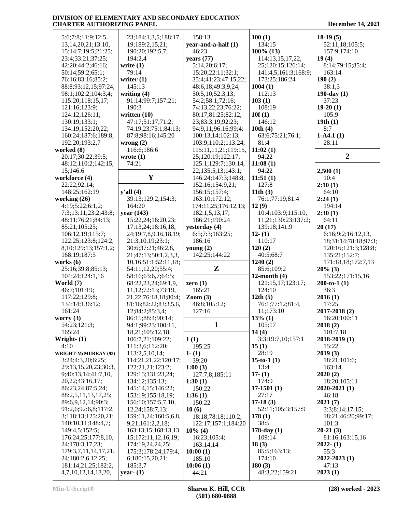| 5:6;7:8;11:9;12:5,         | 23;184:1,3,5;188:17,       | 158:13                        | 100(1)               | $18-19(5)$           |
|----------------------------|----------------------------|-------------------------------|----------------------|----------------------|
|                            |                            | year-and-a-half (1)           | 134:15               |                      |
| 13, 14, 20, 21; 13: 10,    | 19;189:2,15,21;            |                               |                      | 52:11,18;105:5;      |
| 15;14:7;19:5;21:25;        | 190:20;192:5,7;            | 46:23                         | $100\%$ (13)         | 157:9;174:10         |
| 23:4;33:21;37:25;          | 194:2,4                    | years $(77)$                  | 114:13,15,17,22,     | 19(4)                |
| 42:20;44:2;46:16;          | write $(1)$                | 5:14,20;6:17;                 | 25;120:15;126:14;    | 8:14;79:15;85:4;     |
| 50:14;59:2;65:1;           | 79:14                      | 15:20;22:11;32:1;             | 141:4,5;161:3;168:9; | 163:14               |
|                            |                            |                               |                      |                      |
| 76:16;83:16;85:2;          | writer $(1)$               | 35:4;41:23;47:15,22;          | 173:25;186:24        | 190(2)               |
| 88:8;93:12,15;97:24;       | 145:13                     | 48:6,18;49:3,9,24;            | 1004(1)              | 38:1,3               |
| 98:1;102:2;104:3,4;        | writing $(4)$              | 50:5,10;52:3,13;              | 112:13               | $190$ -day $(1)$     |
| 115:20;118:15,17;          | 91:14;99:7;157:21;         | 54:2;58:1;72:16;              | 103(1)               | 37:23                |
| 121:16;123:9;              | 190:3                      | 74:13,22,23;76:22;            | 108:19               | $19-20(1)$           |
| 124:12;126:11;             | written $(10)$             | 80:17;81:25;82:12,            | 10f(1)               | 105:9                |
|                            |                            |                               |                      |                      |
| 130:19;133:1;              | 47:17;51:17;71:2;          | 23;83:3,19;92:23;             | 146:12               | 19th(1)              |
| 134:19;152:20,22;          | 74:19,23;75:1;84:13;       | 94:9,11;96:16;99:4;           | 10th $(4)$           | 8:7                  |
| 160:24;187:6;189:8;        | 87:8;98:16;145:20          | 100:13,14;102:13;             | 63:6;75:21;76:1;     | $1-A4.1(1)$          |
| 192:20;193:2,7             | wrong $(2)$                | 103:9;110:2;113:24;           | 81:4                 | 28:11                |
| worked (8)                 | 116:6;186:6                | 115:11,11,21;119:15,          | 11:02(1)             |                      |
| 20:17;30:22;39:5;          | wrote $(1)$                | 25;120:19;122:17;             | 94:22                | $\overline{2}$       |
|                            |                            |                               |                      |                      |
| 48:12;110:2;142:15,        | 74:21                      | 125:1;129:7;130:14,           | 11:08(1)             |                      |
| 15;146:6                   |                            | 22;135:5,13;143:1;            | 94:22                | 2,500(1)             |
| workforce (4)              | $\mathbf{Y}$               | 146:24;147:3;148:8;           | 11:51(1)             | 10:4                 |
| 22:22;92:14;               |                            | 152:16;154:9,21;              | 127:8                | 2:10(1)              |
| 148:25;162:19              | y'all(4)                   | 156:15;157:4;                 | 11th $(3)$           | 64:10                |
| working $(26)$             |                            |                               |                      |                      |
|                            | 39:13;129:2;154:3;         | 163:10;172:12;                | 76:1;77:19;81:4      | 2:24(1)              |
| 4:19;5:22;6:1,2;           | 164:20                     | 174:11,25;176:12,13;          | 12(9)                | 194:14               |
| 7:3;13:11;23:2;43:8;       | year $(143)$               | 182:1,5,13,17;                | 10:4;103:9;115:10,   | 2:30(1)              |
| 48:11;76:21;84:13;         | 15:22,24;16:20,23;         | 186:21;190:24                 | 11,21;130:23;137:2;  | 64:11                |
| 85:21;105:25;              | 17:13,24;18:16,18,         | yesterday (4)                 | 139:18;141:9         | 20(17)               |
| 106:12,19;115:7;           | 24;19:7,8,9,16,18,19;      | 6:5;7:3;163:25;               | $12-(1)$             | 6:16;9:2;16:12,13,   |
|                            |                            | 186:16                        |                      |                      |
| 122:25;123:8;124:2,        | 21:3,10,19;23:1;           |                               | 110:17               | 18;31:14;78:18;97:3; |
| 8, 10; 129: 13; 157: 1, 2; | 30:6;37:21;46:2,8,         | young $(2)$                   | 120(2)               | 120:16;121:3;128:8;  |
| 168:19;187:5               | 21;47:13;50:1,2,3,3,       | 142:25;144:22                 | 40:5;68:7            | 135:21;152:7;        |
| works $(6)$                | 10,16;51:1;52:11,18;       |                               | 1240(2)              | 171:18,18;172:7,13   |
| 25:16;39:8;85:13;          | 54:11,12,20;55:4;          | ${\bf z}$                     | 85:6;109:2           | $20\%$ (3)           |
| 104:24;124:1,16            | 58:16;63:6,7;64:5;         |                               | 12-month $(4)$       | 153:22;171:15,16     |
|                            |                            |                               |                      |                      |
| World $(7)$                | 68:22,23,24;69:1,9,        | zero $(1)$                    | 121:15,17;123:17;    | $200-to-1(1)$        |
| 46:7;101:19;               | 11, 12; 72: 13; 73: 19,    | 165:21                        | 124:10               | 36:3                 |
| 117:22;129:8;              | 21, 22; 76: 18, 18; 80: 4; | $\mathrm{Zoom}\left(3\right)$ | 12th $(5)$           | 2016(1)              |
| 134:14;136:12;             | 81:16;82:22;83:3,5,6,      | 46:8;105:12;                  | 76:1;77:12;81:4,     | 17:25                |
| 161:24                     | 12;84:2;85:3,4;            | 127:16                        | 11;173:10            | 2017-2018 (2)        |
| worry $(3)$                | 86:15;88:4;90:14;          |                               | $13\%$ (1)           | 16:20;100:11         |
|                            |                            |                               |                      |                      |
| 54:23;121:3;               | 94:1;99:23;100:11,         | $\mathbf{1}$                  | 105:17               | 2018(2)              |
| 165:24                     | 18,21;105:12,18;           |                               | 14(4)                | 101:7,18             |
| Wright- $(1)$              | 106:7,21;109:22;           | 1(1)                          | 3:3;19:7,10;157:1    | 2018-2019 (1)        |
| 4:10                       | 111:3,6;112:20;            | 195:25                        | 15(1)                | 15:22                |
| WRIGHT-McMURRAY (93)       | 113:2,5,10,14;             | $1-(1)$                       | 28:19                | 2019(3)              |
| 3:24;4:3,20;6:25;          | 114:21,21,22;120:17;       | 39:20                         | 15-to-1 $(1)$        | 18:21;101:6;         |
|                            | 122:21,21;123:2;           |                               | 13:4                 | 163:14               |
| 29:13,15,20,23;30:3,       |                            | 1:00(3)                       |                      |                      |
| 9;40:13,14;41:7,10,        | 129:15;131:23,24;          | 127:7,8;185:11                | $17-(1)$             | 2020(2)              |
| 20,22;43:16,17;            | 134:12;135:13;             | 1:30(1)                       | 174:9                | 18:20;105:11         |
| 86:23,24;87:5,24;          | 145:14,15;146:22;          | 150:22                        | $17-1501(1)$         | $2020 - 2021(1)$     |
| 88:2,5,11,13,17,25;        | 153:19;155:18,19;          | 1:36(1)                       | 27:17                | 46:18                |
| 89:6,9,12,14;90:3;         | 156:10;157:5,7,10,         | 150:22                        | $17-18(3)$           | 2021(7)              |
|                            |                            |                               |                      |                      |
| 91:2,6;92:6,8;117:2,       | 12,24;158:7,13;            | 10(6)                         | 52:11;105:3;157:9    | 3:3;8:14;17:15;      |
| 3;118:13;125:20,21;        | 159:11,24;160:5,6,8,       | 18:18;78:18;110:2;            | 178(1)               | 18:21;46:20;99:17;   |
| 140:10,11;148:4,7;         | 9,21;161:2,2,18;           | 122:17;157:1;184:20           | 38:5                 | 101:3                |
| 149:4,5;152:5;             | 163:13,15;168:13,13,       | $10\%$ (4)                    | $178$ -day $(1)$     | $20-21(3)$           |
| 176:24,25;177:8,10,        | 15, 172, 11, 12, 16, 19;   | 16:23;105:4;                  | 109:14               | 81:16;163:15,16      |
| 24;178:3,17,23;            | 174:19,24,24,25;           | 163:14,14                     | 18(3)                | $2022 - (1)$         |
|                            |                            |                               |                      |                      |
| 179:3,7,11,14,17,21,       | 175:3;178:24;179:4,        | 10:00(1)                      | 85:5;163:13;         | 55:3                 |
| 24;180:2,6,12,25;          | 6;180:15,20,21;            | 185:10                        | 174:10               | 2022-2023 (1)        |
| 181:14,21,25;182:2,        | 185:3,7                    | 10:06(1)                      | 180(3)               | 47:13                |
| 4,7,10,12,14,18,20,        | year- $(1)$                | 44:21                         | 48:3,22;159:21       | 2023(1)              |
|                            |                            |                               |                      |                      |